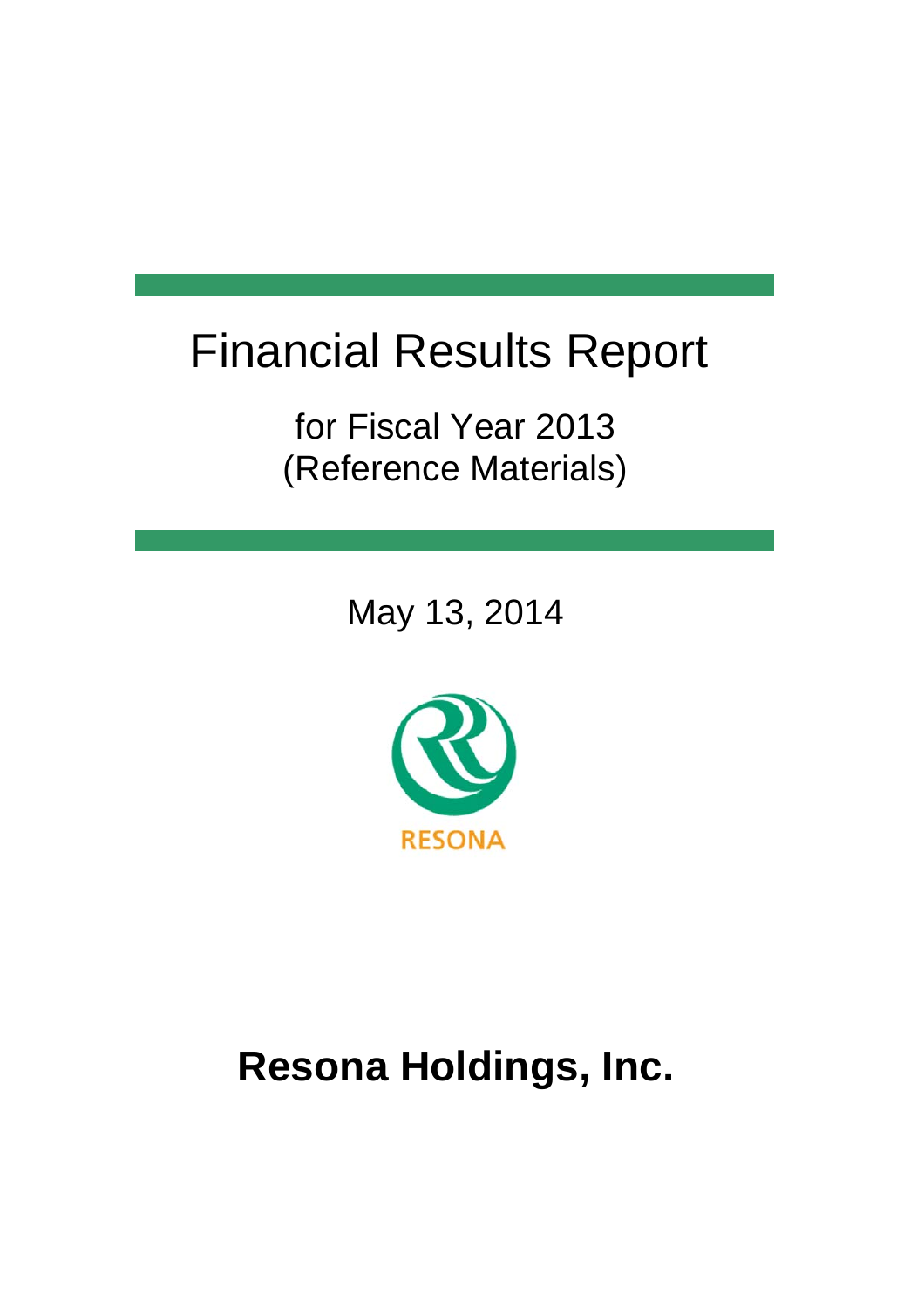# Financial Results Report

for Fiscal Year 2013 (Reference Materials)

May 13, 2014



# **Resona Holdings, Inc.**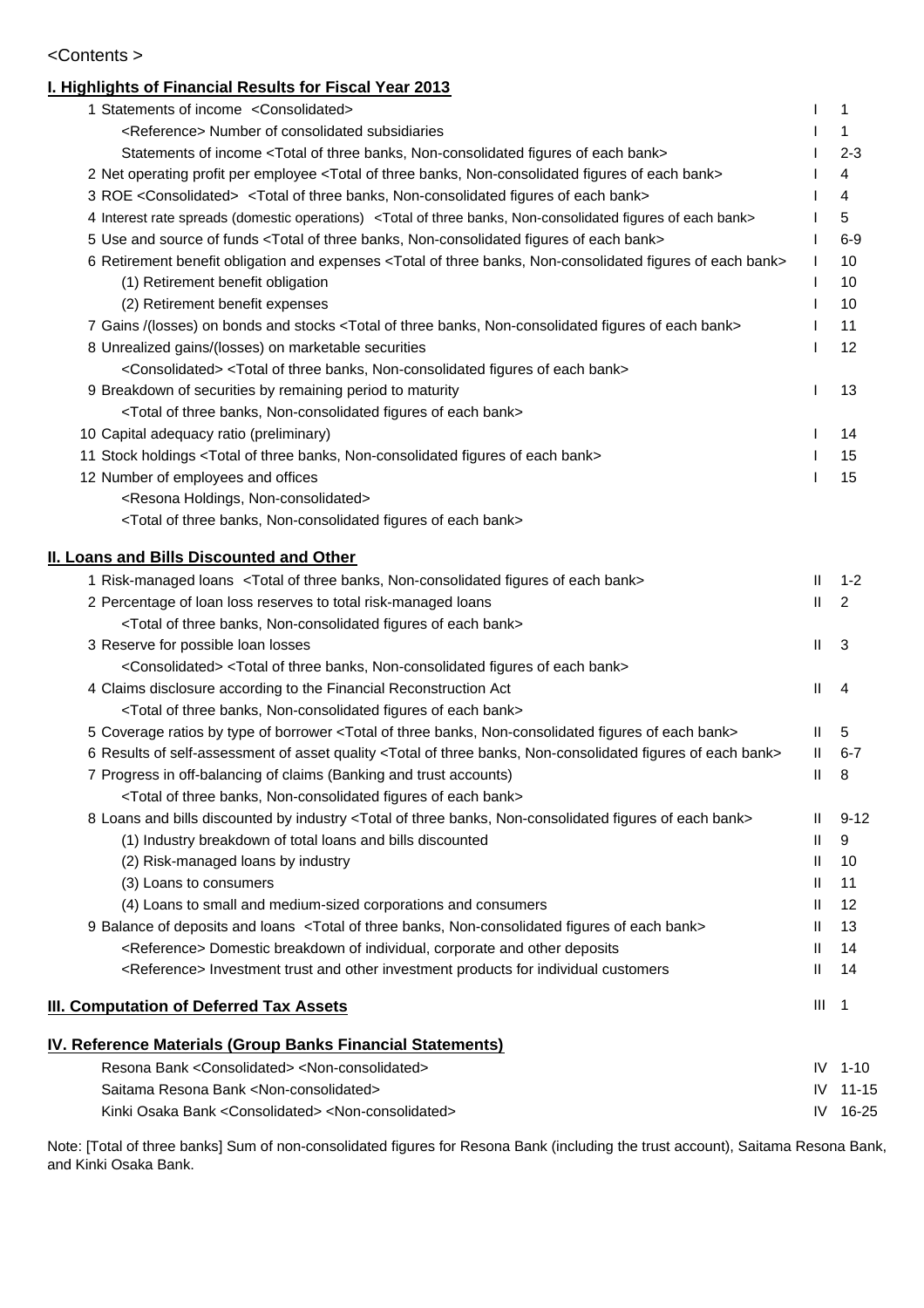#### <Contents >

#### **I. Highlights of Financial Results for Fiscal Year 2013**

| 1 Statements of income <consolidated></consolidated>                                                                                  |                    | 1              |
|---------------------------------------------------------------------------------------------------------------------------------------|--------------------|----------------|
| <reference> Number of consolidated subsidiaries</reference>                                                                           |                    | 1              |
| Statements of income <total bank="" banks,="" each="" figures="" non-consolidated="" of="" three=""></total>                          |                    | 2-3            |
| 2 Net operating profit per employee <total bank="" banks,="" each="" figures="" non-consolidated="" of="" three=""></total>           |                    | 4              |
| 3 ROE <consolidated> <total bank="" banks,="" each="" figures="" non-consolidated="" of="" three=""></total></consolidated>           |                    | 4              |
| 4 Interest rate spreads (domestic operations) <total bank="" banks,="" each="" figures="" non-consolidated="" of="" three=""></total> |                    | 5              |
| 5 Use and source of funds <total bank="" banks,="" each="" figures="" non-consolidated="" of="" three=""></total>                     |                    | 6-9            |
| 6 Retirement benefit obligation and expenses <total bank="" banks,="" each="" figures="" non-consolidated="" of="" three=""></total>  | T                  | 10             |
| (1) Retirement benefit obligation                                                                                                     |                    | 10             |
| (2) Retirement benefit expenses                                                                                                       |                    | 10             |
| 7 Gains /(losses) on bonds and stocks <total bank="" banks,="" each="" figures="" non-consolidated="" of="" three=""></total>         |                    | 11             |
| 8 Unrealized gains/(losses) on marketable securities                                                                                  |                    | 12             |
| <consolidated> <total bank="" banks,="" each="" figures="" non-consolidated="" of="" three=""></total></consolidated>                 |                    |                |
| 9 Breakdown of securities by remaining period to maturity                                                                             |                    | 13             |
| <total bank="" banks,="" each="" figures="" non-consolidated="" of="" three=""></total>                                               |                    |                |
| 10 Capital adequacy ratio (preliminary)                                                                                               |                    | 14             |
| 11 Stock holdings <total bank="" banks,="" each="" figures="" non-consolidated="" of="" three=""></total>                             | $\mathbf{I}$       | 15             |
| 12 Number of employees and offices                                                                                                    |                    | 15             |
| <resona holdings,="" non-consolidated=""></resona>                                                                                    |                    |                |
| <total bank="" banks,="" each="" figures="" non-consolidated="" of="" three=""></total>                                               |                    |                |
|                                                                                                                                       |                    |                |
| <b>II. Loans and Bills Discounted and Other</b>                                                                                       |                    |                |
| 1 Risk-managed loans <total bank="" banks,="" each="" figures="" non-consolidated="" of="" three=""></total>                          | Ш                  | $1 - 2$        |
| 2 Percentage of loan loss reserves to total risk-managed loans                                                                        | $\mathbf{I}$       | 2              |
| <total bank="" banks,="" each="" figures="" non-consolidated="" of="" three=""></total>                                               |                    |                |
| 3 Reserve for possible loan losses                                                                                                    | Ш                  | 3              |
| <consolidated> <total bank="" banks,="" each="" figures="" non-consolidated="" of="" three=""></total></consolidated>                 | $\mathbf{H}$       |                |
| 4 Claims disclosure according to the Financial Reconstruction Act                                                                     |                    | 4              |
| <total bank="" banks,="" each="" figures="" non-consolidated="" of="" three=""></total>                                               |                    |                |
| 5 Coverage ratios by type of borrower <total bank="" banks,="" each="" figures="" non-consolidated="" of="" three=""></total>         | Ш<br>$\mathbf{II}$ | 5              |
| 6 Results of self-assessment of asset quality <total bank="" banks,="" each="" figures="" non-consolidated="" of="" three=""></total> |                    | $6 - 7$        |
| 7 Progress in off-balancing of claims (Banking and trust accounts)                                                                    | Ш                  | 8              |
| <total bank="" banks,="" each="" figures="" non-consolidated="" of="" three=""></total>                                               |                    |                |
| 8 Loans and bills discounted by industry <total bank="" banks,="" each="" figures="" non-consolidated="" of="" three=""></total>      | Ш<br>H.            | $9 - 12$<br>9  |
| (1) Industry breakdown of total loans and bills discounted<br>(2) Risk-managed loans by industry                                      | H.                 | 10             |
| (3) Loans to consumers                                                                                                                | Ш                  | 11             |
| (4) Loans to small and medium-sized corporations and consumers                                                                        | Ш                  | 12             |
| 9 Balance of deposits and loans <total bank="" banks,="" each="" figures="" non-consolidated="" of="" three=""></total>               | H.                 | 13             |
| <reference> Domestic breakdown of individual, corporate and other deposits</reference>                                                | Ш                  | 14             |
| <reference> Investment trust and other investment products for individual customers</reference>                                       | Ш                  | 14             |
|                                                                                                                                       |                    |                |
| <b>III. Computation of Deferred Tax Assets</b>                                                                                        | Ш                  | $\overline{1}$ |
| <u>IV. Reference Materials (Group Banks Financial Statements)</u>                                                                     |                    |                |
| Resona Bank <consolidated> <non-consolidated></non-consolidated></consolidated>                                                       | IV                 | 1-10           |
| Saitama Resona Bank <non-consolidated></non-consolidated>                                                                             | IV                 | $11 - 15$      |
| Kinki Osaka Bank <consolidated> <non-consolidated></non-consolidated></consolidated>                                                  | IV                 | 16-25          |
|                                                                                                                                       |                    |                |

Note: [Total of three banks] Sum of non-consolidated figures for Resona Bank (including the trust account), Saitama Resona Bank, and Kinki Osaka Bank.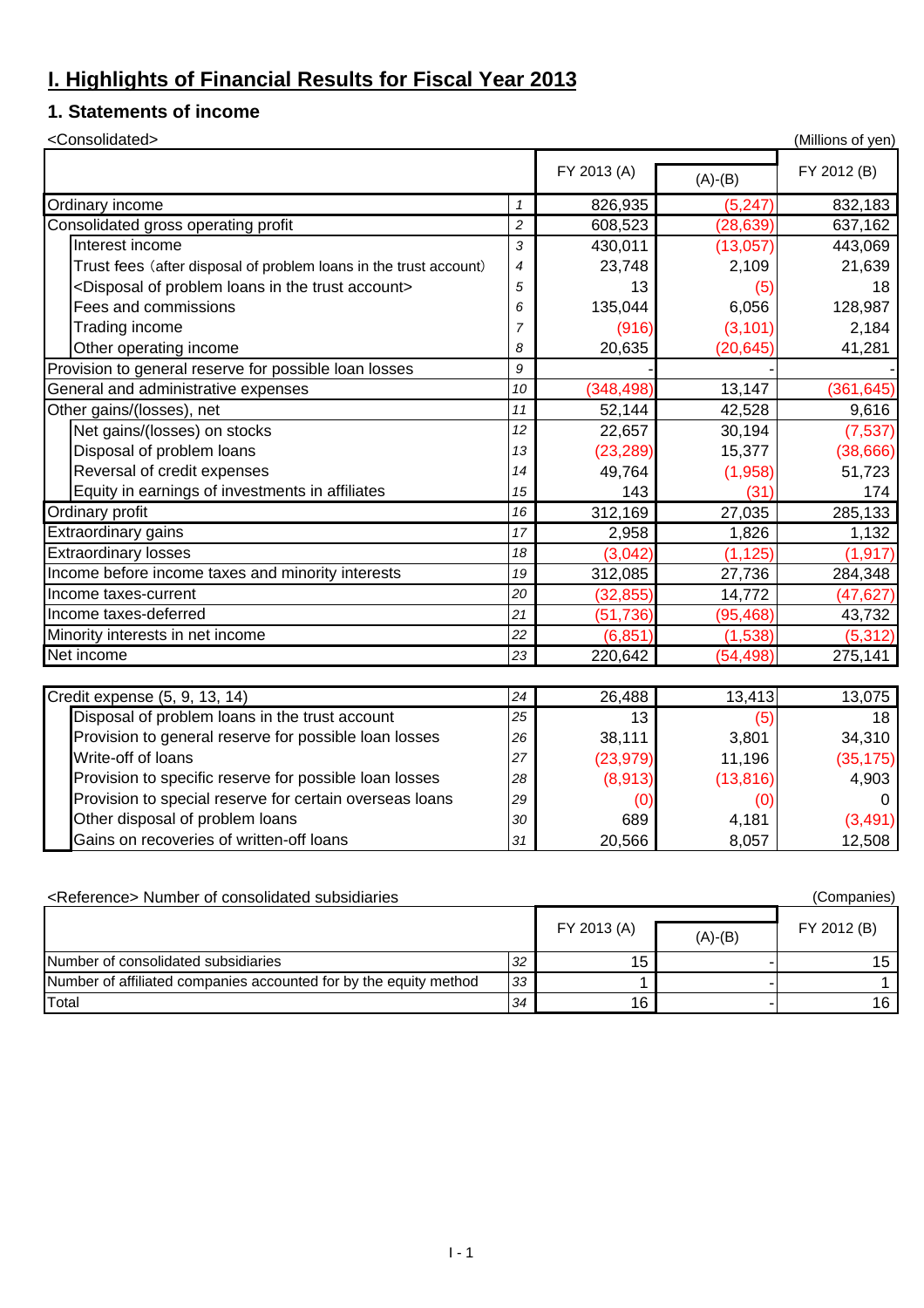### **I. Highlights of Financial Results for Fiscal Year 2013**

#### **1. Statements of income**

| <consolidated></consolidated>                                                    |                |             |           | (Millions of yen) |
|----------------------------------------------------------------------------------|----------------|-------------|-----------|-------------------|
|                                                                                  |                | FY 2013 (A) | $(A)-(B)$ | FY 2012 (B)       |
| Ordinary income                                                                  | $\mathbf{1}$   | 826,935     | (5, 247)  | 832,183           |
| Consolidated gross operating profit                                              | $\overline{c}$ | 608,523     | (28, 639) | 637,162           |
| Interest income                                                                  | 3              | 430,011     | (13,057)  | 443,069           |
| Trust fees (after disposal of problem loans in the trust account)                | $\overline{4}$ | 23,748      | 2,109     | 21,639            |
| <disposal account="" in="" loans="" of="" problem="" the="" trust=""></disposal> | 5              | 13          | (5)       | 18                |
| Fees and commissions                                                             | 6              | 135,044     | 6,056     | 128,987           |
| Trading income                                                                   | $\overline{7}$ | (916)       | (3, 101)  | 2,184             |
| Other operating income                                                           | 8              | 20,635      | (20, 645) | 41,281            |
| Provision to general reserve for possible loan losses                            | 9              |             |           |                   |
| General and administrative expenses                                              | 10             | (348, 498)  | 13,147    | (361, 645)        |
| Other gains/(losses), net                                                        | 11             | 52,144      | 42,528    | 9,616             |
| Net gains/(losses) on stocks                                                     | 12             | 22,657      | 30,194    | (7, 537)          |
| Disposal of problem loans                                                        | 13             | (23, 289)   | 15,377    | (38, 666)         |
| Reversal of credit expenses                                                      | 14             | 49,764      | (1,958)   | 51,723            |
| Equity in earnings of investments in affiliates                                  | 15             | 143         | (31)      | 174               |
| <b>Ordinary profit</b>                                                           | 16             | 312,169     | 27,035    | 285,133           |
| Extraordinary gains                                                              | 17             | 2,958       | 1,826     | 1,132             |
| <b>Extraordinary losses</b>                                                      | 18             | (3,042)     | (1, 125)  | (1, 917)          |
| Income before income taxes and minority interests                                | 19             | 312,085     | 27,736    | 284,348           |
| Income taxes-current                                                             | 20             | (32, 855)   | 14,772    | (47, 627)         |
| Income taxes-deferred                                                            | 21             | (51, 736)   | (95, 468) | 43,732            |
| Minority interests in net income                                                 | 22             | (6, 851)    | (1,538)   | (5, 312)          |
| Net income                                                                       | 23             | 220,642     | (54, 498) | 275,141           |
|                                                                                  |                |             |           |                   |
| Credit expense (5, 9, 13, 14)                                                    | 24             | 26,488      | 13,413    | 13,075            |
| Disposal of problem loans in the trust account                                   | 25             | 13          | (5)       | 18                |
| Provision to general reserve for possible loan losses                            | 26             | 38,111      | 3,801     | 34,310            |
| Write-off of loans                                                               | 27             | (23, 979)   | 11,196    | (35, 175)         |
| Provision to specific reserve for possible loan losses                           | 28             | (8,913)     | (13, 816) | 4,903             |
| Provision to special reserve for certain overseas loans                          | 29             | (0)         | (0)       | 0                 |
| Other disposal of problem loans                                                  | 30             | 689         | 4,181     | (3, 491)          |
| Gains on recoveries of written-off loans                                         | 31             | 20,566      | 8,057     | 12,508            |

| <reference> Number of consolidated subsidiaries<br/>(Companies)</reference> |    |             |           |             |  |  |  |  |
|-----------------------------------------------------------------------------|----|-------------|-----------|-------------|--|--|--|--|
|                                                                             |    | FY 2013 (A) | $(A)-(B)$ | FY 2012 (B) |  |  |  |  |
| Number of consolidated subsidiaries                                         | 32 | 15          |           | 15.         |  |  |  |  |
| Number of affiliated companies accounted for by the equity method           | 33 |             |           |             |  |  |  |  |
| Total                                                                       | 34 | 16          |           | 16 I        |  |  |  |  |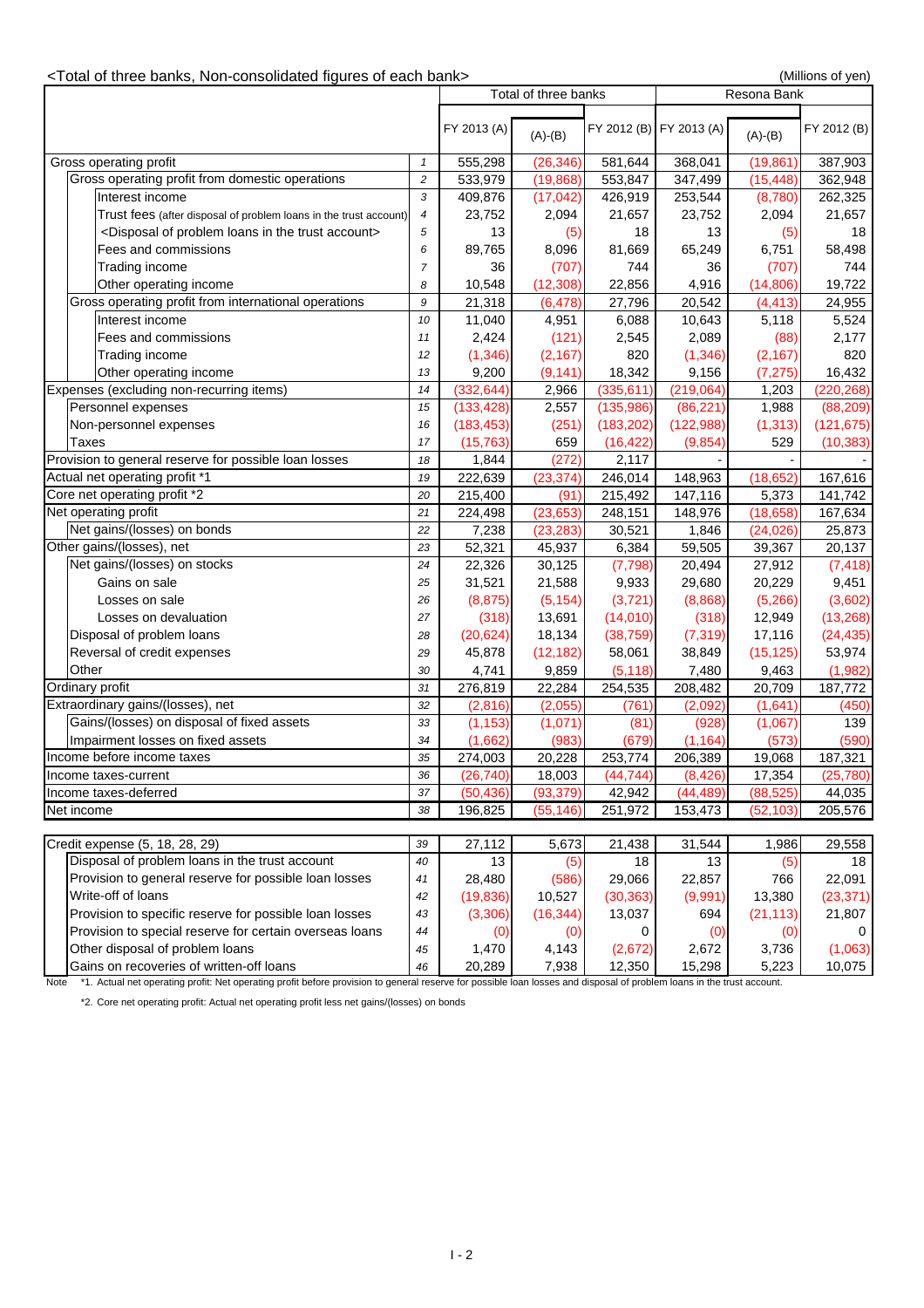#### <Total of three banks, Non-consolidated figures of each bank> (Millions of yen)

|            |                                                                                                                                                                                        |                | Total of three banks |                       |                         | Resona Bank                                                  |                      |                  |
|------------|----------------------------------------------------------------------------------------------------------------------------------------------------------------------------------------|----------------|----------------------|-----------------------|-------------------------|--------------------------------------------------------------|----------------------|------------------|
|            |                                                                                                                                                                                        | FY 2013 (A)    | $(A)-(B)$            |                       | FY 2012 (B) FY 2013 (A) | $(A)-(B)$                                                    | FY 2012 (B)          |                  |
|            | Gross operating profit                                                                                                                                                                 | $\mathbf{1}$   | 555,298              | (26, 346)             | 581,644                 | 368,041                                                      | (19, 861)            | 387,903          |
|            | Gross operating profit from domestic operations                                                                                                                                        | $\sqrt{2}$     | 533,979              | (19, 868)             | 553,847                 | 347,499                                                      | (15, 448)            | 362,948          |
|            | Interest income                                                                                                                                                                        | 3              | 409,876              | (17, 042)             | 426,919                 | 253,544                                                      | (8,780)              | 262,325          |
|            | Trust fees (after disposal of problem loans in the trust account)                                                                                                                      | 4              | 23,752               | 2,094                 | 21,657                  | 23,752                                                       | 2,094                | 21,657           |
|            | <disposal account="" in="" loans="" of="" problem="" the="" trust=""></disposal>                                                                                                       | 5              | 13                   | (5)                   | 18                      | 13                                                           | (5)                  | 18               |
|            | Fees and commissions                                                                                                                                                                   | 6              | 89,765               | 8,096                 | 81,669                  | 65,249                                                       | 6,751                | 58,498           |
|            | Trading income                                                                                                                                                                         | $\overline{7}$ | 36                   | (707)                 | 744                     | 36                                                           | (707)                | 744              |
|            |                                                                                                                                                                                        | 8              |                      |                       |                         | 4,916                                                        |                      |                  |
|            | Other operating income<br>Gross operating profit from international operations                                                                                                         | 9              | 10,548<br>21,318     | (12, 308)<br>(6, 478) | 22,856<br>27,796        | 20,542                                                       | (14,806)<br>(4, 413) | 19,722<br>24,955 |
|            |                                                                                                                                                                                        |                |                      |                       |                         |                                                              |                      |                  |
|            | Interest income                                                                                                                                                                        | 10             | 11,040               | 4,951                 | 6,088                   | 10,643                                                       | 5,118                | 5,524            |
|            | Fees and commissions                                                                                                                                                                   | 11             | 2,424                | (121)                 | 2,545                   | 2,089                                                        | (88)                 | 2,177            |
|            | Trading income                                                                                                                                                                         | 12             | (1, 346)             | (2, 167)              | 820                     | (1, 346)                                                     | (2, 167)             | 820              |
|            | Other operating income                                                                                                                                                                 | 13             | 9,200                | (9, 141)              | 18,342                  | 9,156                                                        | (7, 275)             | 16,432           |
|            | Expenses (excluding non-recurring items)                                                                                                                                               | 14             | (332, 644)           | 2,966                 | (335, 611)              | (219,064)                                                    | 1,203                | (220, 268)       |
|            | Personnel expenses                                                                                                                                                                     | 15             | (133, 428)           | 2,557                 | (135,986)               | (86, 221)                                                    | 1,988                | (88, 209)        |
|            | Non-personnel expenses                                                                                                                                                                 | 16             | (183, 453)           | (251)                 | (183, 202)              | (122,988)                                                    | (1, 313)             | (121, 675)       |
|            | Taxes                                                                                                                                                                                  | 17             | (15, 763)            | 659                   | (16, 422)               | (9, 854)                                                     | 529                  | (10, 383)        |
|            | Provision to general reserve for possible loan losses                                                                                                                                  | 18             | 1,844                | (272)                 | 2,117                   |                                                              |                      |                  |
|            | Actual net operating profit *1                                                                                                                                                         | 19             | 222,639              | (23, 374)             | 246,014                 | 148,963                                                      | (18, 652)            | 167,616          |
|            | Core net operating profit *2                                                                                                                                                           | 20             | 215,400              | (91)                  | 215,492                 | 147,116                                                      | 5,373                | 141,742          |
|            | Net operating profit                                                                                                                                                                   | 21             | 224,498              | (23, 653)             | 248,151                 | 148,976                                                      | (18, 658)            | 167,634          |
|            | Net gains/(losses) on bonds                                                                                                                                                            | 22             | 7,238                | (23, 283)             | 30,521                  | 1,846                                                        | (24, 026)            | 25,873           |
|            | Other gains/(losses), net                                                                                                                                                              | 23             | 52,321               | 45,937                | 6,384                   | 59,505                                                       | 39,367               | 20,137           |
|            | Net gains/(losses) on stocks                                                                                                                                                           | 24             | 22,326               | 30,125                | (7, 798)                | 20,494                                                       | 27,912               | (7, 418)         |
|            | Gains on sale                                                                                                                                                                          | 25             | 31,521               | 21,588                | 9,933                   | 29,680                                                       | 20,229               | 9,451            |
|            | Losses on sale                                                                                                                                                                         | 26             | (8, 875)             | (5, 154)              | (3,721)                 | (8,868)                                                      | (5,266)              | (3,602)          |
|            | Losses on devaluation                                                                                                                                                                  | 27             | (318)                | 13,691                | (14,010)                | (318)                                                        | 12,949               | (13, 268)        |
|            | Disposal of problem loans                                                                                                                                                              | 28             | (20, 624)            | 18,134                | (38, 759)               | (7, 319)                                                     | 17,116               | (24, 435)        |
|            | Reversal of credit expenses                                                                                                                                                            | 29             | 45,878               | (12, 182)             | 58,061                  | 38,849                                                       | (15, 125)            | 53,974           |
|            | Other                                                                                                                                                                                  | 30             | 4,741                | 9,859                 | (5, 118)                | 7,480                                                        | 9,463                | (1,982)          |
|            | Ordinary profit                                                                                                                                                                        | 31             | 276,819              | 22,284                | 254,535                 | 208,482                                                      | 20,709               | 187,772          |
|            | Extraordinary gains/(losses), net                                                                                                                                                      | 32             | (2,816)              | (2,055)               | (761)                   | (2,092)                                                      | (1,641)              | (450)            |
|            | Gains/(losses) on disposal of fixed assets                                                                                                                                             | 33             | (1, 153)             | (1,071)               | (81)                    | (928)                                                        | (1,067)              | 139              |
|            | Impairment losses on fixed assets                                                                                                                                                      | 34             | (1,662)              | (983)                 | (679)                   | (1, 164)                                                     | (573)                | (590)            |
|            | Income before income taxes                                                                                                                                                             | 35             | 274,003              | 20,228                | 253,774                 | 206,389                                                      | 19,068               | 187,321          |
|            | Income taxes-current                                                                                                                                                                   | 36             | (26, 740)            | 18,003                | (44, 744)               | (8, 426)                                                     | 17,354               | (25,780)         |
|            | Income taxes-deferred                                                                                                                                                                  | 37             | (50, 436)            | (93, 379)             | 42,942                  | (44, 489)                                                    | (88, 525)            | 44,035           |
| Net income |                                                                                                                                                                                        | 38             | 196,825              | (55, 146)             | 251,972                 | 153,473                                                      | (52, 103)            | 205,576          |
|            |                                                                                                                                                                                        |                |                      |                       |                         |                                                              |                      |                  |
|            | Credit expense (5, 18, 28, 29)                                                                                                                                                         | 39             | 27,112               | 5,673                 | 21,438                  | 31,544                                                       | 1,986                | 29,558           |
|            | Disposal of problem loans in the trust account                                                                                                                                         | 40             | 13                   | (5)                   | 18                      | 13                                                           | (5)                  | 18               |
|            | Provision to general reserve for possible loan losses                                                                                                                                  | 41             | 28,480               | (586)                 | 29,066                  | 22,857                                                       | 766                  | 22,091           |
|            | Write-off of loans                                                                                                                                                                     | 42             | (19, 836)            | 10,527                |                         |                                                              | 13,380               | (23, 371)        |
|            |                                                                                                                                                                                        |                |                      |                       | (30, 363)               | (9,991)                                                      |                      |                  |
|            | Provision to specific reserve for possible loan losses                                                                                                                                 | 43             | (3,306)              | (16, 344)             | 13,037                  | 694                                                          | (21, 113)            | 21,807           |
|            | Provision to special reserve for certain overseas loans                                                                                                                                | 44             | (0)                  | (0)                   | 0                       | (0)                                                          | (0)                  |                  |
|            | Other disposal of problem loans                                                                                                                                                        | 45             | 1,470                | 4,143                 | (2,672)                 | 2,672                                                        | 3,736                | (1,063)          |
|            | Gains on recoveries of written-off loans<br>$\overline{\text{Note}}$ $*1$ Actual pet operating profit: Net operating profit before provision to general reserve for possible loan loss | 46             | 20,289               | 7,938                 | 12,350                  | 15,298<br>and disposal of problem loans in the trust account | 5,223                | 10,075           |

Note \*1. Actual net operating profit: Net operating profit before provision to general reserve for possible loan losses and disposal of problem loans in the trust account.

\*2. Core net operating profit: Actual net operating profit less net gains/(losses) on bonds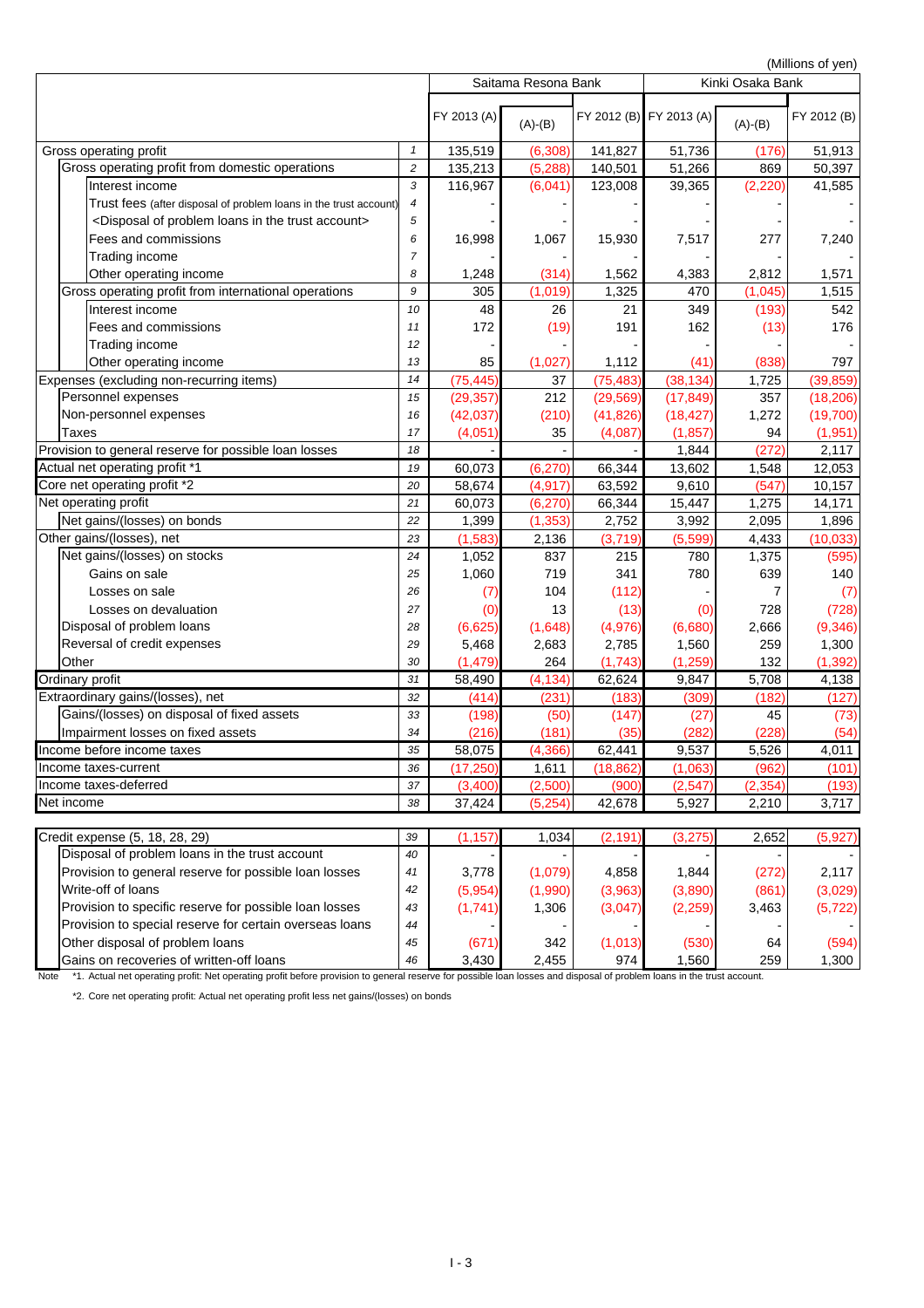(Millions of yen)

| FY 2012 (B) FY 2013 (A)<br>FY 2013 (A)<br>FY 2012 (B)<br>$(A)-(B)$<br>$(A)-(B)$<br>135,519<br>(6,308)<br>141,827<br>51,736<br>51,913<br>Gross operating profit<br>(176)<br>1<br>Gross operating profit from domestic operations<br>$\sqrt{2}$<br>135,213<br>(5,288)<br>140,501<br>51,266<br>50,397<br>869<br>Interest income<br>3<br>116,967<br>39,365<br>(2, 220)<br>(6,041)<br>123,008<br>41,585<br>Trust fees (after disposal of problem loans in the trust account)<br>4<br><disposal account="" in="" loans="" of="" problem="" the="" trust=""><br/>5<br/>Fees and commissions<br/>16,998<br/>1,067<br/>15,930<br/>277<br/>7,517<br/>7,240<br/>6<br/>Trading income<br/><math>\overline{7}</math><br/>Other operating income<br/>(314)<br/>1,562<br/>4,383<br/>2,812<br/>1,571<br/>1,248<br/>8<br/>Gross operating profit from international operations<br/>9<br/>(1,019)<br/>1,325<br/>470<br/>(1,045)<br/>1,515<br/>305<br/>Interest income<br/>48<br/>26<br/>349<br/>(193)<br/>542<br/>21<br/>10<br/>172<br/>162<br/>Fees and commissions<br/>(19)<br/>191<br/>(13)<br/>176<br/>11<br/>Trading income<br/>12<br/>(838)<br/>Other operating income<br/>13<br/>85<br/>(1,027)<br/>1,112<br/>(41)<br/>797<br/>(75, 445)<br/>(75, 483)<br/>(38, 134)<br/>37<br/>1,725<br/>14<br/>Personnel expenses<br/>(29, 357)<br/>212<br/>(29, 569)<br/>(17, 849)<br/>357<br/>15<br/>Non-personnel expenses<br/>(42, 037)<br/>(41, 826)<br/>(18, 427)<br/>(210)<br/>1,272<br/>16<br/><b>Taxes</b><br/>(1, 857)<br/>17<br/>(4,051)<br/>35<br/>(4,087)<br/>94<br/>(272)<br/>1,844<br/>2,117<br/>18<br/>Actual net operating profit *1<br/>60,073<br/>(6, 270)<br/>66,344<br/>13,602<br/>19<br/>1,548<br/>12,053<br/>Core net operating profit *2<br/>(4, 917)<br/>20<br/>58,674<br/>63,592<br/>9,610<br/>(547)<br/>10,157<br/>60,073<br/>(6, 270)<br/>66,344<br/>15,447<br/>1,275<br/>14,171<br/>21<br/>Net gains/(losses) on bonds<br/>3,992<br/>2,095<br/>22<br/>1,399<br/>(1, 353)<br/>2,752<br/>1,896<br/>(1, 583)<br/>(3,719)<br/>(5,599)<br/>4,433<br/>23<br/>2,136<br/>Net gains/(losses) on stocks<br/>1,375<br/>24<br/>1,052<br/>837<br/>215<br/>780<br/>1,060<br/>719<br/>341<br/>780<br/>639<br/>Gains on sale<br/>140<br/>25<br/>104<br/>(112)<br/>Losses on sale<br/>26<br/>(7)<br/>27<br/>13<br/>(13)<br/>728<br/>Losses on devaluation<br/>(0)<br/>(0)<br/>Disposal of problem loans<br/>(6,625)<br/>(1,648)<br/>(4,976)<br/>(6,680)<br/>2,666<br/>28<br/>2,683<br/>Reversal of credit expenses<br/>29<br/>5,468<br/>2,785<br/>1,560<br/>259<br/>1,300<br/>Other<br/>(1, 479)<br/>264<br/>(1, 743)<br/>(1, 259)<br/>132<br/>30<br/>(4, 134)<br/>62,624<br/>9,847<br/>5,708<br/>31<br/>4,138<br/>58,490<br/>32<br/>(231)<br/>(183)<br/>(127)<br/>(414)<br/>(309)<br/>(182)<br/>Gains/(losses) on disposal of fixed assets<br/>(198)<br/>(50)<br/>(147)<br/>45<br/>33<br/>(27)<br/>(216)<br/>(181)<br/>(282)<br/>(228)<br/>Impairment losses on fixed assets<br/>34<br/>(35)<br/>(54)<br/>58,075<br/>62,441<br/>9,537<br/>5,526<br/>4,011<br/>35<br/>(4, 366)<br/>(18, 862)<br/>(1,063)<br/>36<br/>(17, 250)<br/>1,611<br/>(962)<br/>(2,500)<br/>(900)<br/>(2, 547)<br/>(2, 354)<br/>37<br/>(3,400)<br/>(193)<br/>38<br/>42,678<br/>5,927<br/>37,424<br/>(5,254)<br/>2,210<br/>3,717<br/>(3,275)<br/>Credit expense (5, 18, 28, 29)<br/>39<br/>(1, 157)<br/>1,034<br/>(2, 191)<br/>2,652<br/>(5,927)<br/>Disposal of problem loans in the trust account<br/>40<br/>Provision to general reserve for possible loan losses<br/>3,778<br/>(1,079)<br/>4,858<br/>1,844<br/>(272)<br/>41<br/>Write-off of loans<br/>(5,954)<br/>(3,963)<br/>(3,890)<br/>(1,990)<br/>(861)<br/>42<br/>Provision to specific reserve for possible loan losses<br/>(1, 741)<br/>1,306<br/>(3,047)<br/>(2,259)<br/>43<br/>3,463<br/>Provision to special reserve for certain overseas loans<br/>44<br/>Other disposal of problem loans<br/>(671)<br/>342<br/>(1,013)<br/>(530)<br/>45<br/>64<br/>Gains on recoveries of written-off loans<br/>3,430<br/>2,455<br/>974<br/>1,560<br/>259<br/>1,300<br/>46</disposal> |                                                       | Saitama Resona Bank |  |  | ו וסע וט פווטווווען)<br>Kinki Osaka Bank |  |  |
|------------------------------------------------------------------------------------------------------------------------------------------------------------------------------------------------------------------------------------------------------------------------------------------------------------------------------------------------------------------------------------------------------------------------------------------------------------------------------------------------------------------------------------------------------------------------------------------------------------------------------------------------------------------------------------------------------------------------------------------------------------------------------------------------------------------------------------------------------------------------------------------------------------------------------------------------------------------------------------------------------------------------------------------------------------------------------------------------------------------------------------------------------------------------------------------------------------------------------------------------------------------------------------------------------------------------------------------------------------------------------------------------------------------------------------------------------------------------------------------------------------------------------------------------------------------------------------------------------------------------------------------------------------------------------------------------------------------------------------------------------------------------------------------------------------------------------------------------------------------------------------------------------------------------------------------------------------------------------------------------------------------------------------------------------------------------------------------------------------------------------------------------------------------------------------------------------------------------------------------------------------------------------------------------------------------------------------------------------------------------------------------------------------------------------------------------------------------------------------------------------------------------------------------------------------------------------------------------------------------------------------------------------------------------------------------------------------------------------------------------------------------------------------------------------------------------------------------------------------------------------------------------------------------------------------------------------------------------------------------------------------------------------------------------------------------------------------------------------------------------------------------------------------------------------------------------------------------------------------------------------------------------------------------------------------------------------------------------------------------------------------------------------------------------------------------------------------------------------------------------------------------------------------------------------------------------------------------------------------------------------------------------------------------------------------------------------------------------------------------------------------------------------------------------------------------------------------------------------------------------------------------------------------------------------------------------------------------------------------------------------------------------------------------------------------------------------------------------|-------------------------------------------------------|---------------------|--|--|------------------------------------------|--|--|
|                                                                                                                                                                                                                                                                                                                                                                                                                                                                                                                                                                                                                                                                                                                                                                                                                                                                                                                                                                                                                                                                                                                                                                                                                                                                                                                                                                                                                                                                                                                                                                                                                                                                                                                                                                                                                                                                                                                                                                                                                                                                                                                                                                                                                                                                                                                                                                                                                                                                                                                                                                                                                                                                                                                                                                                                                                                                                                                                                                                                                                                                                                                                                                                                                                                                                                                                                                                                                                                                                                                                                                                                                                                                                                                                                                                                                                                                                                                                                                                                                                                                                                |                                                       |                     |  |  |                                          |  |  |
|                                                                                                                                                                                                                                                                                                                                                                                                                                                                                                                                                                                                                                                                                                                                                                                                                                                                                                                                                                                                                                                                                                                                                                                                                                                                                                                                                                                                                                                                                                                                                                                                                                                                                                                                                                                                                                                                                                                                                                                                                                                                                                                                                                                                                                                                                                                                                                                                                                                                                                                                                                                                                                                                                                                                                                                                                                                                                                                                                                                                                                                                                                                                                                                                                                                                                                                                                                                                                                                                                                                                                                                                                                                                                                                                                                                                                                                                                                                                                                                                                                                                                                |                                                       |                     |  |  |                                          |  |  |
| (39, 859)<br>(18, 206)<br>(19, 700)<br>(1, 951)<br>(10, 033)<br>(595)<br>(7)<br>(728)<br>(9, 346)<br>(1, 392)<br>(73)<br>(101)<br>2,117<br>(3,029)<br>(5, 722)<br>(594)                                                                                                                                                                                                                                                                                                                                                                                                                                                                                                                                                                                                                                                                                                                                                                                                                                                                                                                                                                                                                                                                                                                                                                                                                                                                                                                                                                                                                                                                                                                                                                                                                                                                                                                                                                                                                                                                                                                                                                                                                                                                                                                                                                                                                                                                                                                                                                                                                                                                                                                                                                                                                                                                                                                                                                                                                                                                                                                                                                                                                                                                                                                                                                                                                                                                                                                                                                                                                                                                                                                                                                                                                                                                                                                                                                                                                                                                                                                        |                                                       |                     |  |  |                                          |  |  |
|                                                                                                                                                                                                                                                                                                                                                                                                                                                                                                                                                                                                                                                                                                                                                                                                                                                                                                                                                                                                                                                                                                                                                                                                                                                                                                                                                                                                                                                                                                                                                                                                                                                                                                                                                                                                                                                                                                                                                                                                                                                                                                                                                                                                                                                                                                                                                                                                                                                                                                                                                                                                                                                                                                                                                                                                                                                                                                                                                                                                                                                                                                                                                                                                                                                                                                                                                                                                                                                                                                                                                                                                                                                                                                                                                                                                                                                                                                                                                                                                                                                                                                |                                                       |                     |  |  |                                          |  |  |
|                                                                                                                                                                                                                                                                                                                                                                                                                                                                                                                                                                                                                                                                                                                                                                                                                                                                                                                                                                                                                                                                                                                                                                                                                                                                                                                                                                                                                                                                                                                                                                                                                                                                                                                                                                                                                                                                                                                                                                                                                                                                                                                                                                                                                                                                                                                                                                                                                                                                                                                                                                                                                                                                                                                                                                                                                                                                                                                                                                                                                                                                                                                                                                                                                                                                                                                                                                                                                                                                                                                                                                                                                                                                                                                                                                                                                                                                                                                                                                                                                                                                                                |                                                       |                     |  |  |                                          |  |  |
|                                                                                                                                                                                                                                                                                                                                                                                                                                                                                                                                                                                                                                                                                                                                                                                                                                                                                                                                                                                                                                                                                                                                                                                                                                                                                                                                                                                                                                                                                                                                                                                                                                                                                                                                                                                                                                                                                                                                                                                                                                                                                                                                                                                                                                                                                                                                                                                                                                                                                                                                                                                                                                                                                                                                                                                                                                                                                                                                                                                                                                                                                                                                                                                                                                                                                                                                                                                                                                                                                                                                                                                                                                                                                                                                                                                                                                                                                                                                                                                                                                                                                                |                                                       |                     |  |  |                                          |  |  |
|                                                                                                                                                                                                                                                                                                                                                                                                                                                                                                                                                                                                                                                                                                                                                                                                                                                                                                                                                                                                                                                                                                                                                                                                                                                                                                                                                                                                                                                                                                                                                                                                                                                                                                                                                                                                                                                                                                                                                                                                                                                                                                                                                                                                                                                                                                                                                                                                                                                                                                                                                                                                                                                                                                                                                                                                                                                                                                                                                                                                                                                                                                                                                                                                                                                                                                                                                                                                                                                                                                                                                                                                                                                                                                                                                                                                                                                                                                                                                                                                                                                                                                |                                                       |                     |  |  |                                          |  |  |
|                                                                                                                                                                                                                                                                                                                                                                                                                                                                                                                                                                                                                                                                                                                                                                                                                                                                                                                                                                                                                                                                                                                                                                                                                                                                                                                                                                                                                                                                                                                                                                                                                                                                                                                                                                                                                                                                                                                                                                                                                                                                                                                                                                                                                                                                                                                                                                                                                                                                                                                                                                                                                                                                                                                                                                                                                                                                                                                                                                                                                                                                                                                                                                                                                                                                                                                                                                                                                                                                                                                                                                                                                                                                                                                                                                                                                                                                                                                                                                                                                                                                                                |                                                       |                     |  |  |                                          |  |  |
|                                                                                                                                                                                                                                                                                                                                                                                                                                                                                                                                                                                                                                                                                                                                                                                                                                                                                                                                                                                                                                                                                                                                                                                                                                                                                                                                                                                                                                                                                                                                                                                                                                                                                                                                                                                                                                                                                                                                                                                                                                                                                                                                                                                                                                                                                                                                                                                                                                                                                                                                                                                                                                                                                                                                                                                                                                                                                                                                                                                                                                                                                                                                                                                                                                                                                                                                                                                                                                                                                                                                                                                                                                                                                                                                                                                                                                                                                                                                                                                                                                                                                                |                                                       |                     |  |  |                                          |  |  |
|                                                                                                                                                                                                                                                                                                                                                                                                                                                                                                                                                                                                                                                                                                                                                                                                                                                                                                                                                                                                                                                                                                                                                                                                                                                                                                                                                                                                                                                                                                                                                                                                                                                                                                                                                                                                                                                                                                                                                                                                                                                                                                                                                                                                                                                                                                                                                                                                                                                                                                                                                                                                                                                                                                                                                                                                                                                                                                                                                                                                                                                                                                                                                                                                                                                                                                                                                                                                                                                                                                                                                                                                                                                                                                                                                                                                                                                                                                                                                                                                                                                                                                |                                                       |                     |  |  |                                          |  |  |
|                                                                                                                                                                                                                                                                                                                                                                                                                                                                                                                                                                                                                                                                                                                                                                                                                                                                                                                                                                                                                                                                                                                                                                                                                                                                                                                                                                                                                                                                                                                                                                                                                                                                                                                                                                                                                                                                                                                                                                                                                                                                                                                                                                                                                                                                                                                                                                                                                                                                                                                                                                                                                                                                                                                                                                                                                                                                                                                                                                                                                                                                                                                                                                                                                                                                                                                                                                                                                                                                                                                                                                                                                                                                                                                                                                                                                                                                                                                                                                                                                                                                                                |                                                       |                     |  |  |                                          |  |  |
|                                                                                                                                                                                                                                                                                                                                                                                                                                                                                                                                                                                                                                                                                                                                                                                                                                                                                                                                                                                                                                                                                                                                                                                                                                                                                                                                                                                                                                                                                                                                                                                                                                                                                                                                                                                                                                                                                                                                                                                                                                                                                                                                                                                                                                                                                                                                                                                                                                                                                                                                                                                                                                                                                                                                                                                                                                                                                                                                                                                                                                                                                                                                                                                                                                                                                                                                                                                                                                                                                                                                                                                                                                                                                                                                                                                                                                                                                                                                                                                                                                                                                                |                                                       |                     |  |  |                                          |  |  |
|                                                                                                                                                                                                                                                                                                                                                                                                                                                                                                                                                                                                                                                                                                                                                                                                                                                                                                                                                                                                                                                                                                                                                                                                                                                                                                                                                                                                                                                                                                                                                                                                                                                                                                                                                                                                                                                                                                                                                                                                                                                                                                                                                                                                                                                                                                                                                                                                                                                                                                                                                                                                                                                                                                                                                                                                                                                                                                                                                                                                                                                                                                                                                                                                                                                                                                                                                                                                                                                                                                                                                                                                                                                                                                                                                                                                                                                                                                                                                                                                                                                                                                |                                                       |                     |  |  |                                          |  |  |
|                                                                                                                                                                                                                                                                                                                                                                                                                                                                                                                                                                                                                                                                                                                                                                                                                                                                                                                                                                                                                                                                                                                                                                                                                                                                                                                                                                                                                                                                                                                                                                                                                                                                                                                                                                                                                                                                                                                                                                                                                                                                                                                                                                                                                                                                                                                                                                                                                                                                                                                                                                                                                                                                                                                                                                                                                                                                                                                                                                                                                                                                                                                                                                                                                                                                                                                                                                                                                                                                                                                                                                                                                                                                                                                                                                                                                                                                                                                                                                                                                                                                                                |                                                       |                     |  |  |                                          |  |  |
|                                                                                                                                                                                                                                                                                                                                                                                                                                                                                                                                                                                                                                                                                                                                                                                                                                                                                                                                                                                                                                                                                                                                                                                                                                                                                                                                                                                                                                                                                                                                                                                                                                                                                                                                                                                                                                                                                                                                                                                                                                                                                                                                                                                                                                                                                                                                                                                                                                                                                                                                                                                                                                                                                                                                                                                                                                                                                                                                                                                                                                                                                                                                                                                                                                                                                                                                                                                                                                                                                                                                                                                                                                                                                                                                                                                                                                                                                                                                                                                                                                                                                                | Expenses (excluding non-recurring items)              |                     |  |  |                                          |  |  |
|                                                                                                                                                                                                                                                                                                                                                                                                                                                                                                                                                                                                                                                                                                                                                                                                                                                                                                                                                                                                                                                                                                                                                                                                                                                                                                                                                                                                                                                                                                                                                                                                                                                                                                                                                                                                                                                                                                                                                                                                                                                                                                                                                                                                                                                                                                                                                                                                                                                                                                                                                                                                                                                                                                                                                                                                                                                                                                                                                                                                                                                                                                                                                                                                                                                                                                                                                                                                                                                                                                                                                                                                                                                                                                                                                                                                                                                                                                                                                                                                                                                                                                |                                                       |                     |  |  |                                          |  |  |
|                                                                                                                                                                                                                                                                                                                                                                                                                                                                                                                                                                                                                                                                                                                                                                                                                                                                                                                                                                                                                                                                                                                                                                                                                                                                                                                                                                                                                                                                                                                                                                                                                                                                                                                                                                                                                                                                                                                                                                                                                                                                                                                                                                                                                                                                                                                                                                                                                                                                                                                                                                                                                                                                                                                                                                                                                                                                                                                                                                                                                                                                                                                                                                                                                                                                                                                                                                                                                                                                                                                                                                                                                                                                                                                                                                                                                                                                                                                                                                                                                                                                                                |                                                       |                     |  |  |                                          |  |  |
|                                                                                                                                                                                                                                                                                                                                                                                                                                                                                                                                                                                                                                                                                                                                                                                                                                                                                                                                                                                                                                                                                                                                                                                                                                                                                                                                                                                                                                                                                                                                                                                                                                                                                                                                                                                                                                                                                                                                                                                                                                                                                                                                                                                                                                                                                                                                                                                                                                                                                                                                                                                                                                                                                                                                                                                                                                                                                                                                                                                                                                                                                                                                                                                                                                                                                                                                                                                                                                                                                                                                                                                                                                                                                                                                                                                                                                                                                                                                                                                                                                                                                                |                                                       |                     |  |  |                                          |  |  |
|                                                                                                                                                                                                                                                                                                                                                                                                                                                                                                                                                                                                                                                                                                                                                                                                                                                                                                                                                                                                                                                                                                                                                                                                                                                                                                                                                                                                                                                                                                                                                                                                                                                                                                                                                                                                                                                                                                                                                                                                                                                                                                                                                                                                                                                                                                                                                                                                                                                                                                                                                                                                                                                                                                                                                                                                                                                                                                                                                                                                                                                                                                                                                                                                                                                                                                                                                                                                                                                                                                                                                                                                                                                                                                                                                                                                                                                                                                                                                                                                                                                                                                | Provision to general reserve for possible loan losses |                     |  |  |                                          |  |  |
|                                                                                                                                                                                                                                                                                                                                                                                                                                                                                                                                                                                                                                                                                                                                                                                                                                                                                                                                                                                                                                                                                                                                                                                                                                                                                                                                                                                                                                                                                                                                                                                                                                                                                                                                                                                                                                                                                                                                                                                                                                                                                                                                                                                                                                                                                                                                                                                                                                                                                                                                                                                                                                                                                                                                                                                                                                                                                                                                                                                                                                                                                                                                                                                                                                                                                                                                                                                                                                                                                                                                                                                                                                                                                                                                                                                                                                                                                                                                                                                                                                                                                                |                                                       |                     |  |  |                                          |  |  |
|                                                                                                                                                                                                                                                                                                                                                                                                                                                                                                                                                                                                                                                                                                                                                                                                                                                                                                                                                                                                                                                                                                                                                                                                                                                                                                                                                                                                                                                                                                                                                                                                                                                                                                                                                                                                                                                                                                                                                                                                                                                                                                                                                                                                                                                                                                                                                                                                                                                                                                                                                                                                                                                                                                                                                                                                                                                                                                                                                                                                                                                                                                                                                                                                                                                                                                                                                                                                                                                                                                                                                                                                                                                                                                                                                                                                                                                                                                                                                                                                                                                                                                |                                                       |                     |  |  |                                          |  |  |
|                                                                                                                                                                                                                                                                                                                                                                                                                                                                                                                                                                                                                                                                                                                                                                                                                                                                                                                                                                                                                                                                                                                                                                                                                                                                                                                                                                                                                                                                                                                                                                                                                                                                                                                                                                                                                                                                                                                                                                                                                                                                                                                                                                                                                                                                                                                                                                                                                                                                                                                                                                                                                                                                                                                                                                                                                                                                                                                                                                                                                                                                                                                                                                                                                                                                                                                                                                                                                                                                                                                                                                                                                                                                                                                                                                                                                                                                                                                                                                                                                                                                                                | Net operating profit                                  |                     |  |  |                                          |  |  |
|                                                                                                                                                                                                                                                                                                                                                                                                                                                                                                                                                                                                                                                                                                                                                                                                                                                                                                                                                                                                                                                                                                                                                                                                                                                                                                                                                                                                                                                                                                                                                                                                                                                                                                                                                                                                                                                                                                                                                                                                                                                                                                                                                                                                                                                                                                                                                                                                                                                                                                                                                                                                                                                                                                                                                                                                                                                                                                                                                                                                                                                                                                                                                                                                                                                                                                                                                                                                                                                                                                                                                                                                                                                                                                                                                                                                                                                                                                                                                                                                                                                                                                |                                                       |                     |  |  |                                          |  |  |
|                                                                                                                                                                                                                                                                                                                                                                                                                                                                                                                                                                                                                                                                                                                                                                                                                                                                                                                                                                                                                                                                                                                                                                                                                                                                                                                                                                                                                                                                                                                                                                                                                                                                                                                                                                                                                                                                                                                                                                                                                                                                                                                                                                                                                                                                                                                                                                                                                                                                                                                                                                                                                                                                                                                                                                                                                                                                                                                                                                                                                                                                                                                                                                                                                                                                                                                                                                                                                                                                                                                                                                                                                                                                                                                                                                                                                                                                                                                                                                                                                                                                                                | Other gains/(losses), net                             |                     |  |  |                                          |  |  |
|                                                                                                                                                                                                                                                                                                                                                                                                                                                                                                                                                                                                                                                                                                                                                                                                                                                                                                                                                                                                                                                                                                                                                                                                                                                                                                                                                                                                                                                                                                                                                                                                                                                                                                                                                                                                                                                                                                                                                                                                                                                                                                                                                                                                                                                                                                                                                                                                                                                                                                                                                                                                                                                                                                                                                                                                                                                                                                                                                                                                                                                                                                                                                                                                                                                                                                                                                                                                                                                                                                                                                                                                                                                                                                                                                                                                                                                                                                                                                                                                                                                                                                |                                                       |                     |  |  |                                          |  |  |
|                                                                                                                                                                                                                                                                                                                                                                                                                                                                                                                                                                                                                                                                                                                                                                                                                                                                                                                                                                                                                                                                                                                                                                                                                                                                                                                                                                                                                                                                                                                                                                                                                                                                                                                                                                                                                                                                                                                                                                                                                                                                                                                                                                                                                                                                                                                                                                                                                                                                                                                                                                                                                                                                                                                                                                                                                                                                                                                                                                                                                                                                                                                                                                                                                                                                                                                                                                                                                                                                                                                                                                                                                                                                                                                                                                                                                                                                                                                                                                                                                                                                                                |                                                       |                     |  |  |                                          |  |  |
|                                                                                                                                                                                                                                                                                                                                                                                                                                                                                                                                                                                                                                                                                                                                                                                                                                                                                                                                                                                                                                                                                                                                                                                                                                                                                                                                                                                                                                                                                                                                                                                                                                                                                                                                                                                                                                                                                                                                                                                                                                                                                                                                                                                                                                                                                                                                                                                                                                                                                                                                                                                                                                                                                                                                                                                                                                                                                                                                                                                                                                                                                                                                                                                                                                                                                                                                                                                                                                                                                                                                                                                                                                                                                                                                                                                                                                                                                                                                                                                                                                                                                                |                                                       |                     |  |  |                                          |  |  |
|                                                                                                                                                                                                                                                                                                                                                                                                                                                                                                                                                                                                                                                                                                                                                                                                                                                                                                                                                                                                                                                                                                                                                                                                                                                                                                                                                                                                                                                                                                                                                                                                                                                                                                                                                                                                                                                                                                                                                                                                                                                                                                                                                                                                                                                                                                                                                                                                                                                                                                                                                                                                                                                                                                                                                                                                                                                                                                                                                                                                                                                                                                                                                                                                                                                                                                                                                                                                                                                                                                                                                                                                                                                                                                                                                                                                                                                                                                                                                                                                                                                                                                |                                                       |                     |  |  |                                          |  |  |
|                                                                                                                                                                                                                                                                                                                                                                                                                                                                                                                                                                                                                                                                                                                                                                                                                                                                                                                                                                                                                                                                                                                                                                                                                                                                                                                                                                                                                                                                                                                                                                                                                                                                                                                                                                                                                                                                                                                                                                                                                                                                                                                                                                                                                                                                                                                                                                                                                                                                                                                                                                                                                                                                                                                                                                                                                                                                                                                                                                                                                                                                                                                                                                                                                                                                                                                                                                                                                                                                                                                                                                                                                                                                                                                                                                                                                                                                                                                                                                                                                                                                                                |                                                       |                     |  |  |                                          |  |  |
|                                                                                                                                                                                                                                                                                                                                                                                                                                                                                                                                                                                                                                                                                                                                                                                                                                                                                                                                                                                                                                                                                                                                                                                                                                                                                                                                                                                                                                                                                                                                                                                                                                                                                                                                                                                                                                                                                                                                                                                                                                                                                                                                                                                                                                                                                                                                                                                                                                                                                                                                                                                                                                                                                                                                                                                                                                                                                                                                                                                                                                                                                                                                                                                                                                                                                                                                                                                                                                                                                                                                                                                                                                                                                                                                                                                                                                                                                                                                                                                                                                                                                                |                                                       |                     |  |  |                                          |  |  |
|                                                                                                                                                                                                                                                                                                                                                                                                                                                                                                                                                                                                                                                                                                                                                                                                                                                                                                                                                                                                                                                                                                                                                                                                                                                                                                                                                                                                                                                                                                                                                                                                                                                                                                                                                                                                                                                                                                                                                                                                                                                                                                                                                                                                                                                                                                                                                                                                                                                                                                                                                                                                                                                                                                                                                                                                                                                                                                                                                                                                                                                                                                                                                                                                                                                                                                                                                                                                                                                                                                                                                                                                                                                                                                                                                                                                                                                                                                                                                                                                                                                                                                |                                                       |                     |  |  |                                          |  |  |
|                                                                                                                                                                                                                                                                                                                                                                                                                                                                                                                                                                                                                                                                                                                                                                                                                                                                                                                                                                                                                                                                                                                                                                                                                                                                                                                                                                                                                                                                                                                                                                                                                                                                                                                                                                                                                                                                                                                                                                                                                                                                                                                                                                                                                                                                                                                                                                                                                                                                                                                                                                                                                                                                                                                                                                                                                                                                                                                                                                                                                                                                                                                                                                                                                                                                                                                                                                                                                                                                                                                                                                                                                                                                                                                                                                                                                                                                                                                                                                                                                                                                                                | Ordinary profit                                       |                     |  |  |                                          |  |  |
|                                                                                                                                                                                                                                                                                                                                                                                                                                                                                                                                                                                                                                                                                                                                                                                                                                                                                                                                                                                                                                                                                                                                                                                                                                                                                                                                                                                                                                                                                                                                                                                                                                                                                                                                                                                                                                                                                                                                                                                                                                                                                                                                                                                                                                                                                                                                                                                                                                                                                                                                                                                                                                                                                                                                                                                                                                                                                                                                                                                                                                                                                                                                                                                                                                                                                                                                                                                                                                                                                                                                                                                                                                                                                                                                                                                                                                                                                                                                                                                                                                                                                                | Extraordinary gains/(losses), net                     |                     |  |  |                                          |  |  |
|                                                                                                                                                                                                                                                                                                                                                                                                                                                                                                                                                                                                                                                                                                                                                                                                                                                                                                                                                                                                                                                                                                                                                                                                                                                                                                                                                                                                                                                                                                                                                                                                                                                                                                                                                                                                                                                                                                                                                                                                                                                                                                                                                                                                                                                                                                                                                                                                                                                                                                                                                                                                                                                                                                                                                                                                                                                                                                                                                                                                                                                                                                                                                                                                                                                                                                                                                                                                                                                                                                                                                                                                                                                                                                                                                                                                                                                                                                                                                                                                                                                                                                |                                                       |                     |  |  |                                          |  |  |
|                                                                                                                                                                                                                                                                                                                                                                                                                                                                                                                                                                                                                                                                                                                                                                                                                                                                                                                                                                                                                                                                                                                                                                                                                                                                                                                                                                                                                                                                                                                                                                                                                                                                                                                                                                                                                                                                                                                                                                                                                                                                                                                                                                                                                                                                                                                                                                                                                                                                                                                                                                                                                                                                                                                                                                                                                                                                                                                                                                                                                                                                                                                                                                                                                                                                                                                                                                                                                                                                                                                                                                                                                                                                                                                                                                                                                                                                                                                                                                                                                                                                                                |                                                       |                     |  |  |                                          |  |  |
|                                                                                                                                                                                                                                                                                                                                                                                                                                                                                                                                                                                                                                                                                                                                                                                                                                                                                                                                                                                                                                                                                                                                                                                                                                                                                                                                                                                                                                                                                                                                                                                                                                                                                                                                                                                                                                                                                                                                                                                                                                                                                                                                                                                                                                                                                                                                                                                                                                                                                                                                                                                                                                                                                                                                                                                                                                                                                                                                                                                                                                                                                                                                                                                                                                                                                                                                                                                                                                                                                                                                                                                                                                                                                                                                                                                                                                                                                                                                                                                                                                                                                                | Income before income taxes                            |                     |  |  |                                          |  |  |
|                                                                                                                                                                                                                                                                                                                                                                                                                                                                                                                                                                                                                                                                                                                                                                                                                                                                                                                                                                                                                                                                                                                                                                                                                                                                                                                                                                                                                                                                                                                                                                                                                                                                                                                                                                                                                                                                                                                                                                                                                                                                                                                                                                                                                                                                                                                                                                                                                                                                                                                                                                                                                                                                                                                                                                                                                                                                                                                                                                                                                                                                                                                                                                                                                                                                                                                                                                                                                                                                                                                                                                                                                                                                                                                                                                                                                                                                                                                                                                                                                                                                                                | Income taxes-current                                  |                     |  |  |                                          |  |  |
|                                                                                                                                                                                                                                                                                                                                                                                                                                                                                                                                                                                                                                                                                                                                                                                                                                                                                                                                                                                                                                                                                                                                                                                                                                                                                                                                                                                                                                                                                                                                                                                                                                                                                                                                                                                                                                                                                                                                                                                                                                                                                                                                                                                                                                                                                                                                                                                                                                                                                                                                                                                                                                                                                                                                                                                                                                                                                                                                                                                                                                                                                                                                                                                                                                                                                                                                                                                                                                                                                                                                                                                                                                                                                                                                                                                                                                                                                                                                                                                                                                                                                                | Income taxes-deferred                                 |                     |  |  |                                          |  |  |
|                                                                                                                                                                                                                                                                                                                                                                                                                                                                                                                                                                                                                                                                                                                                                                                                                                                                                                                                                                                                                                                                                                                                                                                                                                                                                                                                                                                                                                                                                                                                                                                                                                                                                                                                                                                                                                                                                                                                                                                                                                                                                                                                                                                                                                                                                                                                                                                                                                                                                                                                                                                                                                                                                                                                                                                                                                                                                                                                                                                                                                                                                                                                                                                                                                                                                                                                                                                                                                                                                                                                                                                                                                                                                                                                                                                                                                                                                                                                                                                                                                                                                                | Net income                                            |                     |  |  |                                          |  |  |
|                                                                                                                                                                                                                                                                                                                                                                                                                                                                                                                                                                                                                                                                                                                                                                                                                                                                                                                                                                                                                                                                                                                                                                                                                                                                                                                                                                                                                                                                                                                                                                                                                                                                                                                                                                                                                                                                                                                                                                                                                                                                                                                                                                                                                                                                                                                                                                                                                                                                                                                                                                                                                                                                                                                                                                                                                                                                                                                                                                                                                                                                                                                                                                                                                                                                                                                                                                                                                                                                                                                                                                                                                                                                                                                                                                                                                                                                                                                                                                                                                                                                                                |                                                       |                     |  |  |                                          |  |  |
|                                                                                                                                                                                                                                                                                                                                                                                                                                                                                                                                                                                                                                                                                                                                                                                                                                                                                                                                                                                                                                                                                                                                                                                                                                                                                                                                                                                                                                                                                                                                                                                                                                                                                                                                                                                                                                                                                                                                                                                                                                                                                                                                                                                                                                                                                                                                                                                                                                                                                                                                                                                                                                                                                                                                                                                                                                                                                                                                                                                                                                                                                                                                                                                                                                                                                                                                                                                                                                                                                                                                                                                                                                                                                                                                                                                                                                                                                                                                                                                                                                                                                                |                                                       |                     |  |  |                                          |  |  |
|                                                                                                                                                                                                                                                                                                                                                                                                                                                                                                                                                                                                                                                                                                                                                                                                                                                                                                                                                                                                                                                                                                                                                                                                                                                                                                                                                                                                                                                                                                                                                                                                                                                                                                                                                                                                                                                                                                                                                                                                                                                                                                                                                                                                                                                                                                                                                                                                                                                                                                                                                                                                                                                                                                                                                                                                                                                                                                                                                                                                                                                                                                                                                                                                                                                                                                                                                                                                                                                                                                                                                                                                                                                                                                                                                                                                                                                                                                                                                                                                                                                                                                |                                                       |                     |  |  |                                          |  |  |
|                                                                                                                                                                                                                                                                                                                                                                                                                                                                                                                                                                                                                                                                                                                                                                                                                                                                                                                                                                                                                                                                                                                                                                                                                                                                                                                                                                                                                                                                                                                                                                                                                                                                                                                                                                                                                                                                                                                                                                                                                                                                                                                                                                                                                                                                                                                                                                                                                                                                                                                                                                                                                                                                                                                                                                                                                                                                                                                                                                                                                                                                                                                                                                                                                                                                                                                                                                                                                                                                                                                                                                                                                                                                                                                                                                                                                                                                                                                                                                                                                                                                                                |                                                       |                     |  |  |                                          |  |  |
|                                                                                                                                                                                                                                                                                                                                                                                                                                                                                                                                                                                                                                                                                                                                                                                                                                                                                                                                                                                                                                                                                                                                                                                                                                                                                                                                                                                                                                                                                                                                                                                                                                                                                                                                                                                                                                                                                                                                                                                                                                                                                                                                                                                                                                                                                                                                                                                                                                                                                                                                                                                                                                                                                                                                                                                                                                                                                                                                                                                                                                                                                                                                                                                                                                                                                                                                                                                                                                                                                                                                                                                                                                                                                                                                                                                                                                                                                                                                                                                                                                                                                                |                                                       |                     |  |  |                                          |  |  |
|                                                                                                                                                                                                                                                                                                                                                                                                                                                                                                                                                                                                                                                                                                                                                                                                                                                                                                                                                                                                                                                                                                                                                                                                                                                                                                                                                                                                                                                                                                                                                                                                                                                                                                                                                                                                                                                                                                                                                                                                                                                                                                                                                                                                                                                                                                                                                                                                                                                                                                                                                                                                                                                                                                                                                                                                                                                                                                                                                                                                                                                                                                                                                                                                                                                                                                                                                                                                                                                                                                                                                                                                                                                                                                                                                                                                                                                                                                                                                                                                                                                                                                |                                                       |                     |  |  |                                          |  |  |
|                                                                                                                                                                                                                                                                                                                                                                                                                                                                                                                                                                                                                                                                                                                                                                                                                                                                                                                                                                                                                                                                                                                                                                                                                                                                                                                                                                                                                                                                                                                                                                                                                                                                                                                                                                                                                                                                                                                                                                                                                                                                                                                                                                                                                                                                                                                                                                                                                                                                                                                                                                                                                                                                                                                                                                                                                                                                                                                                                                                                                                                                                                                                                                                                                                                                                                                                                                                                                                                                                                                                                                                                                                                                                                                                                                                                                                                                                                                                                                                                                                                                                                |                                                       |                     |  |  |                                          |  |  |
|                                                                                                                                                                                                                                                                                                                                                                                                                                                                                                                                                                                                                                                                                                                                                                                                                                                                                                                                                                                                                                                                                                                                                                                                                                                                                                                                                                                                                                                                                                                                                                                                                                                                                                                                                                                                                                                                                                                                                                                                                                                                                                                                                                                                                                                                                                                                                                                                                                                                                                                                                                                                                                                                                                                                                                                                                                                                                                                                                                                                                                                                                                                                                                                                                                                                                                                                                                                                                                                                                                                                                                                                                                                                                                                                                                                                                                                                                                                                                                                                                                                                                                |                                                       |                     |  |  |                                          |  |  |
| *1. Actual net operating profit: Net operating profit before provision to general reserve for possible loan losses and disposal of problem loans in the trust account.                                                                                                                                                                                                                                                                                                                                                                                                                                                                                                                                                                                                                                                                                                                                                                                                                                                                                                                                                                                                                                                                                                                                                                                                                                                                                                                                                                                                                                                                                                                                                                                                                                                                                                                                                                                                                                                                                                                                                                                                                                                                                                                                                                                                                                                                                                                                                                                                                                                                                                                                                                                                                                                                                                                                                                                                                                                                                                                                                                                                                                                                                                                                                                                                                                                                                                                                                                                                                                                                                                                                                                                                                                                                                                                                                                                                                                                                                                                         | Note                                                  |                     |  |  |                                          |  |  |

\*2. Core net operating profit: Actual net operating profit less net gains/(losses) on bonds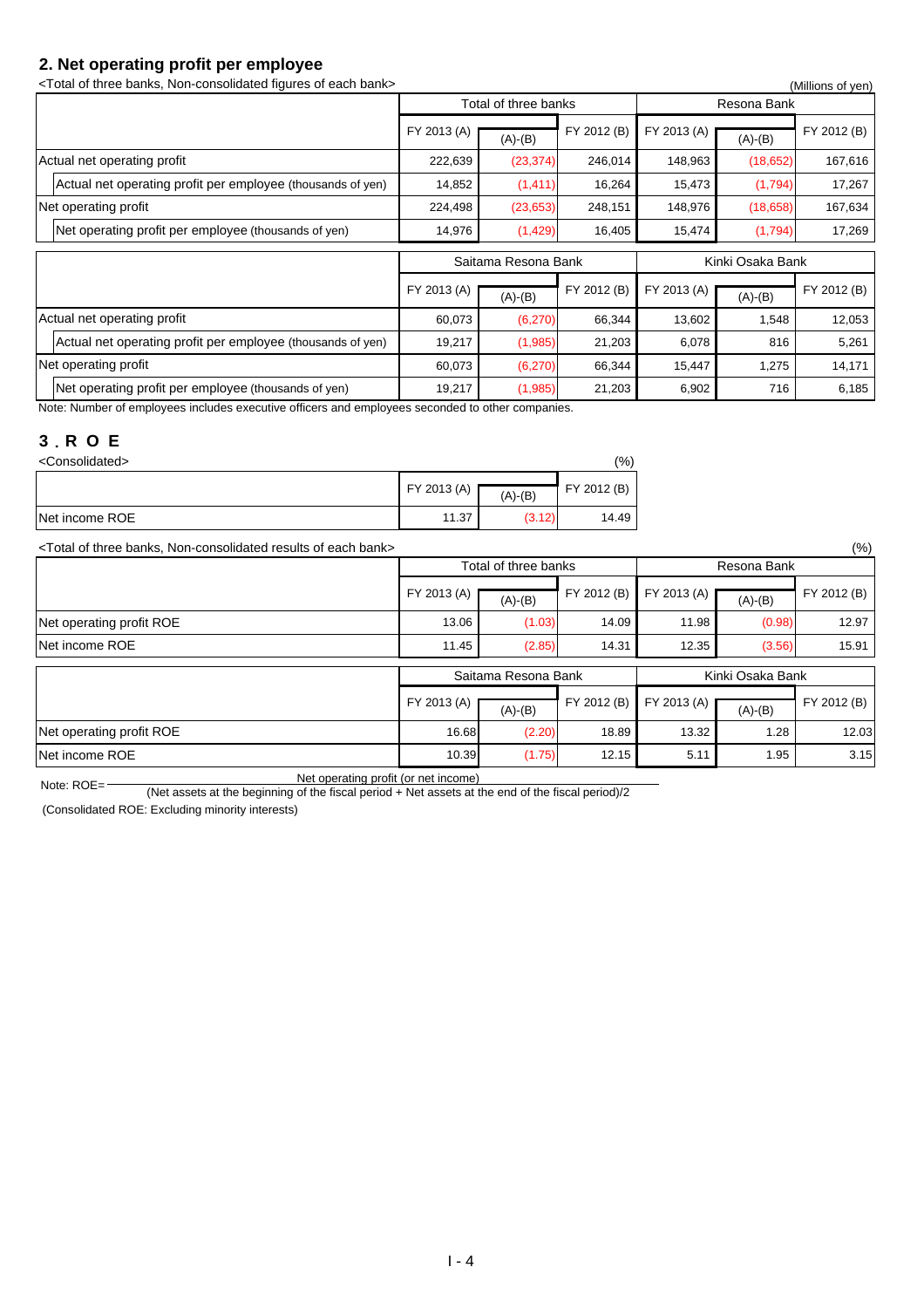### **2. Net operating profit per employee**

Net operating profit per employee (thousands of yen)

| <total bank="" banks,="" each="" figures="" non-consolidated="" of="" three=""></total> |             |                      |             |             |                  | (Millions of yen) |
|-----------------------------------------------------------------------------------------|-------------|----------------------|-------------|-------------|------------------|-------------------|
|                                                                                         |             | Total of three banks |             |             | Resona Bank      |                   |
|                                                                                         | FY 2013 (A) | $(A)-(B)$            | FY 2012 (B) | FY 2013 (A) | $(A)-(B)$        | FY 2012 (B)       |
| Actual net operating profit                                                             | 222,639     | (23, 374)            | 246,014     | 148,963     | (18,652)         | 167,616           |
| Actual net operating profit per employee (thousands of yen)                             | 14,852      | (1, 411)             | 16,264      | 15,473      | (1,794)          | 17,267            |
| Net operating profit                                                                    | 224,498     | (23, 653)            | 248,151     | 148,976     | (18,658)         | 167,634           |
| Net operating profit per employee (thousands of yen)                                    | 14,976      | (1,429)              | 16,405      | 15,474      | (1,794)          | 17,269            |
|                                                                                         |             | Saitama Resona Bank  |             |             | Kinki Osaka Bank |                   |
|                                                                                         | FY 2013 (A) | $(A)-(B)$            | FY 2012 (B) | FY 2013 (A) | $(A)-(B)$        | FY 2012 (B)       |
| Actual net operating profit                                                             | 60,073      | (6, 270)             | 66,344      | 13,602      | 1,548            | 12,053            |
| Actual net operating profit per employee (thousands of yen)                             | 19,217      | (1,985)              | 21,203      | 6,078       | 816              | 5,261             |
| Net operating profit                                                                    | 60,073      | (6, 270)             | 66,344      | 15,447      | 1,275            | 14,171            |

19,217 (1,985) 21,203 6,902 716 6,185

Resona Bank

Note: Number of employees includes executive officers and employees seconded to other companies.

#### **3**.**R O E**

| <consolidated></consolidated> |             |           |             |  |  |
|-------------------------------|-------------|-----------|-------------|--|--|
|                               | FY 2013 (A) | $(A)-(B)$ | FY 2012 (B) |  |  |
| Net income ROE                | 11.37       | (3.12)    | 14.49       |  |  |

<Total of three banks, Non-consolidated results of each bank> (%)  $(A)$ -(B) FY 2012 (B) FY 2013 (A)  $(A)$ -(B) Net operating profit ROE 12.97 Net income ROE 15.91 FY 2013 (A)  $\left[\frac{(A) \times (B)}{(A) \times (B)}\right]$  FY 2012 (B) FY 2013 (A) Total of three banks

|                          |             | Saitama Resona Bank |             |                               | Kinki Osaka Bank |             |
|--------------------------|-------------|---------------------|-------------|-------------------------------|------------------|-------------|
|                          | FY 2013 (A) | $(A)-(B)$           | FY 2012 (B) | $\Gamma$ FY 2013 (A) $\Gamma$ | $(A)-(B)$        | FY 2012 (B) |
| Net operating profit ROE | 16.68       | (2.20)              | 18.89       | 13.32                         | 1.28             | 12.03       |
| Net income ROE           | 10.39       | (1.75)              | 12.15       | 5.11                          | 1.95             | 3.15        |

Note: ROE= (Net assets at the beginning of the fiscal period + Net assets at the end of the fiscal period)/2<br>(Net assets at the beginning of the fiscal period + Net assets at the end of the fiscal period)/2

(Consolidated ROE: Excluding minority interests)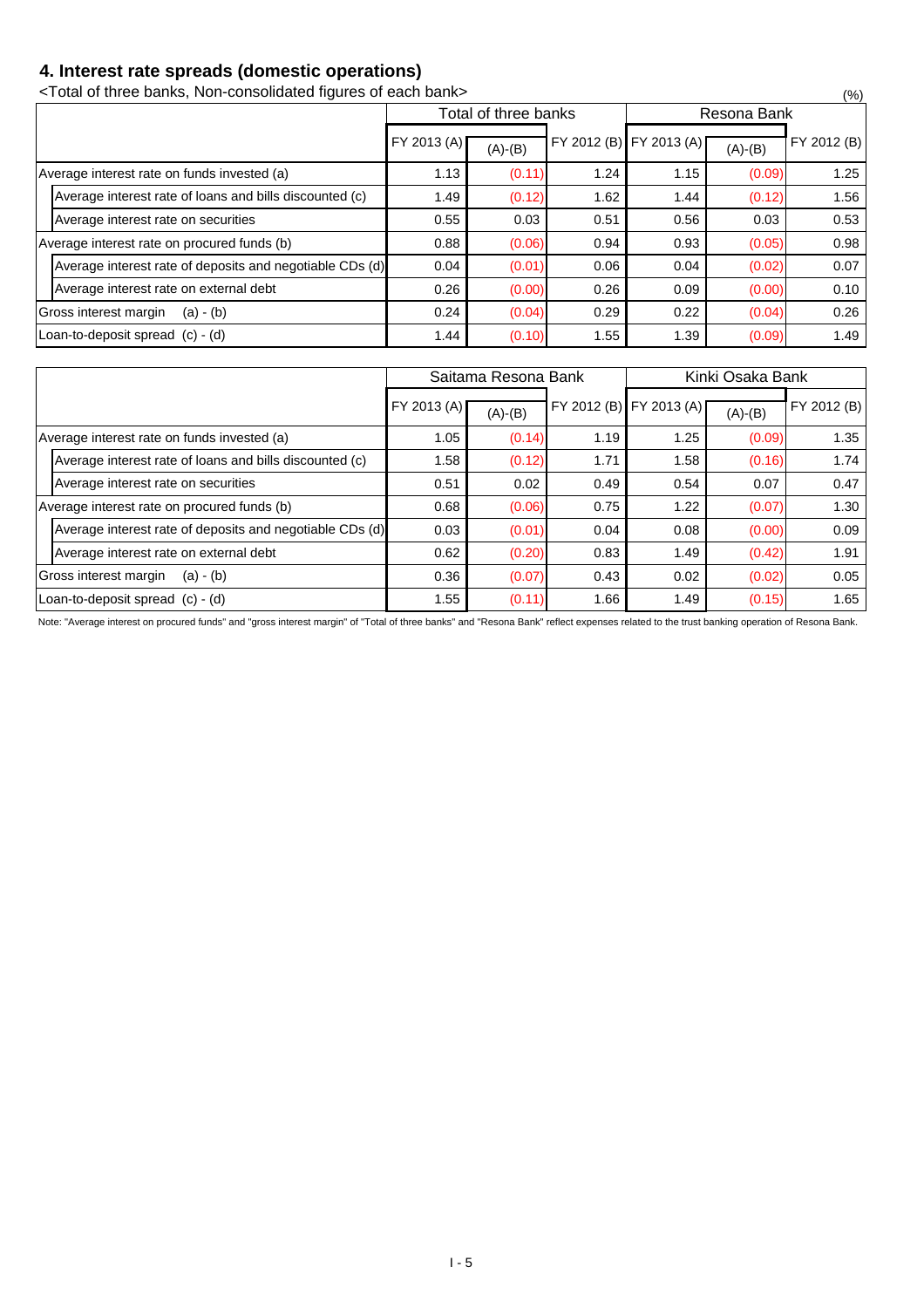### **4. Interest rate spreads (domestic operations)**

<Total of three banks, Non-consolidated figures of each bank> (%)

|                                                          |                      | Total of three banks |      |                         | Resona Bank |             |  |  |
|----------------------------------------------------------|----------------------|----------------------|------|-------------------------|-------------|-------------|--|--|
|                                                          | FY 2013 (A) $\Gamma$ | $(A)-(B)$            |      | FY 2012 (B) FY 2013 (A) | $(A)-(B)$   | FY 2012 (B) |  |  |
| Average interest rate on funds invested (a)              | 1.13                 | (0.11)               | 1.24 | 1.15                    | (0.09)      | 1.25        |  |  |
| Average interest rate of loans and bills discounted (c)  | 1.49                 | (0.12)               | 1.62 | 1.44                    | (0.12)      | 1.56        |  |  |
| Average interest rate on securities                      | 0.55                 | 0.03                 | 0.51 | 0.56                    | 0.03        | 0.53        |  |  |
| Average interest rate on procured funds (b)              | 0.88                 | (0.06)               | 0.94 | 0.93                    | (0.05)      | 0.98        |  |  |
| Average interest rate of deposits and negotiable CDs (d) | 0.04                 | (0.01)               | 0.06 | 0.04                    | (0.02)      | 0.07        |  |  |
| Average interest rate on external debt                   | 0.26                 | (0.00)               | 0.26 | 0.09                    | (0.00)      | 0.10        |  |  |
| Gross interest margin<br>$(a) - (b)$                     | 0.24                 | (0.04)               | 0.29 | 0.22                    | (0.04)      | 0.26        |  |  |
| Loan-to-deposit spread (c) - (d)                         | 1.44                 | (0.10)               | 1.55 | 1.39                    | (0.09)      | 1.49        |  |  |

|                                      |                                                          |             | Saitama Resona Bank |      | Kinki Osaka Bank        |           |             |  |
|--------------------------------------|----------------------------------------------------------|-------------|---------------------|------|-------------------------|-----------|-------------|--|
|                                      |                                                          | FY 2013 (A) | $(A)-(B)$           |      | FY 2012 (B) FY 2013 (A) | $(A)-(B)$ | FY 2012 (B) |  |
|                                      | Average interest rate on funds invested (a)              | 1.05        | (0.14)              | 1.19 | 1.25                    | (0.09)    | 1.35        |  |
|                                      | Average interest rate of loans and bills discounted (c)  | 1.58        | (0.12)              | 1.71 | 1.58                    | (0.16)    | 1.74        |  |
|                                      | Average interest rate on securities                      | 0.51        | 0.02                | 0.49 | 0.54                    | 0.07      | 0.47        |  |
|                                      | Average interest rate on procured funds (b)              | 0.68        | (0.06)              | 0.75 | 1.22                    | (0.07)    | 1.30        |  |
|                                      | Average interest rate of deposits and negotiable CDs (d) | 0.03        | (0.01)              | 0.04 | 0.08                    | (0.00)    | 0.09        |  |
|                                      | Average interest rate on external debt                   | 0.62        | (0.20)              | 0.83 | 1.49                    | (0.42)    | 1.91        |  |
| Gross interest margin<br>$(a) - (b)$ |                                                          | 0.36        | (0.07)              | 0.43 | 0.02                    | (0.02)    | 0.05        |  |
| Loan-to-deposit spread $(c) - (d)$   |                                                          | 1.55        | (0.11)              | 1.66 | 1.49                    | (0.15)    | 1.65        |  |

Note: "Average interest on procured funds" and "gross interest margin" of "Total of three banks" and "Resona Bank" reflect expenses related to the trust banking operation of Resona Bank.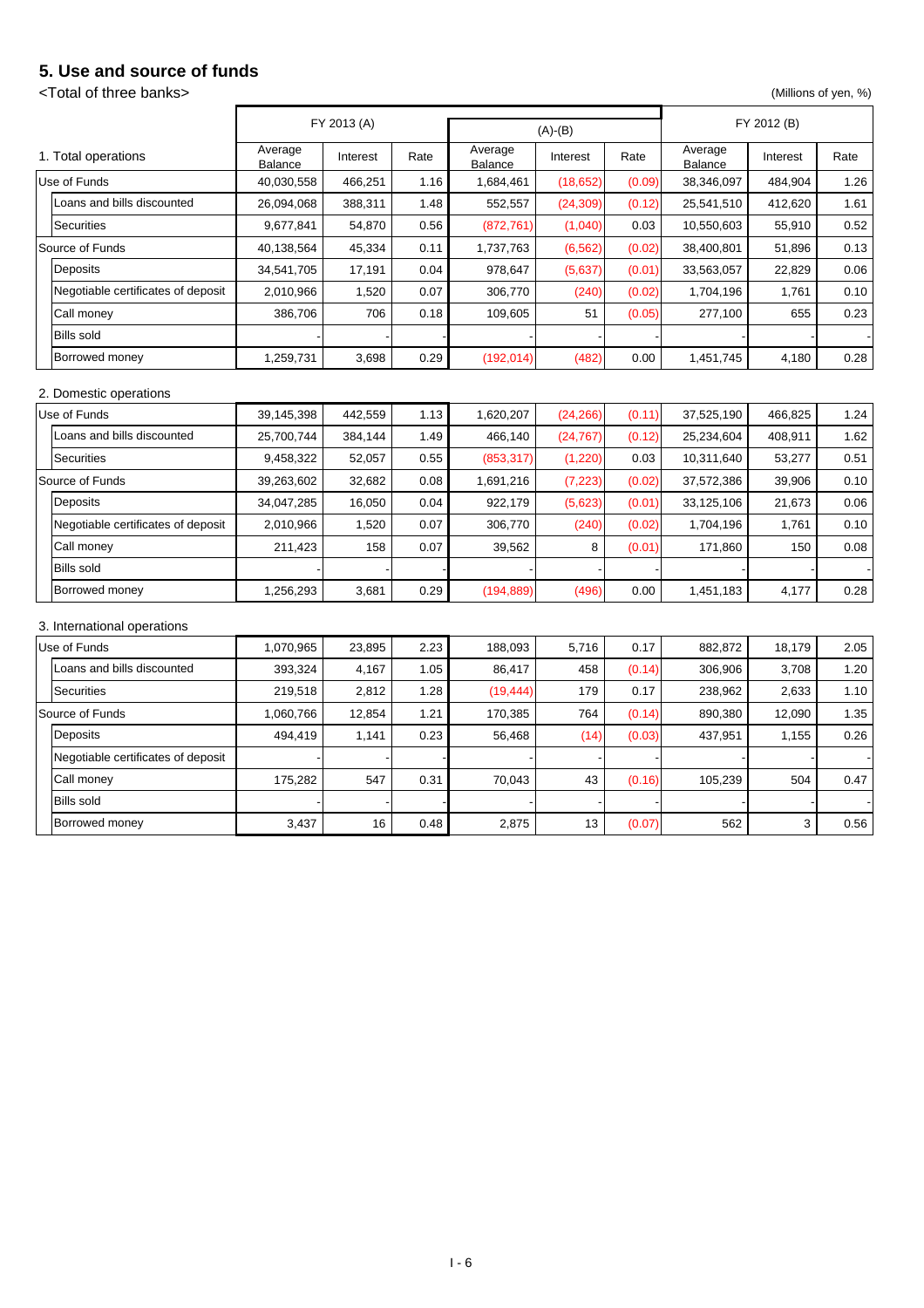### **5. Use and source of funds**

### <Total of three banks> (Millions of yen, %)

|                                    |                    | FY 2013 (A)<br>$(A)-(B)$ |      |                    |           |        | FY 2012 (B)        |          |      |
|------------------------------------|--------------------|--------------------------|------|--------------------|-----------|--------|--------------------|----------|------|
| 1. Total operations                | Average<br>Balance | Interest                 | Rate | Average<br>Balance | Interest  | Rate   | Average<br>Balance | Interest | Rate |
| Use of Funds                       | 40,030,558         | 466,251                  | 1.16 | 1,684,461          | (18, 652) | (0.09) | 38,346,097         | 484,904  | 1.26 |
| Loans and bills discounted         | 26,094,068         | 388,311                  | 1.48 | 552,557            | (24, 309) | (0.12) | 25,541,510         | 412,620  | 1.61 |
| <b>Securities</b>                  | 9,677,841          | 54,870                   | 0.56 | (872, 761)         | (1,040)   | 0.03   | 10,550,603         | 55,910   | 0.52 |
| Source of Funds                    | 40,138,564         | 45,334                   | 0.11 | 1,737,763          | (6, 562)  | (0.02) | 38,400,801         | 51,896   | 0.13 |
| Deposits                           | 34,541,705         | 17,191                   | 0.04 | 978,647            | (5,637)   | (0.01) | 33,563,057         | 22,829   | 0.06 |
| Negotiable certificates of deposit | 2,010,966          | 1,520                    | 0.07 | 306,770            | (240)     | (0.02) | 1,704,196          | 1,761    | 0.10 |
| Call money                         | 386,706            | 706                      | 0.18 | 109,605            | 51        | (0.05) | 277,100            | 655      | 0.23 |
| <b>Bills sold</b>                  |                    |                          |      |                    |           |        |                    |          |      |
| Borrowed money                     | 1,259,731          | 3,698                    | 0.29 | (192, 014)         | (482)     | 0.00   | 1,451,745          | 4,180    | 0.28 |
| 2. Domestic operations             |                    |                          |      |                    |           |        |                    |          |      |
| Use of Funds                       | 39,145,398         | 442,559                  | 1.13 | 1,620,207          | (24, 266) | (0.11) | 37,525,190         | 466,825  | 1.24 |
| Loans and bills discounted         | 25,700,744         | 384,144                  | 1.49 | 466,140            | (24, 767) | (0.12) | 25,234,604         | 408,911  | 1.62 |
| <b>Securities</b>                  | 9,458,322          | 52,057                   | 0.55 | (853, 317)         | (1,220)   | 0.03   | 10,311,640         | 53,277   | 0.51 |
| Source of Funds                    | 39,263,602         | 32,682                   | 0.08 | 1,691,216          | (7, 223)  | (0.02) | 37,572,386         | 39,906   | 0.10 |
| Deposits                           | 34,047,285         | 16,050                   | 0.04 | 922,179            | (5,623)   | (0.01) | 33,125,106         | 21,673   | 0.06 |
| Negotiable certificates of deposit | 2,010,966          | 1,520                    | 0.07 | 306,770            | (240)     | (0.02) | 1,704,196          | 1,761    | 0.10 |
| Call money                         | 211,423            | 158                      | 0.07 | 39,562             | 8         | (0.01) | 171,860            | 150      | 0.08 |
| <b>Bills sold</b>                  |                    |                          |      |                    |           |        |                    |          |      |
| Borrowed money                     | 1,256,293          | 3,681                    | 0.29 | (194, 889)         | (496)     | 0.00   | 1,451,183          | 4,177    | 0.28 |
| 3. International operations        |                    |                          |      |                    |           |        |                    |          |      |
| Use of Funds                       | 1,070,965          | 23,895                   | 2.23 | 188,093            | 5,716     | 0.17   | 882,872            | 18,179   | 2.05 |
| Loans and bills discounted         | 393,324            | 4,167                    | 1.05 | 86,417             | 458       | (0.14) | 306,906            | 3,708    | 1.20 |
| <b>Securities</b>                  | 219,518            | 2,812                    | 1.28 | (19, 444)          | 179       | 0.17   | 238,962            | 2,633    | 1.10 |
| Source of Funds                    | 1,060,766          | 12,854                   | 1.21 | 170,385            | 764       | (0.14) | 890,380            | 12,090   | 1.35 |
| Deposits                           | 494,419            | 1,141                    | 0.23 | 56,468             | (14)      | (0.03) | 437,951            | 1,155    | 0.26 |
| Negotiable certificates of deposit |                    |                          |      |                    |           |        |                    |          |      |
| Call money                         | 175,282            | 547                      | 0.31 | 70,043             | 43        | (0.16) | 105,239            | 504      | 0.47 |
| <b>Bills sold</b>                  |                    |                          |      |                    |           |        |                    |          |      |
| Borrowed money                     | 3,437              | 16                       | 0.48 | 2,875              | 13        | (0.07) | 562                | 3        | 0.56 |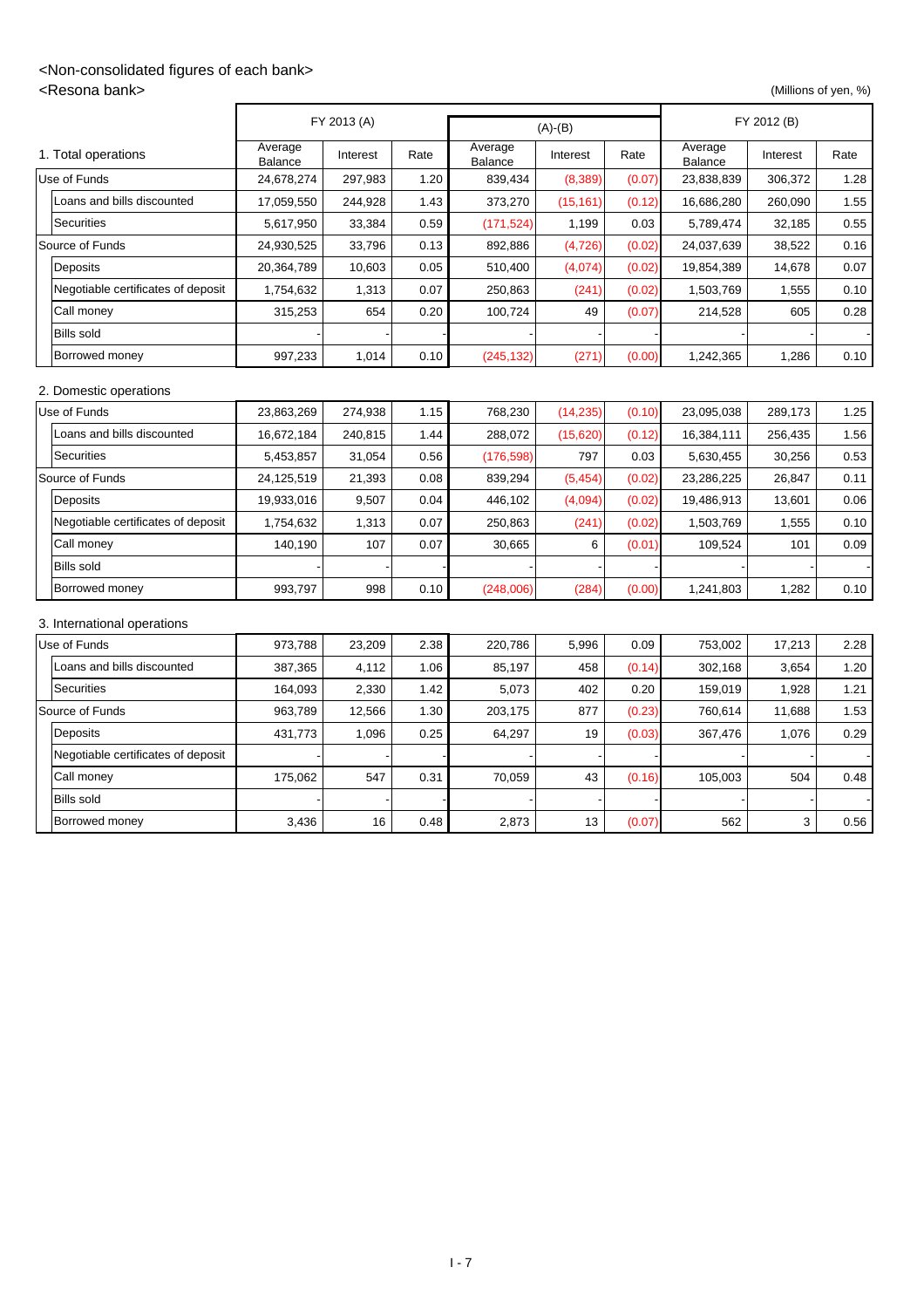### <Non-consolidated figures of each bank>

<Resona bank> (Millions of yen, %)

|                                    | FY 2013 (A)<br>$(A)-(B)$ |          |      |                           |           | FY 2012 (B) |                    |          |      |
|------------------------------------|--------------------------|----------|------|---------------------------|-----------|-------------|--------------------|----------|------|
| 1. Total operations                | Average<br>Balance       | Interest | Rate | Average<br><b>Balance</b> | Interest  | Rate        | Average<br>Balance | Interest | Rate |
| Use of Funds                       | 24,678,274               | 297,983  | 1.20 | 839,434                   | (8, 389)  | (0.07)      | 23,838,839         | 306,372  | 1.28 |
| Loans and bills discounted         | 17,059,550               | 244,928  | 1.43 | 373,270                   | (15, 161) | (0.12)      | 16,686,280         | 260,090  | 1.55 |
| <b>Securities</b>                  | 5,617,950                | 33,384   | 0.59 | (171, 524)                | 1,199     | 0.03        | 5,789,474          | 32,185   | 0.55 |
| Source of Funds                    | 24,930,525               | 33,796   | 0.13 | 892,886                   | (4, 726)  | (0.02)      | 24,037,639         | 38,522   | 0.16 |
| Deposits                           | 20,364,789               | 10,603   | 0.05 | 510,400                   | (4,074)   | (0.02)      | 19,854,389         | 14,678   | 0.07 |
| Negotiable certificates of deposit | 1,754,632                | 1,313    | 0.07 | 250,863                   | (241)     | (0.02)      | 1,503,769          | 1,555    | 0.10 |
| Call money                         | 315,253                  | 654      | 0.20 | 100,724                   | 49        | (0.07)      | 214,528            | 605      | 0.28 |
| <b>Bills sold</b>                  |                          |          |      |                           |           |             |                    |          |      |
| Borrowed money                     | 997,233                  | 1,014    | 0.10 | (245, 132)                | (271)     | (0.00)      | 1,242,365          | 1,286    | 0.10 |
| 2. Domestic operations             |                          |          |      |                           |           |             |                    |          |      |
| Use of Funds                       | 23,863,269               | 274,938  | 1.15 | 768,230                   | (14, 235) | (0.10)      | 23,095,038         | 289,173  | 1.25 |
| Loans and bills discounted         | 16,672,184               | 240,815  | 1.44 | 288,072                   | (15,620)  | (0.12)      | 16,384,111         | 256,435  | 1.56 |
| <b>Securities</b>                  | 5,453,857                | 31,054   | 0.56 | (176, 598)                | 797       | 0.03        | 5,630,455          | 30,256   | 0.53 |
| Source of Funds                    | 24,125,519               | 21,393   | 0.08 | 839,294                   | (5, 454)  | (0.02)      | 23,286,225         | 26,847   | 0.11 |
| Deposits                           | 19,933,016               | 9,507    | 0.04 | 446,102                   | (4,094)   | (0.02)      | 19,486,913         | 13,601   | 0.06 |
| Negotiable certificates of deposit | 1,754,632                | 1,313    | 0.07 | 250,863                   | (241)     | (0.02)      | 1,503,769          | 1,555    | 0.10 |
| Call money                         | 140,190                  | 107      | 0.07 | 30,665                    | 6         | (0.01)      | 109,524            | 101      | 0.09 |
| <b>Bills sold</b>                  |                          |          |      |                           |           |             |                    |          |      |
| Borrowed money                     | 993,797                  | 998      | 0.10 | (248,006)                 | (284)     | (0.00)      | 1,241,803          | 1,282    | 0.10 |
| 3. International operations        |                          |          |      |                           |           |             |                    |          |      |
| Use of Funds                       | 973,788                  | 23,209   | 2.38 | 220,786                   | 5,996     | 0.09        | 753,002            | 17,213   | 2.28 |
| Loans and bills discounted         | 387,365                  | 4,112    | 1.06 | 85,197                    | 458       | (0.14)      | 302,168            | 3,654    | 1.20 |
| <b>Securities</b>                  | 164,093                  | 2,330    | 1.42 | 5,073                     | 402       | 0.20        | 159,019            | 1,928    | 1.21 |
| Source of Funds                    | 963,789                  | 12,566   | 1.30 | 203,175                   | 877       | (0.23)      | 760,614            | 11,688   | 1.53 |
| Deposits                           | 431,773                  | 1,096    | 0.25 | 64,297                    | 19        | (0.03)      | 367,476            | 1,076    | 0.29 |
| Negotiable certificates of deposit |                          |          |      |                           |           |             |                    |          |      |
| Call money                         | 175,062                  | 547      | 0.31 | 70,059                    | 43        | (0.16)      | 105,003            | 504      | 0.48 |
| <b>Bills sold</b>                  |                          |          |      |                           |           |             |                    |          |      |
| Borrowed money                     | 3,436                    | 16       | 0.48 | 2,873                     | 13        | (0.07)      | 562                | 3        | 0.56 |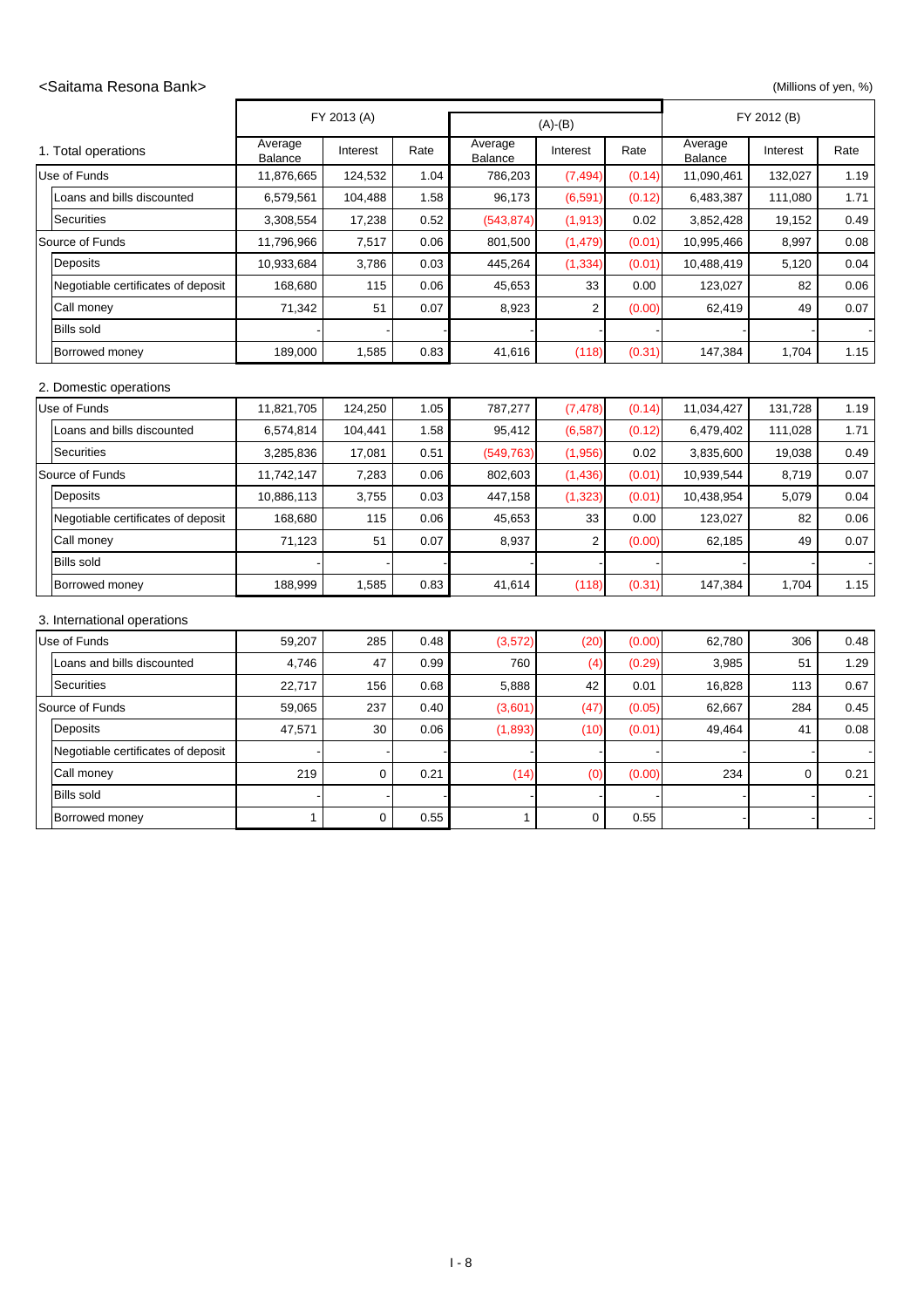#### <Saitama Resona Bank> (Millions of yen, %)

|                                    |                    | FY 2013 (A) |      | $(A)-(B)$          |                |        |                    | FY 2012 (B)      |      |  |
|------------------------------------|--------------------|-------------|------|--------------------|----------------|--------|--------------------|------------------|------|--|
| 1. Total operations                | Average<br>Balance | Interest    | Rate | Average<br>Balance | Interest       | Rate   | Average<br>Balance | Interest         | Rate |  |
| Use of Funds                       | 11,876,665         | 124,532     | 1.04 | 786,203            | (7, 494)       | (0.14) | 11,090,461         | 132,027          | 1.19 |  |
| Loans and bills discounted         | 6,579,561          | 104,488     | 1.58 | 96,173             | (6, 591)       | (0.12) | 6,483,387          | 111,080          | 1.71 |  |
| <b>Securities</b>                  | 3,308,554          | 17,238      | 0.52 | (543, 874)         | (1, 913)       | 0.02   | 3,852,428          | 19,152           | 0.49 |  |
| Source of Funds                    | 11,796,966         | 7,517       | 0.06 | 801,500            | (1, 479)       | (0.01) | 10,995,466         | 8,997            | 0.08 |  |
| Deposits                           | 10,933,684         | 3,786       | 0.03 | 445,264            | (1, 334)       | (0.01) | 10,488,419         | 5,120            | 0.04 |  |
| Negotiable certificates of deposit | 168,680            | 115         | 0.06 | 45,653             | 33             | 0.00   | 123,027            | 82               | 0.06 |  |
| Call money                         | 71,342             | 51          | 0.07 | 8,923              | 2              | (0.00) | 62,419             | 49               | 0.07 |  |
| <b>Bills sold</b>                  |                    |             |      |                    |                |        |                    |                  |      |  |
| Borrowed money                     | 189,000            | 1,585       | 0.83 | 41,616             | (118)          | (0.31) | 147,384            | 1,704            | 1.15 |  |
| 2. Domestic operations             |                    |             |      |                    |                |        |                    |                  |      |  |
| Use of Funds                       | 11,821,705         | 124,250     | 1.05 | 787,277            | (7, 478)       | (0.14) | 11,034,427         | 131,728          | 1.19 |  |
| Loans and bills discounted         | 6,574,814          | 104,441     | 1.58 | 95,412             | (6, 587)       | (0.12) | 6,479,402          | 111,028          | 1.71 |  |
| <b>Securities</b>                  | 3,285,836          | 17,081      | 0.51 | (549, 763)         | (1,956)        | 0.02   | 3,835,600          | 19,038           | 0.49 |  |
| Source of Funds                    | 11,742,147         | 7,283       | 0.06 | 802,603            | (1, 436)       | (0.01) | 10,939,544         | 8,719            | 0.07 |  |
| Deposits                           | 10,886,113         | 3,755       | 0.03 | 447,158            | (1, 323)       | (0.01) | 10,438,954         | 5,079            | 0.04 |  |
| Negotiable certificates of deposit | 168,680            | 115         | 0.06 | 45,653             | 33             | 0.00   | 123,027            | 82               | 0.06 |  |
| Call money                         | 71,123             | 51          | 0.07 | 8,937              | $\overline{2}$ | (0.00) | 62,185             | 49               | 0.07 |  |
| <b>Bills sold</b>                  |                    |             |      |                    |                |        |                    |                  |      |  |
| Borrowed money                     | 188,999            | 1,585       | 0.83 | 41,614             | (118)          | (0.31) | 147,384            | 1,704            | 1.15 |  |
| 3. International operations        |                    |             |      |                    |                |        |                    |                  |      |  |
| Use of Funds                       | 59,207             | 285         | 0.48 | (3, 572)           | (20)           | (0.00) | 62,780             | 306              | 0.48 |  |
| Loans and bills discounted         | 4,746              | 47          | 0.99 | 760                | (4)            | (0.29) | 3,985              | 51               | 1.29 |  |
| <b>Securities</b>                  | 22,717             | 156         | 0.68 | 5,888              | 42             | 0.01   | 16,828             | 113              | 0.67 |  |
| Source of Funds                    | 59,065             | 237         | 0.40 | (3,601)            | (47)           | (0.05) | 62,667             | 284              | 0.45 |  |
| Deposits                           | 47,571             | 30          | 0.06 | (1,893)            | (10)           | (0.01) | 49,464             | 41               | 0.08 |  |
| Negotiable certificates of deposit |                    |             |      |                    |                |        |                    |                  |      |  |
| Call money                         | 219                | 0           | 0.21 | (14)               | (0)            | (0.00) | 234                | $\boldsymbol{0}$ | 0.21 |  |
| <b>Bills sold</b>                  |                    |             |      |                    |                |        |                    |                  |      |  |
| Borrowed money                     | 1                  | 0           | 0.55 | 1                  | 0              | 0.55   |                    |                  |      |  |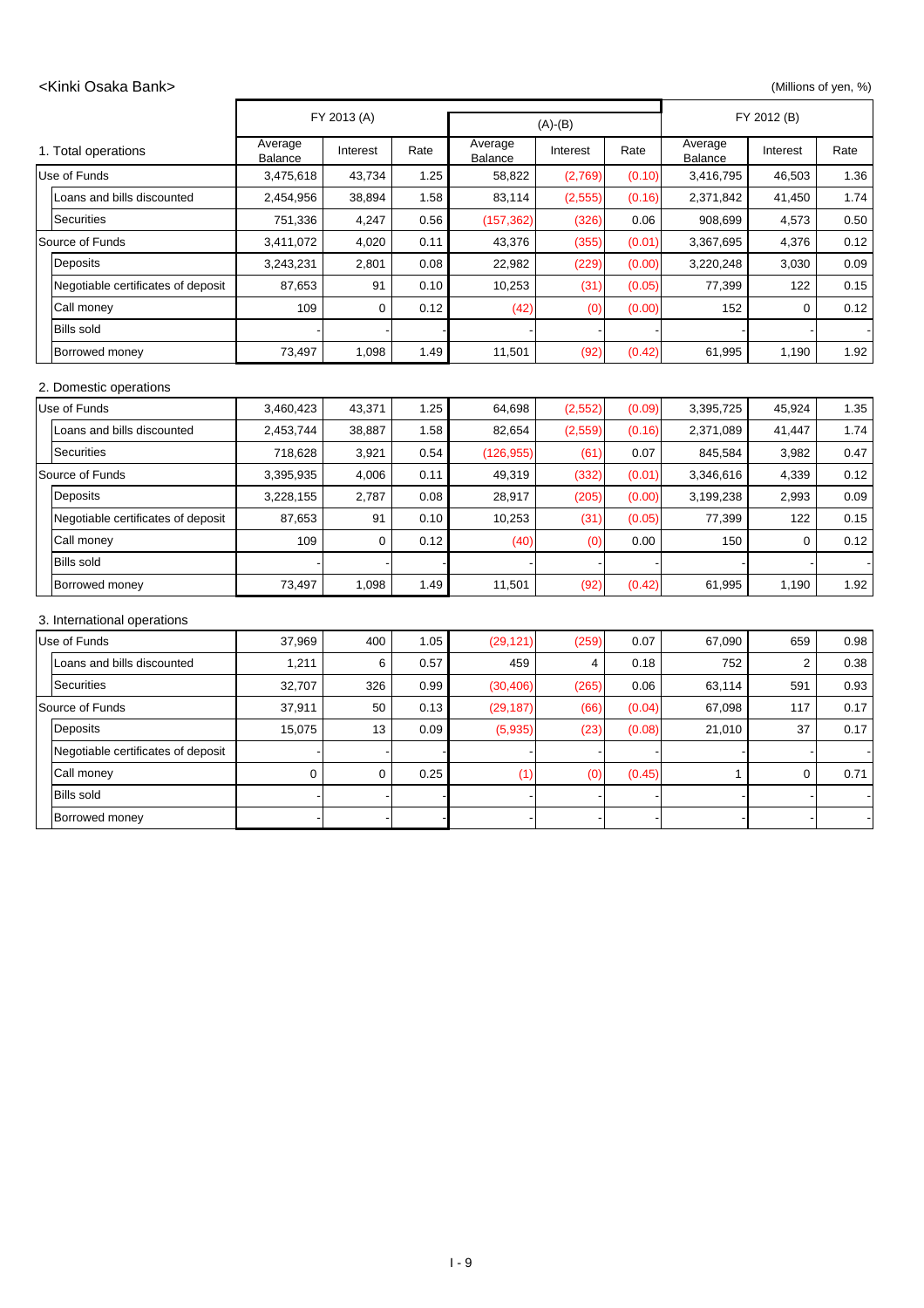#### <Kinki Osaka Bank> (Millions of yen, %)

|                                    |                           | FY 2013 (A)      |      | $(A)-(B)$          |          |        |                    | FY 2012 (B) |      |  |
|------------------------------------|---------------------------|------------------|------|--------------------|----------|--------|--------------------|-------------|------|--|
| 1. Total operations                | Average<br><b>Balance</b> | Interest         | Rate | Average<br>Balance | Interest | Rate   | Average<br>Balance | Interest    | Rate |  |
| Use of Funds                       | 3,475,618                 | 43,734           | 1.25 | 58,822             | (2,769)  | (0.10) | 3,416,795          | 46,503      | 1.36 |  |
| Loans and bills discounted         | 2,454,956                 | 38,894           | 1.58 | 83,114             | (2, 555) | (0.16) | 2,371,842          | 41,450      | 1.74 |  |
| <b>Securities</b>                  | 751,336                   | 4,247            | 0.56 | (157, 362)         | (326)    | 0.06   | 908,699            | 4,573       | 0.50 |  |
| Source of Funds                    | 3,411,072                 | 4,020            | 0.11 | 43,376             | (355)    | (0.01) | 3,367,695          | 4,376       | 0.12 |  |
| Deposits                           | 3,243,231                 | 2,801            | 0.08 | 22,982             | (229)    | (0.00) | 3,220,248          | 3,030       | 0.09 |  |
| Negotiable certificates of deposit | 87,653                    | 91               | 0.10 | 10,253             | (31)     | (0.05) | 77,399             | 122         | 0.15 |  |
| Call money                         | 109                       | 0                | 0.12 | (42)               | (0)      | (0.00) | 152                | 0           | 0.12 |  |
| <b>Bills sold</b>                  |                           |                  |      |                    |          |        |                    |             |      |  |
| Borrowed money                     | 73,497                    | 1,098            | 1.49 | 11,501             | (92)     | (0.42) | 61,995             | 1,190       | 1.92 |  |
| 2. Domestic operations             |                           |                  |      |                    |          |        |                    |             |      |  |
| Use of Funds                       | 3,460,423                 | 43,371           | 1.25 | 64,698             | (2, 552) | (0.09) | 3,395,725          | 45,924      | 1.35 |  |
| Loans and bills discounted         | 2,453,744                 | 38,887           | 1.58 | 82,654             | (2,559)  | (0.16) | 2,371,089          | 41,447      | 1.74 |  |
| <b>Securities</b>                  | 718,628                   | 3,921            | 0.54 | (126, 955)         | (61)     | 0.07   | 845,584            | 3,982       | 0.47 |  |
| Source of Funds                    | 3,395,935                 | 4,006            | 0.11 | 49,319             | (332)    | (0.01) | 3,346,616          | 4,339       | 0.12 |  |
| Deposits                           | 3,228,155                 | 2,787            | 0.08 | 28,917             | (205)    | (0.00) | 3,199,238          | 2,993       | 0.09 |  |
| Negotiable certificates of deposit | 87,653                    | 91               | 0.10 | 10,253             | (31)     | (0.05) | 77,399             | 122         | 0.15 |  |
| Call money                         | 109                       | $\mathbf 0$      | 0.12 | (40)               | (0)      | 0.00   | 150                | $\mathbf 0$ | 0.12 |  |
| <b>Bills sold</b>                  |                           |                  |      |                    |          |        |                    |             |      |  |
| Borrowed money                     | 73,497                    | 1,098            | 1.49 | 11,501             | (92)     | (0.42) | 61,995             | 1,190       | 1.92 |  |
| 3. International operations        |                           |                  |      |                    |          |        |                    |             |      |  |
| Use of Funds                       | 37,969                    | 400              | 1.05 | (29, 121)          | (259)    | 0.07   | 67,090             | 659         | 0.98 |  |
| Loans and bills discounted         | 1,211                     | 6                | 0.57 | 459                | 4        | 0.18   | 752                | 2           | 0.38 |  |
| Securities                         | 32,707                    | 326              | 0.99 | (30, 406)          | (265)    | 0.06   | 63,114             | 591         | 0.93 |  |
| Source of Funds                    | 37,911                    | 50               | 0.13 | (29, 187)          | (66)     | (0.04) | 67,098             | 117         | 0.17 |  |
| Deposits                           | 15,075                    | 13               | 0.09 | (5,935)            | (23)     | (0.08) | 21,010             | 37          | 0.17 |  |
| Negotiable certificates of deposit |                           |                  |      |                    |          |        |                    |             |      |  |
| Call money                         | $\pmb{0}$                 | $\boldsymbol{0}$ | 0.25 | (1)                | (0)      | (0.45) | 1                  | $\pmb{0}$   | 0.71 |  |
| <b>Bills sold</b>                  |                           |                  |      |                    |          |        |                    |             |      |  |
| Borrowed money                     |                           |                  |      |                    |          |        |                    |             |      |  |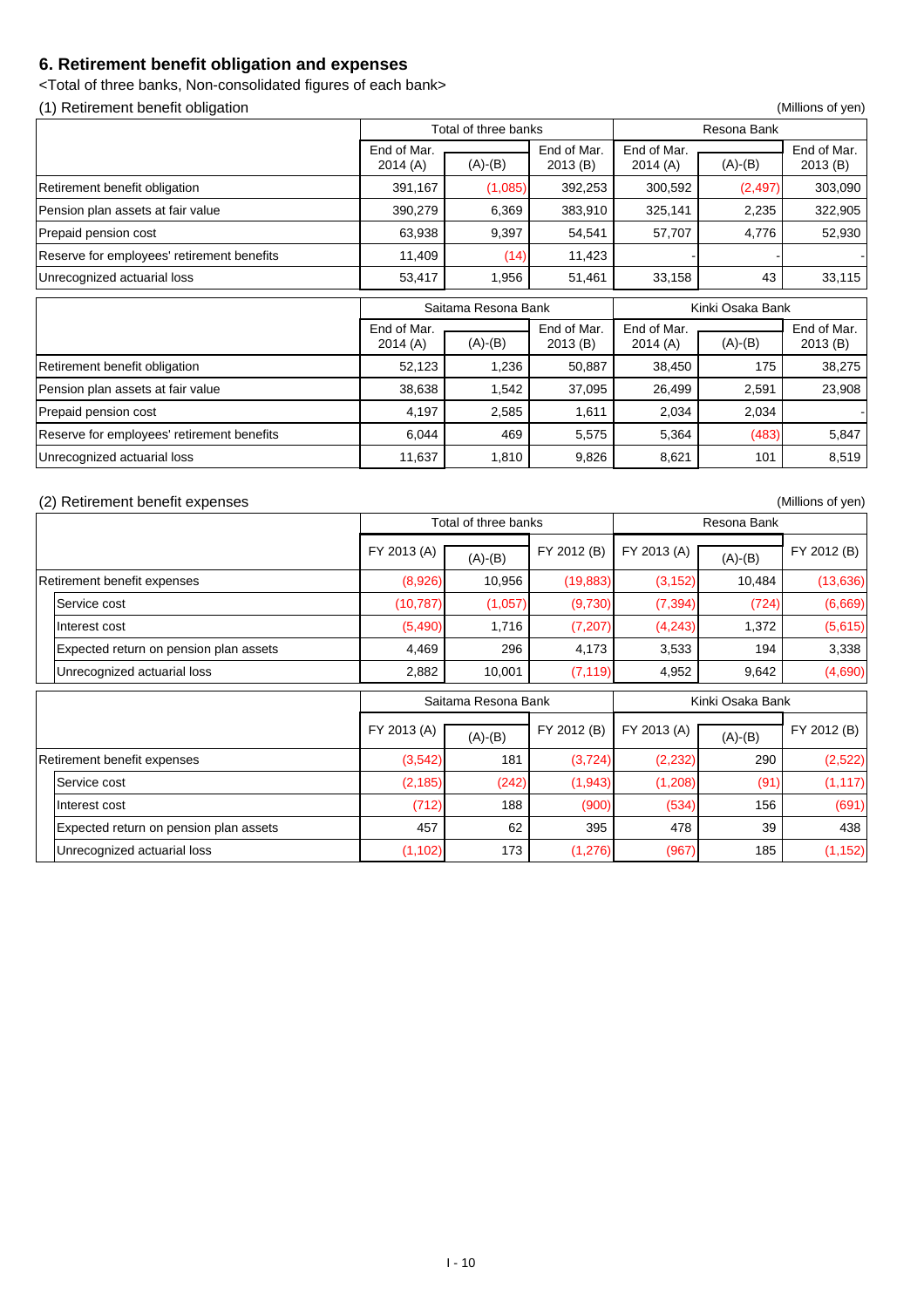### **6. Retirement benefit obligation and expenses**

<Total of three banks, Non-consolidated figures of each bank>

(1) Retirement benefit obligation (Millions of yen)

|                                            |                        | Total of three banks |                        | Resona Bank            |           |                        |  |
|--------------------------------------------|------------------------|----------------------|------------------------|------------------------|-----------|------------------------|--|
|                                            | End of Mar.<br>2014(A) | $(A)-(B)$            | End of Mar.<br>2013(B) | End of Mar.<br>2014(A) | $(A)-(B)$ | End of Mar.<br>2013(B) |  |
| Retirement benefit obligation              | 391,167                | (1,085)              | 392,253                | 300,592                | (2, 497)  | 303,090                |  |
| Pension plan assets at fair value          | 390,279                | 6,369                | 383,910                | 325,141                | 2,235     | 322,905                |  |
| Prepaid pension cost                       | 63,938                 | 9,397                | 54,541                 | 57,707                 | 4,776     | 52,930                 |  |
| Reserve for employees' retirement benefits | 11,409                 | (14)                 | 11,423                 |                        |           |                        |  |
| Unrecognized actuarial loss                | 53,417                 | 1,956                | 51,461                 | 33,158                 | 43        | 33,115                 |  |

|                                            |                        | Saitama Resona Bank |                        | Kinki Osaka Bank       |           |                        |  |
|--------------------------------------------|------------------------|---------------------|------------------------|------------------------|-----------|------------------------|--|
|                                            | End of Mar.<br>2014(A) | $(A)-(B)$           | End of Mar.<br>2013(B) | End of Mar.<br>2014(A) | $(A)-(B)$ | End of Mar.<br>2013(B) |  |
| Retirement benefit obligation              | 52,123                 | 1,236               | 50,887                 | 38,450                 | 175       | 38,275                 |  |
| Pension plan assets at fair value          | 38,638                 | 1,542               | 37,095                 | 26,499                 | 2,591     | 23,908                 |  |
| Prepaid pension cost                       | 4,197                  | 2,585               | 1,611                  | 2,034                  | 2,034     |                        |  |
| Reserve for employees' retirement benefits | 6,044                  | 469                 | 5,575                  | 5,364                  | (483)     | 5,847                  |  |
| Unrecognized actuarial loss                | 11,637                 | 1,810               | 9,826                  | 8,621                  | 101       | 8,519                  |  |

#### (2) Retirement benefit expenses (Millions of yen)

|                                        |             | Total of three banks |             | Resona Bank |                  |             |  |
|----------------------------------------|-------------|----------------------|-------------|-------------|------------------|-------------|--|
|                                        | FY 2013 (A) | $(A)-(B)$            | FY 2012 (B) | FY 2013 (A) | $(A)-(B)$        | FY 2012 (B) |  |
| Retirement benefit expenses            | (8,926)     | 10,956               | (19, 883)   | (3, 152)    | 10,484           | (13,636)    |  |
| Service cost                           | (10, 787)   | (1,057)              | (9,730)     | (7, 394)    | (724)            | (6,669)     |  |
| Interest cost                          | (5,490)     | 1,716                | (7, 207)    | (4, 243)    | 1,372            | (5,615)     |  |
| Expected return on pension plan assets | 4,469       | 296                  | 4,173       | 3,533       | 194              | 3,338       |  |
| Unrecognized actuarial loss            | 2,882       | 10,001               | (7, 119)    | 4,952       | 9,642            | (4,690)     |  |
|                                        |             |                      |             |             |                  |             |  |
|                                        |             | Saitama Resona Bank  |             |             | Kinki Osaka Bank |             |  |
|                                        | FY 2013 (A) | $(A)-(B)$            | FY 2012 (B) | FY 2013 (A) | $(A)-(B)$        | FY 2012 (B) |  |
| Retirement benefit expenses            | (3, 542)    | 181                  | (3, 724)    | (2, 232)    | 290              | (2,522)     |  |
| Service cost                           | (2, 185)    | (242)                | (1,943)     | (1, 208)    | (91)             | (1, 117)    |  |
| Interest cost                          | (712)       | 188                  | (900)       | (534)       | 156              | (691)       |  |
| Expected return on pension plan assets | 457         | 62                   | 395         | 478         | 39               | 438         |  |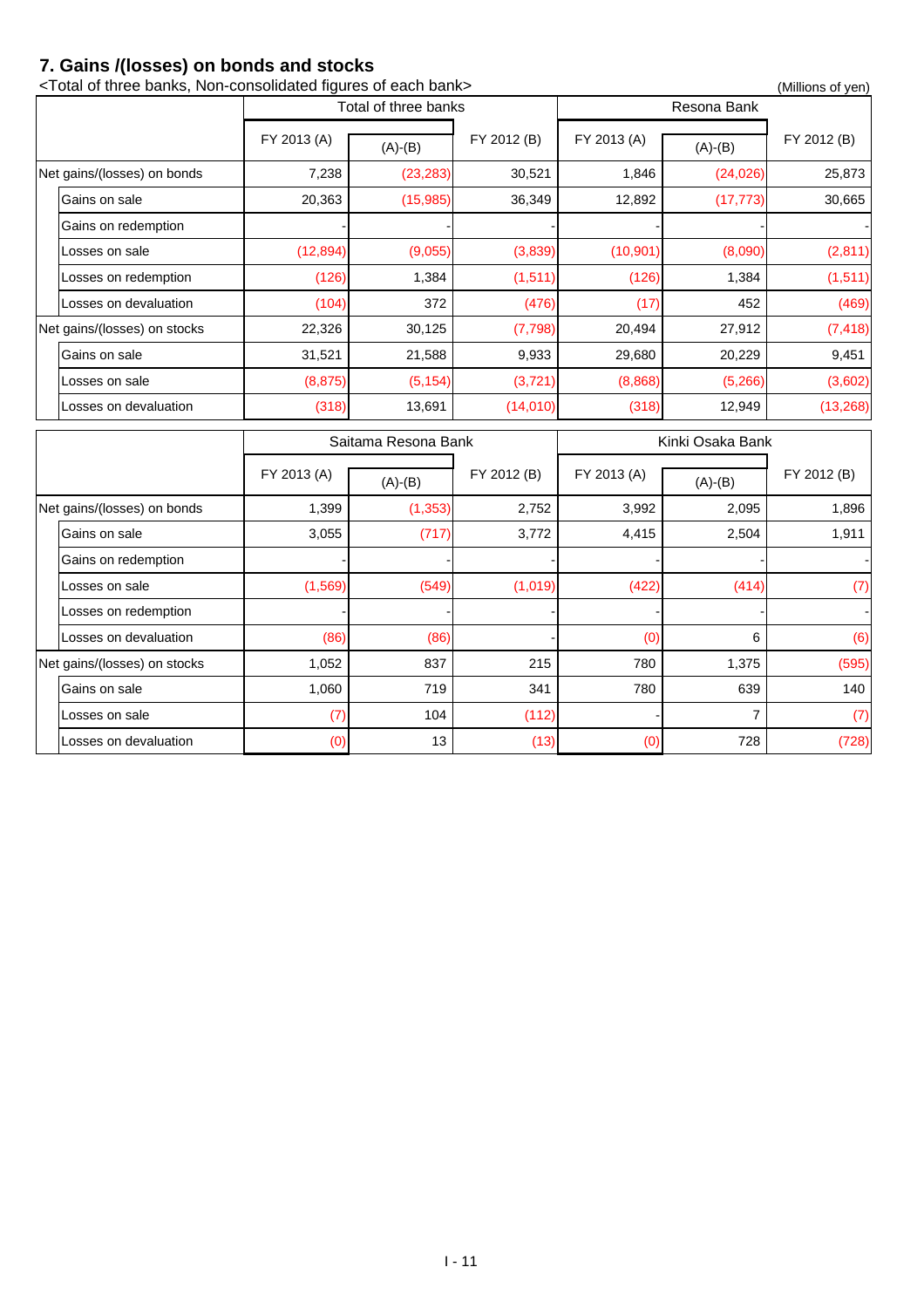### **7. Gains /(losses) on bonds and stocks**

| <total bank="" banks,="" each="" figures="" non-consolidated="" of="" three=""></total> |             |                      |             |             |                  | (Millions of yen) |
|-----------------------------------------------------------------------------------------|-------------|----------------------|-------------|-------------|------------------|-------------------|
|                                                                                         |             | Total of three banks |             |             | Resona Bank      |                   |
|                                                                                         | FY 2013 (A) | $(A)-(B)$            | FY 2012 (B) | FY 2013 (A) | $(A)-(B)$        | FY 2012 (B)       |
| Net gains/(losses) on bonds                                                             | 7,238       | (23, 283)            | 30,521      | 1,846       | (24, 026)        | 25,873            |
| Gains on sale                                                                           | 20,363      | (15, 985)            | 36,349      | 12,892      | (17, 773)        | 30,665            |
| Gains on redemption                                                                     |             |                      |             |             |                  |                   |
| Losses on sale                                                                          | (12, 894)   | (9,055)              | (3,839)     | (10, 901)   | (8,090)          | (2,811)           |
| Losses on redemption                                                                    | (126)       | 1,384                | (1, 511)    | (126)       | 1,384            | (1, 511)          |
| Losses on devaluation                                                                   | (104)       | 372                  | (476)       | (17)        | 452              | (469)             |
| Net gains/(losses) on stocks                                                            | 22,326      | 30,125               | (7, 798)    | 20,494      | 27,912           | (7, 418)          |
| Gains on sale                                                                           | 31,521      | 21,588               | 9,933       | 29,680      | 20,229           | 9,451             |
| Losses on sale                                                                          | (8, 875)    | (5, 154)             | (3, 721)    | (8,868)     | (5,266)          | (3,602)           |
| Losses on devaluation                                                                   | (318)       | 13,691               | (14,010)    | (318)       | 12,949           | (13, 268)         |
|                                                                                         |             |                      |             |             |                  |                   |
|                                                                                         |             | Saitama Resona Bank  |             |             | Kinki Osaka Bank |                   |
|                                                                                         | FY 2013 (A) | $(A)-(B)$            | FY 2012 (B) | FY 2013 (A) | $(A)-(B)$        | FY 2012 (B)       |
| Net gains/(losses) on bonds                                                             | 1,399       | (1, 353)             | 2,752       | 3,992       | 2,095            | 1,896             |
| Gains on sale                                                                           | 3,055       | (717)                | 3,772       | 4,415       | 2,504            | 1,911             |
| Gains on redemption                                                                     |             |                      |             |             |                  |                   |
| Losses on sale                                                                          | (1, 569)    | (549)                | (1,019)     | (422)       | (414)            | (7)               |
| Losses on redemption                                                                    |             |                      |             |             |                  |                   |
| Losses on devaluation                                                                   | (86)        | (86)                 |             | (0)         | 6                |                   |
| Net gains/(losses) on stocks                                                            | 1,052       | 837                  | 215         | 780         | 1,375            | (595)             |
| Gains on sale                                                                           | 1,060       | 719                  | 341         | 780         | 639              | 140               |
| Losses on sale                                                                          | (7)         | 104                  | (112)       |             | $\overline{7}$   | (6)<br>(7)        |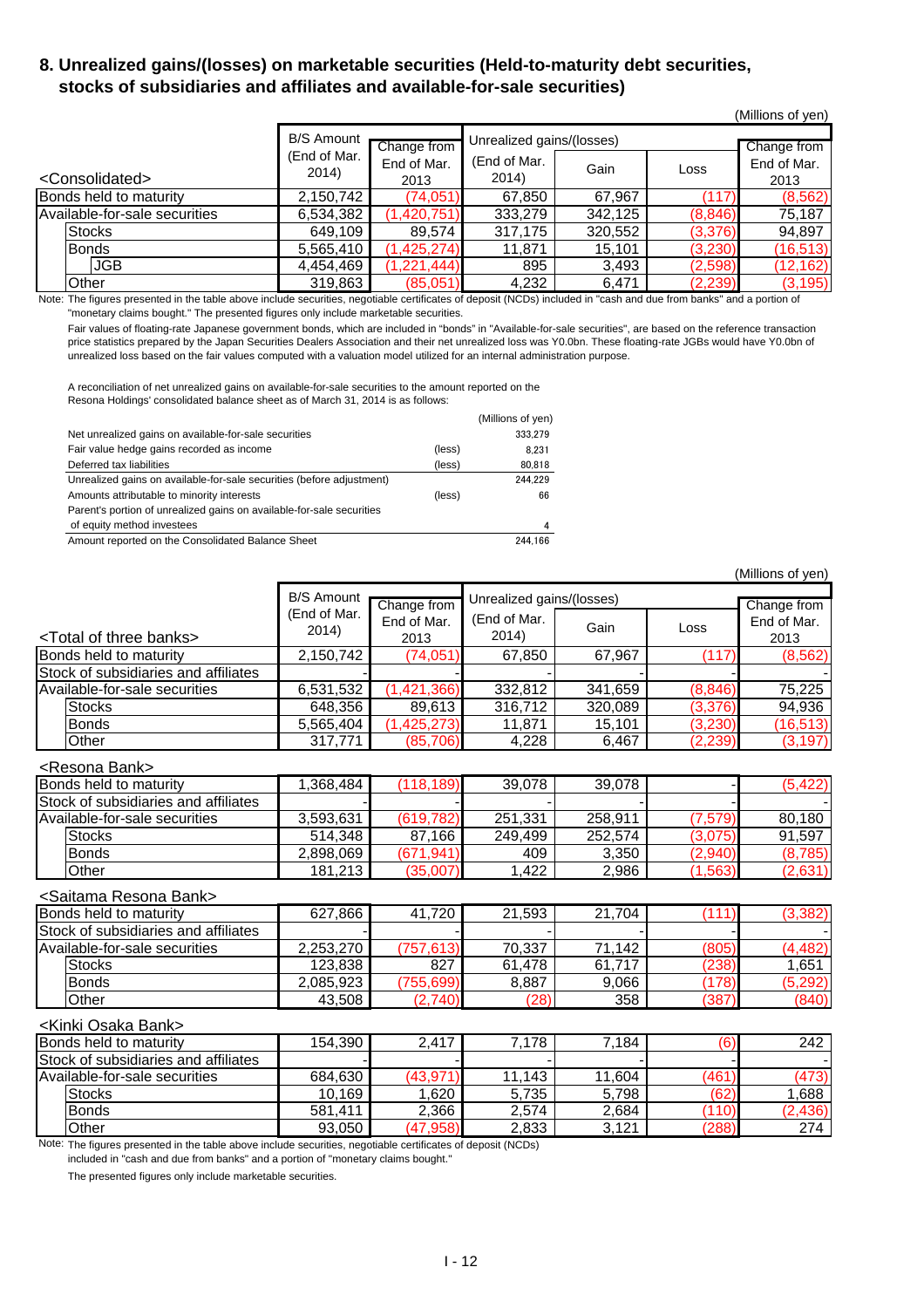### **8. Unrealized gains/(losses) on marketable securities (Held-to-maturity debt securities, stocks of subsidiaries and affiliates and available-for-sale securities)**

(Millions of yen)

|                               | <b>B/S Amount</b>     | Change from         | Unrealized gains/(losses) | Change from |          |                     |
|-------------------------------|-----------------------|---------------------|---------------------------|-------------|----------|---------------------|
| <consolidated></consolidated> | (End of Mar.<br>2014) | End of Mar.<br>2013 | (End of Mar.<br>2014)     | Gain        | Loss     | End of Mar.<br>2013 |
| Bonds held to maturity        | 2,150,742             | (74, 051)           | 67,850                    | 67,967      | (117)    | (8, 562)            |
| Available-for-sale securities | 6,534,382             | (1,420,751)         | 333,279                   | 342,125     | (8,846)  | 75,187              |
| <b>Stocks</b>                 | 649,109               | 89,574              | 317,175                   | 320,552     | (3,376)  | 94,897              |
| <b>Bonds</b>                  | 5,565,410             | (1,425,274)         | 11,871                    | 15,101      | (3,230)  | (16, 513)           |
| <b>JGB</b>                    | 4,454,469             | (1,221,444)         | 895                       | 3,493       | (2,598)  | (12, 162)           |
| Other                         | 319,863               | (85,051)            | 4,232                     | 6,471       | (2, 239) | (3, 195)            |

Note: The figures presented in the table above include securities, negotiable certificates of deposit (NCDs) included in "cash and due from banks" and a portion of "monetary claims bought." The presented figures only include marketable securities.

Fair values of floating-rate Japanese government bonds, which are included in "bonds" in "Available-for-sale securities", are based on the reference transaction price statistics prepared by the Japan Securities Dealers Association and their net unrealized loss was Y0.0bn. These floating-rate JGBs would have Y0.0bn of unrealized loss based on the fair values computed with a valuation model utilized for an internal administration purpose.

A reconciliation of net unrealized gains on available-for-sale securities to the amount reported on the Resona Holdings' consolidated balance sheet as of March 31, 2014 is as follows:

|                                                                       |        | (Millions of yen) |
|-----------------------------------------------------------------------|--------|-------------------|
| Net unrealized gains on available-for-sale securities                 |        | 333,279           |
| Fair value hedge gains recorded as income                             | (less) | 8.231             |
| Deferred tax liabilities                                              | (less) | 80.818            |
| Unrealized gains on available-for-sale securities (before adjustment) |        | 244.229           |
| Amounts attributable to minority interests                            | (less) | 66                |
| Parent's portion of unrealized gains on available-for-sale securities |        |                   |
| of equity method investees                                            |        | 4                 |
| Amount reported on the Consolidated Balance Sheet                     |        | 244.166           |

(Millions of yen) <Total of three banks> (End of Mar.  $\begin{array}{c|c}\n 2014) & \text{Gain} \\
\end{array}$  Loss Bonds held to maturity **2**,150,742 (74,051) 67,850 67,967 (117) (8,562) Stock of subsidiaries and affiliates Available-for-sale securities <br>
6,531,532 (1,421,366) 332,812 341,659 (8,846) 75,225<br>
Stocks (3,376) 94.936 Stocks 648,356 | 89,613 | 316,712 | 320,089 | (3,376) 94,936 Bonds 5,565,404 | (1,425,273) 11,871 | 15,101 | (3,230) (16,513) Other 317,771 (85,706) 4,228 6,467 (2,239) (3,197) <Resona Bank> Bonds held to maturity 1,368,484 (118,189) 39,078 39,078 [118,422] Stock of subsidiaries and affiliates Available-for-sale securities (3,593,631 (619,782) 251,331 258,911 (7,579) 80,180 Stocks 514,348 87,166 249,499 252,574 (3,075) 91,597 Bonds 2,898,069 | (671,941) 409 | 3,350 | (2,940) (8,785) Other 181,213 (35,007) 1,422 2,986 (1,563) (2,631) <Saitama Resona Bank> Bonds held to maturity 627,866 41,720 21,593 21,704 (111) (3,382) Stock of subsidiaries and affiliates Available-for-sale securities  $\begin{array}{|c|c|c|c|c|c|c|c|c|}\hline 2,253,270 & (757,613) & 70,337 & 71,142 & (805) & (4,482)\hline \end{array}$ Stocks 123,838 | 827 | 61,478 | 61,717 | (238) 1,651 Bonds 2,085,923 (755,699) 8,887 9,066 (178) (5,292) Other 43,508 (2,740) (28) 358 (387) (840) <Kinki Osaka Bank> Bonds held to maturity 154,390 2,417 7,178 7,184 (6) 242 Stock of subsidiaries and affiliates Available-for-sale securities 684,630 (43,971) 11,143 11,604 (461) (473) Stocks 10,169 1,620 5,735 5,798 (62) 1,688 Change from End of Mar. 2013 Change from End of Mar. 2013 B/S Amount (End of Mar. 2014) Unrealized gains/(losses)

Note: The figures presented in the table above include securities, negotiable certificates of deposit (NCDs) included in "cash and due from banks" and a portion of "monetary claims bought."

The presented figures only include marketable securities.

Bonds 581,411 | 2,366 | 2,574 | 2,684 | (110) | (2,436) Other 193,050 (47,958) 2,833 3,121 (288) 274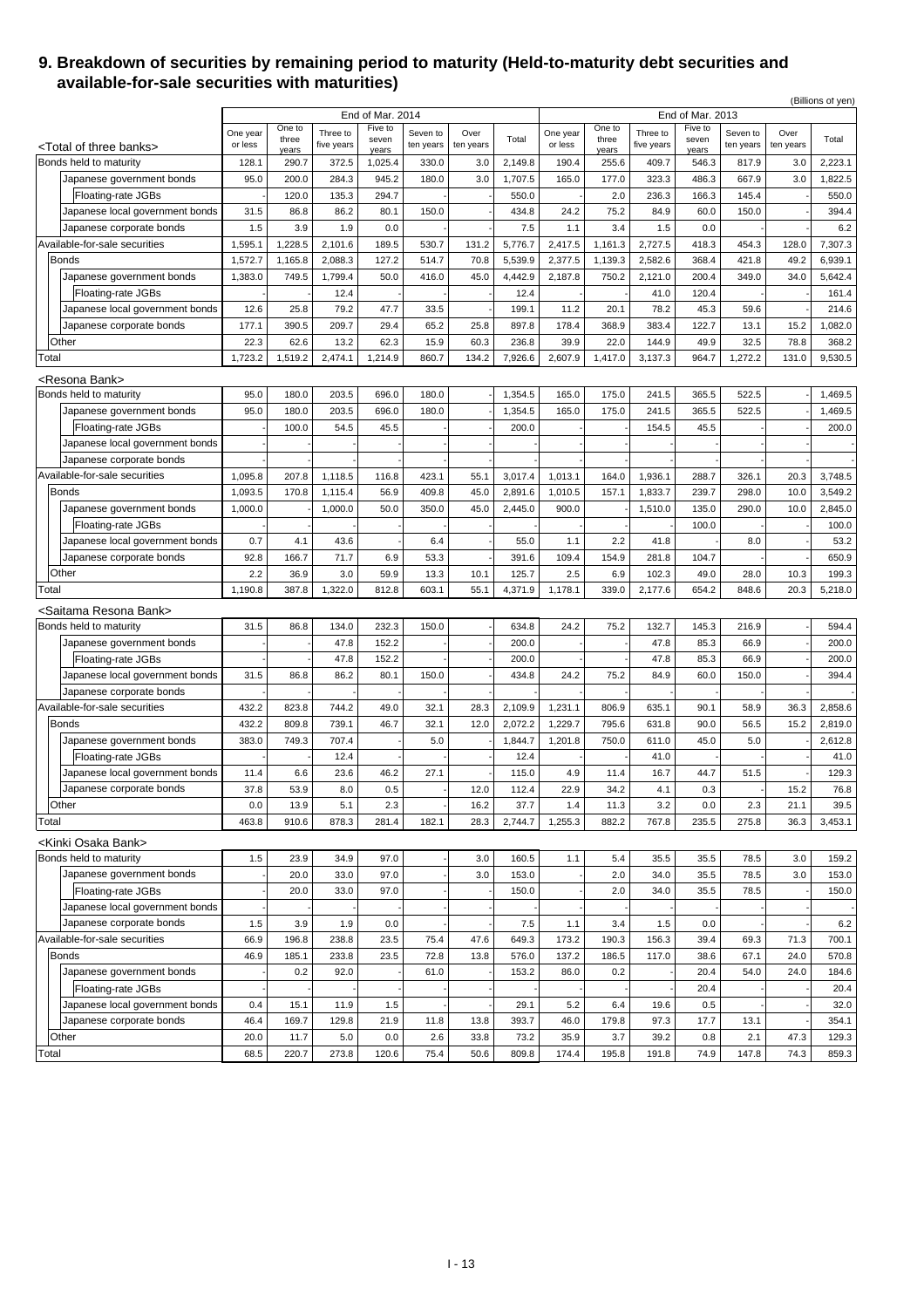#### **9. Breakdown of securities by remaining period to maturity (Held-to-maturity debt securities and available-for-sale securities with maturities)**

|                                                                    |                     |                |                        |                             |                       |                   |                  |                     |              |                        |                             |                       |                   | (Billions of yen) |
|--------------------------------------------------------------------|---------------------|----------------|------------------------|-----------------------------|-----------------------|-------------------|------------------|---------------------|--------------|------------------------|-----------------------------|-----------------------|-------------------|-------------------|
|                                                                    |                     | One to         |                        | End of Mar. 2014<br>Five to |                       |                   |                  |                     | One to       |                        | End of Mar. 2013<br>Five to |                       |                   |                   |
|                                                                    | One year<br>or less | three          | Three to<br>five years | seven                       | Seven to<br>ten years | Over<br>ten years | Total            | One year<br>or less | three        | Three to<br>five years | seven                       | Seven to<br>ten years | Over<br>ten years | Total             |
| <total banks="" of="" three=""><br/>Bonds held to maturity</total> |                     | years          |                        | years                       |                       |                   | 2,149.8          |                     | years        |                        | years                       |                       |                   | 2,223.1           |
|                                                                    | 128.1               | 290.7          | 372.5<br>284.3         | 1,025.4<br>945.2            | 330.0                 | 3.0               |                  | 190.4               | 255.6        | 409.7                  | 546.3                       | 817.9<br>667.9        | 3.0               |                   |
| Japanese government bonds<br>Floating-rate JGBs                    | 95.0                | 200.0<br>120.0 | 135.3                  | 294.7                       | 180.0                 | 3.0               | 1,707.5<br>550.0 | 165.0               | 177.0        | 323.3<br>236.3         | 486.3<br>166.3              | 145.4                 | 3.0               | 1,822.5           |
|                                                                    | 31.5                | 86.8           | 86.2                   |                             | 150.0                 |                   | 434.8            | 24.2                | 2.0<br>75.2  | 84.9                   | 60.0                        | 150.0                 |                   | 550.0<br>394.4    |
| Japanese local government bonds<br>Japanese corporate bonds        | 1.5                 | 3.9            | 1.9                    | 80.1<br>0.0                 |                       |                   | 7.5              | 1.1                 | 3.4          | 1.5                    | 0.0                         |                       |                   | 6.2               |
| Available-for-sale securities                                      | 1,595.1             | 1,228.5        | 2,101.6                | 189.5                       | 530.7                 | 131.2             | 5,776.7          | 2,417.5             | 1,161.3      | 2,727.5                | 418.3                       | 454.3                 | 128.0             | 7,307.3           |
| <b>Bonds</b>                                                       | 1,572.7             | 1,165.8        | 2,088.3                | 127.2                       | 514.7                 | 70.8              | 5,539.9          | 2,377.5             | 1,139.3      | 2,582.6                | 368.4                       | 421.8                 | 49.2              | 6,939.1           |
| Japanese government bonds                                          | 1,383.0             | 749.5          | 1,799.4                | 50.0                        | 416.0                 | 45.0              | 4,442.9          | 2,187.8             | 750.2        | 2,121.0                | 200.4                       | 349.0                 | 34.0              | 5,642.4           |
| Floating-rate JGBs                                                 |                     |                | 12.4                   |                             |                       |                   | 12.4             |                     |              | 41.0                   | 120.4                       |                       |                   | 161.4             |
| Japanese local government bonds                                    | 12.6                | 25.8           | 79.2                   | 47.7                        | 33.5                  |                   | 199.1            | 11.2                | 20.1         | 78.2                   | 45.3                        | 59.6                  |                   | 214.6             |
| Japanese corporate bonds                                           | 177.1               | 390.5          | 209.7                  | 29.4                        | 65.2                  | 25.8              | 897.8            | 178.4               | 368.9        | 383.4                  | 122.7                       | 13.1                  | 15.2              | 1,082.0           |
| Other                                                              | 22.3                | 62.6           | 13.2                   | 62.3                        | 15.9                  | 60.3              | 236.8            | 39.9                | 22.0         | 144.9                  | 49.9                        | 32.5                  | 78.8              | 368.2             |
| Total                                                              | 1,723.2             | 1,519.2        | 2,474.1                | 1,214.9                     | 860.7                 | 134.2             | 7,926.6          | 2,607.9             | 1,417.0      | 3,137.3                | 964.7                       | 1,272.2               | 131.0             | 9,530.5           |
|                                                                    |                     |                |                        |                             |                       |                   |                  |                     |              |                        |                             |                       |                   |                   |
| <resona bank=""></resona>                                          |                     |                |                        |                             |                       |                   |                  |                     |              |                        |                             |                       |                   |                   |
| Bonds held to maturity                                             | 95.0                | 180.0          | 203.5                  | 696.0                       | 180.0                 |                   | 1,354.5          | 165.0               | 175.0        | 241.5                  | 365.5                       | 522.5                 |                   | 1,469.5           |
| Japanese government bonds                                          | 95.0                | 180.0          | 203.5                  | 696.0                       | 180.0                 |                   | 1,354.5          | 165.0               | 175.0        | 241.5                  | 365.5                       | 522.5                 |                   | 1,469.5           |
| Floating-rate JGBs                                                 |                     | 100.0          | 54.5                   | 45.5                        |                       |                   | 200.0            |                     |              | 154.5                  | 45.5                        |                       |                   | 200.0             |
| Japanese local government bonds                                    |                     |                |                        |                             |                       |                   |                  |                     |              |                        |                             |                       |                   |                   |
| Japanese corporate bonds                                           |                     |                |                        |                             |                       |                   |                  |                     |              |                        |                             |                       |                   |                   |
| Available-for-sale securities                                      | 1,095.8             | 207.8          | 1,118.5                | 116.8                       | 423.1                 | 55.1              | 3,017.4          | 1,013.1             | 164.0        | 1,936.1                | 288.7                       | 326.1                 | 20.3              | 3,748.5           |
| <b>Bonds</b>                                                       | 1,093.5             | 170.8          | 1,115.4                | 56.9                        | 409.8                 | 45.0              | 2,891.6          | 1,010.5             | 157.1        | 1,833.7                | 239.7                       | 298.0                 | 10.0              | 3,549.2           |
| Japanese government bonds                                          | 1,000.0             |                | 1,000.0                | 50.0                        | 350.0                 | 45.0              | 2,445.0          | 900.0               |              | 1,510.0                | 135.0                       | 290.0                 | 10.0              | 2,845.0           |
| Floating-rate JGBs                                                 |                     |                |                        |                             |                       |                   |                  |                     |              |                        | 100.0                       |                       |                   | 100.0             |
| Japanese local government bonds                                    | 0.7                 | 4.1            | 43.6<br>71.7           |                             | 6.4                   |                   | 55.0             | 1.1                 | 2.2          | 41.8                   |                             | 8.0                   |                   | 53.2              |
| Japanese corporate bonds<br>Other                                  | 92.8                | 166.7          |                        | 6.9                         | 53.3                  |                   | 391.6            | 109.4<br>2.5        | 154.9        | 281.8                  | 104.7                       |                       |                   | 650.9             |
| Total                                                              | 2.2<br>1,190.8      | 36.9<br>387.8  | 3.0<br>1,322.0         | 59.9<br>812.8               | 13.3<br>603.1         | 10.1<br>55.1      | 125.7<br>4,371.9 | 1,178.1             | 6.9<br>339.0 | 102.3<br>2,177.6       | 49.0<br>654.2               | 28.0<br>848.6         | 10.3<br>20.3      | 199.3<br>5,218.0  |
|                                                                    |                     |                |                        |                             |                       |                   |                  |                     |              |                        |                             |                       |                   |                   |
| <saitama bank="" resona=""></saitama>                              |                     |                |                        |                             |                       |                   |                  |                     |              |                        |                             |                       |                   |                   |
| Bonds held to maturity                                             | 31.5                | 86.8           | 134.0                  | 232.3                       | 150.0                 |                   | 634.8            | 24.2                | 75.2         | 132.7                  | 145.3                       | 216.9                 |                   | 594.4             |
| Japanese government bonds                                          |                     |                | 47.8                   | 152.2                       |                       |                   | 200.0            |                     |              | 47.8                   | 85.3                        | 66.9                  |                   | 200.0             |
| Floating-rate JGBs                                                 |                     |                | 47.8                   | 152.2                       |                       |                   | 200.0            |                     |              | 47.8                   | 85.3                        | 66.9                  |                   | 200.0             |
| Japanese local government bonds                                    | 31.5                | 86.8           | 86.2                   | 80.1                        | 150.0                 |                   | 434.8            | 24.2                | 75.2         | 84.9                   | 60.0                        | 150.0                 |                   | 394.4             |
| Japanese corporate bonds                                           |                     |                |                        |                             |                       |                   |                  |                     |              |                        |                             |                       |                   |                   |
| Available-for-sale securities                                      | 432.2               | 823.8          | 744.2                  | 49.0                        | 32.1                  | 28.3              | 2,109.9          | 1,231.1             | 806.9        | 635.1                  | 90.1                        | 58.9                  | 36.3              | 2,858.6           |
| <b>Bonds</b>                                                       | 432.2               | 809.8          | 739.1                  | 46.7                        | 32.1                  | 12.0              | 2,072.2          | 1,229.7             | 795.6        | 631.8                  | 90.0                        | 56.5                  | 15.2              | 2,819.0           |
| Japanese government bonds                                          | 383.0               | 749.3          | 707.4                  |                             | 5.0                   |                   | 1,844.7          | 1,201.8             | 750.0        | 611.0                  | 45.0                        | 5.0                   |                   | 2,612.8           |
| Floating-rate JGBs                                                 |                     |                | 12.4                   |                             |                       |                   | 12.4             |                     |              | 41.0                   |                             |                       |                   | 41.0              |
| Japanese local government bonds                                    | 11.4                | 6.6            | 23.6                   | 46.2                        | 27.1                  |                   | 115.0            | 4.9                 | 11.4         | 16.7                   | 44.7                        | 51.5                  |                   | 129.3             |
| Japanese corporate bonds                                           | 37.8                | 53.9           | 8.0                    | 0.5                         |                       | 12.0              | 112.4            | 22.9                | 34.2         | 4.1                    | 0.3                         |                       | 15.2              | 76.8              |
| Other                                                              | 0.0                 | 13.9           | 5.1                    | 2.3                         |                       | 16.2              | 37.7             | 1.4                 | 11.3         | 3.2                    | 0.0                         | 2.3                   | 21.1              | 39.5              |
| Total                                                              | 463.8               | 910.6          | 878.3                  | 281.4                       | 182.1                 | 28.3              | 2,744.7          | 1,255.3             | 882.2        | 767.8                  | 235.5                       | 275.8                 | 36.3              | 3,453.1           |
| <kinki bank="" osaka=""></kinki>                                   |                     |                |                        |                             |                       |                   |                  |                     |              |                        |                             |                       |                   |                   |
| Bonds held to maturity                                             | 1.5                 | 23.9           | 34.9                   | 97.0                        |                       | 3.0               | 160.5            | 1.1                 | 5.4          | 35.5                   | 35.5                        | 78.5                  | 3.0               | 159.2             |
| Japanese government bonds                                          |                     | 20.0           | 33.0                   | 97.0                        |                       | 3.0               | 153.0            |                     | 2.0          | 34.0                   | 35.5                        | 78.5                  | 3.0               | 153.0             |
| Floating-rate JGBs                                                 |                     | 20.0           | 33.0                   | 97.0                        |                       |                   | 150.0            |                     | 2.0          | 34.0                   | 35.5                        | 78.5                  |                   | 150.0             |
| Japanese local government bonds                                    |                     |                |                        |                             |                       |                   |                  |                     |              |                        |                             |                       |                   |                   |
| Japanese corporate bonds                                           | 1.5                 | 3.9            | 1.9                    | 0.0                         |                       |                   | 7.5              | 1.1                 | 3.4          | 1.5                    | 0.0                         |                       |                   | 6.2               |
| Available-for-sale securities                                      | 66.9                | 196.8          | 238.8                  | 23.5                        | 75.4                  | 47.6              | 649.3            | 173.2               | 190.3        | 156.3                  | 39.4                        | 69.3                  | 71.3              | 700.1             |
| <b>Bonds</b>                                                       | 46.9                | 185.1          | 233.8                  | 23.5                        | 72.8                  | 13.8              | 576.0            | 137.2               | 186.5        | 117.0                  | 38.6                        | 67.1                  | 24.0              | 570.8             |
| Japanese government bonds                                          |                     | 0.2            | 92.0                   |                             | 61.0                  |                   | 153.2            | 86.0                | 0.2          |                        | 20.4                        | 54.0                  | 24.0              | 184.6             |
| Floating-rate JGBs                                                 |                     |                |                        |                             |                       |                   |                  |                     |              |                        | 20.4                        |                       |                   | 20.4              |
| Japanese local government bonds                                    | 0.4                 | 15.1           | 11.9                   | 1.5                         |                       |                   | 29.1             | 5.2                 | 6.4          | 19.6                   | $0.5\,$                     |                       |                   | 32.0              |
| Japanese corporate bonds                                           | 46.4                | 169.7          | 129.8                  | 21.9                        | 11.8                  | 13.8              | 393.7            | 46.0                | 179.8        | 97.3                   | 17.7                        | 13.1                  |                   | 354.1             |
| Other                                                              | 20.0                | 11.7           | 5.0                    | 0.0                         | 2.6                   | 33.8              | 73.2             | 35.9                | 3.7          | 39.2                   | 0.8                         | 2.1                   | 47.3              | 129.3             |
| Total                                                              | 68.5                | 220.7          | 273.8                  | 120.6                       | 75.4                  | 50.6              | 809.8            | 174.4               | 195.8        | 191.8                  | 74.9                        | 147.8                 | 74.3              | 859.3             |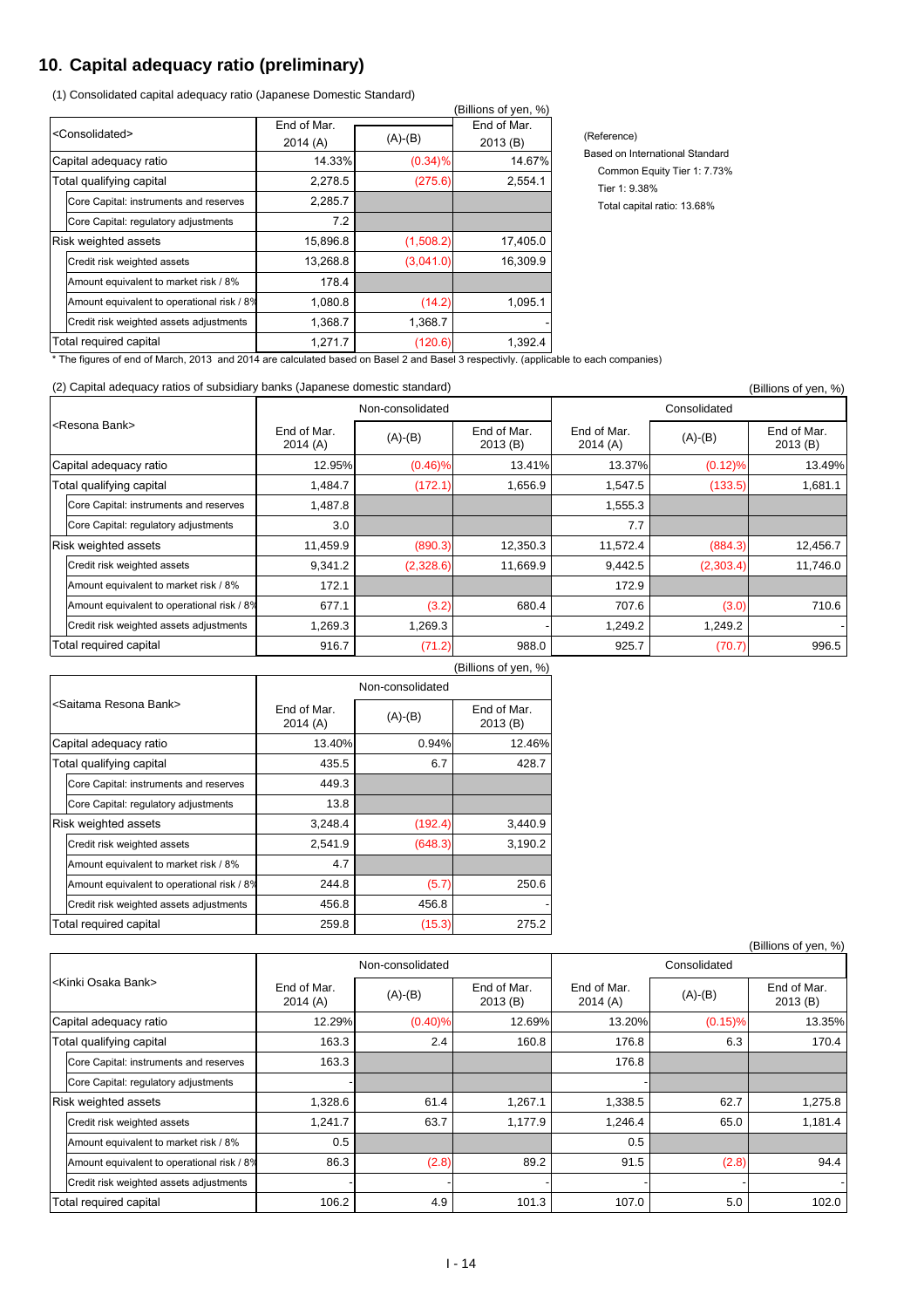### **10**.**Capital adequacy ratio (preliminary)**

(1) Consolidated capital adequacy ratio (Japanese Domestic Standard)

|                               |                                            |                        |            | (Billions of yen, %)   |
|-------------------------------|--------------------------------------------|------------------------|------------|------------------------|
| <consolidated></consolidated> |                                            | End of Mar.<br>2014(A) | $(A)-(B)$  | End of Mar.<br>2013(B) |
|                               | Capital adequacy ratio                     | 14.33%                 | $(0.34)\%$ | 14.67%                 |
|                               | Total qualifying capital                   | 2,278.5                | (275.6)    | 2,554.1                |
|                               | Core Capital: instruments and reserves     | 2,285.7                |            |                        |
|                               | Core Capital: regulatory adjustments       | 7.2                    |            |                        |
|                               | Risk weighted assets                       | 15,896.8               | (1,508.2)  | 17,405.0               |
|                               | Credit risk weighted assets                | 13,268.8               | (3,041.0)  | 16,309.9               |
|                               | Amount equivalent to market risk / 8%      | 178.4                  |            |                        |
|                               | Amount equivalent to operational risk / 8% | 1,080.8                | (14.2)     | 1,095.1                |
|                               | Credit risk weighted assets adjustments    | 1,368.7                | 1,368.7    |                        |
|                               | Total required capital                     | 1,271.7                | (120.6)    | 1,392.4                |

(Reference) Based on International Standard Common Equity Tier 1: 7.73% Tier 1: 9.38% Total capital ratio: 13.68%

\* The figures of end of March, 2013 and 2014 are calculated based on Basel 2 and Basel 3 respectivly. (applicable to each companies)

#### (2) Capital adequacy ratios of subsidiary banks (Japanese domestic standard)  $\frac{1}{2}$  Capital adequacy ratios of yen, %)

| $\epsilon$ ) Odphai adogadoy Tahos of Sabsidiary Darino (baparicoc domosho Siamaara) |                        |                  |                        |                        |                        | (DIIIIUIIS UI YEII, 70) |  |
|--------------------------------------------------------------------------------------|------------------------|------------------|------------------------|------------------------|------------------------|-------------------------|--|
|                                                                                      |                        | Non-consolidated |                        | Consolidated           |                        |                         |  |
| <resona bank=""></resona>                                                            | End of Mar.<br>2014(A) | $(A)-(B)$        | End of Mar.<br>2013(B) | End of Mar.<br>2014(A) | End of Mar.<br>2013(B) |                         |  |
| Capital adequacy ratio                                                               | 12.95%                 | $(0.46)\%$       | 13.41%                 | 13.37%                 | (0.12)%                | 13.49%                  |  |
| Total qualifying capital                                                             | 1,484.7                | (172.1)          | 1,656.9                | 1,547.5                | (133.5)                | 1,681.1                 |  |
| Core Capital: instruments and reserves                                               | 1,487.8                |                  |                        | 1,555.3                |                        |                         |  |
| Core Capital: regulatory adjustments                                                 | 3.0                    |                  |                        | 7.7                    |                        |                         |  |
| <b>Risk weighted assets</b>                                                          | 11,459.9               | (890.3)          | 12,350.3               | 11,572.4               | (884.3)                | 12,456.7                |  |
| Credit risk weighted assets                                                          | 9,341.2                | (2,328.6)        | 11,669.9               | 9,442.5                | (2,303.4)              | 11,746.0                |  |
| Amount equivalent to market risk / 8%                                                | 172.1                  |                  |                        | 172.9                  |                        |                         |  |
| Amount equivalent to operational risk / 8%                                           | 677.1                  | (3.2)            | 680.4                  | 707.6                  | (3.0)                  | 710.6                   |  |
| Credit risk weighted assets adjustments                                              | 1,269.3                | 1,269.3          |                        | 1,249.2                | 1,249.2                |                         |  |
| Total required capital                                                               | 916.7                  | (71.2)           | 988.0                  | 925.7                  | (70.7)                 | 996.5                   |  |

|                                            |                         |           | (Billions of yen, %)   |  |  |  |  |
|--------------------------------------------|-------------------------|-----------|------------------------|--|--|--|--|
|                                            | Non-consolidated        |           |                        |  |  |  |  |
| <saitama bank="" resona=""></saitama>      | End of Mar.<br>2014 (A) | $(A)-(B)$ | End of Mar.<br>2013(B) |  |  |  |  |
| Capital adequacy ratio                     | 13.40%                  | 0.94%     | 12.46%                 |  |  |  |  |
| Total qualifying capital                   | 435.5                   | 6.7       | 428.7                  |  |  |  |  |
| Core Capital: instruments and reserves     | 449.3                   |           |                        |  |  |  |  |
| Core Capital: regulatory adjustments       | 13.8                    |           |                        |  |  |  |  |
| Risk weighted assets                       | 3,248.4                 | (192.4)   | 3,440.9                |  |  |  |  |
| Credit risk weighted assets                | 2,541.9                 | (648.3)   | 3,190.2                |  |  |  |  |
| Amount equivalent to market risk / 8%      | 4.7                     |           |                        |  |  |  |  |
| Amount equivalent to operational risk / 8% | 244.8                   | (5.7)     | 250.6                  |  |  |  |  |
| Credit risk weighted assets adjustments    | 456.8                   | 456.8     |                        |  |  |  |  |
| Total required capital                     | 259.8                   | (15.3)    | 275.2                  |  |  |  |  |

|                                    |                                            |                        |            |                        |                        |            | (Billions of yen, %)   |
|------------------------------------|--------------------------------------------|------------------------|------------|------------------------|------------------------|------------|------------------------|
| l <kinki bank="" osaka=""></kinki> |                                            | Non-consolidated       |            |                        | Consolidated           |            |                        |
|                                    |                                            | End of Mar.<br>2014(A) | $(A)-(B)$  | End of Mar.<br>2013(B) | End of Mar.<br>2014(A) | $(A)-(B)$  | End of Mar.<br>2013(B) |
| Capital adequacy ratio             |                                            | 12.29%                 | $(0.40)\%$ | 12.69%                 | 13.20%                 | $(0.15)\%$ | 13.35%                 |
| Total qualifying capital           |                                            | 163.3                  | 2.4        | 160.8                  | 176.8                  | 6.3        | 170.4                  |
|                                    | Core Capital: instruments and reserves     | 163.3                  |            |                        | 176.8                  |            |                        |
|                                    | Core Capital: regulatory adjustments       |                        |            |                        |                        |            |                        |
|                                    | <b>Risk weighted assets</b>                | 1,328.6                | 61.4       | 1,267.1                | 1,338.5                | 62.7       | 1,275.8                |
|                                    | Credit risk weighted assets                | 1,241.7                | 63.7       | 1,177.9                | 1,246.4                | 65.0       | 1,181.4                |
|                                    | Amount equivalent to market risk / 8%      | 0.5                    |            |                        | 0.5                    |            |                        |
|                                    | Amount equivalent to operational risk / 8% | 86.3                   | (2.8)      | 89.2                   | 91.5                   | (2.8)      | 94.4                   |
|                                    | Credit risk weighted assets adjustments    |                        |            |                        |                        |            |                        |
| Total required capital             |                                            | 106.2                  | 4.9        | 101.3                  | 107.0                  | 5.0        | 102.0                  |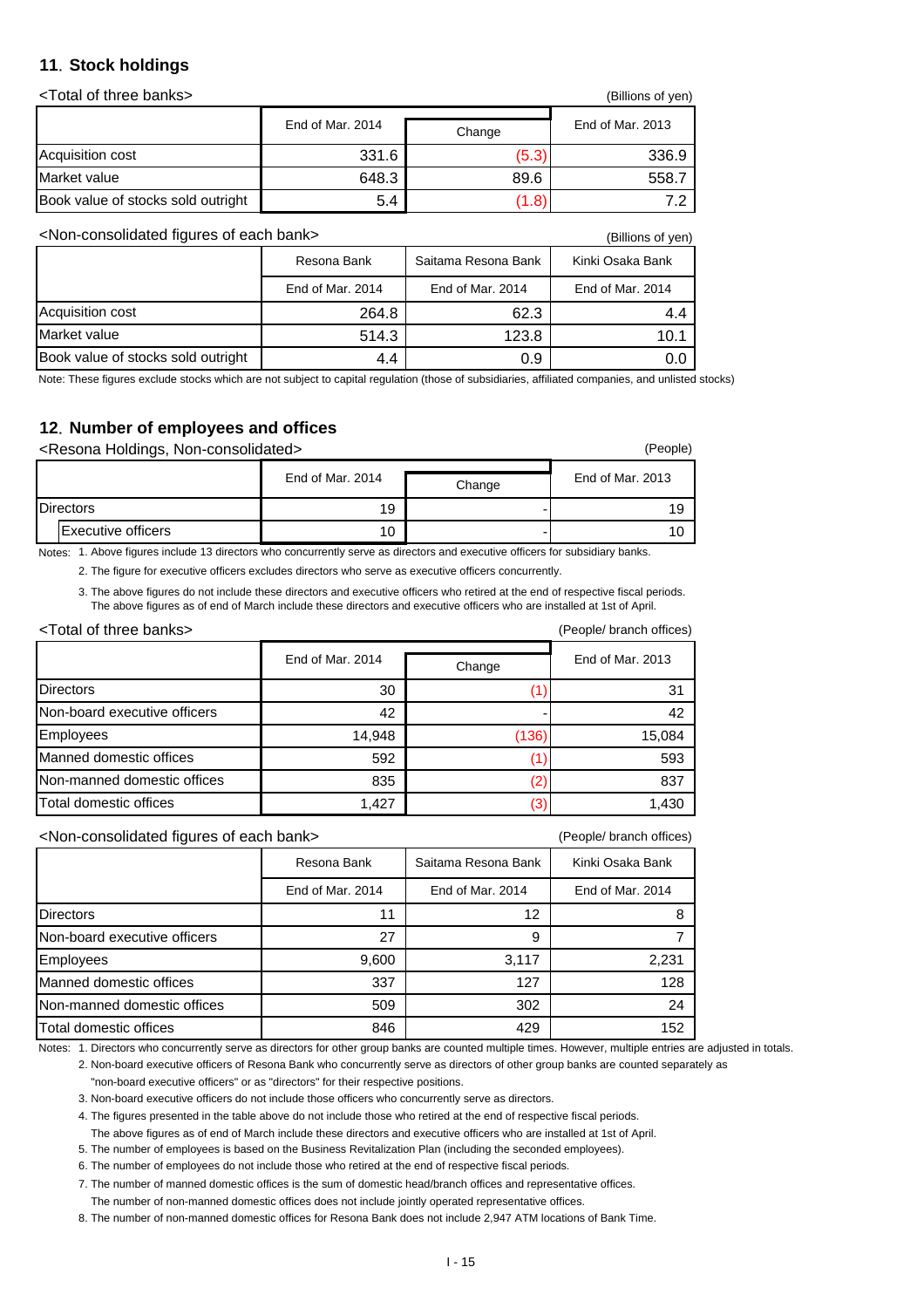#### **11**.**Stock holdings**

<Total of three banks> (Billions of yen)

|                                    | וויט טווטוויש,   |       |                  |  |
|------------------------------------|------------------|-------|------------------|--|
|                                    | End of Mar. 2014 |       | End of Mar. 2013 |  |
| Acquisition cost                   | 331.6            | (5.3) | 336.9            |  |
| Market value                       | 648.3            | 89.6  | 558.7            |  |
| Book value of stocks sold outright | 5.4              | 1.8)  |                  |  |

<Non-consolidated figures of each bank> (Billions of yen)

|                                    | Resona Bank      | Saitama Resona Bank | Kinki Osaka Bank |  |  |  |
|------------------------------------|------------------|---------------------|------------------|--|--|--|
|                                    | End of Mar. 2014 | End of Mar. 2014    | End of Mar. 2014 |  |  |  |
| Acquisition cost                   | 264.8            | 62.3                | 4.4              |  |  |  |
| Market value                       | 514.3            | 123.8               | 10.1             |  |  |  |
| Book value of stocks sold outright | 4.4              | 0.9                 |                  |  |  |  |

Note: These figures exclude stocks which are not subject to capital regulation (those of subsidiaries, affiliated companies, and unlisted stocks)

### **12**.**Number of employees and offices**

<Resona Holdings, Non-consolidated> (People)

|                  |                    | End of Mar. 2014 | Change | End of Mar. 2013 |  |
|------------------|--------------------|------------------|--------|------------------|--|
| <b>Directors</b> |                    | 19               |        | 19               |  |
|                  | Executive officers | 10               |        | 10               |  |

Notes: 1. Above figures include 13 directors who concurrently serve as directors and executive officers for subsidiary banks.

2. The figure for executive officers excludes directors who serve as executive officers concurrently.

3. The above figures do not include these directors and executive officers who retired at the end of respective fiscal periods. The above figures as of end of March include these directors and executive officers who are installed at 1st of April.

| <total banks="" of="" three=""></total> | (People/ branch offices) |        |                  |
|-----------------------------------------|--------------------------|--------|------------------|
|                                         | End of Mar. 2014         | Change | End of Mar. 2013 |
| <b>Directors</b>                        | 30                       |        | 31               |
| Non-board executive officers            | 42                       |        | 42               |
| Employees                               | 14,948                   | (136)  | 15,084           |
| Manned domestic offices                 | 592                      |        | 593              |
| Non-manned domestic offices             | 835                      |        | 837              |
| Total domestic offices                  | 1,427                    |        | 1,430            |

<Non-consolidated figures of each bank> (People/ branch offices)

|                              | Resona Bank      | Saitama Resona Bank | Kinki Osaka Bank |
|------------------------------|------------------|---------------------|------------------|
|                              | End of Mar. 2014 | End of Mar. 2014    | End of Mar. 2014 |
| <b>Directors</b>             | 11               | 12                  | 8                |
| Non-board executive officers | 27               | 9                   |                  |
| Employees                    | 9,600            | 3,117               | 2,231            |
| Manned domestic offices      | 337              | 127                 | 128              |
| Non-manned domestic offices  | 509              | 302                 | 24               |
| Total domestic offices       | 846              | 429                 | 152              |

Notes: 1. Directors who concurrently serve as directors for other group banks are counted multiple times. However, multiple entries are adjusted in totals.

2. Non-board executive officers of Resona Bank who concurrently serve as directors of other group banks are counted separately as "non-board executive officers" or as "directors" for their respective positions.

3. Non-board executive officers do not include those officers who concurrently serve as directors.

4. The figures presented in the table above do not include those who retired at the end of respective fiscal periods.

 The above figures as of end of March include these directors and executive officers who are installed at 1st of April. 5. The number of employees is based on the Business Revitalization Plan (including the seconded employees).

6. The number of employees do not include those who retired at the end of respective fiscal periods.

7. The number of manned domestic offices is the sum of domestic head/branch offices and representative offices.

The number of non-manned domestic offices does not include jointly operated representative offices.

8. The number of non-manned domestic offices for Resona Bank does not include 2,947 ATM locations of Bank Time.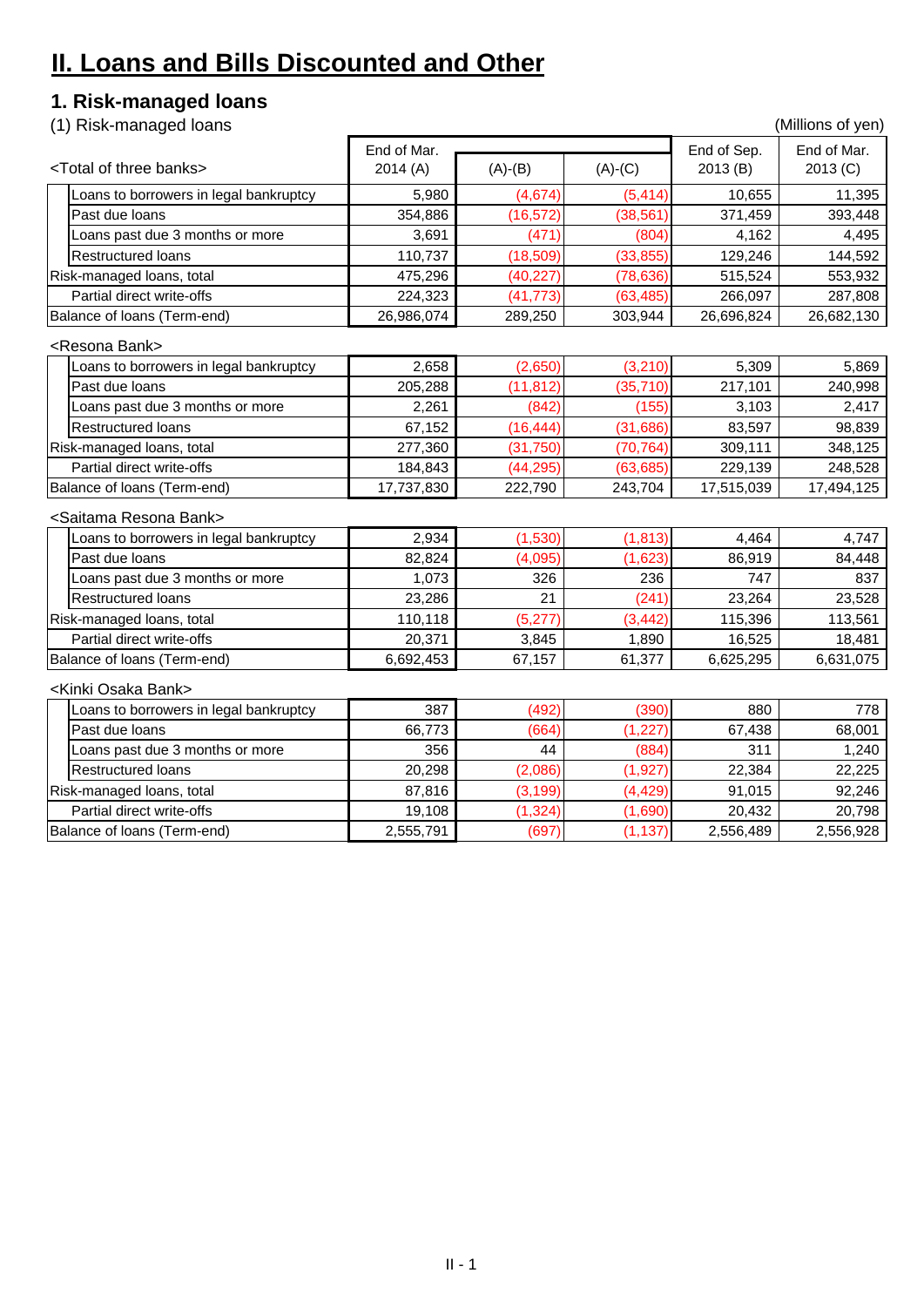# **II. Loans and Bills Discounted and Other**

## **1. Risk-managed loans**

(1) Risk-managed loans (Millions of yen)

|                                         | End of Mar. |           |           | End of Sep. | End of Mar. |
|-----------------------------------------|-------------|-----------|-----------|-------------|-------------|
| <total banks="" of="" three=""></total> | 2014(A)     | $(A)-(B)$ | $(A)-(C)$ | 2013(B)     | 2013 (C)    |
| oans to borrowers in legal bankruptcy   | 5,980       | (4,674)   | (5, 414)  | 10,655      | 11,395      |
| Past due loans                          | 354,886     | (16, 572) | (38, 561) | 371,459     | 393,448     |
| oans past due 3 months or more          | 3,691       | (471)     | (804)     | 4,162       | 4,495       |
| <b>Restructured loans</b>               | 110,737     | (18, 509) | (33, 855) | 129,246     | 144,592     |
| Risk-managed loans, total               | 475,296     | (40, 227) | (78, 636) | 515,524     | 553,932     |
| Partial direct write-offs               | 224,323     | (41, 773) | (63, 485) | 266,097     | 287,808     |
| Balance of loans (Term-end)             | 26,986,074  | 289,250   | 303,944   | 26,696,824  | 26,682,130  |
| <resona bank=""></resona>               |             |           |           |             |             |
| oans to borrowers in legal bankruptcy.  | 2,658       | (2,650)   | (3, 210)  | 5,309       | 5,869       |
| Past due loans                          | 205,288     | (11, 812) | (35, 710) | 217,101     | 240,998     |
| Loans past due 3 months or more         | 2,261       | (842)     | (155)     | 3,103       | 2,417       |
| <b>Restructured loans</b>               | 67,152      | (16, 444) | (31, 686) | 83,597      | 98,839      |
| Risk-managed loans, total               | 277,360     | (31, 750) | (70, 764) | 309,111     | 348,125     |
| Partial direct write-offs               | 184,843     | (44, 295) | (63, 685) | 229,139     | 248,528     |
| Balance of loans (Term-end)             | 17,737,830  | 222,790   | 243,704   | 17,515,039  | 17,494,125  |
| <saitama bank="" resona=""></saitama>   |             |           |           |             |             |
| oans to borrowers in legal bankruptcy.  | 2,934       | (1,530)   | (1, 813)  | 4,464       | 4,747       |
| Past due loans                          | 82,824      | (4,095)   | (1,623)   | 86,919      | 84,448      |
| oans past due 3 months or more          | 1,073       | 326       | 236       | 747         | 837         |
| <b>Restructured loans</b>               | 23,286      | 21        | (241)     | 23,264      | 23,528      |
| Risk-managed loans, total               | 110,118     | (5, 277)  | (3, 442)  | 115,396     | 113,561     |
| Partial direct write-offs               | 20,371      | 3,845     | 1,890     | 16,525      | 18,481      |
| Balance of loans (Term-end)             | 6,692,453   | 67,157    | 61,377    | 6,625,295   | 6,631,075   |
| <kinki bank="" osaka=""></kinki>        |             |           |           |             |             |
| oans to borrowers in legal bankruptcy.  | 387         | (492)     | (390)     | 880         | 778         |
| Past due loans                          | 66,773      | (664)     | (1, 227)  | 67,438      | 68,001      |
| oans past due 3 months or more          | 356         | 44        | (884)     | 311         | 1,240       |
| <b>Restructured loans</b>               | 20,298      | (2,086)   | (1, 927)  | 22,384      | 22,225      |
| Risk-managed loans, total               | 87,816      | (3, 199)  | (4, 429)  | 91,015      | 92,246      |
| Partial direct write-offs               | 19,108      | (1, 324)  | (1,690)   | 20,432      | 20,798      |
| Balance of loans (Term-end)             | 2,555,791   | (697)     | (1, 137)  | 2,556,489   | 2,556,928   |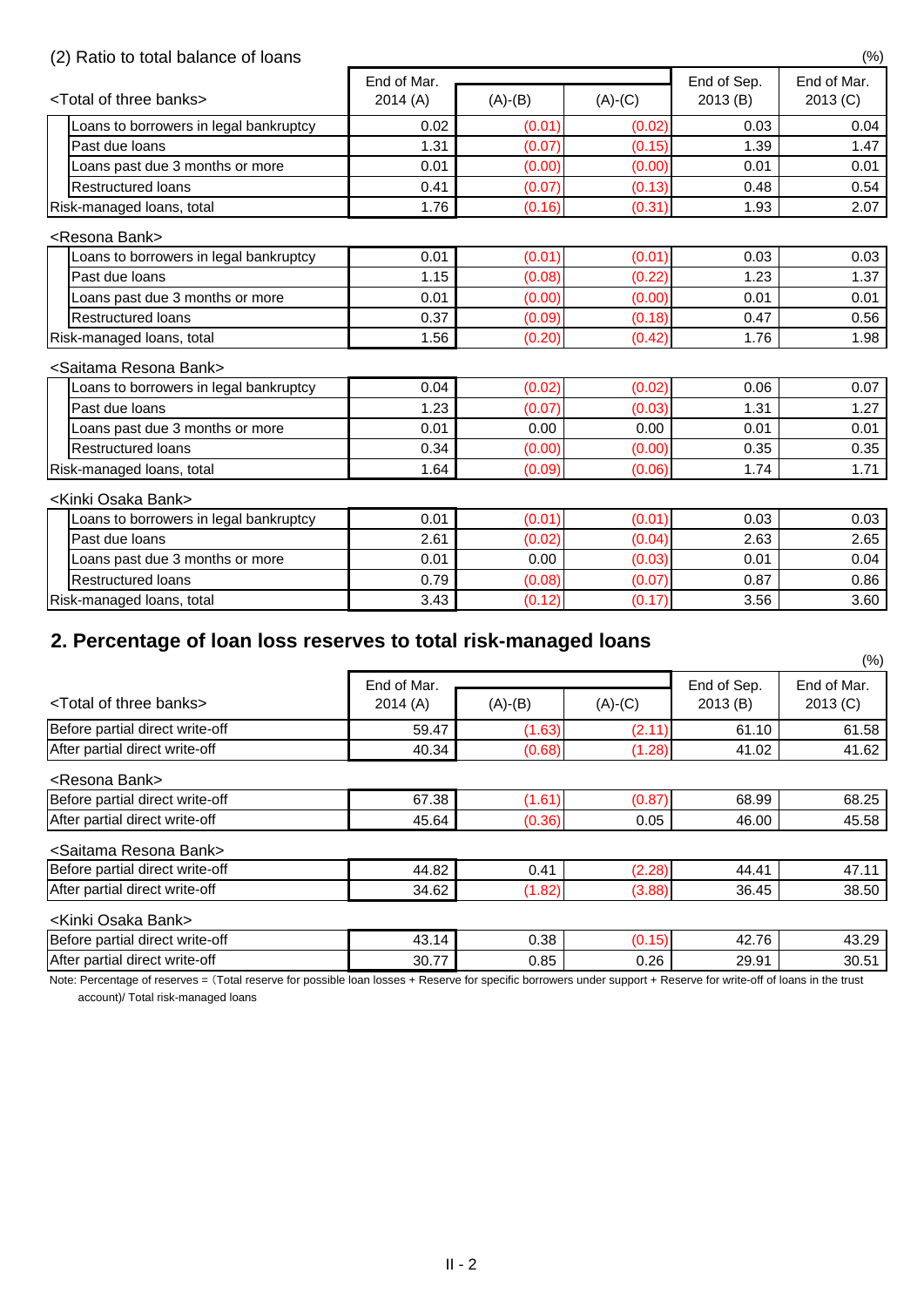### (2) Ratio to total balance of loans (%)

|                                         | End of Mar. |           |           | End of Sep. | End of Mar. |  |
|-----------------------------------------|-------------|-----------|-----------|-------------|-------------|--|
| <total banks="" of="" three=""></total> | 2014(A)     | $(A)-(B)$ | $(A)-(C)$ | 2013(B)     | 2013 (C)    |  |
| Loans to borrowers in legal bankruptcy  | 0.02        | (0.01)    | (0.02)    | 0.03        | 0.04        |  |
| Past due loans                          | 1.31        | (0.07)    | (0.15)    | 1.39        | 1.47        |  |
| oans past due 3 months or more          | 0.01        | (0.00)    | (0.00)    | 0.01        | 0.01        |  |
| <b>Restructured loans</b>               | 0.41        | (0.07)    | (0.13)    | 0.48        | 0.54        |  |
| Risk-managed loans, total               | 1.76        | (0.16)    | (0.31)    | 1.93        | 2.07        |  |
| <resona bank=""></resona>               |             |           |           |             |             |  |
| oans to borrowers in legal bankruptcy   | 0.01        | (0.01)    | (0.01)    | 0.03        | 0.03        |  |
| Past due loans                          | 1.15        | (0.08)    | (0.22)    | 1.23        | 1.37        |  |
| Loans past due 3 months or more         | 0.01        | (0.00)    | (0.00)    | 0.01        | 0.01        |  |
| <b>Restructured loans</b>               | 0.37        | (0.09)    | (0.18)    | 0.47        | 0.56        |  |
| Risk-managed loans, total               | 1.56        | (0.20)    | (0.42)    | 1.76        | 1.98        |  |
| <saitama bank="" resona=""></saitama>   |             |           |           |             |             |  |
| oans to borrowers in legal bankruptcy   | 0.04        | (0.02)    | (0.02)    | 0.06        | 0.07        |  |
| Past due loans                          | 1.23        | (0.07)    | (0.03)    | 1.31        | 1.27        |  |
| Loans past due 3 months or more         | 0.01        | 0.00      | 0.00      | 0.01        | 0.01        |  |
| <b>Restructured loans</b>               | 0.34        | (0.00)    | (0.00)    | 0.35        | 0.35        |  |
| Risk-managed loans, total               | 1.64        | (0.09)    | (0.06)    | 1.74        | 1.71        |  |
| <kinki bank="" osaka=""></kinki>        |             |           |           |             |             |  |
| Loans to borrowers in legal bankruptcy  | 0.01        | (0.01)    | (0.01)    | 0.03        | 0.03        |  |
| Past due loans                          | 2.61        | (0.02)    | (0.04)    | 2.63        | 2.65        |  |
| Loans past due 3 months or more         | 0.01        | 0.00      | (0.03)    | 0.01        | 0.04        |  |
| <b>Restructured loans</b>               | 0.79        | (0.08)    | (0.07)    | 0.87        | 0.86        |  |
| Risk-managed loans, total               | 3.43        | (0.12)    | (0.17)    | 3.56        | 3.60        |  |

## **2. Percentage of loan loss reserves to total risk-managed loans**

Note: Percentage of reserves = (Total reserve for possible loan losses + Reserve for specific borrowers under support + Reserve for write-off of loans in the trust

|                        |           |           |                        | $(\%)$                  |
|------------------------|-----------|-----------|------------------------|-------------------------|
| End of Mar.<br>2014(A) | $(A)-(B)$ | $(A)-(C)$ | End of Sep.<br>2013(B) | End of Mar.<br>2013 (C) |
| 59.47                  | (1.63)    | (2.11)    | 61.10                  | 61.58                   |
| 40.34                  | (0.68)    | (1.28)    | 41.02                  | 41.62                   |
|                        |           |           |                        |                         |
| 67.38                  | (1.61)    | (0.87)    | 68.99                  | 68.25                   |
| 45.64                  | (0.36)    | 0.05      | 46.00                  | 45.58                   |
|                        |           |           |                        |                         |
| 44.82                  | 0.41      | (2.28)    | 44.41                  | 47.11                   |
| 34.62                  | (1.82)    | (3.88)    | 36.45                  | 38.50                   |
|                        |           |           |                        |                         |
| 43.14                  | 0.38      | (0.15)    | 42.76                  | 43.29                   |
| 30.77                  | 0.85      | 0.26      | 29.91                  | 30.51                   |
|                        |           |           |                        |                         |

account)/ Total risk-managed loans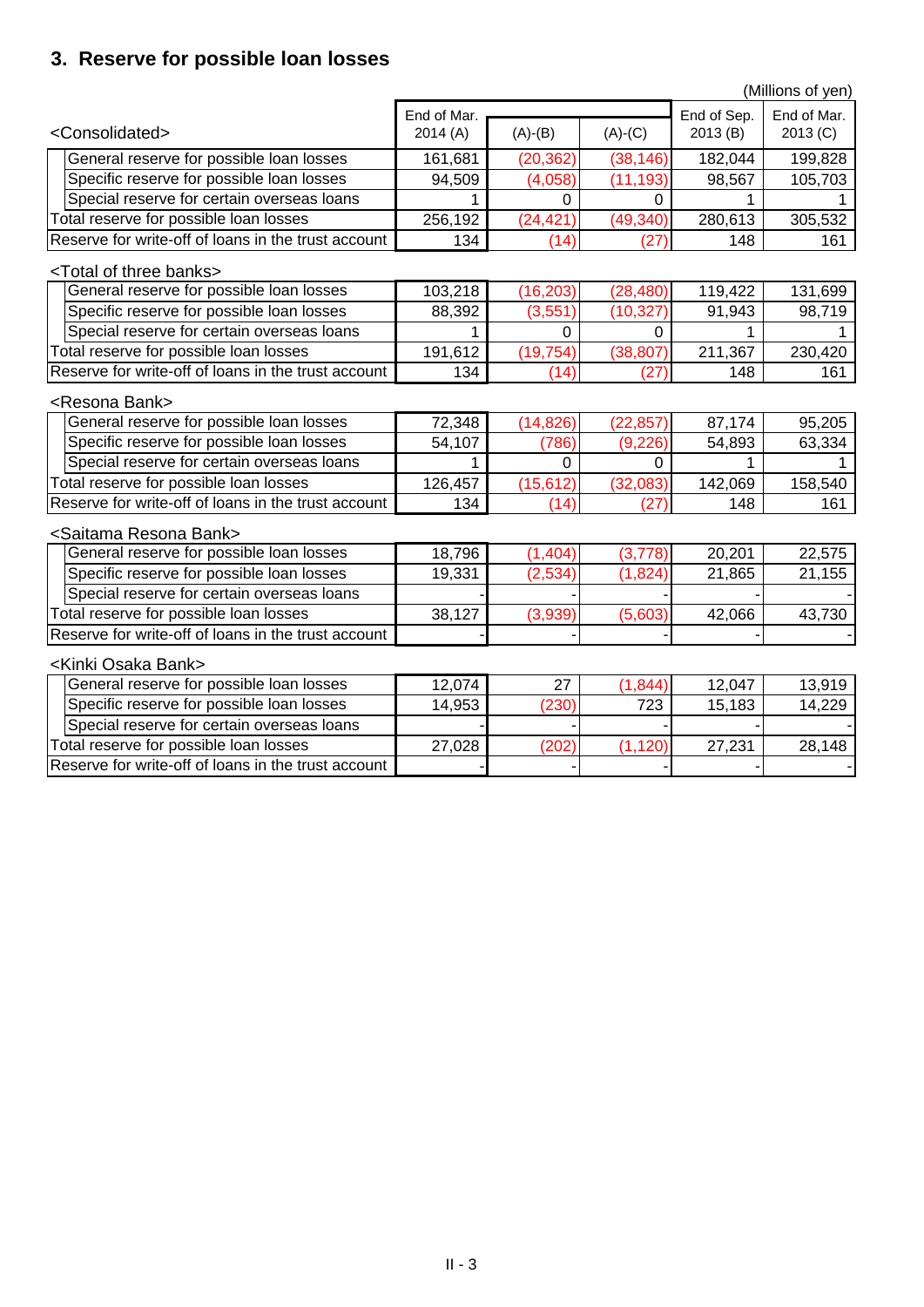## **3. Reserve for possible loan losses**

|                                                     | (Millions of yen) |           |             |             |          |  |
|-----------------------------------------------------|-------------------|-----------|-------------|-------------|----------|--|
|                                                     | End of Mar.       |           | End of Sep. | End of Mar. |          |  |
| <consolidated></consolidated>                       | 2014(A)           | $(A)-(B)$ | $(A)-(C)$   | 2013(B)     | 2013 (C) |  |
| General reserve for possible loan losses            | 161,681           | (20, 362) | (38, 146)   | 182,044     | 199,828  |  |
| Specific reserve for possible loan losses           | 94,509            | (4,058)   | (11, 193)   | 98,567      | 105,703  |  |
| Special reserve for certain overseas loans          |                   | 0         | 0           |             |          |  |
| Total reserve for possible loan losses              | 256,192           | (24, 421) | (49, 340)   | 280,613     | 305,532  |  |
| Reserve for write-off of loans in the trust account | 134               | (14)      | (27)        | 148         | 161      |  |
| <total banks="" of="" three=""></total>             |                   |           |             |             |          |  |
| General reserve for possible loan losses            | 103,218           | (16, 203) | (28, 480)   | 119,422     | 131,699  |  |
| Specific reserve for possible loan losses           | 88,392            | (3,551)   | (10, 327)   | 91,943      | 98,719   |  |
| Special reserve for certain overseas loans          |                   | 0         | 0           |             |          |  |
| Total reserve for possible loan losses              | 191,612           | (19, 754) | (38, 807)   | 211,367     | 230,420  |  |
| Reserve for write-off of loans in the trust account | 134               | (14)      | (27)        | 148         | 161      |  |
| <resona bank=""></resona>                           |                   |           |             |             |          |  |
| General reserve for possible loan losses            | 72,348            | (14, 826) | (22, 857)   | 87,174      | 95,205   |  |
| Specific reserve for possible loan losses           | 54,107            | (786)     | (9, 226)    | 54,893      | 63,334   |  |
| Special reserve for certain overseas loans          |                   | 0         | $\Omega$    |             |          |  |
| Total reserve for possible loan losses              | 126,457           | (15, 612) | (32,083)    | 142,069     | 158,540  |  |
| Reserve for write-off of loans in the trust account | 134               | (14)      | (27)        | 148         | 161      |  |
| <saitama bank="" resona=""></saitama>               |                   |           |             |             |          |  |
| General reserve for possible loan losses            | 18,796            | (1,404)   | (3,778)     | 20,201      | 22,575   |  |
| Specific reserve for possible loan losses           | 19,331            | (2,534)   | (1,824)     | 21,865      | 21,155   |  |
| Special reserve for certain overseas loans          |                   |           |             |             |          |  |
| Total reserve for possible loan losses              | 38,127            | (3,939)   | (5,603)     | 42,066      | 43,730   |  |
| Reserve for write-off of loans in the trust account |                   |           |             |             |          |  |
| <kinki bank="" osaka=""></kinki>                    |                   |           |             |             |          |  |
| General reserve for possible loan losses            | 12,074            | 27        | (1, 844)    | 12,047      | 13,919   |  |
| Specific reserve for possible loan losses           | 14,953            | (230)     | 723         | 15,183      | 14,229   |  |
| Special reserve for certain overseas loans          |                   |           |             |             |          |  |
| Total reserve for possible loan losses              | 27,028            | (202)     | (1, 120)    | 27,231      | 28,148   |  |
| Reserve for write-off of loans in the trust account |                   |           |             |             |          |  |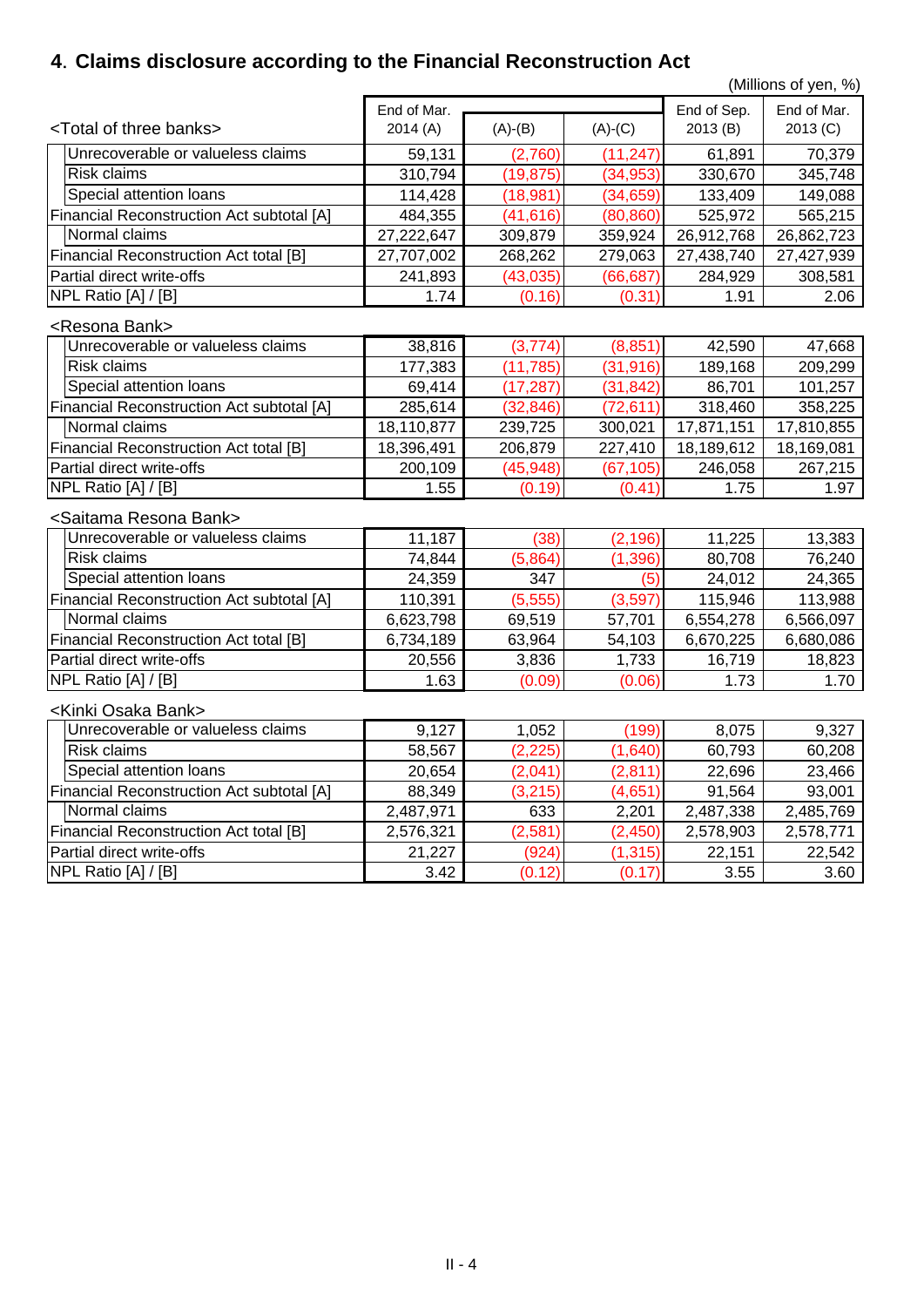## **4**.**Claims disclosure according to the Financial Reconstruction Act**

(Millions of yen, %)

| End of Mar.                                      |            |           |           | End of Sep. | End of Mar. |
|--------------------------------------------------|------------|-----------|-----------|-------------|-------------|
| <total banks="" of="" three=""></total>          | 2014(A)    | $(A)-(B)$ | $(A)-(C)$ | 2013(B)     | 2013 (C)    |
| Unrecoverable or valueless claims                | 59,131     | (2,760)   | (11, 247) | 61,891      | 70,379      |
| <b>Risk claims</b>                               | 310,794    | (19, 875) | (34,953)  | 330,670     | 345,748     |
| Special attention loans                          | 114,428    | (18, 981) | (34,659)  | 133,409     | 149,088     |
| <b>Financial Reconstruction Act subtotal [A]</b> | 484,355    | (41, 616) | (80, 860) | 525,972     | 565,215     |
| Normal claims                                    | 27,222,647 | 309,879   | 359,924   | 26,912,768  | 26,862,723  |
| <b>Financial Reconstruction Act total [B]</b>    | 27,707,002 | 268,262   | 279,063   | 27,438,740  | 27,427,939  |
| Partial direct write-offs                        | 241,893    | (43, 035) | (66, 687) | 284,929     | 308,581     |
| NPL Ratio [A] / [B]                              | 1.74       | (0.16)    | (0.31)    | 1.91        | 2.06        |
| <resona bank=""></resona>                        |            |           |           |             |             |
| Unrecoverable or valueless claims                | 38,816     | (3,774)   | (8, 851)  | 42,590      | 47,668      |
| <b>Risk claims</b>                               | 177,383    | (11, 785) | (31, 916) | 189,168     | 209,299     |
| Special attention loans                          | 69,414     | (17, 287) | (31, 842) | 86,701      | 101,257     |
| <b>Financial Reconstruction Act subtotal [A]</b> | 285,614    | (32, 846) | (72, 611) | 318,460     | 358,225     |
| Normal claims                                    | 18,110,877 | 239,725   | 300,021   | 17,871,151  | 17,810,855  |
| <b>Financial Reconstruction Act total [B]</b>    | 18,396,491 | 206,879   | 227,410   | 18,189,612  | 18,169,081  |
| Partial direct write-offs                        | 200,109    | (45, 948) | (67, 105) | 246,058     | 267,215     |
| NPL Ratio [A] / [B]                              | 1.55       | (0.19)    | (0.41)    | 1.75        | 1.97        |
| <saitama bank="" resona=""></saitama>            |            |           |           |             |             |
| Unrecoverable or valueless claims                | 11,187     | (38)      | (2, 196)  | 11,225      | 13,383      |
| <b>Risk claims</b>                               | 74,844     | (5,864)   | (1, 396)  | 80,708      | 76,240      |
| Special attention loans                          | 24,359     | 347       | (5)       | 24,012      | 24,365      |
| <b>Financial Reconstruction Act subtotal [A]</b> | 110,391    | (5,555)   | (3,597)   | 115,946     | 113,988     |
| Normal claims                                    | 6,623,798  | 69,519    | 57,701    | 6,554,278   | 6,566,097   |
| <b>Financial Reconstruction Act total [B]</b>    | 6,734,189  | 63,964    | 54,103    | 6,670,225   | 6,680,086   |
| Partial direct write-offs                        | 20,556     | 3,836     | 1,733     | 16,719      | 18,823      |
| NPL Ratio [A] / [B]                              | 1.63       | (0.09)    | (0.06)    | 1.73        | 1.70        |
| <kinki bank="" osaka=""></kinki>                 |            |           |           |             |             |
| Unrecoverable or valueless claims                | 9,127      | 1,052     | (199)     | 8,075       | 9,327       |
| <b>Risk claims</b>                               | 58,567     | (2, 225)  | (1,640)   | 60,793      | 60,208      |
| Special attention loans                          | 20,654     | (2,041)   | (2, 811)  | 22,696      | 23,466      |
| <b>Financial Reconstruction Act subtotal [A]</b> | 88,349     | (3, 215)  | (4,651)   | 91,564      | 93,001      |
| Normal claims                                    | 2,487,971  | 633       | 2,201     | 2,487,338   | 2,485,769   |
| <b>Financial Reconstruction Act total [B]</b>    | 2,576,321  | (2, 581)  | (2, 450)  | 2,578,903   | 2,578,771   |
| Partial direct write-offs                        | 21,227     | (924)     | (1, 315)  | 22,151      | 22,542      |
| NPL Ratio [A] / [B]                              | 3.42       | (0.12)    | (0.17)    | 3.55        | 3.60        |
|                                                  |            |           |           |             |             |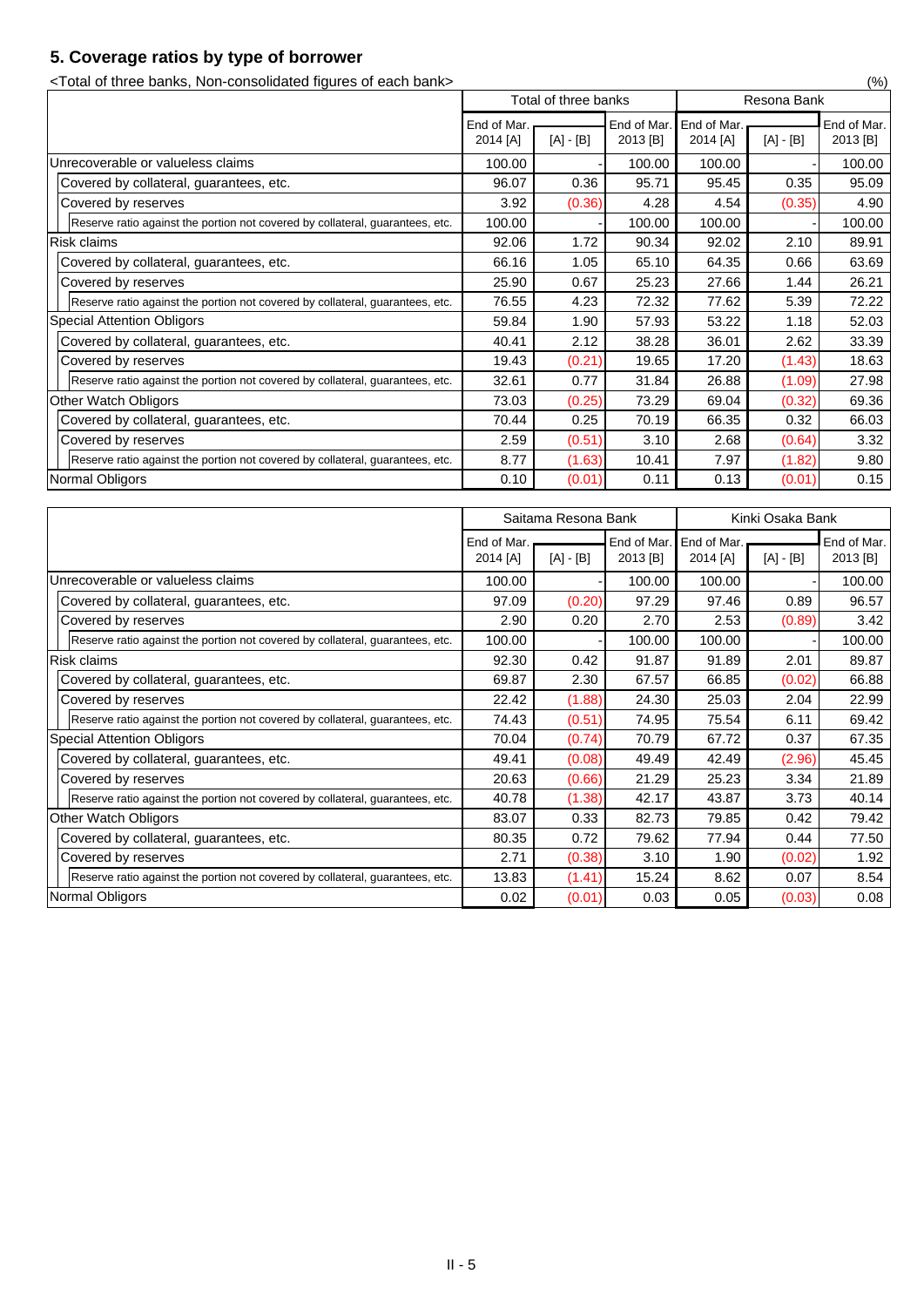## **5. Coverage ratios by type of borrower**

<Total of three banks, Non-consolidated figures of each bank> (%)

|                                                                               | Total of three banks    |             | Resona Bank |                                     |             |                         |
|-------------------------------------------------------------------------------|-------------------------|-------------|-------------|-------------------------------------|-------------|-------------------------|
|                                                                               | End of Mar.<br>2014 [A] | $[A] - [B]$ | 2013 [B]    | End of Mar. End of Mar.<br>2014 [A] | $[A] - [B]$ | End of Mar.<br>2013 [B] |
| Unrecoverable or valueless claims                                             | 100.00                  |             | 100.00      | 100.00                              |             | 100.00                  |
| Covered by collateral, guarantees, etc.                                       | 96.07                   | 0.36        | 95.71       | 95.45                               | 0.35        | 95.09                   |
| Covered by reserves                                                           | 3.92                    | (0.36)      | 4.28        | 4.54                                | (0.35)      | 4.90                    |
| Reserve ratio against the portion not covered by collateral, guarantees, etc. | 100.00                  |             | 100.00      | 100.00                              |             | 100.00                  |
| <b>Risk claims</b>                                                            | 92.06                   | 1.72        | 90.34       | 92.02                               | 2.10        | 89.91                   |
| Covered by collateral, guarantees, etc.                                       | 66.16                   | 1.05        | 65.10       | 64.35                               | 0.66        | 63.69                   |
| Covered by reserves                                                           | 25.90                   | 0.67        | 25.23       | 27.66                               | 1.44        | 26.21                   |
| Reserve ratio against the portion not covered by collateral, guarantees, etc. | 76.55                   | 4.23        | 72.32       | 77.62                               | 5.39        | 72.22                   |
| <b>Special Attention Obligors</b>                                             | 59.84                   | 1.90        | 57.93       | 53.22                               | 1.18        | 52.03                   |
| Covered by collateral, guarantees, etc.                                       | 40.41                   | 2.12        | 38.28       | 36.01                               | 2.62        | 33.39                   |
| Covered by reserves                                                           | 19.43                   | (0.21)      | 19.65       | 17.20                               | (1.43)      | 18.63                   |
| Reserve ratio against the portion not covered by collateral, guarantees, etc. | 32.61                   | 0.77        | 31.84       | 26.88                               | (1.09)      | 27.98                   |
| <b>Other Watch Obligors</b>                                                   | 73.03                   | (0.25)      | 73.29       | 69.04                               | (0.32)      | 69.36                   |
| Covered by collateral, guarantees, etc.                                       | 70.44                   | 0.25        | 70.19       | 66.35                               | 0.32        | 66.03                   |
| Covered by reserves                                                           | 2.59                    | (0.51)      | 3.10        | 2.68                                | (0.64)      | 3.32                    |
| Reserve ratio against the portion not covered by collateral, guarantees, etc. | 8.77                    | (1.63)      | 10.41       | 7.97                                | (1.82)      | 9.80                    |
| Normal Obligors                                                               | 0.10                    | (0.01)      | 0.11        | 0.13                                | (0.01)      | 0.15                    |

|                                                                               | Saitama Resona Bank     |             |                         |                         | Kinki Osaka Bank |                         |
|-------------------------------------------------------------------------------|-------------------------|-------------|-------------------------|-------------------------|------------------|-------------------------|
|                                                                               | End of Mar.<br>2014 [A] | $[A] - [B]$ | End of Mar.<br>2013 [B] | End of Mar.<br>2014 [A] | $[A] - [B]$      | End of Mar.<br>2013 [B] |
| Unrecoverable or valueless claims                                             | 100.00                  |             | 100.00                  | 100.00                  |                  | 100.00                  |
| Covered by collateral, guarantees, etc.                                       | 97.09                   | (0.20)      | 97.29                   | 97.46                   | 0.89             | 96.57                   |
| Covered by reserves                                                           | 2.90                    | 0.20        | 2.70                    | 2.53                    | (0.89)           | 3.42                    |
| Reserve ratio against the portion not covered by collateral, guarantees, etc. | 100.00                  |             | 100.00                  | 100.00                  |                  | 100.00                  |
| <b>Risk claims</b>                                                            | 92.30                   | 0.42        | 91.87                   | 91.89                   | 2.01             | 89.87                   |
| Covered by collateral, guarantees, etc.                                       | 69.87                   | 2.30        | 67.57                   | 66.85                   | (0.02)           | 66.88                   |
| Covered by reserves                                                           | 22.42                   | (1.88)      | 24.30                   | 25.03                   | 2.04             | 22.99                   |
| Reserve ratio against the portion not covered by collateral, guarantees, etc. | 74.43                   | (0.51)      | 74.95                   | 75.54                   | 6.11             | 69.42                   |
| <b>Special Attention Obligors</b>                                             | 70.04                   | (0.74)      | 70.79                   | 67.72                   | 0.37             | 67.35                   |
| Covered by collateral, guarantees, etc.                                       | 49.41                   | (0.08)      | 49.49                   | 42.49                   | (2.96)           | 45.45                   |
| Covered by reserves                                                           | 20.63                   | (0.66)      | 21.29                   | 25.23                   | 3.34             | 21.89                   |
| Reserve ratio against the portion not covered by collateral, guarantees, etc. | 40.78                   | (1.38)      | 42.17                   | 43.87                   | 3.73             | 40.14                   |
| <b>Other Watch Obligors</b>                                                   | 83.07                   | 0.33        | 82.73                   | 79.85                   | 0.42             | 79.42                   |
| Covered by collateral, guarantees, etc.                                       | 80.35                   | 0.72        | 79.62                   | 77.94                   | 0.44             | 77.50                   |
| Covered by reserves                                                           | 2.71                    | (0.38)      | 3.10                    | 1.90                    | (0.02)           | 1.92                    |
| Reserve ratio against the portion not covered by collateral, guarantees, etc. | 13.83                   | (1.41)      | 15.24                   | 8.62                    | 0.07             | 8.54                    |
| Normal Obligors                                                               | 0.02                    | (0.01)      | 0.03                    | 0.05                    | (0.03)           | 0.08                    |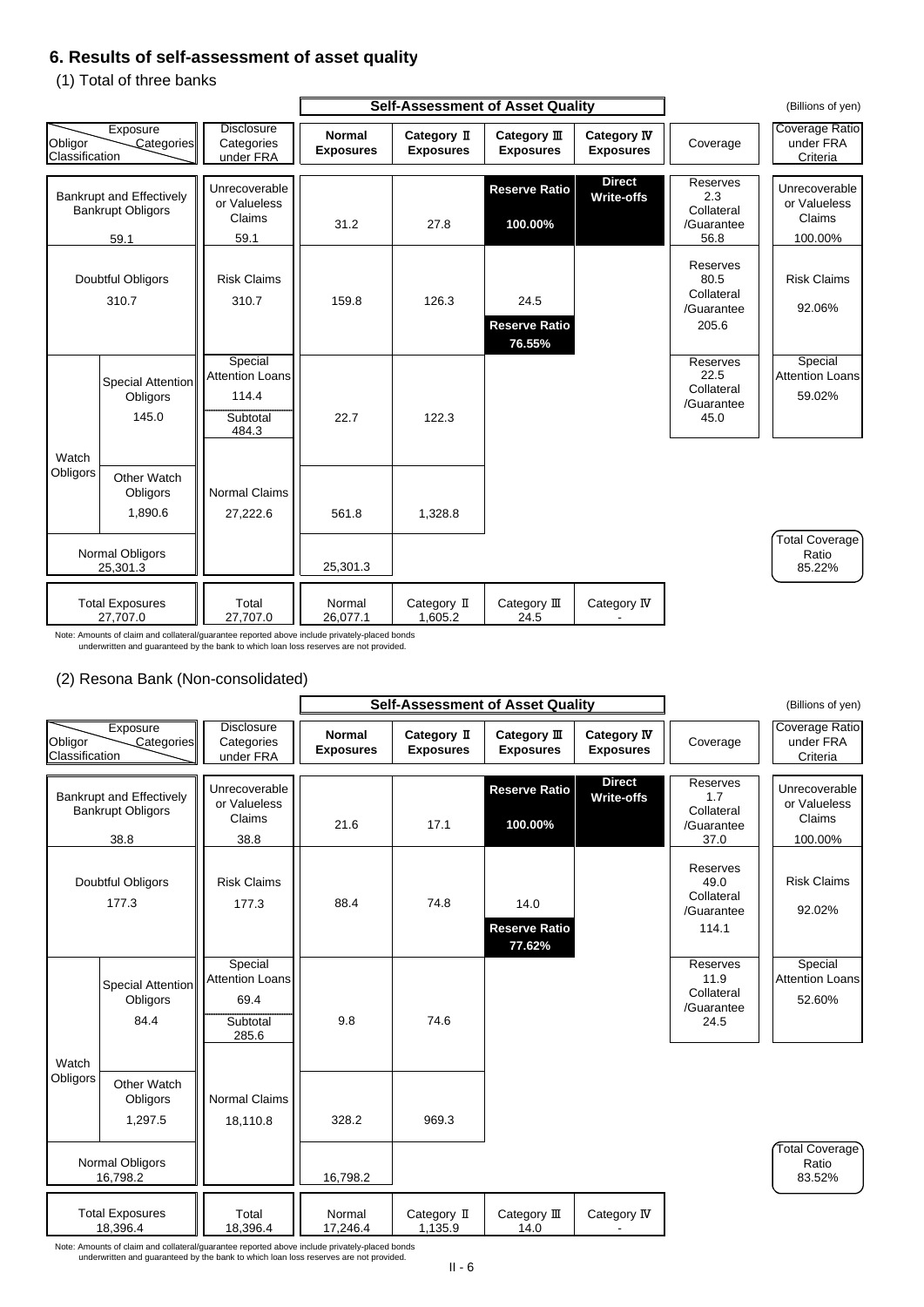### **6. Results of self-assessment of asset quality**

(1) Total of three banks

### (2) Resona Bank (Non-consolidated)

Note: Amounts of claim and collateral/guarantee reported above include privately-placed bonds underwritten and guaranteed by the bank to which loan loss reserves are not provided.

|                           |                                                                     |                                                                 | <b>Self-Assessment of Asset Quality</b> |                                 |                                        | (Billions of yen)                      |                                                              |                                                    |
|---------------------------|---------------------------------------------------------------------|-----------------------------------------------------------------|-----------------------------------------|---------------------------------|----------------------------------------|----------------------------------------|--------------------------------------------------------------|----------------------------------------------------|
| Obligor<br>Classification | Exposure<br>Categories                                              | <b>Disclosure</b><br>Categories<br>under FRA                    | <b>Normal</b><br><b>Exposures</b>       | Category II<br><b>Exposures</b> | Category III<br><b>Exposures</b>       | <b>Category IV</b><br><b>Exposures</b> | Coverage                                                     | <b>Coverage Ratio</b><br>under FRA<br>Criteria     |
|                           | <b>Bankrupt and Effectively</b><br><b>Bankrupt Obligors</b><br>59.1 | Unrecoverable<br>or Valueless<br>Claims<br>59.1                 | 31.2                                    | 27.8                            | <b>Reserve Ratio</b><br>100.00%        | <b>Direct</b><br><b>Write-offs</b>     | <b>Reserves</b><br>2.3<br>Collateral<br>/Guarantee<br>56.8   | Unrecoverable<br>or Valueless<br>Claims<br>100.00% |
|                           | <b>Doubtful Obligors</b><br>310.7                                   | <b>Risk Claims</b><br>310.7                                     | 159.8                                   | 126.3                           | 24.5<br><b>Reserve Ratio</b><br>76.55% |                                        | <b>Reserves</b><br>80.5<br>Collateral<br>/Guarantee<br>205.6 | <b>Risk Claims</b><br>92.06%                       |
|                           | <b>Special Attention</b><br>Obligors<br>145.0                       | Special<br><b>Attention Loans</b><br>114.4<br>Subtotal<br>484.3 | 22.7                                    | 122.3                           |                                        |                                        | <b>Reserves</b><br>22.5<br>Collateral<br>/Guarantee<br>45.0  | Special<br><b>Attention Loans</b><br>59.02%        |
| Watch<br>Obligors         | <b>Other Watch</b><br>Obligors<br>1,890.6                           | <b>Normal Claims</b><br>27,222.6                                | 561.8                                   | 1,328.8                         |                                        |                                        |                                                              |                                                    |
|                           | <b>Normal Obligors</b><br>25,301.3                                  |                                                                 | 25,301.3                                |                                 |                                        |                                        |                                                              | Total Coverage)<br>Ratio<br>85.22%                 |
|                           | <b>Total Exposures</b><br>27,707.0                                  | Total<br>27,707.0                                               | Normal<br>26,077.1                      | Category II<br>1,605.2          | Category III<br>24.5                   | Category IV                            |                                                              |                                                    |

|                                                             |                                              |                                   |                                 | <b>Self-Assessment of Asset Quality</b> |                                        |                                                       | (Billions of yen)                       |
|-------------------------------------------------------------|----------------------------------------------|-----------------------------------|---------------------------------|-----------------------------------------|----------------------------------------|-------------------------------------------------------|-----------------------------------------|
| Exposure<br>Obligor<br>Categories<br><b>Classification</b>  | <b>Disclosure</b><br>Categories<br>under FRA | <b>Normal</b><br><b>Exposures</b> | Category II<br><b>Exposures</b> | Category $I\!I\!I$<br><b>Exposures</b>  | <b>Category IV</b><br><b>Exposures</b> | Coverage                                              | Coverage Ratio<br>under FRA<br>Criteria |
| <b>Bankrupt and Effectively</b><br><b>Bankrupt Obligors</b> | Unrecoverable<br>or Valueless                |                                   |                                 | <b>Reserve Ratio</b>                    | <b>Direct</b><br><b>Write-offs</b>     | <b>Reserves</b><br>1.7<br>Collateral                  | Unrecoverable<br>or Valueless           |
| 38.8                                                        | Claims<br>38.8                               | 21.6                              | 17.1                            | 100.00%                                 |                                        | /Guarantee<br>37.0                                    | <b>Claims</b><br>100.00%                |
| Doubtful Obligors<br>177.3                                  | <b>Risk Claims</b><br>177.3                  | 88.4                              | 74.8                            | 14.0<br><b>Reserve Ratio</b><br>77.62%  |                                        | Reserves<br>49.0<br>Collateral<br>/Guarantee<br>114.1 | <b>Risk Claims</b><br>92.02%            |
| Special Attention                                           | Special<br><b>Attention Loans</b>            |                                   |                                 |                                         |                                        | Reserves<br>11.9<br>$O = H = 1 - 1$                   | Special<br><b>Attention Loans</b>       |



Note: Amounts of claim and collateral/guarantee reported above include privately-placed bonds underwritten and guaranteed by the bank to which loan loss reserves are not provided.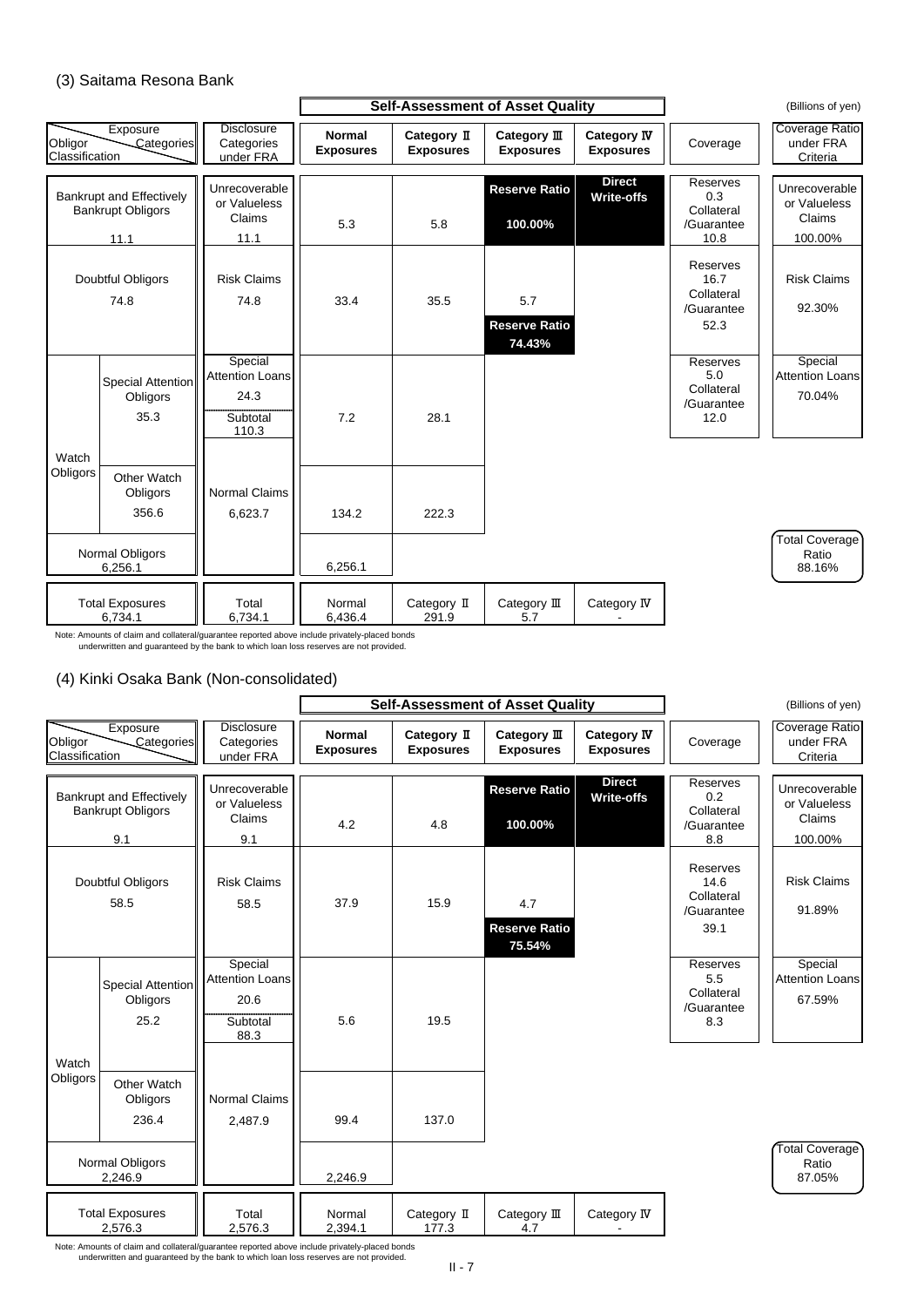### (3) Saitama Resona Bank

### (4) Kinki Osaka Bank (Non-consolidated)

Note: Amounts of claim and collateral/guarantee reported above include privately-placed bonds underwritten and guaranteed by the bank to which loan loss reserves are not provided.

|                           |                                                                     |                                                                | <b>Self-Assessment of Asset Quality</b> |                                 |                                       |                                        | (Billions of yen)                                           |                                                    |
|---------------------------|---------------------------------------------------------------------|----------------------------------------------------------------|-----------------------------------------|---------------------------------|---------------------------------------|----------------------------------------|-------------------------------------------------------------|----------------------------------------------------|
| Obligor<br>Classification | Exposure<br>Categories                                              | <b>Disclosure</b><br>Categories<br>under FRA                   | <b>Normal</b><br><b>Exposures</b>       | Category II<br><b>Exposures</b> | Category III<br><b>Exposures</b>      | <b>Category IV</b><br><b>Exposures</b> | Coverage                                                    | Coverage Ratio<br>under FRA<br>Criteria            |
|                           | <b>Bankrupt and Effectively</b><br><b>Bankrupt Obligors</b><br>11.1 | Unrecoverable<br>or Valueless<br><b>Claims</b><br>11.1         | 5.3                                     | 5.8                             | <b>Reserve Ratio</b><br>100.00%       | <b>Direct</b><br><b>Write-offs</b>     | <b>Reserves</b><br>0.3<br>Collateral<br>/Guarantee<br>10.8  | Unrecoverable<br>or Valueless<br>Claims<br>100.00% |
|                           | <b>Doubtful Obligors</b><br>74.8                                    | <b>Risk Claims</b><br>74.8                                     | 33.4                                    | 35.5                            | 5.7<br><b>Reserve Ratio</b><br>74.43% |                                        | <b>Reserves</b><br>16.7<br>Collateral<br>/Guarantee<br>52.3 | <b>Risk Claims</b><br>92.30%                       |
|                           | Special Attention<br>Obligors<br>35.3                               | Special<br><b>Attention Loans</b><br>24.3<br>Subtotal<br>110.3 | 7.2                                     | 28.1                            |                                       |                                        | Reserves<br>5.0<br>Collateral<br>/Guarantee<br>12.0         | Special<br><b>Attention Loans</b><br>70.04%        |
| Watch<br>Obligors         | <b>Other Watch</b><br><b>Obligors</b><br>356.6                      | <b>Normal Claims</b><br>6,623.7                                | 134.2                                   | 222.3                           |                                       |                                        |                                                             |                                                    |
|                           | Normal Obligors<br>6,256.1                                          |                                                                | 6,256.1                                 |                                 |                                       |                                        |                                                             | Total Coverage<br>Ratio<br>88.16%                  |
|                           | <b>Total Exposures</b><br>6,734.1                                   | Total<br>6,734.1                                               | Normal<br>6,436.4                       | Category II<br>291.9            | Category III<br>5.7                   | Category IV                            |                                                             |                                                    |

Note: Amounts of claim and collateral/guarantee reported above include privately-placed bonds underwritten and guaranteed by the bank to which loan loss reserves are not provided.



|                                                             |                                              |                                   |                                 | <b>Self-Assessment of Asset Quality</b> |                                        |                                                      | (Billions of yen)                       |
|-------------------------------------------------------------|----------------------------------------------|-----------------------------------|---------------------------------|-----------------------------------------|----------------------------------------|------------------------------------------------------|-----------------------------------------|
| Exposure<br>Obligor<br>Categories<br>Classification         | <b>Disclosure</b><br>Categories<br>under FRA | <b>Normal</b><br><b>Exposures</b> | Category II<br><b>Exposures</b> | Category $I\!I\!I$<br><b>Exposures</b>  | <b>Category IV</b><br><b>Exposures</b> | Coverage                                             | Coverage Ratio<br>under FRA<br>Criteria |
| <b>Bankrupt and Effectively</b><br><b>Bankrupt Obligors</b> | Unrecoverable<br>or Valueless<br>Claims      |                                   |                                 | <b>Reserve Ratio</b>                    | <b>Direct</b><br><b>Write-offs</b>     | Reserves<br>0.2 <sub>0</sub><br>Collateral           | Unrecoverable<br>or Valueless<br>Claims |
| 9.1                                                         | 9.1                                          | 4.2                               | 4.8                             | 100.00%                                 |                                        | /Guarantee<br>8.8                                    | 100.00%                                 |
| <b>Doubtful Obligors</b><br>58.5                            | <b>Risk Claims</b><br>58.5                   | 37.9                              | 15.9                            | 4.7<br><b>Reserve Ratio</b><br>75.54%   |                                        | Reserves<br>14.6<br>Collateral<br>/Guarantee<br>39.1 | <b>Risk Claims</b><br>91.89%            |
| Special Attention                                           | Special<br><b>Attention Loans</b>            |                                   |                                 |                                         |                                        | Reserves<br>5.5<br>$O = H = 1 - 1$                   | Special<br><b>Attention Loans</b>       |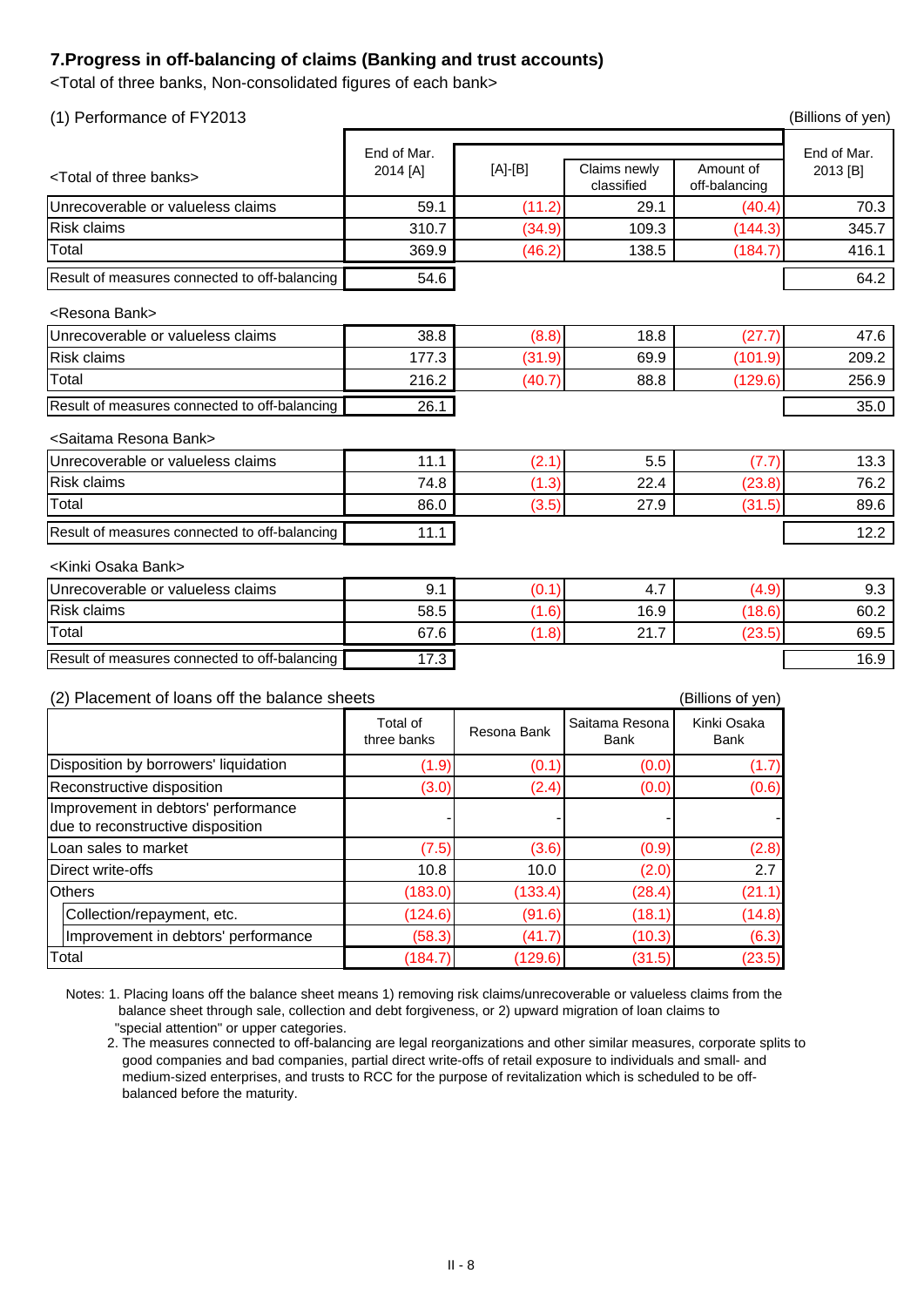### **7.Progress in off-balancing of claims (Banking and trust accounts)**

<Total of three banks, Non-consolidated figures of each bank>

| (1) Performance of FY2013                                             |                         |             |                               |                            | (Billions of yen)       |  |  |
|-----------------------------------------------------------------------|-------------------------|-------------|-------------------------------|----------------------------|-------------------------|--|--|
| <total banks="" of="" three=""></total>                               | End of Mar.<br>2014 [A] | [A]-[B]     | Claims newly<br>classified    | Amount of<br>off-balancing | End of Mar.<br>2013 [B] |  |  |
| Unrecoverable or valueless claims                                     | 59.1                    | (11.2)      | 29.1                          | (40.4)                     | 70.3                    |  |  |
| <b>Risk claims</b>                                                    | 310.7                   | (34.9)      | 109.3                         | (144.3)                    | 345.7                   |  |  |
| Total                                                                 | 369.9                   | (46.2)      | 138.5                         | (184.7)                    | 416.1                   |  |  |
| Result of measures connected to off-balancing                         | 54.6                    |             |                               |                            | 64.2                    |  |  |
| <resona bank=""></resona>                                             |                         |             |                               |                            |                         |  |  |
| Unrecoverable or valueless claims                                     | 38.8                    | (8.8)       | 18.8                          | (27.7)                     | 47.6                    |  |  |
| <b>Risk claims</b>                                                    | 177.3                   | (31.9)      | 69.9                          | (101.9)                    | 209.2                   |  |  |
| Total                                                                 | 216.2                   | (40.7)      | 88.8                          | (129.6)                    | 256.9                   |  |  |
| Result of measures connected to off-balancing                         | 26.1                    |             |                               |                            | 35.0                    |  |  |
| <saitama bank="" resona=""></saitama>                                 |                         |             |                               |                            |                         |  |  |
| Unrecoverable or valueless claims                                     | 11.1                    | (2.1)       | 5.5                           | (7.7)                      | 13.3                    |  |  |
| <b>Risk claims</b>                                                    | 74.8                    | (1.3)       | 22.4                          | (23.8)                     | 76.2                    |  |  |
| Total                                                                 | 86.0                    | (3.5)       | 27.9                          | (31.5)                     | 89.6                    |  |  |
| Result of measures connected to off-balancing                         | 11.1                    |             |                               |                            | 12.2                    |  |  |
| <kinki bank="" osaka=""></kinki>                                      |                         |             |                               |                            |                         |  |  |
| Unrecoverable or valueless claims                                     | 9.1                     | (0.1)       | 4.7                           | (4.9)                      | 9.3                     |  |  |
| <b>Risk claims</b>                                                    | 58.5                    | (1.6)       | 16.9                          | (18.6)                     | 60.2                    |  |  |
| Total                                                                 | 67.6                    | (1.8)       | 21.7                          | (23.5)                     | 69.5                    |  |  |
| Result of measures connected to off-balancing                         | 17.3                    |             |                               |                            | 16.9                    |  |  |
| Placement of loans off the balance sheets<br>(Billions of yen)<br>(2) |                         |             |                               |                            |                         |  |  |
|                                                                       | Total of<br>three banks | Resona Bank | Saitama Resona<br><b>Bank</b> | Kinki Osaka<br><b>Bank</b> |                         |  |  |
| Disposition by borrowers' liquidation                                 | (1.9)                   | (0.1)       | (0.0)                         | (1.7)                      |                         |  |  |

Notes: 1. Placing loans off the balance sheet means 1) removing risk claims/unrecoverable or valueless claims from the balance sheet through sale, collection and debt forgiveness, or 2) upward migration of loan claims to "special attention" or upper categories.

| Disposition by borrowers' liquidation                                    | (1.9)   | (0.1)   | (0.0)  | (1.7)  |
|--------------------------------------------------------------------------|---------|---------|--------|--------|
| Reconstructive disposition                                               | (3.0)   | (2.4)   | (0.0)  | (0.6)  |
| Improvement in debtors' performance<br>due to reconstructive disposition |         |         |        |        |
| Loan sales to market                                                     | (7.5)   | (3.6)   | (0.9)  | (2.8)  |
| Direct write-offs                                                        | 10.8    | 10.0    | (2.0)  | 2.7    |
| <b>Others</b>                                                            | (183.0) | (133.4) | (28.4) | (21.1) |
| Collection/repayment, etc.                                               | (124.6) | (91.6)  | (18.1) | (14.8) |
| Improvement in debtors' performance                                      | (58.3)  | (41.7)  | (10.3) | (6.3)  |
| Total                                                                    | (184.7) | (129.6) | (31.5) | (23.5) |

 2. The measures connected to off-balancing are legal reorganizations and other similar measures, corporate splits to good companies and bad companies, partial direct write-offs of retail exposure to individuals and small- and medium-sized enterprises, and trusts to RCC for the purpose of revitalization which is scheduled to be off balanced before the maturity.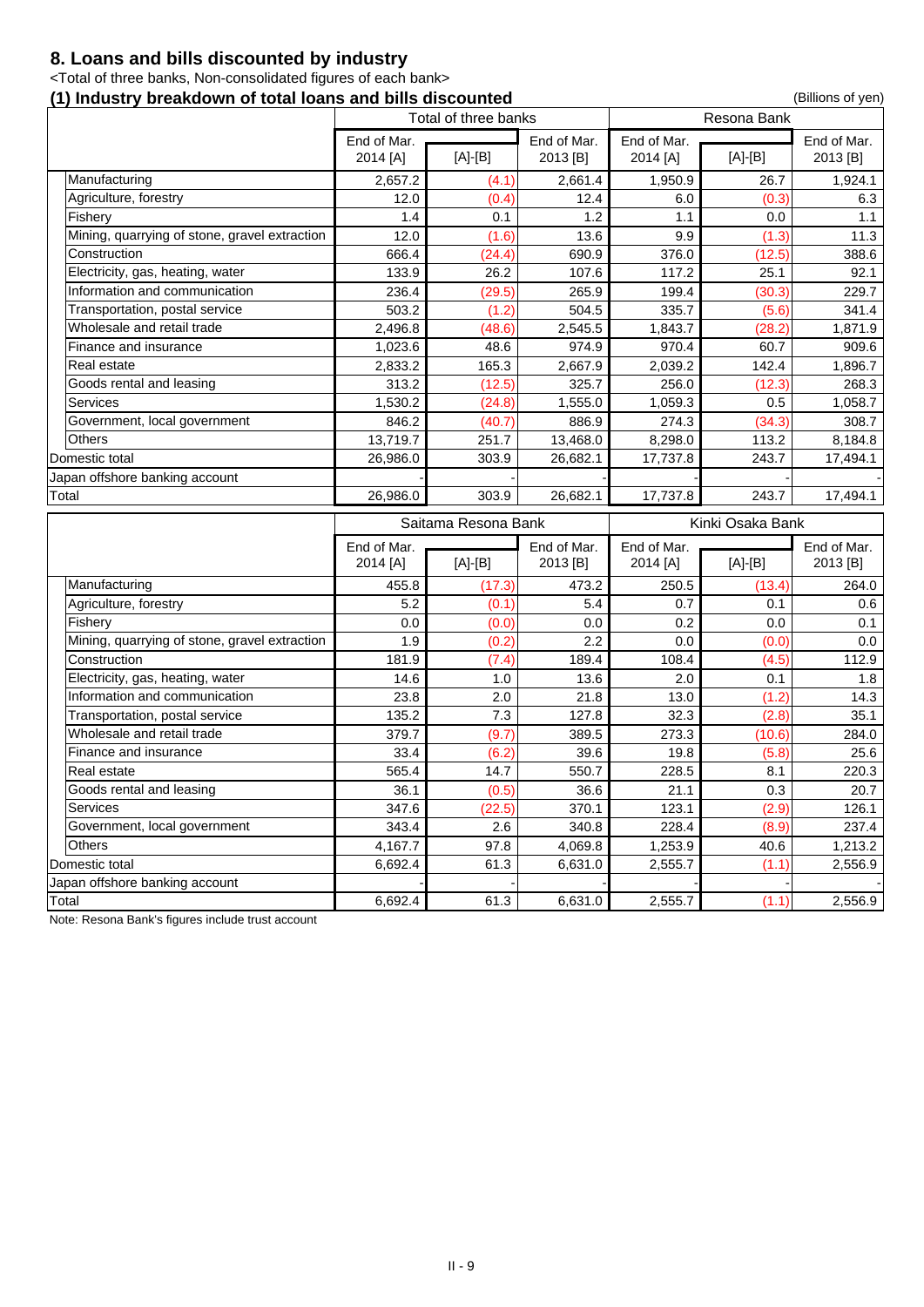### **8. Loans and bills discounted by industry**

<Total of three banks, Non-consolidated figures of each bank>

### **(1) Industry breakdown of total loans and bills discounted** (1) Industry breakdown of total loans and bills discounted

[A]-[B] [A]-[B] 2013 [B] 2,657.2 (4.1) 2,661.4 1,950.9 26.7 1,924.1 12.0 (0.4) 12.4 6.0 (0.3) 6.3 1.4 0.1 1.2 1.1 0.0 1.1 12.0 (1.6) 13.6 9.9 (1.3) 11.3 666.4 (24.4) 690.9 376.0 (12.5) 388.6 133.9 26.2 107.6 117.2 25.1 92.1 236.4 (29.5) 265.9 199.4 (30.3) 229.7 503.2 (1.2) 504.5 335.7 (5.6) 341.4 2,496.8 (48.6) 2,545.5 1,843.7 (28.2) 1,871.9 1,023.6 48.6 974.9 970.4 60.7 909.6 2,833.2 165.3 2,667.9 2,039.2 142.4 1,896.7 313.2 (12.5) 325.7 256.0 (12.3) 268.3 1,530.2 (24.8) 1,555.0 1,059.3 0.5 1,058.7 846.2 (40.7) 886.9 274.3 (34.3) 308.7 13,719.7 251.7 | 13,468.0 | 8,298.0 | 113.2 | 8,184.8 Domestic total 26,986.0 303.9 26,682.1 17,737.8 243.7 17,494.1 Japan offshore banking account Total 26,986.0 303.9 26,682.1 17,737.8 243.7 17,494.1 Total of three banks **Resona Bank** End of Mar. 2013 [B] End of Mar. 2014 [A] End of Mar. 2014 [A] End of Mar. Electricity, gas, heating, water Manufacturing Agriculture, forestry **Fishery Construction** Mining, quarrying of stone, gravel extraction Government, local government Information and communication **Others** Wholesale and retail trade Services Transportation, postal service Goods rental and leasing Finance and insurance Real estate

Note: Resona Bank's figures include trust account

|                                               | Saitama Resona Bank     |           |                         |                         | Kinki Osaka Bank |                         |
|-----------------------------------------------|-------------------------|-----------|-------------------------|-------------------------|------------------|-------------------------|
|                                               | End of Mar.<br>2014 [A] | $[A]-[B]$ | End of Mar.<br>2013 [B] | End of Mar.<br>2014 [A] | $[A]-[B]$        | End of Mar.<br>2013 [B] |
| Manufacturing                                 | 455.8                   | (17.3)    | 473.2                   | 250.5                   | (13.4)           | 264.0                   |
| Agriculture, forestry                         | 5.2                     | (0.1)     | 5.4                     | 0.7                     | 0.1              | 0.6                     |
| Fishery                                       | 0.0                     | (0.0)     | 0.0                     | 0.2                     | 0.0              | 0.1                     |
| Mining, quarrying of stone, gravel extraction | 1.9                     | (0.2)     | 2.2                     | 0.0                     | (0.0)            | 0.0                     |
| Construction                                  | 181.9                   | (7.4)     | 189.4                   | 108.4                   | (4.5)            | 112.9                   |
| Electricity, gas, heating, water              | 14.6                    | 1.0       | 13.6                    | 2.0                     | 0.1              | 1.8                     |
| Information and communication                 | 23.8                    | 2.0       | 21.8                    | 13.0                    | (1.2)            | 14.3                    |
| Transportation, postal service                | 135.2                   | 7.3       | 127.8                   | 32.3                    | (2.8)            | 35.1                    |
| Wholesale and retail trade                    | 379.7                   | (9.7)     | 389.5                   | 273.3                   | (10.6)           | 284.0                   |
| Finance and insurance                         | 33.4                    | (6.2)     | 39.6                    | 19.8                    | (5.8)            | 25.6                    |
| Real estate                                   | 565.4                   | 14.7      | 550.7                   | 228.5                   | 8.1              | 220.3                   |
| Goods rental and leasing                      | 36.1                    | (0.5)     | 36.6                    | 21.1                    | 0.3              | 20.7                    |
| <b>Services</b>                               | 347.6                   | (22.5)    | 370.1                   | 123.1                   | (2.9)            | 126.1                   |
| Government, local government                  | 343.4                   | 2.6       | 340.8                   | 228.4                   | (8.9)            | 237.4                   |
| <b>Others</b>                                 | 4,167.7                 | 97.8      | 4,069.8                 | 1,253.9                 | 40.6             | 1,213.2                 |
| Domestic total                                | 6,692.4                 | 61.3      | 6,631.0                 | 2,555.7                 | (1.1)            | 2,556.9                 |
| Japan offshore banking account                |                         |           |                         |                         |                  |                         |
| Total                                         | 6,692.4                 | 61.3      | 6,631.0                 | 2,555.7                 | (1.1)            | 2,556.9                 |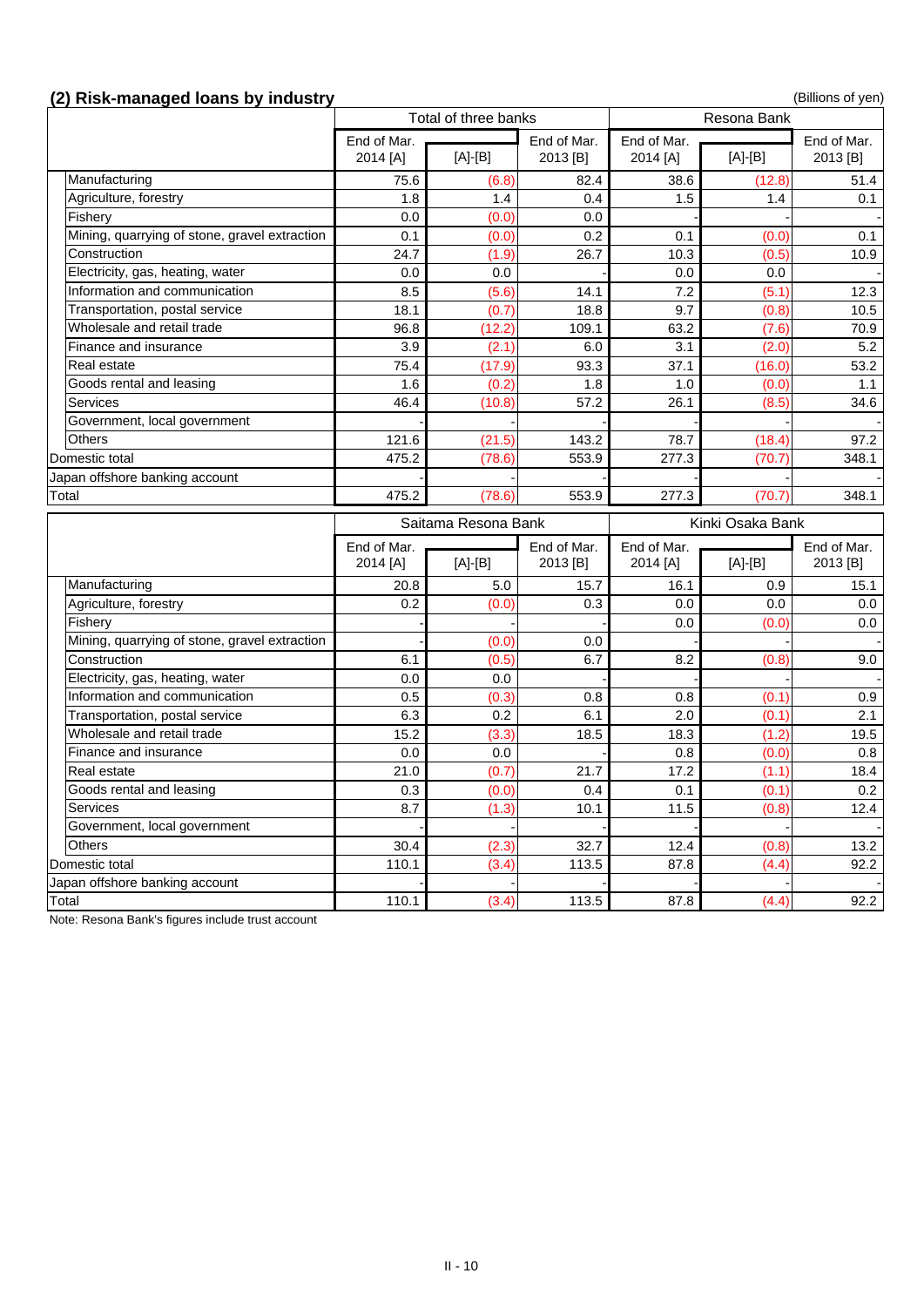------

30.4 (2.3) 32.7 12.4 (0.8) 13.2

### **(2) Risk-managed loans by industry** (2) **Risk-managed loans by industry** (Billions of yen)

| $\mathcal{L}$ , mon managca ivano by maaou j  |             |                      |             |             |                    | , ייס נייס סייסיייים |
|-----------------------------------------------|-------------|----------------------|-------------|-------------|--------------------|----------------------|
|                                               |             | Total of three banks |             |             | <b>Resona Bank</b> |                      |
|                                               | End of Mar. |                      | End of Mar. | End of Mar. |                    | End of Mar.          |
|                                               | 2014 [A]    | $[A]-[B]$            | 2013 [B]    | 2014 [A]    | $[A]-[B]$          | 2013 [B]             |
| Manufacturing                                 | 75.6        | (6.8)                | 82.4        | 38.6        | (12.8)             | 51.4                 |
| Agriculture, forestry                         | 1.8         | 1.4                  | 0.4         | 1.5         | 1.4                | 0.1                  |
| Fishery                                       | 0.0         | (0.0)                | 0.0         |             |                    |                      |
| Mining, quarrying of stone, gravel extraction | 0.1         | (0.0)                | 0.2         | 0.1         | (0.0)              | 0.1                  |
| Construction                                  | 24.7        | (1.9)                | 26.7        | 10.3        | (0.5)              | 10.9                 |
| Electricity, gas, heating, water              | 0.0         | 0.0                  |             | 0.0         | 0.0                |                      |
| Information and communication                 | 8.5         | (5.6)                | 14.1        | 7.2         | (5.1)              | 12.3                 |
| Transportation, postal service                | 18.1        | (0.7)                | 18.8        | 9.7         | (0.8)              | 10.5                 |
| Wholesale and retail trade                    | 96.8        | (12.2)               | 109.1       | 63.2        | (7.6)              | 70.9                 |
| Finance and insurance                         | 3.9         | (2.1)                | 6.0         | 3.1         | (2.0)              | 5.2                  |
| Real estate                                   | 75.4        | (17.9)               | 93.3        | 37.1        | (16.0)             | 53.2                 |
| Goods rental and leasing                      | 1.6         | (0.2)                | 1.8         | 1.0         | (0.0)              | 1.1                  |
| <b>Services</b>                               | 46.4        | (10.8)               | 57.2        | 26.1        | (8.5)              | 34.6                 |
| Government, local government                  |             |                      |             |             |                    |                      |
| <b>Others</b>                                 | 121.6       | (21.5)               | 143.2       | 78.7        | (18.4)             | 97.2                 |
| Domestic total                                | 475.2       | (78.6)               | 553.9       | 277.3       | (70.7)             | 348.1                |
| Japan offshore banking account                |             |                      |             |             |                    |                      |
| Total                                         | 475.2       | (78.6)               | 553.9       | 277.3       | (70.7)             | 348.1                |
|                                               |             | Saitama Resona Bank  |             |             | Kinki Osaka Bank   |                      |
|                                               | End of Mar. |                      | End of Mar. | End of Mar. |                    | End of Mar.          |
|                                               | 2014 [A]    | $[A]-[B]$            | 2013 [B]    | 2014 [A]    | $[A]-[B]$          | 2013 [B]             |
| Manufacturing                                 | 20.8        | 5.0                  | 15.7        | 16.1        | 0.9                | 15.1                 |
| Agriculture, forestry                         | 0.2         | (0.0)                | 0.3         | 0.0         | 0.0                | $0.0\,$              |
| Fishery                                       |             |                      |             | 0.0         | (0.0)              | $0.0\,$              |
| Mining, quarrying of stone, gravel extraction |             | (0.0)                | 0.0         |             |                    |                      |
| Construction                                  | 6.1         | (0.5)                | 6.7         | 8.2         | (0.8)              | 9.0                  |
| Electricity, gas, heating, water              | 0.0         | 0.0                  |             |             |                    |                      |
| Information and communication                 | 0.5         | (0.3)                | 0.8         | 0.8         | (0.1)              | 0.9                  |
| Transportation, postal service                | 6.3         | 0.2                  | 6.1         | 2.0         | (0.1)              | 2.1                  |
| Wholesale and retail trade                    | 15.2        | (3.3)                | 18.5        | 18.3        | (1.2)              | 19.5                 |
| Finance and insurance                         | 0.0         | 0.0                  |             | 0.8         | (0.0)              | 0.8                  |
| Real estate                                   | 21.0        | (0.7)                | 21.7        | 17.2        | (1.1)              | 18.4                 |
| Goods rental and leasing                      | 0.3         | (0.0)                | 0.4         | 0.1         | (0.1)              | 0.2                  |
| <b>Services</b>                               | 8.7         | (1.3)                | 10.1        | 11.5        | (0.8)              | 12.4                 |

Total 110.1 (3.4) 113.5 87.8 (4.4) 92.2

Note: Resona Bank's figures include trust account

Japan offshore banking account

Government, local government

**Others** 

Domestic total 110.1 (3.4) 113.5 87.8 (4.4) 92.2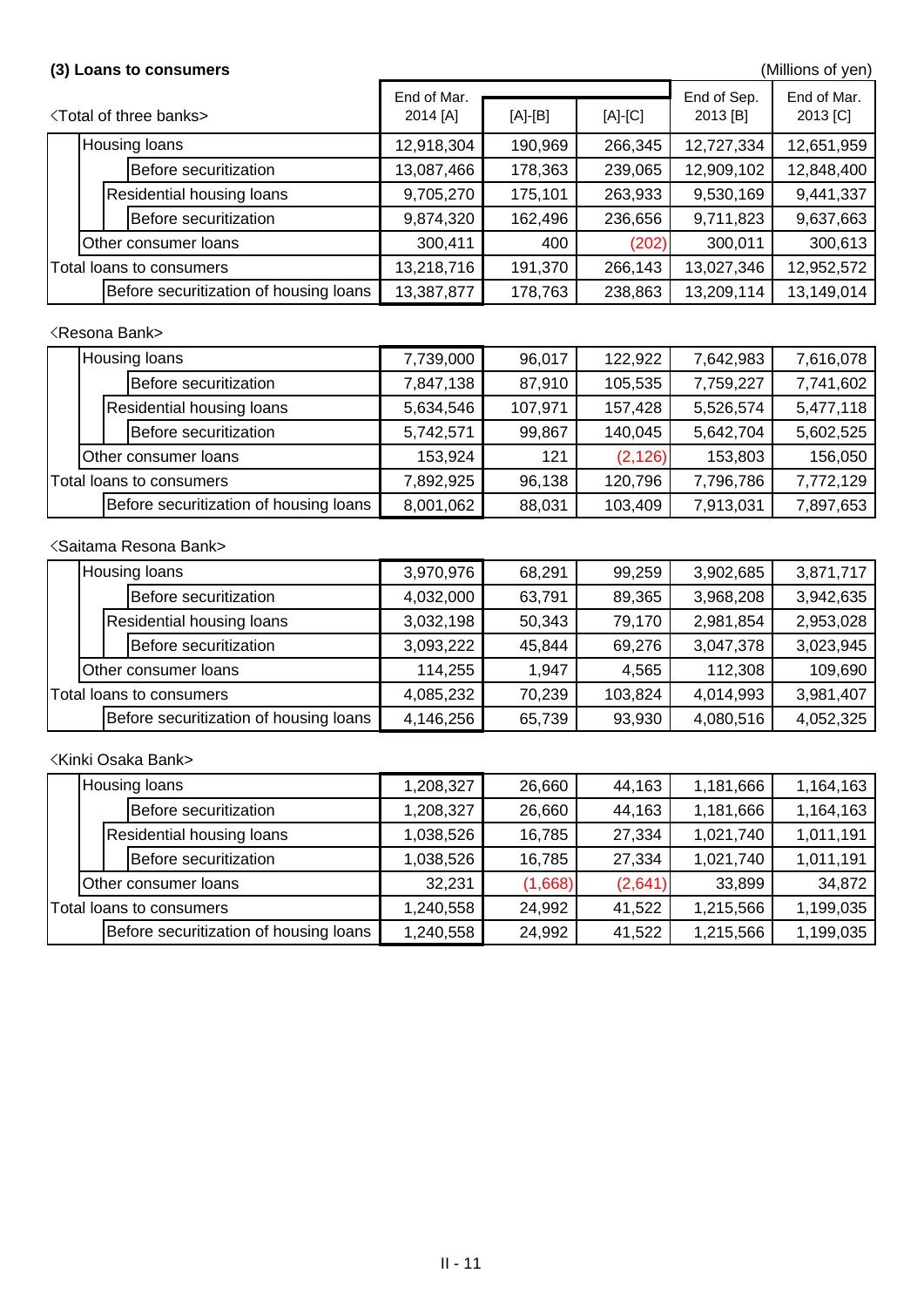### <Resona Bank>

### <Saitama Resona Bank>

### (3) Loans to consumers **Consumers Consumers Consumers** (Millions of yen)

| <b><total banks="" of="" three=""></total></b> |                                        | End of Mar.<br>2014 [A] | $[A]-[B]$ | $[A]-[C]$ | End of Sep.<br>2013 [B] | End of Mar.<br>2013 [C] |
|------------------------------------------------|----------------------------------------|-------------------------|-----------|-----------|-------------------------|-------------------------|
|                                                | <b>Housing loans</b>                   | 12,918,304              | 190,969   | 266,345   | 12,727,334              | 12,651,959              |
|                                                | Before securitization                  | 13,087,466              | 178,363   | 239,065   | 12,909,102              | 12,848,400              |
|                                                | <b>Residential housing loans</b>       | 9,705,270               | 175,101   | 263,933   | 9,530,169               | 9,441,337               |
|                                                | Before securitization                  | 9,874,320               | 162,496   | 236,656   | 9,711,823               | 9,637,663               |
| <b>Other consumer loans</b>                    |                                        | 300,411                 | 400       | (202)     | 300,011                 | 300,613                 |
| Total loans to consumers                       |                                        | 13,218,716              | 191,370   | 266,143   | 13,027,346              | 12,952,572              |
|                                                | Before securitization of housing loans | 13,387,877              | 178,763   | 238,863   | 13,209,114              | 13,149,014              |

|                          | <b>Housing loans</b>                   | 7,739,000 | 96,017  | 122,922  | 7,642,983 | 7,616,078 |
|--------------------------|----------------------------------------|-----------|---------|----------|-----------|-----------|
|                          | Before securitization                  | 7,847,138 | 87,910  | 105,535  | 7,759,227 | 7,741,602 |
|                          | <b>Residential housing loans</b>       | 5,634,546 | 107,971 | 157,428  | 5,526,574 | 5,477,118 |
|                          | Before securitization                  | 5,742,571 | 99,867  | 140,045  | 5,642,704 | 5,602,525 |
|                          | Other consumer loans                   | 153,924   | 121     | (2, 126) | 153,803   | 156,050   |
| Total loans to consumers |                                        | 7,892,925 | 96,138  | 120,796  | 7,796,786 | 7,772,129 |
|                          | Before securitization of housing loans | 8,001,062 | 88,031  | 103,409  | 7,913,031 | 7,897,653 |

<Kinki Osaka Bank>

|                          | Housing loans                          | 3,970,976 | 68,291 | 99,259  | 3,902,685 | 3,871,717 |
|--------------------------|----------------------------------------|-----------|--------|---------|-----------|-----------|
|                          | Before securitization                  | 4,032,000 | 63,791 | 89,365  | 3,968,208 | 3,942,635 |
|                          | <b>Residential housing loans</b>       | 3,032,198 | 50,343 | 79,170  | 2,981,854 | 2,953,028 |
|                          | Before securitization                  | 3,093,222 | 45,844 | 69,276  | 3,047,378 | 3,023,945 |
|                          | <b>Other consumer loans</b>            | 114,255   | 1.947  | 4,565   | 112,308   | 109,690   |
| Total loans to consumers |                                        | 4,085,232 | 70,239 | 103,824 | 4,014,993 | 3,981,407 |
|                          | Before securitization of housing loans | 4,146,256 | 65,739 | 93,930  | 4,080,516 | 4,052,325 |

|                          | <b>Housing loans</b>        |                                        | 1,208,327 | 26,660  | 44,163    | 1,181,666 | 1,164,163 |
|--------------------------|-----------------------------|----------------------------------------|-----------|---------|-----------|-----------|-----------|
|                          |                             | Before securitization                  | 1,208,327 | 26,660  | 44,163    | 1,181,666 | 1,164,163 |
|                          |                             | <b>Residential housing loans</b>       | 1,038,526 | 16,785  | 27,334    | 1,021,740 | 1,011,191 |
|                          |                             | Before securitization                  | 1,038,526 | 16,785  | 27,334    | 1,021,740 | 1,011,191 |
|                          | <b>Other consumer loans</b> |                                        | 32,231    | (1,668) | (2,641)   | 33,899    | 34,872    |
| Total loans to consumers |                             | 1,240,558                              | 24,992    | 41,522  | 1,215,566 | 1,199,035 |           |
|                          |                             | Before securitization of housing loans | 1,240,558 | 24,992  | 41,522    | 1,215,566 | 1,199,035 |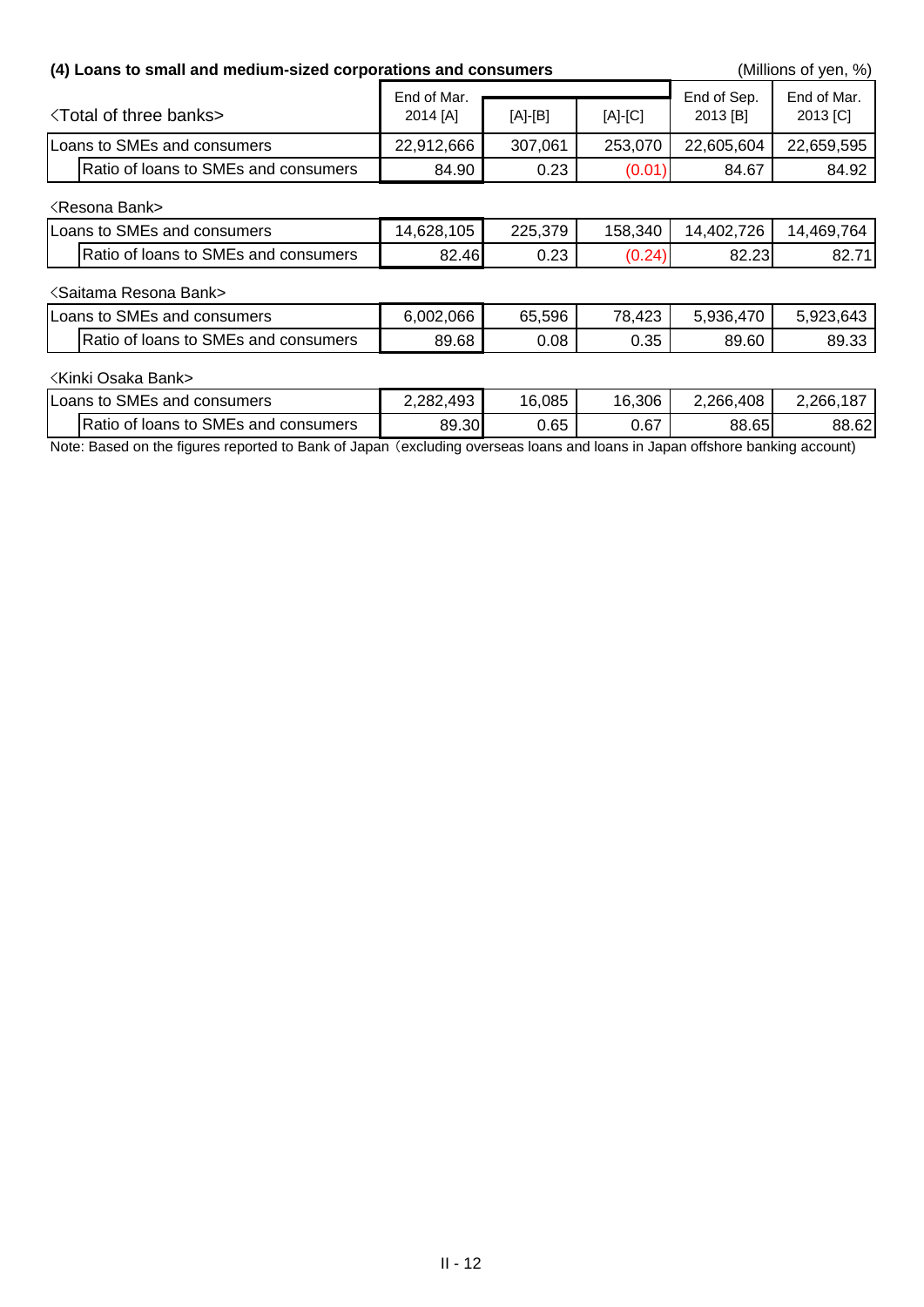| (4) Loans to small and medium-sized corporations and consumers |                         |           |           |                         | (Millions of yen, %)    |
|----------------------------------------------------------------|-------------------------|-----------|-----------|-------------------------|-------------------------|
| <b>Total of three banks&gt;</b>                                | End of Mar.<br>2014 [A] | $[A]-[B]$ | $[A]-[C]$ | End of Sep.<br>2013 [B] | End of Mar.<br>2013 [C] |
| Loans to SMEs and consumers                                    | 22,912,666              | 307,061   | 253,070   | 22,605,604              | 22,659,595              |
| Ratio of loans to SMEs and consumers                           | 84.90                   | 0.23      | (0.01)    | 84.67                   | 84.92                   |
| <b><resona bank=""></resona></b>                               |                         |           |           |                         |                         |
| Loans to SMEs and consumers                                    | 14,628,105              | 225,379   | 158,340   | 14,402,726              | 14,469,764              |
| Ratio of loans to SMEs and consumers                           | 82.46                   | 0.23      | (0.24)    | 82.23                   | 82.71                   |
| <saitama bank="" resona=""></saitama>                          |                         |           |           |                         |                         |
| Loans to SMEs and consumers                                    | 6,002,066               | 65,596    | 78,423    | 5,936,470               | 5,923,643               |
| Ratio of loans to SMEs and consumers                           | 89.68                   | 0.08      | 0.35      | 89.60                   | 89.33                   |
| <b>Kinki Osaka Bank&gt;</b>                                    |                         |           |           |                         |                         |
| Loans to SMEs and consumers                                    | 2,282,493               | 16,085    | 16,306    | 2,266,408               | 2,266,187               |
| Ratio of loans to SMEs and consumers                           | 89.30                   | 0.65      | 0.67      | 88.65                   | 88.62                   |

Note: Based on the figures reported to Bank of Japan (excluding overseas loans and loans in Japan offshore banking account)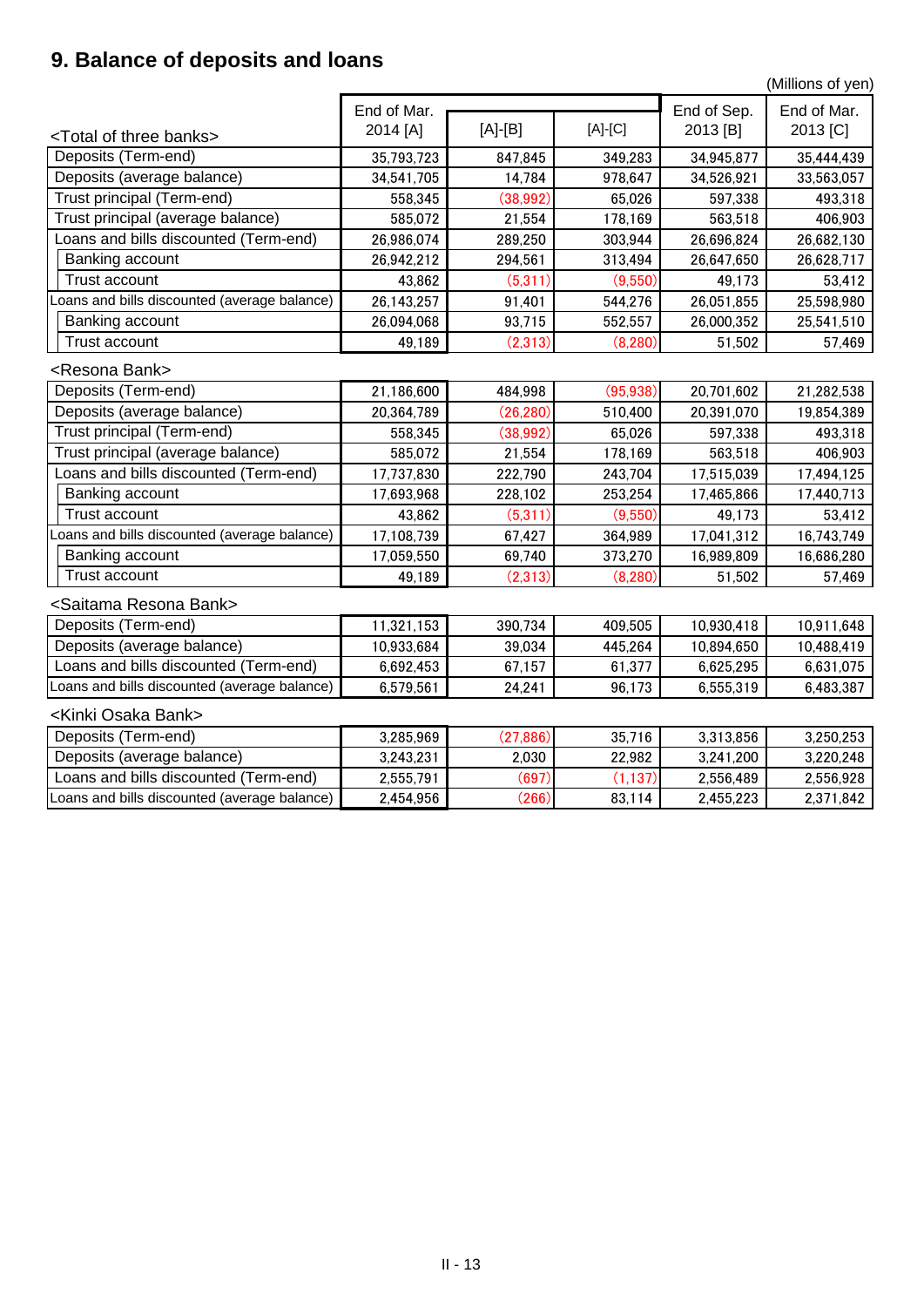## **9. Balance of deposits and loans**

(Millions of yen)

|                                              | End of Mar. |           |           |                         | End of Mar. |
|----------------------------------------------|-------------|-----------|-----------|-------------------------|-------------|
| <total banks="" of="" three=""></total>      | 2014 [A]    | $[A]-[B]$ | $[A]-[C]$ | End of Sep.<br>2013 [B] | 2013 [C]    |
| Deposits (Term-end)                          | 35,793,723  | 847,845   | 349,283   | 34,945,877              | 35,444,439  |
| Deposits (average balance)                   | 34,541,705  | 14,784    | 978,647   | 34,526,921              | 33,563,057  |
| Trust principal (Term-end)                   | 558,345     | (38, 992) | 65,026    | 597,338                 | 493,318     |
| Trust principal (average balance)            | 585,072     | 21,554    | 178,169   | 563,518                 | 406,903     |
| Loans and bills discounted (Term-end)        | 26,986,074  | 289,250   | 303,944   | 26,696,824              | 26,682,130  |
| Banking account                              | 26,942,212  | 294,561   | 313,494   | 26,647,650              | 26,628,717  |
| <b>Trust account</b>                         | 43,862      | (5,311)   | (9,550)   | 49,173                  | 53,412      |
| Loans and bills discounted (average balance) | 26,143,257  | 91,401    | 544,276   | 26,051,855              | 25,598,980  |
| Banking account                              | 26,094,068  | 93,715    | 552,557   | 26,000,352              | 25,541,510  |
| <b>Trust account</b>                         | 49,189      | (2,313)   | (8, 280)  | 51,502                  | 57,469      |
| <resona bank=""></resona>                    |             |           |           |                         |             |
| Deposits (Term-end)                          | 21,186,600  | 484,998   | (95, 938) | 20,701,602              | 21,282,538  |
| Deposits (average balance)                   | 20,364,789  | (26, 280) | 510,400   | 20,391,070              | 19,854,389  |
| Trust principal (Term-end)                   | 558,345     | (38, 992) | 65,026    | 597,338                 | 493,318     |
| Trust principal (average balance)            | 585,072     | 21,554    | 178,169   | 563,518                 | 406,903     |
| Loans and bills discounted (Term-end)        | 17,737,830  | 222,790   | 243,704   | 17,515,039              | 17,494,125  |
| <b>Banking account</b>                       | 17,693,968  | 228,102   | 253,254   | 17,465,866              | 17,440,713  |
| Trust account                                | 43,862      | (5,311)   | (9,550)   | 49,173                  | 53,412      |
| Loans and bills discounted (average balance) | 17,108,739  | 67,427    | 364,989   | 17,041,312              | 16,743,749  |
| Banking account                              | 17,059,550  | 69,740    | 373,270   | 16,989,809              | 16,686,280  |
| <b>Trust account</b>                         | 49,189      | (2,313)   | (8, 280)  | 51,502                  | 57,469      |
| <saitama bank="" resona=""></saitama>        |             |           |           |                         |             |
| Deposits (Term-end)                          | 11,321,153  | 390,734   | 409,505   | 10,930,418              | 10,911,648  |
| Deposits (average balance)                   | 10,933,684  | 39,034    | 445,264   | 10,894,650              | 10,488,419  |
| Loans and bills discounted (Term-end)        | 6,692,453   | 67,157    | 61,377    | 6,625,295               | 6,631,075   |
| Loans and bills discounted (average balance) | 6,579,561   | 24,241    | 96,173    | 6,555,319               | 6,483,387   |
| <kinki bank="" osaka=""></kinki>             |             |           |           |                         |             |
| Deposits (Term-end)                          | 3,285,969   | (27, 886) | 35,716    | 3,313,856               | 3,250,253   |
| Deposits (average balance)                   | 3,243,231   | 2,030     | 22,982    | 3,241,200               | 3,220,248   |
| Loans and bills discounted (Term-end)        | 2,555,791   | (697)     | (1, 137)  | 2,556,489               | 2,556,928   |
| Loans and bills discounted (average balance) | 2,454,956   | (266)     | 83,114    | 2,455,223               | 2,371,842   |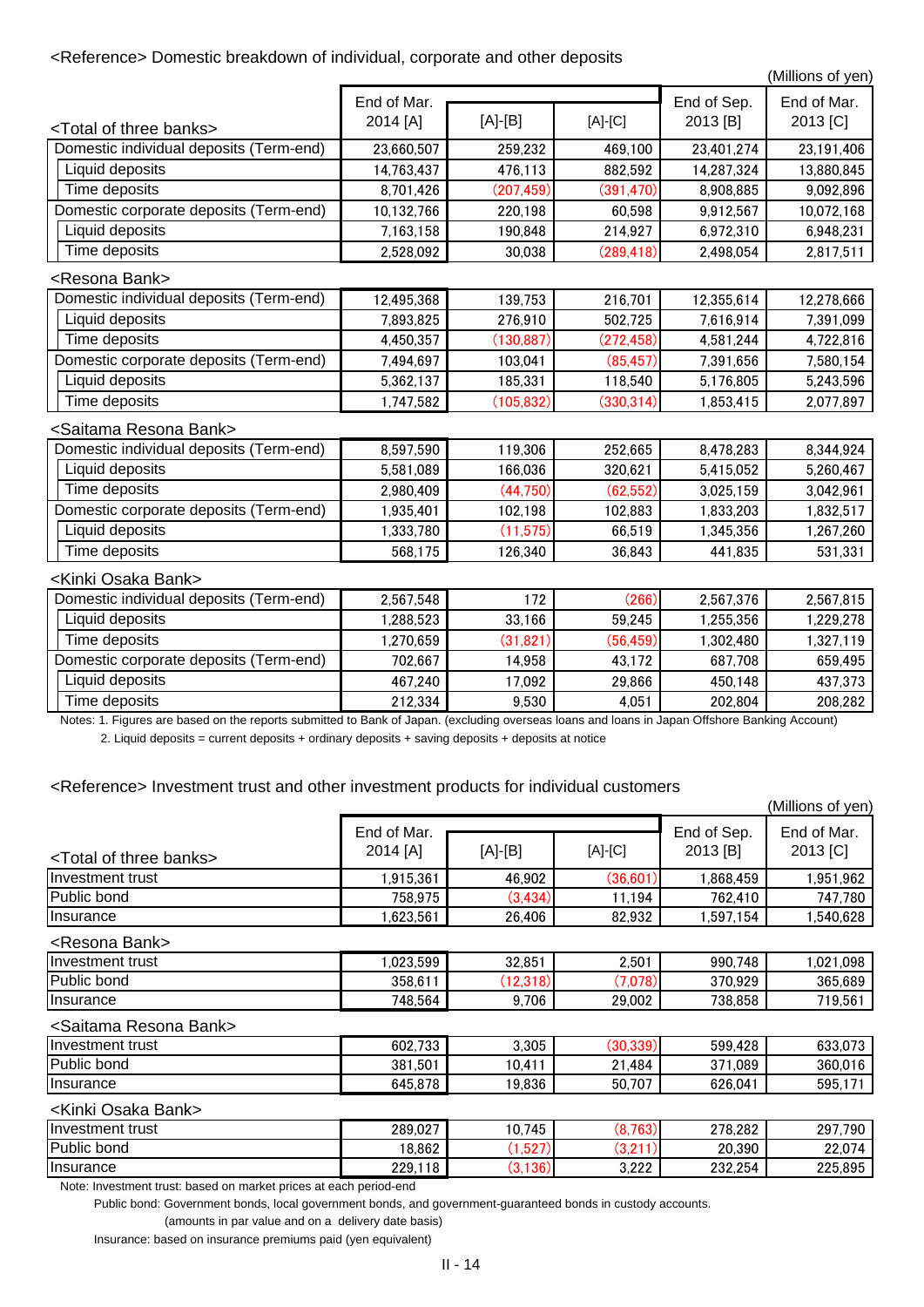### <Reference> Domestic breakdown of individual, corporate and other deposits

(Millions of yen)

2. Liquid deposits = current deposits + ordinary deposits + saving deposits + deposits at notice

<Reference> Investment trust and other investment products for individual customers

|                                                                                                                                               | End of Mar. |            |            | End of Sep. | End of Mar. |
|-----------------------------------------------------------------------------------------------------------------------------------------------|-------------|------------|------------|-------------|-------------|
| <total banks="" of="" three=""></total>                                                                                                       | 2014 [A]    | $[A]-[B]$  | $[A]-[C]$  | 2013 [B]    | 2013 [C]    |
| Domestic individual deposits (Term-end)                                                                                                       | 23,660,507  | 259,232    | 469,100    | 23,401,274  | 23,191,406  |
| Liquid deposits                                                                                                                               | 14,763,437  | 476,113    | 882,592    | 14,287,324  | 13,880,845  |
| Time deposits                                                                                                                                 | 8,701,426   | (207, 459) | (391, 470) | 8,908,885   | 9,092,896   |
| Domestic corporate deposits (Term-end)                                                                                                        | 10,132,766  | 220,198    | 60,598     | 9,912,567   | 10,072,168  |
| Liquid deposits                                                                                                                               | 7,163,158   | 190,848    | 214,927    | 6,972,310   | 6,948,231   |
| Time deposits                                                                                                                                 | 2,528,092   | 30,038     | (289, 418) | 2,498,054   | 2,817,511   |
| <resona bank=""></resona>                                                                                                                     |             |            |            |             |             |
| Domestic individual deposits (Term-end)                                                                                                       | 12,495,368  | 139,753    | 216,701    | 12,355,614  | 12,278,666  |
| Liquid deposits                                                                                                                               | 7,893,825   | 276,910    | 502,725    | 7,616,914   | 7,391,099   |
| Time deposits                                                                                                                                 | 4,450,357   | (130, 887) | (272, 458) | 4,581,244   | 4,722,816   |
| Domestic corporate deposits (Term-end)                                                                                                        | 7,494,697   | 103,041    | (85, 457)  | 7,391,656   | 7,580,154   |
| Liquid deposits                                                                                                                               | 5,362,137   | 185,331    | 118,540    | 5,176,805   | 5,243,596   |
| Time deposits                                                                                                                                 | 1,747,582   | (105, 832) | (330, 314) | 1,853,415   | 2,077,897   |
| <saitama bank="" resona=""></saitama>                                                                                                         |             |            |            |             |             |
| Domestic individual deposits (Term-end)                                                                                                       | 8,597,590   | 119,306    | 252,665    | 8,478,283   | 8,344,924   |
| Liquid deposits                                                                                                                               | 5,581,089   | 166,036    | 320,621    | 5,415,052   | 5,260,467   |
| Time deposits                                                                                                                                 | 2,980,409   | (44, 750)  | (62, 552)  | 3,025,159   | 3,042,961   |
| Domestic corporate deposits (Term-end)                                                                                                        | 1,935,401   | 102,198    | 102,883    | 1,833,203   | 1,832,517   |
| Liquid deposits                                                                                                                               | 1,333,780   | (11, 575)  | 66,519     | 1,345,356   | 1,267,260   |
| Time deposits                                                                                                                                 | 568,175     | 126,340    | 36,843     | 441,835     | 531,331     |
| <kinki bank="" osaka=""></kinki>                                                                                                              |             |            |            |             |             |
| Domestic individual deposits (Term-end)                                                                                                       | 2,567,548   | 172        | (266)      | 2,567,376   | 2,567,815   |
| Liquid deposits                                                                                                                               | 1,288,523   | 33,166     | 59,245     | 1,255,356   | 1,229,278   |
| Time deposits                                                                                                                                 | 1,270,659   | (31, 821)  | (56, 459)  | 1,302,480   | 1,327,119   |
| Domestic corporate deposits (Term-end)                                                                                                        | 702,667     | 14,958     | 43,172     | 687,708     | 659,495     |
| Liquid deposits                                                                                                                               | 467,240     | 17,092     | 29,866     | 450,148     | 437,373     |
| Time deposits                                                                                                                                 | 212,334     | 9,530      | 4,051      | 202,804     | 208,282     |
| Notes: 1. Figures are based on the reports submitted to Bank of Japan. (excluding overseas loans and loans in Japan Offshore Banking Account) |             |            |            |             |             |

<Resona Bank>

### <Saitama Resona Bank>

### <Kinki Osaka Bank>

Note: Investment trust: based on market prices at each period-end

Public bond: Government bonds, local government bonds, and government-guaranteed bonds in custody accounts.

(amounts in par value and on a delivery date basis)

Insurance: based on insurance premiums paid (yen equivalent)

|                                         |                                      |          |           |                         | (Millions of yen)         |
|-----------------------------------------|--------------------------------------|----------|-----------|-------------------------|---------------------------|
| <total banks="" of="" three=""></total> | End of Mar.<br>$[A]-[B]$<br>2014 [A] |          | $[A]-[C]$ | End of Sep.<br>2013 [B] | End of Mar.<br>$2013$ [C] |
| Investment trust                        | 1,915,361                            | 46,902   | (36,601)  | 1,868,459               | 1,951,962                 |
| Public bond                             | 758,975                              | (3, 434) | 11.194    | 762,410                 | 747,780                   |
| <i>Insurance</i>                        | .623.561                             | 26,406   | 82,932    | ,597,154                | 1,540,628                 |

| Investment trust   | 700<br>602<br>/ აა | 3,305  | (30, 339) | .428<br>599       | 633,073     |
|--------------------|--------------------|--------|-----------|-------------------|-------------|
| <b>Public bond</b> | 381,501            | 10,411 | 484<br>▃  | .089<br>ヘライ<br>υ. | 360,016     |
| Insurance          | 645,878            | 19,836 | 50,707    | 626,041           | - -<br>595, |

| Investment trust      | .023,599 | 39.85<br>UZ.UJ            | 2,501      | 990,748 | .098<br>,021 |
|-----------------------|----------|---------------------------|------------|---------|--------------|
| <b>Public</b><br>bond | 358,61   | $\overline{ }$<br>. . 2.0 | 7,078)     | 370,929 | 365,689      |
| Insurance             | 748,564  | 706<br>υ.                 | .002<br>29 | 738,858 | 719,561      |

| Ilnvestment trust | 289,027 | .745<br>10.       | ∖כ∘ם כי<br>03).<br>O. | 278,282 | .790<br>297 |
|-------------------|---------|-------------------|-----------------------|---------|-------------|
| Public bond       | 18,862  | 507<br>1.921/     | ′າ າ1<br>.C د         | 20,390  | 22,074      |
| <b>Insurance</b>  | 229,118 | (136)<br>'n<br>v. | הממ פ<br>J.LLL        | 232,254 | 225,895     |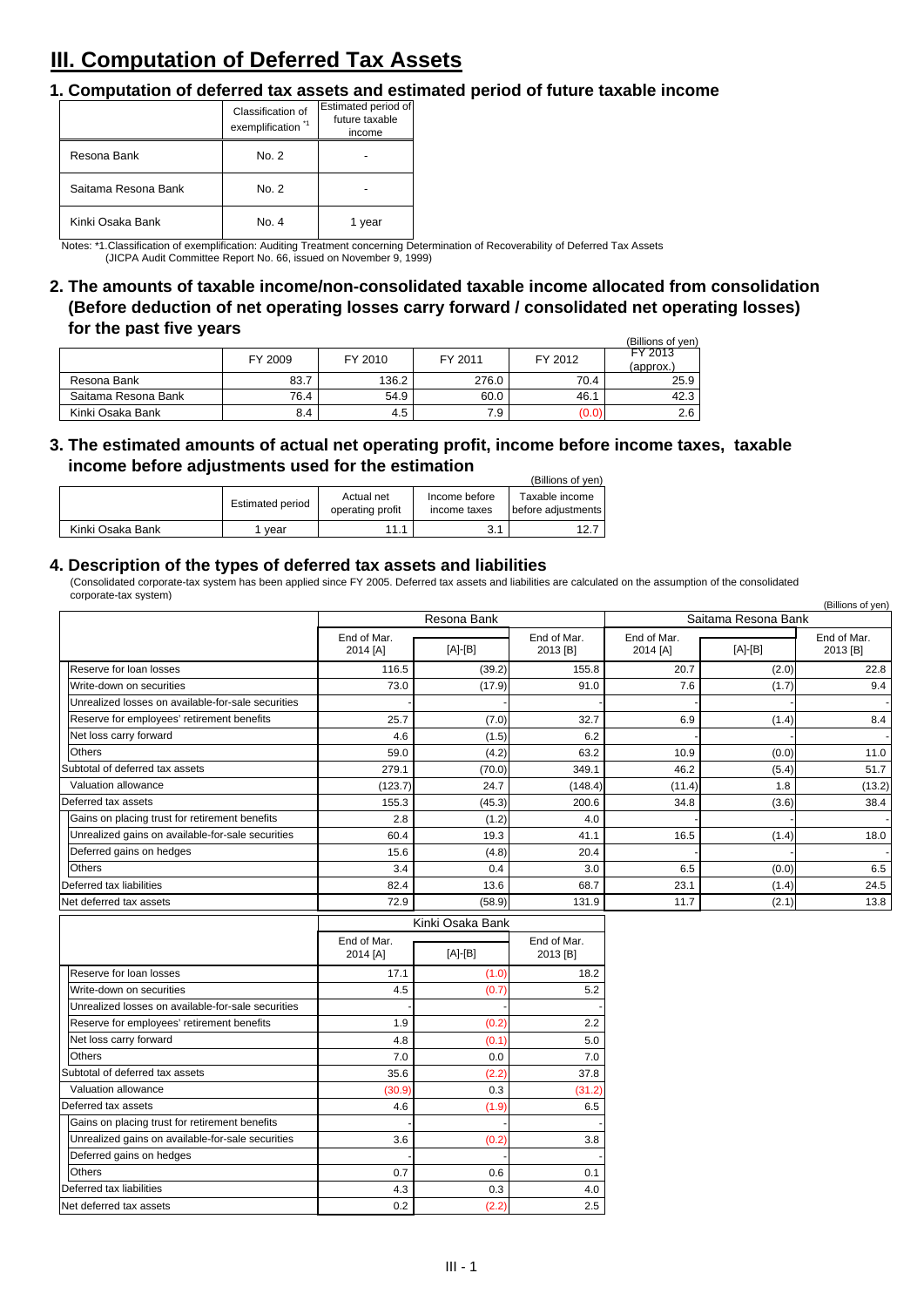## **III. Computation of Deferred Tax Assets**

### **1. Computation of deferred tax assets and estimated period of future taxable income**

### **4. Description of the types of deferred tax assets and liabilities**

 $\mathcal{L}$  (Billions of yen) **3. The estimated amounts of actual net operating profit, income before income taxes, taxable income before adjustments used for the estimation**

|                  |                  |                                |                               | (Billions of ven)                        |
|------------------|------------------|--------------------------------|-------------------------------|------------------------------------------|
|                  | Estimated period | Actual net<br>operating profit | Income before<br>income taxes | Taxable income<br>I before adiustments l |
| Kinki Osaka Bank | vear             | 111                            | ′ 1<br>ا . ب                  | 12.7                                     |

|                     |         |         |         |         | (Billions of yen) |
|---------------------|---------|---------|---------|---------|-------------------|
|                     | FY 2009 | FY 2010 | FY 2011 | FY 2012 | <b>FY 2013</b>    |
|                     |         |         |         |         | (approx.          |
| Resona Bank         | 83.7    | 136.2   | 276.0   | 70.4    | 25.9              |
| Saitama Resona Bank | 76.4    | 54.9    | 60.0    | 46.1    | 42.3              |
| Kinki Osaka Bank    | 8.4     | 4.5     | 7.9     | (0.0)   | 2.6               |

Notes: \*1.Classification of exemplification: Auditing Treatment concerning Determination of Recoverability of Deferred Tax Assets (JICPA Audit Committee Report No. 66, issued on November 9, 1999)

**2. The amounts of taxable income/non-consolidated taxable income allocated from consolidation (Before deduction of net operating losses carry forward / consolidated net operating losses) for the past five years**

|                     | Classification of<br>exemplification <sup>*1</sup> | Estimated period of<br>future taxable<br>income |
|---------------------|----------------------------------------------------|-------------------------------------------------|
| Resona Bank         | No. 2                                              |                                                 |
| Saitama Resona Bank | No. 2                                              |                                                 |
| Kinki Osaka Bank    | No. 4                                              | 1 year                                          |

|                                                    |                         |                  |                         |                         |                     | (Billions of yen)       |
|----------------------------------------------------|-------------------------|------------------|-------------------------|-------------------------|---------------------|-------------------------|
|                                                    |                         | Resona Bank      |                         |                         | Saitama Resona Bank |                         |
|                                                    | End of Mar.<br>2014 [A] | $[A]-[B]$        | End of Mar.<br>2013 [B] | End of Mar.<br>2014 [A] | $[A]-[B]$           | End of Mar.<br>2013 [B] |
| Reserve for loan losses                            | 116.5                   | (39.2)           | 155.8                   | 20.7                    | (2.0)               | 22.8                    |
| Write-down on securities                           | 73.0                    | (17.9)           | 91.0                    | 7.6                     | (1.7)               | 9.4                     |
| Unrealized losses on available-for-sale securities |                         |                  |                         |                         |                     |                         |
| Reserve for employees' retirement benefits         | 25.7                    | (7.0)            | 32.7                    | 6.9                     | (1.4)               | 8.4                     |
| Net loss carry forward                             | 4.6                     | (1.5)            | 6.2                     |                         |                     |                         |
| <b>Others</b>                                      | 59.0                    | (4.2)            | 63.2                    | 10.9                    | (0.0)               | 11.0                    |
| Subtotal of deferred tax assets                    | 279.1                   | (70.0)           | 349.1                   | 46.2                    | (5.4)               | 51.7                    |
| Valuation allowance                                | (123.7)                 | 24.7             | (148.4)                 | (11.4)                  | 1.8                 | (13.2)                  |
| Deferred tax assets                                | 155.3                   | (45.3)           | 200.6                   | 34.8                    | (3.6)               | 38.4                    |
| Gains on placing trust for retirement benefits     | 2.8                     | (1.2)            | 4.0                     |                         |                     |                         |
| Unrealized gains on available-for-sale securities  | 60.4                    | 19.3             | 41.1                    | 16.5                    | (1.4)               | 18.0                    |
| Deferred gains on hedges                           | 15.6                    | (4.8)            | 20.4                    |                         |                     |                         |
| <b>Others</b>                                      | 3.4                     | 0.4              | 3.0                     | 6.5                     | (0.0)               | 6.5                     |
| Deferred tax liabilities                           | 82.4                    | 13.6             | 68.7                    | 23.1                    | (1.4)               | 24.5                    |
| Net deferred tax assets                            | 72.9                    | (58.9)           | 131.9                   | 11.7                    | (2.1)               | 13.8                    |
|                                                    |                         | Kinki Osaka Bank |                         |                         |                     |                         |
|                                                    | End of Mar.<br>2014 [A] | $[A]-[B]$        | End of Mar.<br>2013 [B] |                         |                     |                         |
| Reserve for loan losses                            | 17.1                    | (1.0)            | 18.2                    |                         |                     |                         |
| Write-down on securities                           | 4.5                     | (0.7)            | 5.2                     |                         |                     |                         |
| Unrealized losses on available-for-sale securities |                         |                  |                         |                         |                     |                         |
| Reserve for employees' retirement benefits         | 1.9                     | (0.2)            | 2.2                     |                         |                     |                         |
| Net loss carry forward                             | 4.8                     | (0.1)            | 5.0                     |                         |                     |                         |
| <b>Others</b>                                      | 7.0                     | 0.0              | 7.0                     |                         |                     |                         |
| Subtotal of deferred tax assets                    | 35.6                    | (2.2)            | 37.8                    |                         |                     |                         |
| Valuation allowance                                | (30.9)                  | 0.3              | (31.2)                  |                         |                     |                         |
| Deferred tax assets                                | 4.6                     | (1.9)            | 6.5                     |                         |                     |                         |
| Gains on placing trust for retirement benefits     |                         |                  |                         |                         |                     |                         |
| Unrealized gains on available-for-sale securities  | 3.6                     | (0.2)            | 3.8                     |                         |                     |                         |
| Deferred gains on hedges                           |                         |                  |                         |                         |                     |                         |
| <b>Others</b>                                      | 0.7                     | 0.6              | 0.1                     |                         |                     |                         |
| Deferred tax liabilities                           | 4.3                     | 0.3              | 4.0                     |                         |                     |                         |
| Net deferred tax assets                            | 0.2                     | (2.2)            | 2.5                     |                         |                     |                         |

(Consolidated corporate-tax system has been applied since FY 2005. Deferred tax assets and liabilities are calculated on the assumption of the consolidated corporate-tax system)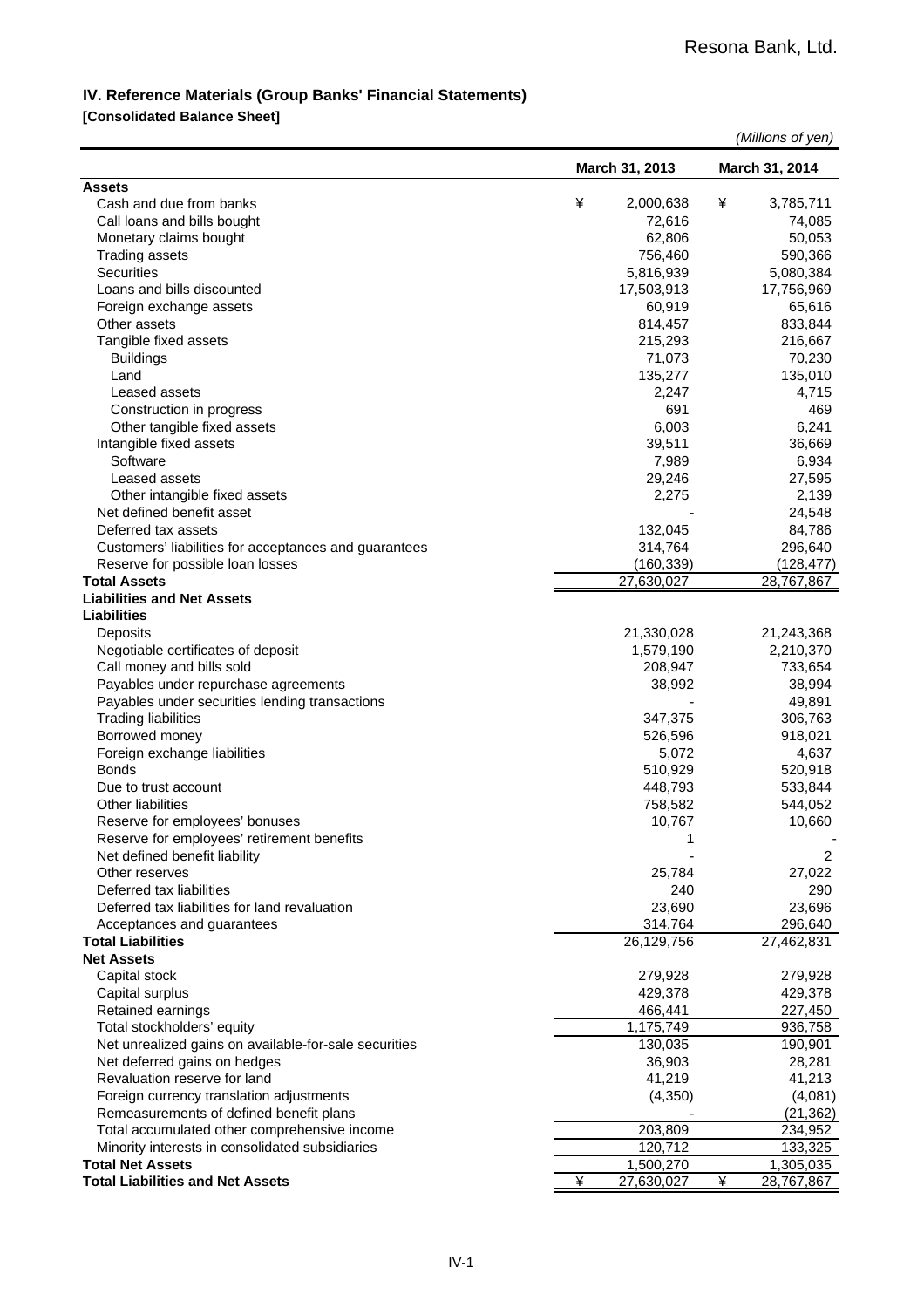#### **IV. Reference Materials (Group Banks' Financial Statements)**

#### **[Consolidated Balance Sheet]**

|                                                       |   |                |   | (Millions of yen) |
|-------------------------------------------------------|---|----------------|---|-------------------|
|                                                       |   | March 31, 2013 |   | March 31, 2014    |
| <b>Assets</b>                                         |   |                |   |                   |
| Cash and due from banks                               | ¥ | 2,000,638      | ¥ | 3,785,711         |
| Call loans and bills bought                           |   | 72,616         |   | 74,085            |
| Monetary claims bought                                |   | 62,806         |   | 50,053            |
| <b>Trading assets</b>                                 |   | 756,460        |   | 590,366           |
| Securities                                            |   | 5,816,939      |   | 5,080,384         |
| Loans and bills discounted                            |   | 17,503,913     |   | 17,756,969        |
| Foreign exchange assets                               |   | 60,919         |   | 65,616            |
| Other assets                                          |   | 814,457        |   | 833,844           |
| Tangible fixed assets                                 |   | 215,293        |   | 216,667           |
| <b>Buildings</b>                                      |   | 71,073         |   | 70,230            |
| Land                                                  |   | 135,277        |   | 135,010           |
| Leased assets                                         |   | 2,247          |   | 4,715             |
| Construction in progress                              |   | 691            |   | 469               |
| Other tangible fixed assets                           |   | 6,003          |   | 6,241             |
| Intangible fixed assets                               |   | 39,511         |   | 36,669            |
| Software                                              |   | 7,989          |   | 6,934             |
| Leased assets                                         |   | 29,246         |   | 27,595            |
| Other intangible fixed assets                         |   | 2,275          |   | 2,139             |
| Net defined benefit asset                             |   |                |   | 24,548            |
| Deferred tax assets                                   |   | 132,045        |   | 84,786            |
| Customers' liabilities for acceptances and guarantees |   | 314,764        |   | 296,640           |
| Reserve for possible loan losses                      |   | (160, 339)     |   | (128, 477)        |
| <b>Total Assets</b>                                   |   | 27,630,027     |   | 28,767,867        |
| <b>Liabilities and Net Assets</b>                     |   |                |   |                   |
| <b>Liabilities</b>                                    |   |                |   |                   |
| Deposits                                              |   | 21,330,028     |   | 21,243,368        |
| Negotiable certificates of deposit                    |   | 1,579,190      |   | 2,210,370         |
| Call money and bills sold                             |   | 208,947        |   | 733,654           |
| Payables under repurchase agreements                  |   | 38,992         |   | 38,994            |
| Payables under securities lending transactions        |   |                |   | 49,891            |
| <b>Trading liabilities</b>                            |   | 347,375        |   | 306,763           |
| Borrowed money                                        |   | 526,596        |   | 918,021           |
| Foreign exchange liabilities                          |   | 5,072          |   | 4,637             |
| <b>Bonds</b>                                          |   | 510,929        |   | 520,918           |
| Due to trust account                                  |   | 448,793        |   | 533,844           |
| <b>Other liabilities</b>                              |   | 758,582        |   | 544,052           |
| Reserve for employees' bonuses                        |   | 10,767         |   | 10,660            |
| Reserve for employees' retirement benefits            |   | 1              |   |                   |
| Net defined benefit liability                         |   |                |   | 2                 |
| Other reserves                                        |   | 25,784         |   | 27,022            |
| Deferred tax liabilities                              |   | 240            |   | 290               |
| Deferred tax liabilities for land revaluation         |   | 23,690         |   | 23,696            |
| Acceptances and guarantees                            |   | 314,764        |   | 296,640           |
| <b>Total Liabilities</b>                              |   | 26,129,756     |   | 27,462,831        |
| <b>Net Assets</b>                                     |   |                |   |                   |
| Capital stock                                         |   | 279,928        |   | 279,928           |
| Capital surplus                                       |   | 429,378        |   | 429,378           |
| Retained earnings                                     |   | 466,441        |   | 227,450           |
| Total stockholders' equity                            |   | 1,175,749      |   | 936,758           |
| Net unrealized gains on available-for-sale securities |   | 130,035        |   | 190,901           |
| Net deferred gains on hedges                          |   | 36,903         |   | 28,281            |
| Revaluation reserve for land                          |   | 41,219         |   | 41,213            |
| Foreign currency translation adjustments              |   | (4, 350)       |   | (4,081)           |
| Remeasurements of defined benefit plans               |   |                |   | (21, 362)         |
| Total accumulated other comprehensive income          |   | 203,809        |   | 234,952           |
| Minority interests in consolidated subsidiaries       |   | 120,712        |   | 133,325           |
| <b>Total Net Assets</b>                               |   | 1,500,270      |   | 1,305,035         |
| <b>Total Liabilities and Net Assets</b>               | ¥ | 27,630,027     | ¥ | 28,767,867        |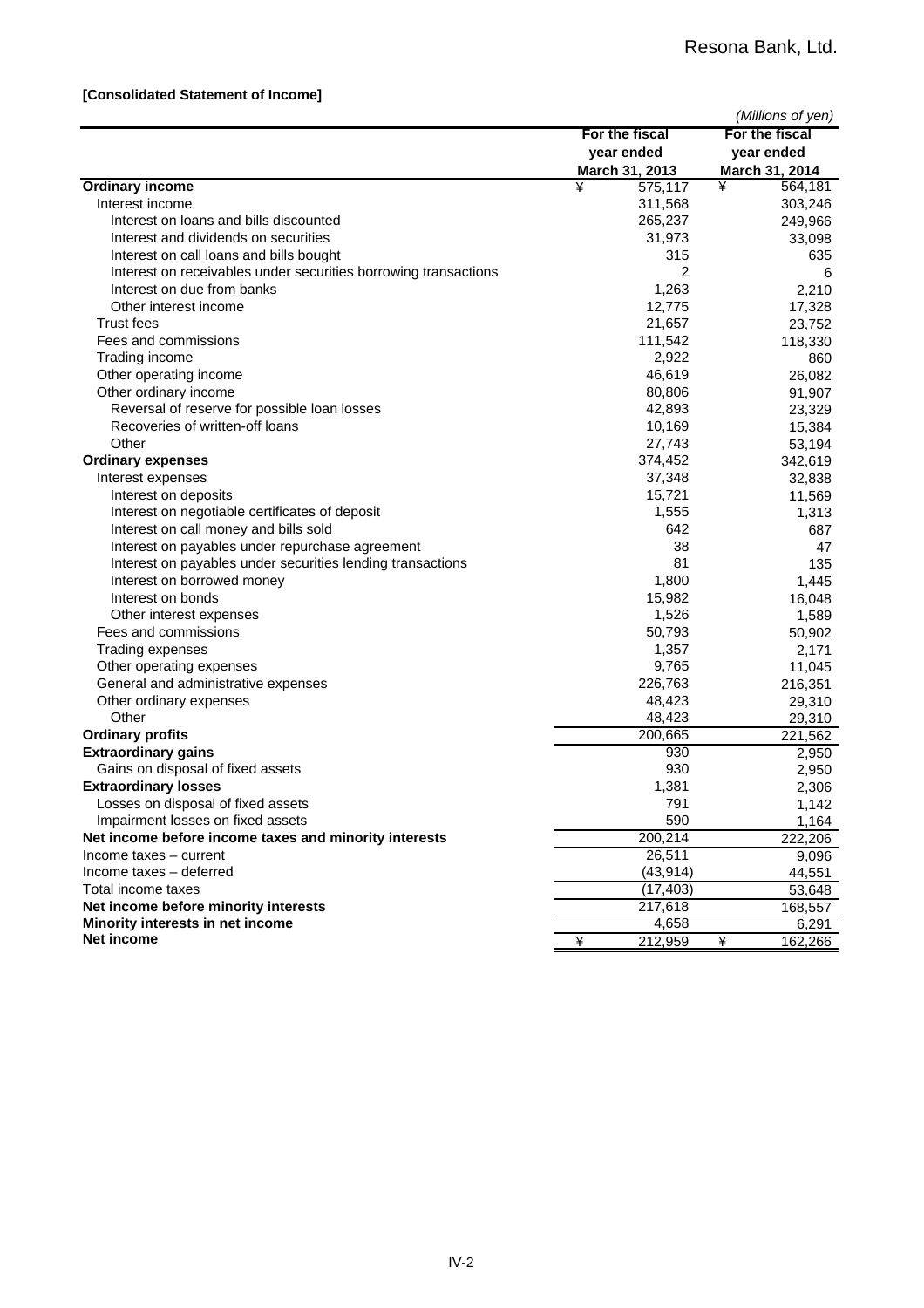#### **[Consolidated Statement of Income]**

|                                                                 |                | (Millions of yen) |
|-----------------------------------------------------------------|----------------|-------------------|
|                                                                 | For the fiscal | For the fiscal    |
|                                                                 | year ended     | year ended        |
|                                                                 | March 31, 2013 | March 31, 2014    |
| <b>Ordinary income</b>                                          | ¥<br>575,117   | ¥<br>564,181      |
| Interest income                                                 | 311,568        | 303,246           |
| Interest on loans and bills discounted                          | 265,237        | 249,966           |
| Interest and dividends on securities                            | 31,973         | 33,098            |
| Interest on call loans and bills bought                         | 315            | 635               |
| Interest on receivables under securities borrowing transactions | 2              | 6                 |
| Interest on due from banks                                      | 1,263          | 2,210             |
| Other interest income                                           | 12,775         | 17,328            |
| Trust fees                                                      | 21,657         | 23,752            |
| Fees and commissions                                            | 111,542        | 118,330           |
| Trading income                                                  | 2,922          | 860               |
| Other operating income                                          | 46,619         | 26,082            |
| Other ordinary income                                           | 80,806         | 91,907            |
| Reversal of reserve for possible loan losses                    | 42,893         | 23,329            |
| Recoveries of written-off loans                                 | 10,169         | 15,384            |
| Other                                                           | 27,743         | 53,194            |
| <b>Ordinary expenses</b>                                        | 374,452        | 342,619           |
| Interest expenses                                               | 37,348         | 32,838            |
| Interest on deposits                                            | 15,721         | 11,569            |
| Interest on negotiable certificates of deposit                  | 1,555          | 1,313             |
| Interest on call money and bills sold                           | 642            | 687               |
| Interest on payables under repurchase agreement                 | 38             | 47                |
| Interest on payables under securities lending transactions      | 81             | 135               |
| Interest on borrowed money                                      | 1,800          | 1,445             |
| Interest on bonds                                               | 15,982         | 16,048            |
| Other interest expenses                                         | 1,526          | 1,589             |
| Fees and commissions                                            | 50,793         | 50,902            |
| Trading expenses                                                | 1,357          | 2,171             |
| Other operating expenses                                        | 9,765          | 11,045            |
| General and administrative expenses                             | 226,763        | 216,351           |
| Other ordinary expenses                                         | 48,423         | 29,310            |
| Other                                                           | 48,423         | 29,310            |
| <b>Ordinary profits</b>                                         | 200,665        | 221,562           |
| <b>Extraordinary gains</b>                                      | 930            | 2,950             |
| Gains on disposal of fixed assets                               | 930            | 2,950             |
| <b>Extraordinary losses</b>                                     | 1,381          | 2,306             |
| Losses on disposal of fixed assets                              | 791            | 1,142             |
| Impairment losses on fixed assets                               | 590            | 1,164             |
| Net income before income taxes and minority interests           | 200,214        | 222,206           |
| Income taxes - current                                          | 26,511         | 9,096             |
| Income taxes - deferred                                         | (43, 914)      | 44,551            |
| Total income taxes                                              | (17, 403)      | 53,648            |
| Net income before minority interests                            | 217,618        | 168,557           |
| Minority interests in net income                                | 4,658          | 6,291             |
| Net income                                                      | 212,959<br>¥   | ¥<br>162,266      |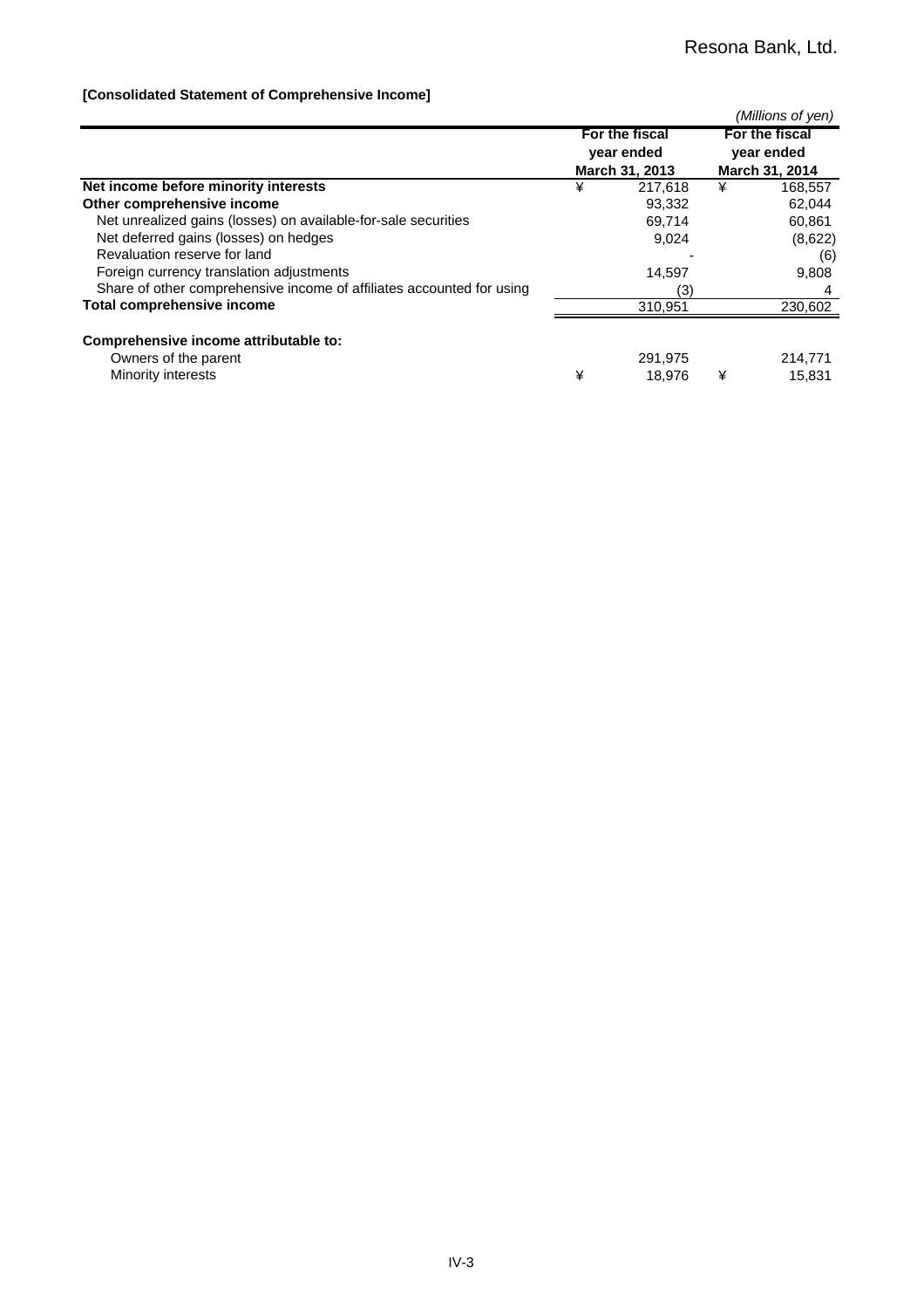#### **[Consolidated Statement of Comprehensive Income]**

|                                                                       |   |                              |   | (Millions of yen)            |
|-----------------------------------------------------------------------|---|------------------------------|---|------------------------------|
|                                                                       |   | For the fiscal<br>year ended |   | For the fiscal<br>year ended |
|                                                                       |   | March 31, 2013               |   | March 31, 2014               |
| Net income before minority interests                                  | ¥ | 217.618                      | ¥ | 168,557                      |
| Other comprehensive income                                            |   | 93,332                       |   | 62,044                       |
| Net unrealized gains (losses) on available-for-sale securities        |   | 69,714                       |   | 60,861                       |
| Net deferred gains (losses) on hedges                                 |   | 9,024                        |   | (8,622)                      |
| Revaluation reserve for land                                          |   |                              |   | (6)                          |
| Foreign currency translation adjustments                              |   | 14,597                       |   | 9,808                        |
| Share of other comprehensive income of affiliates accounted for using |   | (3)                          |   |                              |
| <b>Total comprehensive income</b>                                     |   | 310,951                      |   | 230,602                      |
| Comprehensive income attributable to:                                 |   |                              |   |                              |
| Owners of the parent                                                  |   | 291.975                      |   | 214,771                      |
| Minority interests                                                    | ¥ | 18.976                       | ¥ | 15,831                       |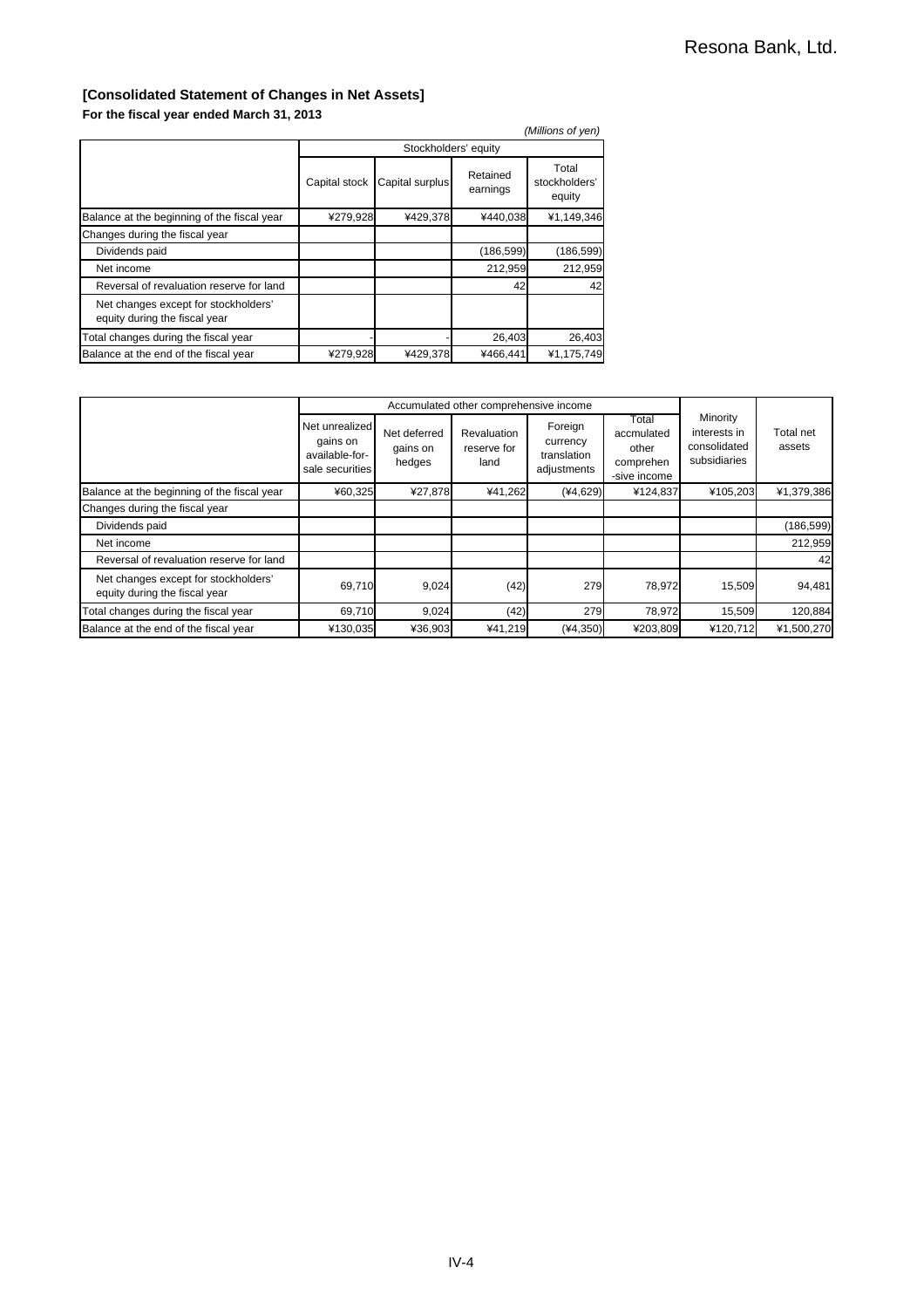### **[Consolidated Statement of Changes in Net Assets]**

**For the fiscal year ended March 31, 2013**

|                                                                       |               |                      |                      | (Millions of yen)                |  |  |  |
|-----------------------------------------------------------------------|---------------|----------------------|----------------------|----------------------------------|--|--|--|
|                                                                       |               | Stockholders' equity |                      |                                  |  |  |  |
|                                                                       | Capital stock | Capital surplus      | Retained<br>earnings | Total<br>stockholders'<br>equity |  |  |  |
| Balance at the beginning of the fiscal year                           | ¥279,928      | ¥429,378             | ¥440,038             | ¥1,149,346                       |  |  |  |
| Changes during the fiscal year                                        |               |                      |                      |                                  |  |  |  |
| Dividends paid                                                        |               |                      | (186, 599)           | (186, 599)                       |  |  |  |
| Net income                                                            |               |                      | 212,959              | 212,959                          |  |  |  |
| Reversal of revaluation reserve for land                              |               |                      | 42                   | 42                               |  |  |  |
| Net changes except for stockholders'<br>equity during the fiscal year |               |                      |                      |                                  |  |  |  |
| Total changes during the fiscal year                                  |               |                      | 26,403               | 26,403                           |  |  |  |
| Balance at the end of the fiscal year                                 | ¥279,928      | ¥429,378             | ¥466,441             | ¥1,175,749                       |  |  |  |

|                                                                       |                                                                 |                                    | Accumulated other comprehensive income |                                                   |                                                           |                                                          |                     |
|-----------------------------------------------------------------------|-----------------------------------------------------------------|------------------------------------|----------------------------------------|---------------------------------------------------|-----------------------------------------------------------|----------------------------------------------------------|---------------------|
|                                                                       | Net unrealized<br>gains on<br>available-for-<br>sale securities | Net deferred<br>gains on<br>hedges | Revaluation<br>reserve for<br>land     | Foreign<br>currency<br>translation<br>adjustments | Total<br>accmulated<br>other<br>comprehen<br>-sive income | Minority<br>interests in<br>consolidated<br>subsidiaries | Total net<br>assets |
| Balance at the beginning of the fiscal year                           | ¥60,325                                                         | ¥27,878                            | ¥41,262                                | $(*4,629)$                                        | ¥124,837                                                  | ¥105,203                                                 | ¥1,379,386          |
| Changes during the fiscal year                                        |                                                                 |                                    |                                        |                                                   |                                                           |                                                          |                     |
| Dividends paid                                                        |                                                                 |                                    |                                        |                                                   |                                                           |                                                          | (186, 599)          |
| Net income                                                            |                                                                 |                                    |                                        |                                                   |                                                           |                                                          | 212,959             |
| Reversal of revaluation reserve for land                              |                                                                 |                                    |                                        |                                                   |                                                           |                                                          | 42                  |
| Net changes except for stockholders'<br>equity during the fiscal year | 69,710                                                          | 9,024                              | (42)                                   | 279                                               | 78,972                                                    | 15,509                                                   | 94,481              |
| Total changes during the fiscal year                                  | 69,710                                                          | 9,024                              | (42)                                   | 279                                               | 78,972                                                    | 15,509                                                   | 120,884             |
| Balance at the end of the fiscal year                                 | ¥130,035                                                        | ¥36,903                            | ¥41,219                                | $(*4,350)$                                        | ¥203.809                                                  | ¥120.712                                                 | ¥1,500,270          |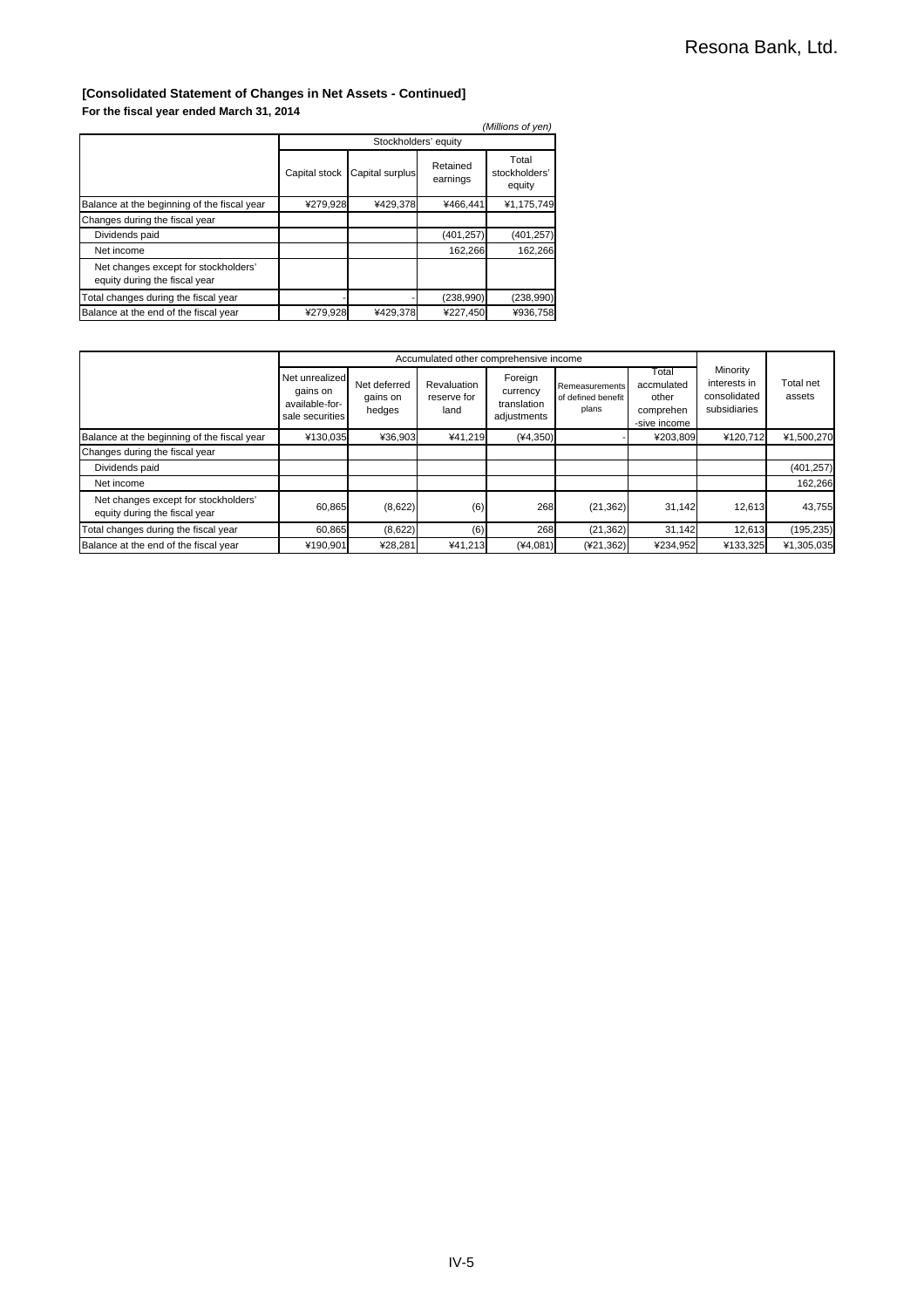#### **[Consolidated Statement of Changes in Net Assets - Continued] For the fiscal year ended March 31, 2014**

| (Millions of yen)                                                     |               |                      |                      |                                  |
|-----------------------------------------------------------------------|---------------|----------------------|----------------------|----------------------------------|
|                                                                       |               | Stockholders' equity |                      |                                  |
|                                                                       | Capital stock | Capital surplus      | Retained<br>earnings | Total<br>stockholders'<br>equity |
| Balance at the beginning of the fiscal year                           | ¥279,928      | ¥429,378             | ¥466,441             | ¥1,175,749                       |
| Changes during the fiscal year                                        |               |                      |                      |                                  |
| Dividends paid                                                        |               |                      | (401, 257)           | (401, 257)                       |
| Net income                                                            |               |                      | 162,266              | 162,266                          |
| Net changes except for stockholders'<br>equity during the fiscal year |               |                      |                      |                                  |
| Total changes during the fiscal year                                  |               |                      | (238,990)            | (238,990)                        |
| Balance at the end of the fiscal year                                 | ¥279,928      | ¥429,378             | ¥227,450             | ¥936,758                         |

|                                                                       | Accumulated other comprehensive income                          |                                    |                                    |                                                   |                                               |                                                           |                                                          |                     |  |
|-----------------------------------------------------------------------|-----------------------------------------------------------------|------------------------------------|------------------------------------|---------------------------------------------------|-----------------------------------------------|-----------------------------------------------------------|----------------------------------------------------------|---------------------|--|
|                                                                       | Net unrealized<br>gains on<br>available-for-<br>sale securities | Net deferred<br>gains on<br>hedges | Revaluation<br>reserve for<br>land | Foreign<br>currency<br>translation<br>adjustments | Remeasurements<br>of defined benefit<br>plans | Total<br>accmulated<br>other<br>comprehen<br>-sive income | Minority<br>interests in<br>consolidated<br>subsidiaries | Total net<br>assets |  |
| Balance at the beginning of the fiscal year                           | ¥130,035                                                        | ¥36,903                            | ¥41,219                            | $(*4,350)$                                        |                                               | ¥203,809                                                  | ¥120,712                                                 | ¥1,500,270          |  |
| Changes during the fiscal year                                        |                                                                 |                                    |                                    |                                                   |                                               |                                                           |                                                          |                     |  |
| Dividends paid                                                        |                                                                 |                                    |                                    |                                                   |                                               |                                                           |                                                          | (401, 257)          |  |
| Net income                                                            |                                                                 |                                    |                                    |                                                   |                                               |                                                           |                                                          | 162,266             |  |
| Net changes except for stockholders'<br>equity during the fiscal year | 60,865                                                          | (8,622)                            | (6)                                | 268                                               | (21, 362)                                     | 31.142                                                    | 12.613                                                   | 43,755              |  |
| Total changes during the fiscal year                                  | 60,865                                                          | (8,622)                            | (6)                                | 268                                               | (21, 362)                                     | 31.142                                                    | 12.613                                                   | (195, 235)          |  |
| Balance at the end of the fiscal year                                 | ¥190,901                                                        | ¥28,281                            | ¥41,213                            | $(*4,081)$                                        | (421, 362)                                    | ¥234,952                                                  | ¥133.325                                                 | ¥1,305,035          |  |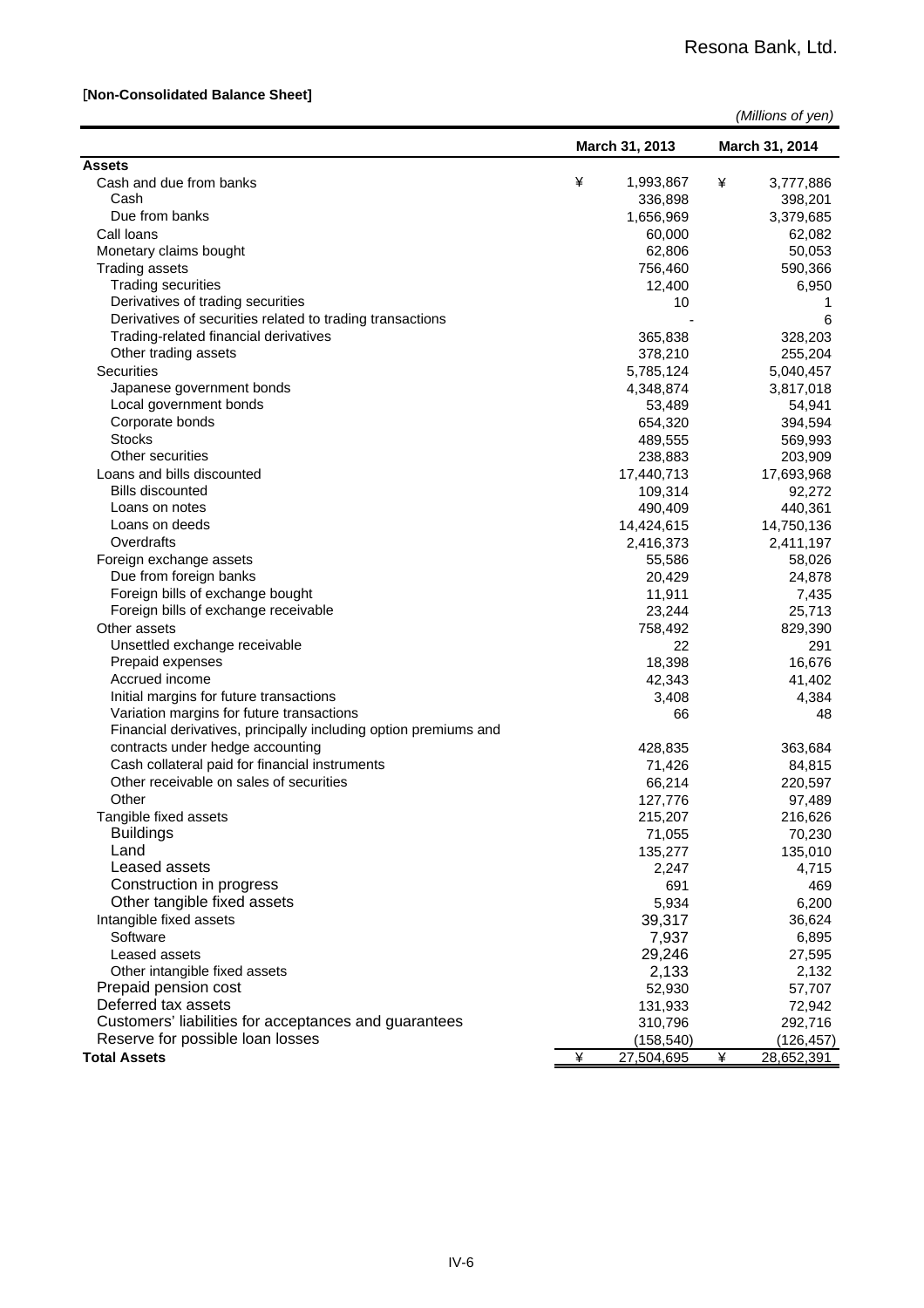#### [**Non-Consolidated Balance Sheet]**

| (Millions of yen) |
|-------------------|
|-------------------|

|                                                                                           |   | March 31, 2013  |   | March 31, 2014    |
|-------------------------------------------------------------------------------------------|---|-----------------|---|-------------------|
| <b>Assets</b>                                                                             |   |                 |   |                   |
| Cash and due from banks                                                                   | ¥ | 1,993,867       | ¥ | 3,777,886         |
| Cash                                                                                      |   | 336,898         |   | 398,201           |
| Due from banks                                                                            |   | 1,656,969       |   | 3,379,685         |
| Call Ioans                                                                                |   | 60,000          |   | 62,082            |
| Monetary claims bought                                                                    |   | 62,806          |   | 50,053            |
| <b>Trading assets</b>                                                                     |   | 756,460         |   | 590,366           |
| <b>Trading securities</b>                                                                 |   | 12,400          |   | 6,950             |
| Derivatives of trading securities                                                         |   | 10              |   | 1                 |
| Derivatives of securities related to trading transactions                                 |   |                 |   | 6                 |
| Trading-related financial derivatives                                                     |   | 365,838         |   | 328,203           |
| Other trading assets                                                                      |   | 378,210         |   | 255,204           |
| Securities                                                                                |   | 5,785,124       |   | 5,040,457         |
| Japanese government bonds                                                                 |   | 4,348,874       |   | 3,817,018         |
| Local government bonds                                                                    |   | 53,489          |   | 54,941            |
| Corporate bonds                                                                           |   | 654,320         |   | 394,594           |
| <b>Stocks</b>                                                                             |   | 489,555         |   | 569,993           |
| Other securities                                                                          |   | 238,883         |   | 203,909           |
| Loans and bills discounted                                                                |   | 17,440,713      |   | 17,693,968        |
| <b>Bills discounted</b>                                                                   |   | 109,314         |   | 92,272            |
| Loans on notes                                                                            |   | 490,409         |   | 440,361           |
| Loans on deeds                                                                            |   | 14,424,615      |   | 14,750,136        |
| Overdrafts                                                                                |   | 2,416,373       |   | 2,411,197         |
| Foreign exchange assets                                                                   |   | 55,586          |   | 58,026            |
| Due from foreign banks                                                                    |   | 20,429          |   | 24,878            |
| Foreign bills of exchange bought                                                          |   | 11,911          |   | 7,435             |
| Foreign bills of exchange receivable                                                      |   | 23,244          |   | 25,713            |
| Other assets                                                                              |   | 758,492         |   | 829,390           |
| Unsettled exchange receivable                                                             |   | 22              |   | 291               |
| Prepaid expenses                                                                          |   | 18,398          |   | 16,676            |
| Accrued income                                                                            |   | 42,343          |   | 41,402            |
| Initial margins for future transactions                                                   |   | 3,408           |   | 4,384             |
| Variation margins for future transactions                                                 |   | 66              |   | 48                |
| Financial derivatives, principally including option premiums and                          |   |                 |   |                   |
| contracts under hedge accounting                                                          |   | 428,835         |   | 363,684           |
| Cash collateral paid for financial instruments<br>Other receivable on sales of securities |   | 71,426          |   | 84,815            |
|                                                                                           |   | 66,214          |   | 220,597           |
| Other                                                                                     |   | 127,776         |   | 97,489            |
| Tangible fixed assets<br><b>Buildings</b>                                                 |   | 215,207         |   | 216,626<br>70,230 |
| Land                                                                                      |   | 71,055          |   |                   |
| Leased assets                                                                             |   | 135,277         |   | 135,010           |
| Construction in progress                                                                  |   | 2,247           |   | 4,715             |
| Other tangible fixed assets                                                               |   | 691<br>5,934    |   | 469               |
| Intangible fixed assets                                                                   |   | 39,317          |   | 6,200<br>36,624   |
| Software                                                                                  |   | 7,937           |   | 6,895             |
| Leased assets                                                                             |   | 29,246          |   | 27,595            |
|                                                                                           |   |                 |   |                   |
| Other intangible fixed assets<br>Prepaid pension cost                                     |   | 2,133<br>52,930 |   | 2,132<br>57,707   |
| Deferred tax assets                                                                       |   | 131,933         |   | 72,942            |
| Customers' liabilities for acceptances and guarantees                                     |   | 310,796         |   | 292,716           |
| Reserve for possible loan losses                                                          |   | (158, 540)      |   | (126, 457)        |
| <b>Total Assets</b>                                                                       | ¥ | 27,504,695      | ¥ | 28,652,391        |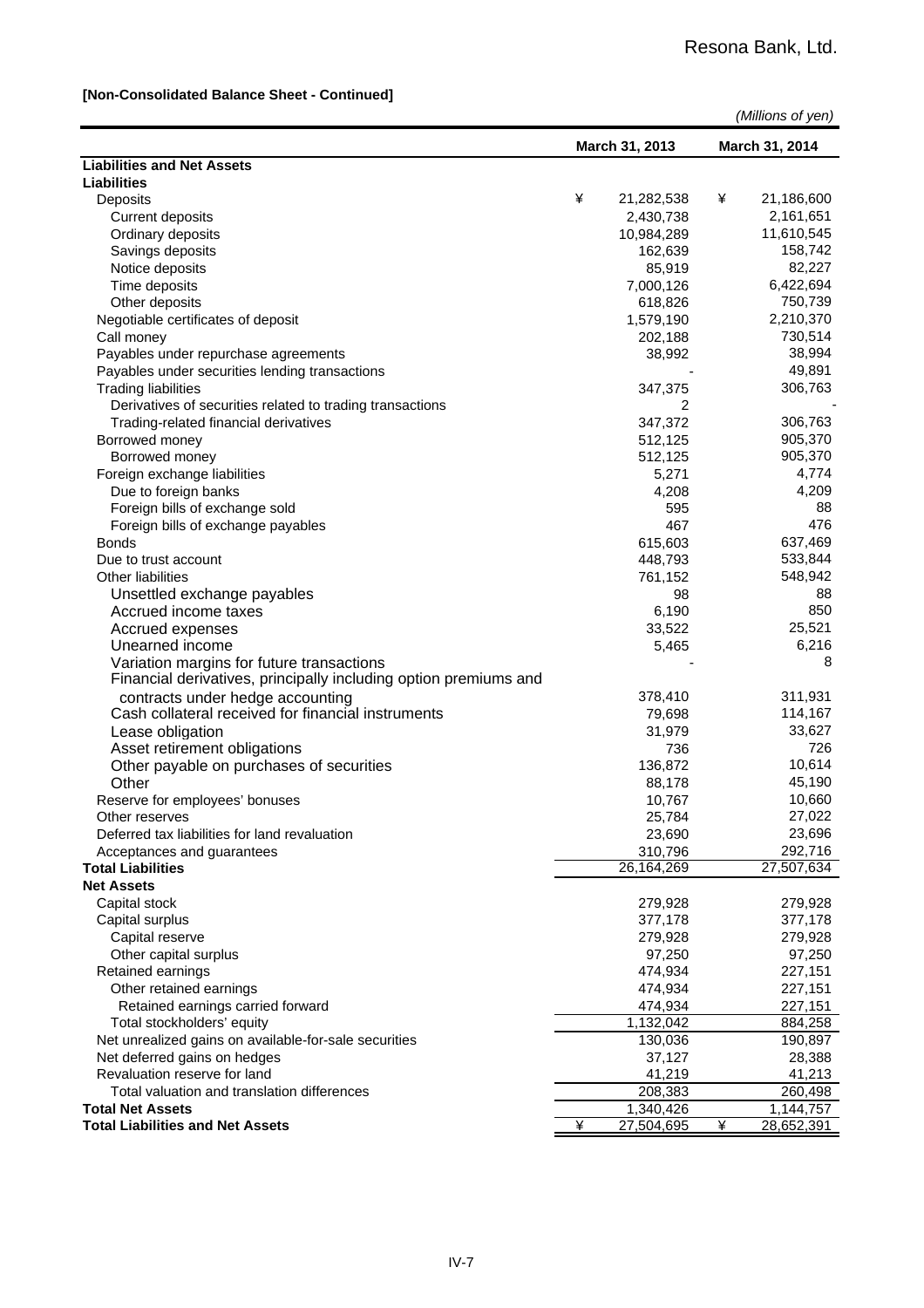#### **[Non-Consolidated Balance Sheet - Continued]**

|                                                                  |   |                | (Millions of yen) |                |
|------------------------------------------------------------------|---|----------------|-------------------|----------------|
|                                                                  |   | March 31, 2013 |                   | March 31, 2014 |
| <b>Liabilities and Net Assets</b>                                |   |                |                   |                |
| <b>Liabilities</b>                                               |   |                |                   |                |
| Deposits                                                         | ¥ | 21,282,538     | ¥                 | 21,186,600     |
| <b>Current deposits</b>                                          |   | 2,430,738      |                   | 2,161,651      |
| Ordinary deposits                                                |   | 10,984,289     |                   | 11,610,545     |
| Savings deposits                                                 |   | 162,639        |                   | 158,742        |
| Notice deposits                                                  |   | 85,919         |                   | 82,227         |
| Time deposits                                                    |   | 7,000,126      |                   | 6,422,694      |
| Other deposits                                                   |   | 618,826        |                   | 750,739        |
| Negotiable certificates of deposit                               |   | 1,579,190      |                   | 2,210,370      |
| Call money                                                       |   | 202,188        |                   | 730,514        |
| Payables under repurchase agreements                             |   | 38,992         |                   | 38,994         |
| Payables under securities lending transactions                   |   |                |                   | 49,891         |
| <b>Trading liabilities</b>                                       |   | 347,375        |                   | 306,763        |
| Derivatives of securities related to trading transactions        |   | 2              |                   |                |
| Trading-related financial derivatives                            |   | 347,372        |                   | 306,763        |
| Borrowed money                                                   |   | 512,125        |                   | 905,370        |
| Borrowed money                                                   |   | 512,125        |                   | 905,370        |
| Foreign exchange liabilities                                     |   | 5,271          |                   | 4,774          |
| Due to foreign banks                                             |   | 4,208          |                   | 4,209          |
| Foreign bills of exchange sold                                   |   | 595            |                   | 88             |
| Foreign bills of exchange payables                               |   | 467            |                   | 476            |
| <b>Bonds</b>                                                     |   | 615,603        |                   | 637,469        |
| Due to trust account                                             |   | 448,793        |                   | 533,844        |
| <b>Other liabilities</b>                                         |   | 761,152        |                   | 548,942        |
| Unsettled exchange payables                                      |   | 98             |                   | 88             |
| Accrued income taxes                                             |   | 6,190          |                   | 850            |
| Accrued expenses                                                 |   | 33,522         |                   | 25,521         |
| Unearned income                                                  |   | 5,465          |                   | 6,216          |
| Variation margins for future transactions                        |   |                |                   | 8              |
| Financial derivatives, principally including option premiums and |   |                |                   |                |
| contracts under hedge accounting                                 |   | 378,410        |                   | 311,931        |
| Cash collateral received for financial instruments               |   | 79,698         |                   | 114,167        |
| Lease obligation                                                 |   | 31,979         |                   | 33,627         |
| Asset retirement obligations                                     |   | 736            |                   | 726            |
| Other payable on purchases of securities                         |   | 136,872        |                   | 10,614         |
| Other                                                            |   | 88,178         |                   | 45,190         |
| Reserve for employees' bonuses                                   |   | 10,767         |                   | 10,660         |
| Other reserves                                                   |   | 25,784         |                   | 27,022         |
| Deferred tax liabilities for land revaluation                    |   | 23,690         |                   | 23,696         |
| Acceptances and guarantees                                       |   | 310,796        |                   | 292,716        |
| <b>Total Liabilities</b>                                         |   | 26,164,269     |                   | 27,507,634     |
| <b>Net Assets</b>                                                |   |                |                   |                |
| Capital stock                                                    |   | 279,928        |                   | 279,928        |
| Capital surplus                                                  |   | 377,178        |                   | 377,178        |
| Capital reserve                                                  |   | 279,928        |                   | 279,928        |
| Other capital surplus                                            |   | 97,250         |                   | 97,250         |
| Retained earnings                                                |   | 474,934        |                   | 227,151        |
| Other retained earnings                                          |   | 474,934        |                   | 227,151        |
| Retained earnings carried forward                                |   | 474,934        |                   | 227,151        |
| Total stockholders' equity                                       |   | 1,132,042      |                   | 884,258        |
| Net unrealized gains on available-for-sale securities            |   | 130,036        |                   | 190,897        |
| Net deferred gains on hedges                                     |   | 37,127         |                   | 28,388         |
| Revaluation reserve for land                                     |   | 41,219         |                   | 41,213         |
| Total valuation and translation differences                      |   | 208,383        |                   | 260,498        |
| <b>Total Net Assets</b>                                          |   | 1,340,426      |                   | 1,144,757      |
| <b>Total Liabilities and Net Assets</b>                          | ¥ | 27,504,695     | ¥                 | 28,652,391     |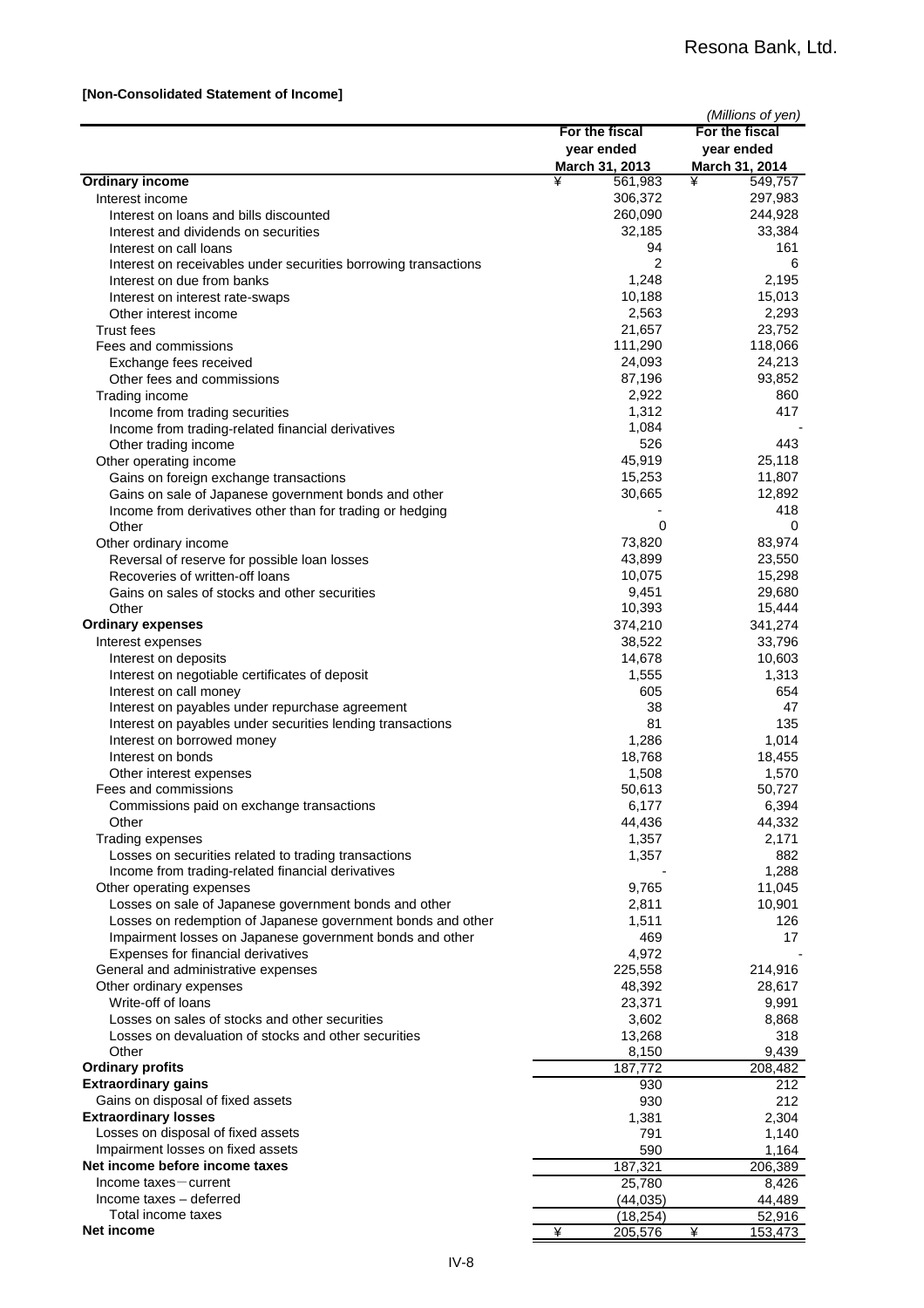#### **[Non-Consolidated Statement of Income]**

|                                                                                                                         | For the fiscal<br>year ended | (Millions of yen)<br>For the fiscal<br>year ended |
|-------------------------------------------------------------------------------------------------------------------------|------------------------------|---------------------------------------------------|
|                                                                                                                         | March 31, 2013               | March 31, 2014                                    |
| <b>Ordinary income</b>                                                                                                  | ¥<br>561,983                 | ¥<br>549,757                                      |
| Interest income                                                                                                         | 306,372                      | 297,983                                           |
| Interest on loans and bills discounted                                                                                  | 260,090                      | 244,928                                           |
| Interest and dividends on securities                                                                                    | 32,185                       | 33,384                                            |
| Interest on call loans                                                                                                  | 94                           | 161                                               |
| Interest on receivables under securities borrowing transactions                                                         | $\overline{2}$               | 6                                                 |
| Interest on due from banks                                                                                              | 1,248                        | 2,195                                             |
| Interest on interest rate-swaps                                                                                         | 10,188<br>2,563              | 15,013<br>2,293                                   |
| Other interest income<br><b>Trust fees</b>                                                                              | 21,657                       | 23,752                                            |
| Fees and commissions                                                                                                    | 111,290                      | 118,066                                           |
| Exchange fees received                                                                                                  | 24,093                       | 24,213                                            |
| Other fees and commissions                                                                                              | 87,196                       | 93,852                                            |
| Trading income                                                                                                          | 2,922                        | 860                                               |
| Income from trading securities                                                                                          | 1,312                        | 417                                               |
| Income from trading-related financial derivatives                                                                       | 1,084                        |                                                   |
| Other trading income                                                                                                    | 526                          | 443                                               |
| Other operating income                                                                                                  | 45,919                       | 25,118                                            |
| Gains on foreign exchange transactions                                                                                  | 15,253                       | 11,807                                            |
| Gains on sale of Japanese government bonds and other                                                                    | 30,665                       | 12,892<br>418                                     |
| Income from derivatives other than for trading or hedging<br>Other                                                      | 0                            | 0                                                 |
| Other ordinary income                                                                                                   | 73,820                       | 83,974                                            |
| Reversal of reserve for possible loan losses                                                                            | 43,899                       | 23,550                                            |
| Recoveries of written-off loans                                                                                         | 10,075                       | 15,298                                            |
| Gains on sales of stocks and other securities                                                                           | 9,451                        | 29,680                                            |
| Other                                                                                                                   | 10,393                       | 15,444                                            |
| <b>Ordinary expenses</b>                                                                                                | 374,210                      | 341,274                                           |
| Interest expenses                                                                                                       | 38,522                       | 33,796                                            |
| Interest on deposits                                                                                                    | 14,678                       | 10,603                                            |
| Interest on negotiable certificates of deposit                                                                          | 1,555                        | 1,313                                             |
| Interest on call money                                                                                                  | 605                          | 654                                               |
| Interest on payables under repurchase agreement<br>Interest on payables under securities lending transactions           | 38<br>81                     | 47<br>135                                         |
| Interest on borrowed money                                                                                              | 1,286                        | 1,014                                             |
| Interest on bonds                                                                                                       | 18,768                       | 18,455                                            |
| Other interest expenses                                                                                                 | 1,508                        | 1,570                                             |
| Fees and commissions                                                                                                    | 50,613                       | 50,727                                            |
| Commissions paid on exchange transactions                                                                               | 6,177                        | 6,394                                             |
| Other                                                                                                                   | 44,436                       | 44,332                                            |
| Trading expenses                                                                                                        | 1,357                        | 2,171                                             |
| Losses on securities related to trading transactions                                                                    | 1,357                        | 882                                               |
| Income from trading-related financial derivatives                                                                       |                              | 1,288                                             |
| Other operating expenses                                                                                                | 9,765                        | 11,045                                            |
| Losses on sale of Japanese government bonds and other                                                                   | 2,811                        | 10,901<br>126                                     |
| Losses on redemption of Japanese government bonds and other<br>Impairment losses on Japanese government bonds and other | 1,511<br>469                 | 17                                                |
| Expenses for financial derivatives                                                                                      | 4,972                        |                                                   |
| General and administrative expenses                                                                                     | 225,558                      | 214,916                                           |
| Other ordinary expenses                                                                                                 | 48,392                       | 28,617                                            |
| Write-off of loans                                                                                                      | 23,371                       | 9,991                                             |
| Losses on sales of stocks and other securities                                                                          | 3,602                        | 8,868                                             |
| Losses on devaluation of stocks and other securities                                                                    | 13,268                       | 318                                               |
| Other                                                                                                                   | 8,150                        | 9,439                                             |
| <b>Ordinary profits</b>                                                                                                 | 187,772                      | 208,482                                           |
| <b>Extraordinary gains</b>                                                                                              | 930                          | 212                                               |
| Gains on disposal of fixed assets                                                                                       | 930                          | 212                                               |
| <b>Extraordinary losses</b><br>Losses on disposal of fixed assets                                                       | 1,381<br>791                 | 2,304<br>1,140                                    |
| Impairment losses on fixed assets                                                                                       | 590                          | 1,164                                             |
| Net income before income taxes                                                                                          | 187,321                      | 206,389                                           |
| $Income taxes = current$                                                                                                | 25,780                       | 8,426                                             |
| Income taxes - deferred                                                                                                 | (44, 035)                    | 44,489                                            |
| Total income taxes                                                                                                      | (18, 254)                    | 52,916                                            |
| Net income                                                                                                              | ¥<br>205,576                 | ¥<br>153,473                                      |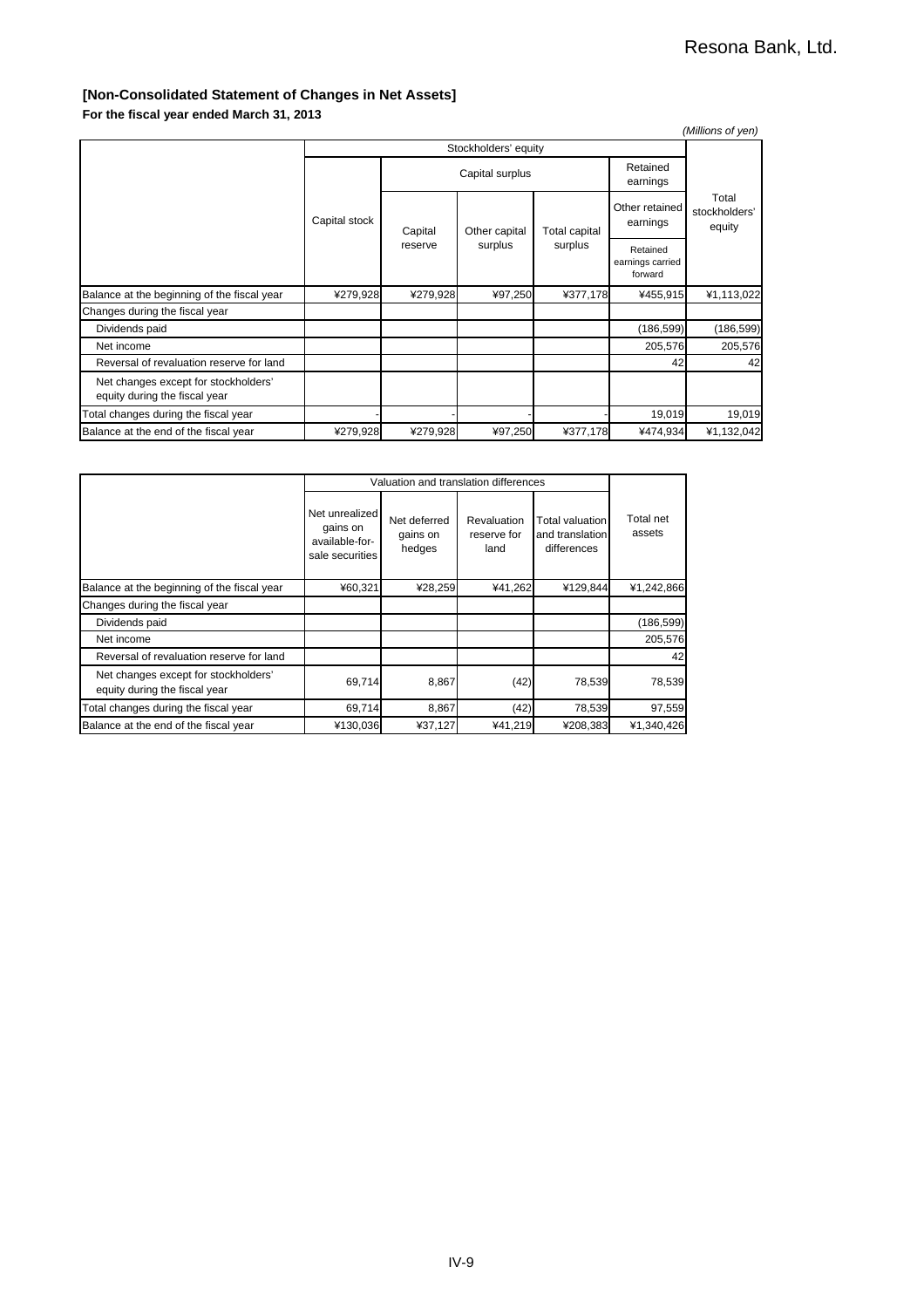#### **[Non-Consolidated Statement of Changes in Net Assets]**

**For the fiscal year ended March 31, 2013**

| (Millions of yen)                                                     |               |          |                      |                                 |                                         |                                  |  |  |
|-----------------------------------------------------------------------|---------------|----------|----------------------|---------------------------------|-----------------------------------------|----------------------------------|--|--|
|                                                                       |               |          | Stockholders' equity |                                 |                                         |                                  |  |  |
|                                                                       |               |          | Capital surplus      |                                 | Retained<br>earnings                    |                                  |  |  |
|                                                                       | Capital stock | Capital  | Other capital        | <b>Total capital</b><br>surplus | Other retained<br>earnings              | Total<br>stockholders'<br>equity |  |  |
|                                                                       |               | reserve  | surplus              |                                 | Retained<br>earnings carried<br>forward |                                  |  |  |
| Balance at the beginning of the fiscal year                           | ¥279,928      | ¥279,928 | ¥97,250              | ¥377,178                        | ¥455,915                                | ¥1,113,022                       |  |  |
| Changes during the fiscal year                                        |               |          |                      |                                 |                                         |                                  |  |  |
| Dividends paid                                                        |               |          |                      |                                 | (186, 599)                              | (186, 599)                       |  |  |
| Net income                                                            |               |          |                      |                                 | 205,576                                 | 205,576                          |  |  |
| Reversal of revaluation reserve for land                              |               |          |                      |                                 | 42                                      | 42                               |  |  |
| Net changes except for stockholders'<br>equity during the fiscal year |               |          |                      |                                 |                                         |                                  |  |  |
| Total changes during the fiscal year                                  |               |          |                      |                                 | 19,019                                  | 19,019                           |  |  |
| Balance at the end of the fiscal year                                 | ¥279,928      | ¥279,928 | ¥97,250              | ¥377,178                        | ¥474,934                                | ¥1,132,042                       |  |  |

|                                                                       |                                                                 | Valuation and translation differences |                                    |                                                          |                     |  |  |  |  |
|-----------------------------------------------------------------------|-----------------------------------------------------------------|---------------------------------------|------------------------------------|----------------------------------------------------------|---------------------|--|--|--|--|
|                                                                       | Net unrealized<br>gains on<br>available-for-<br>sale securities | Net deferred<br>gains on<br>hedges    | Revaluation<br>reserve for<br>land | <b>Total valuation</b><br>and translation<br>differences | Total net<br>assets |  |  |  |  |
| Balance at the beginning of the fiscal year                           | ¥60,321                                                         | ¥28,259                               | ¥41,262                            | ¥129,844                                                 | ¥1,242,866          |  |  |  |  |
| Changes during the fiscal year                                        |                                                                 |                                       |                                    |                                                          |                     |  |  |  |  |
| Dividends paid                                                        |                                                                 |                                       |                                    |                                                          | (186, 599)          |  |  |  |  |
| Net income                                                            |                                                                 |                                       |                                    |                                                          | 205,576             |  |  |  |  |
| Reversal of revaluation reserve for land                              |                                                                 |                                       |                                    |                                                          | 42                  |  |  |  |  |
| Net changes except for stockholders'<br>equity during the fiscal year | 69,714                                                          | 8,867                                 | (42)                               | 78,539                                                   | 78,539              |  |  |  |  |
| Total changes during the fiscal year                                  | 69,714                                                          | 8,867                                 | (42)                               | 78,539                                                   | 97,559              |  |  |  |  |
| Balance at the end of the fiscal year                                 | ¥130,036                                                        | ¥37,127                               | ¥41.219                            | ¥208,383                                                 | ¥1.340.426          |  |  |  |  |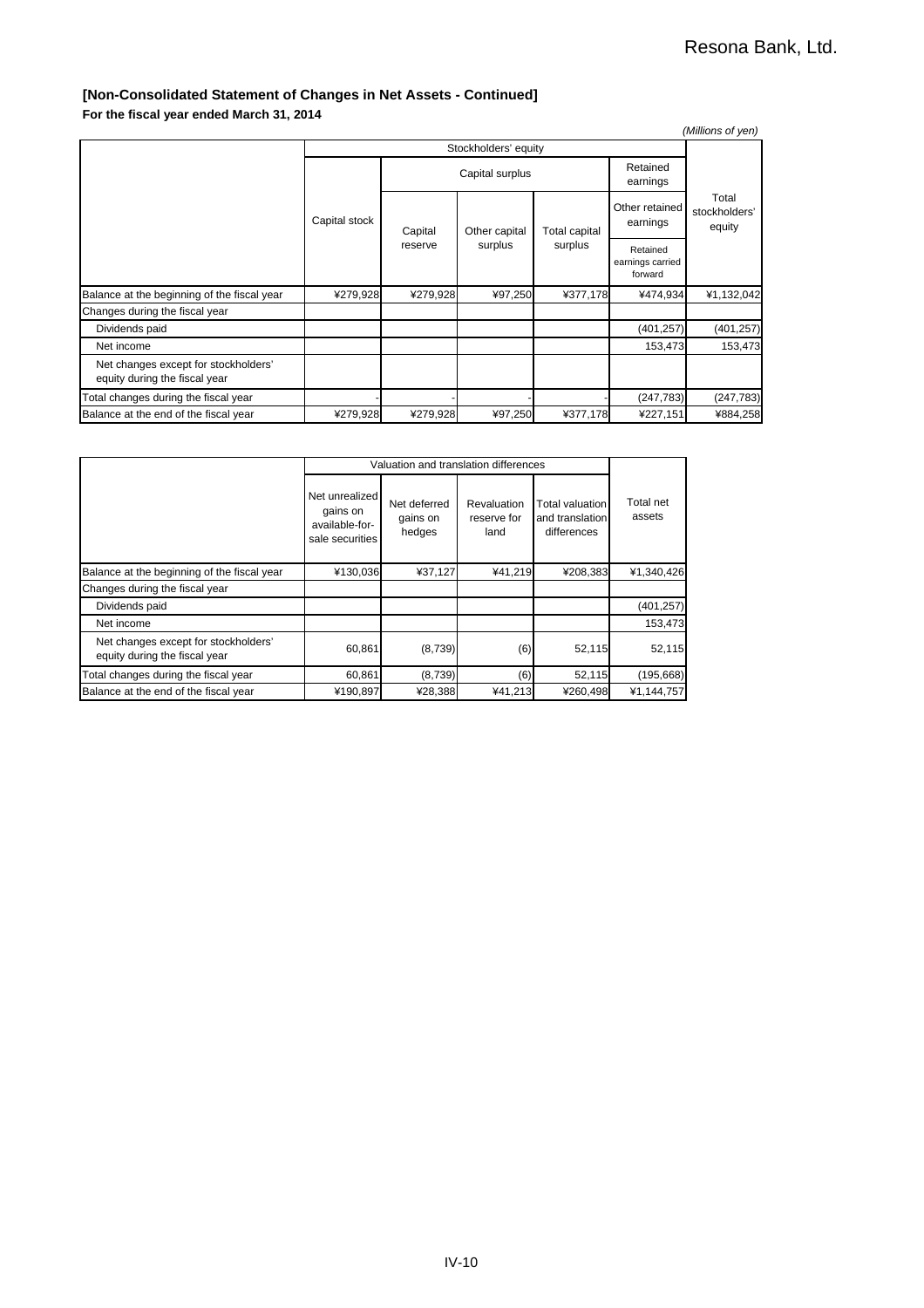#### **[Non-Consolidated Statement of Changes in Net Assets - Continued]**

**For the fiscal year ended March 31, 2014**

|                                                                       |               |          |                      |               |                                         | (Millions of yen)                |
|-----------------------------------------------------------------------|---------------|----------|----------------------|---------------|-----------------------------------------|----------------------------------|
|                                                                       |               |          | Stockholders' equity |               |                                         |                                  |
|                                                                       |               |          | Capital surplus      |               | Retained<br>earnings                    |                                  |
|                                                                       | Capital stock | Capital  | Other capital        | Total capital | Other retained<br>earnings              | Total<br>stockholders'<br>equity |
|                                                                       |               | reserve  | surplus              | surplus       | Retained<br>earnings carried<br>forward |                                  |
| Balance at the beginning of the fiscal year                           | ¥279,928      | ¥279,928 | ¥97,250              | ¥377,178      | ¥474,934                                | ¥1,132,042                       |
| Changes during the fiscal year                                        |               |          |                      |               |                                         |                                  |
| Dividends paid                                                        |               |          |                      |               | (401, 257)                              | (401, 257)                       |
| Net income                                                            |               |          |                      |               | 153,473                                 | 153,473                          |
| Net changes except for stockholders'<br>equity during the fiscal year |               |          |                      |               |                                         |                                  |
| Total changes during the fiscal year                                  |               |          |                      |               | (247, 783)                              | (247, 783)                       |
| Balance at the end of the fiscal year                                 | ¥279,928      | ¥279,928 | ¥97,250              | ¥377,178      | ¥227,151                                | ¥884,258                         |

|                                                                       |                                                                 | Valuation and translation differences |                                           |                                                   |                     |
|-----------------------------------------------------------------------|-----------------------------------------------------------------|---------------------------------------|-------------------------------------------|---------------------------------------------------|---------------------|
|                                                                       | Net unrealized<br>gains on<br>available-for-<br>sale securities | Net deferred<br>gains on<br>hedges    | <b>Revaluation</b><br>reserve for<br>land | Total valuation<br>and translation<br>differences | Total net<br>assets |
| Balance at the beginning of the fiscal year                           | ¥130,036                                                        | ¥37,127                               | ¥41,219                                   | ¥208,383                                          | ¥1,340,426          |
| Changes during the fiscal year                                        |                                                                 |                                       |                                           |                                                   |                     |
| Dividends paid                                                        |                                                                 |                                       |                                           |                                                   | (401,257)           |
| Net income                                                            |                                                                 |                                       |                                           |                                                   | 153,473             |
| Net changes except for stockholders'<br>equity during the fiscal year | 60,861                                                          | (8,739)                               | (6)                                       | 52,115                                            | 52,115              |
| Total changes during the fiscal year                                  | 60,861                                                          | (8,739)                               | (6)                                       | 52,115                                            | (195, 668)          |
| Balance at the end of the fiscal year                                 | ¥190,897                                                        | ¥28,388                               | ¥41,213                                   | ¥260,498                                          | ¥1,144,757          |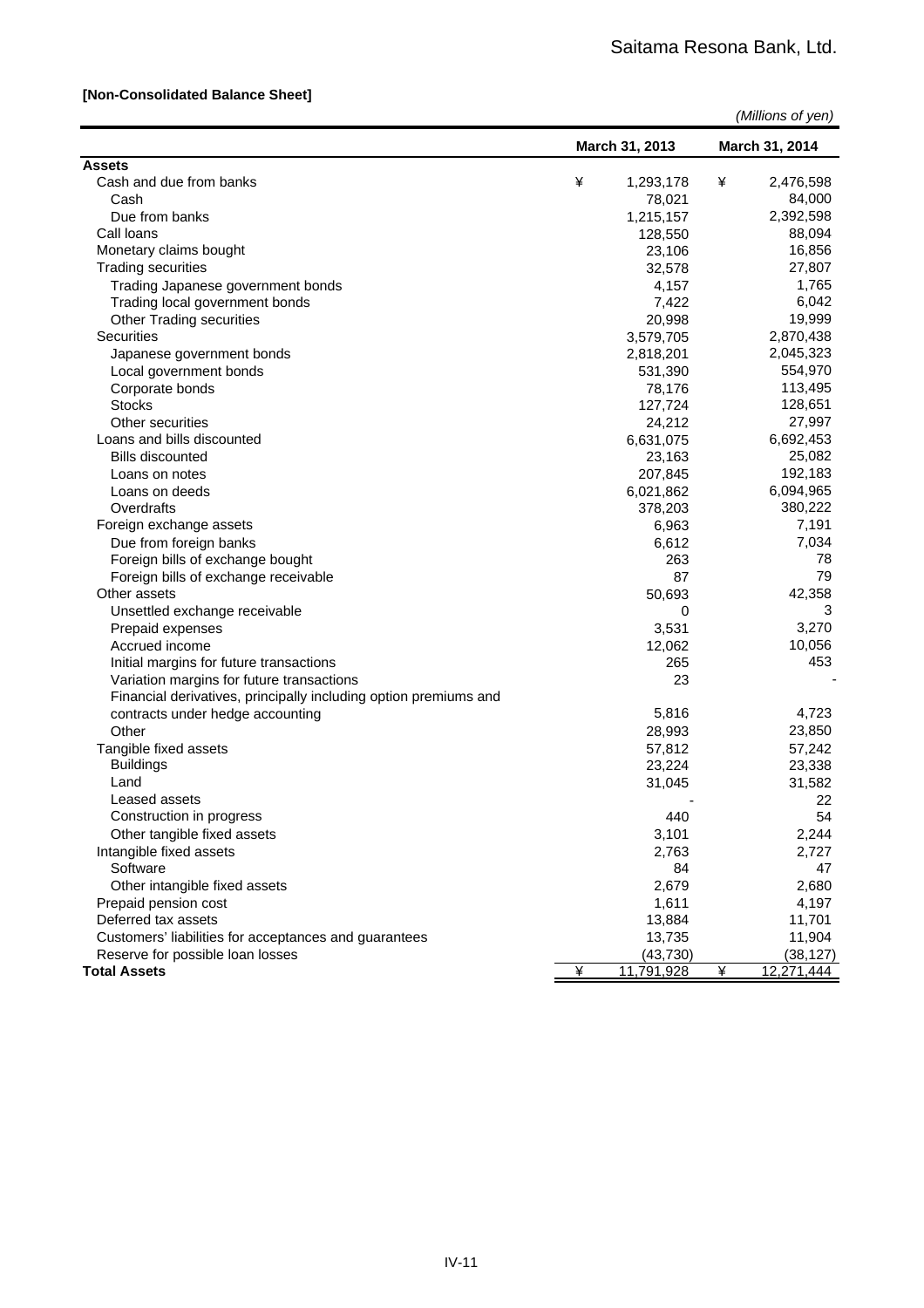#### **[Non-Consolidated Balance Sheet]**

| <b>Assets</b><br>Cash and due from banks<br>¥<br>1,293,178<br>¥<br>2,476,598<br>84,000<br>Cash<br>78,021<br>2,392,598<br>Due from banks<br>1,215,157<br>88,094<br>Call loans<br>128,550<br>16,856<br>Monetary claims bought<br>23,106<br><b>Trading securities</b><br>32,578<br>27,807<br>1,765<br>Trading Japanese government bonds<br>4,157<br>6,042<br>7,422<br>Trading local government bonds<br>19,999<br>20,998<br><b>Other Trading securities</b><br><b>Securities</b><br>2,870,438<br>3,579,705<br>2,045,323<br>2,818,201<br>Japanese government bonds<br>554,970<br>Local government bonds<br>531,390<br>Corporate bonds<br>78,176<br>113,495<br><b>Stocks</b><br>128,651<br>127,724<br>27,997<br>Other securities<br>24,212<br>6,692,453<br>Loans and bills discounted<br>6,631,075<br>25,082<br>23,163<br><b>Bills discounted</b><br>192,183<br>207,845<br>Loans on notes<br>6,094,965<br>Loans on deeds<br>6,021,862<br>380,222<br>Overdrafts<br>378,203<br>7,191<br>Foreign exchange assets<br>6,963<br>7,034<br>6,612<br>Due from foreign banks<br>Foreign bills of exchange bought<br>263<br>78<br>87<br>79<br>Foreign bills of exchange receivable<br>Other assets<br>42,358<br>50,693<br>Unsettled exchange receivable<br>0<br>3<br>3,270<br>Prepaid expenses<br>3,531<br>Accrued income<br>10,056<br>12,062<br>453<br>265<br>Initial margins for future transactions<br>Variation margins for future transactions<br>23<br>Financial derivatives, principally including option premiums and<br>5,816<br>4,723<br>contracts under hedge accounting<br>23,850<br>Other<br>28,993<br>57,812<br>57,242<br>Tangible fixed assets<br><b>Buildings</b><br>23,224<br>23,338<br>Land<br>31,045<br>31,582<br>Leased assets<br>22<br>Construction in progress<br>440<br>54<br>2,244<br>Other tangible fixed assets<br>3,101<br>Intangible fixed assets<br>2,727<br>2,763<br>Software<br>84<br>47<br>2,679<br>2,680<br>Other intangible fixed assets<br>1,611<br>4,197<br>Prepaid pension cost<br>Deferred tax assets<br>13,884<br>11,701<br>Customers' liabilities for acceptances and guarantees<br>11,904<br>13,735<br>(38, 127)<br>Reserve for possible loan losses<br>(43, 730)<br>¥ |                     | March 31, 2013 |            | March 31, 2014 |            |
|-------------------------------------------------------------------------------------------------------------------------------------------------------------------------------------------------------------------------------------------------------------------------------------------------------------------------------------------------------------------------------------------------------------------------------------------------------------------------------------------------------------------------------------------------------------------------------------------------------------------------------------------------------------------------------------------------------------------------------------------------------------------------------------------------------------------------------------------------------------------------------------------------------------------------------------------------------------------------------------------------------------------------------------------------------------------------------------------------------------------------------------------------------------------------------------------------------------------------------------------------------------------------------------------------------------------------------------------------------------------------------------------------------------------------------------------------------------------------------------------------------------------------------------------------------------------------------------------------------------------------------------------------------------------------------------------------------------------------------------------------------------------------------------------------------------------------------------------------------------------------------------------------------------------------------------------------------------------------------------------------------------------------------------------------------------------------------------------------------------------------------------------------------------------------------------------------|---------------------|----------------|------------|----------------|------------|
|                                                                                                                                                                                                                                                                                                                                                                                                                                                                                                                                                                                                                                                                                                                                                                                                                                                                                                                                                                                                                                                                                                                                                                                                                                                                                                                                                                                                                                                                                                                                                                                                                                                                                                                                                                                                                                                                                                                                                                                                                                                                                                                                                                                                 |                     |                |            |                |            |
|                                                                                                                                                                                                                                                                                                                                                                                                                                                                                                                                                                                                                                                                                                                                                                                                                                                                                                                                                                                                                                                                                                                                                                                                                                                                                                                                                                                                                                                                                                                                                                                                                                                                                                                                                                                                                                                                                                                                                                                                                                                                                                                                                                                                 |                     |                |            |                |            |
|                                                                                                                                                                                                                                                                                                                                                                                                                                                                                                                                                                                                                                                                                                                                                                                                                                                                                                                                                                                                                                                                                                                                                                                                                                                                                                                                                                                                                                                                                                                                                                                                                                                                                                                                                                                                                                                                                                                                                                                                                                                                                                                                                                                                 |                     |                |            |                |            |
|                                                                                                                                                                                                                                                                                                                                                                                                                                                                                                                                                                                                                                                                                                                                                                                                                                                                                                                                                                                                                                                                                                                                                                                                                                                                                                                                                                                                                                                                                                                                                                                                                                                                                                                                                                                                                                                                                                                                                                                                                                                                                                                                                                                                 |                     |                |            |                |            |
|                                                                                                                                                                                                                                                                                                                                                                                                                                                                                                                                                                                                                                                                                                                                                                                                                                                                                                                                                                                                                                                                                                                                                                                                                                                                                                                                                                                                                                                                                                                                                                                                                                                                                                                                                                                                                                                                                                                                                                                                                                                                                                                                                                                                 |                     |                |            |                |            |
|                                                                                                                                                                                                                                                                                                                                                                                                                                                                                                                                                                                                                                                                                                                                                                                                                                                                                                                                                                                                                                                                                                                                                                                                                                                                                                                                                                                                                                                                                                                                                                                                                                                                                                                                                                                                                                                                                                                                                                                                                                                                                                                                                                                                 |                     |                |            |                |            |
|                                                                                                                                                                                                                                                                                                                                                                                                                                                                                                                                                                                                                                                                                                                                                                                                                                                                                                                                                                                                                                                                                                                                                                                                                                                                                                                                                                                                                                                                                                                                                                                                                                                                                                                                                                                                                                                                                                                                                                                                                                                                                                                                                                                                 |                     |                |            |                |            |
|                                                                                                                                                                                                                                                                                                                                                                                                                                                                                                                                                                                                                                                                                                                                                                                                                                                                                                                                                                                                                                                                                                                                                                                                                                                                                                                                                                                                                                                                                                                                                                                                                                                                                                                                                                                                                                                                                                                                                                                                                                                                                                                                                                                                 |                     |                |            |                |            |
|                                                                                                                                                                                                                                                                                                                                                                                                                                                                                                                                                                                                                                                                                                                                                                                                                                                                                                                                                                                                                                                                                                                                                                                                                                                                                                                                                                                                                                                                                                                                                                                                                                                                                                                                                                                                                                                                                                                                                                                                                                                                                                                                                                                                 |                     |                |            |                |            |
|                                                                                                                                                                                                                                                                                                                                                                                                                                                                                                                                                                                                                                                                                                                                                                                                                                                                                                                                                                                                                                                                                                                                                                                                                                                                                                                                                                                                                                                                                                                                                                                                                                                                                                                                                                                                                                                                                                                                                                                                                                                                                                                                                                                                 |                     |                |            |                |            |
|                                                                                                                                                                                                                                                                                                                                                                                                                                                                                                                                                                                                                                                                                                                                                                                                                                                                                                                                                                                                                                                                                                                                                                                                                                                                                                                                                                                                                                                                                                                                                                                                                                                                                                                                                                                                                                                                                                                                                                                                                                                                                                                                                                                                 |                     |                |            |                |            |
|                                                                                                                                                                                                                                                                                                                                                                                                                                                                                                                                                                                                                                                                                                                                                                                                                                                                                                                                                                                                                                                                                                                                                                                                                                                                                                                                                                                                                                                                                                                                                                                                                                                                                                                                                                                                                                                                                                                                                                                                                                                                                                                                                                                                 |                     |                |            |                |            |
|                                                                                                                                                                                                                                                                                                                                                                                                                                                                                                                                                                                                                                                                                                                                                                                                                                                                                                                                                                                                                                                                                                                                                                                                                                                                                                                                                                                                                                                                                                                                                                                                                                                                                                                                                                                                                                                                                                                                                                                                                                                                                                                                                                                                 |                     |                |            |                |            |
|                                                                                                                                                                                                                                                                                                                                                                                                                                                                                                                                                                                                                                                                                                                                                                                                                                                                                                                                                                                                                                                                                                                                                                                                                                                                                                                                                                                                                                                                                                                                                                                                                                                                                                                                                                                                                                                                                                                                                                                                                                                                                                                                                                                                 |                     |                |            |                |            |
|                                                                                                                                                                                                                                                                                                                                                                                                                                                                                                                                                                                                                                                                                                                                                                                                                                                                                                                                                                                                                                                                                                                                                                                                                                                                                                                                                                                                                                                                                                                                                                                                                                                                                                                                                                                                                                                                                                                                                                                                                                                                                                                                                                                                 |                     |                |            |                |            |
|                                                                                                                                                                                                                                                                                                                                                                                                                                                                                                                                                                                                                                                                                                                                                                                                                                                                                                                                                                                                                                                                                                                                                                                                                                                                                                                                                                                                                                                                                                                                                                                                                                                                                                                                                                                                                                                                                                                                                                                                                                                                                                                                                                                                 |                     |                |            |                |            |
|                                                                                                                                                                                                                                                                                                                                                                                                                                                                                                                                                                                                                                                                                                                                                                                                                                                                                                                                                                                                                                                                                                                                                                                                                                                                                                                                                                                                                                                                                                                                                                                                                                                                                                                                                                                                                                                                                                                                                                                                                                                                                                                                                                                                 |                     |                |            |                |            |
|                                                                                                                                                                                                                                                                                                                                                                                                                                                                                                                                                                                                                                                                                                                                                                                                                                                                                                                                                                                                                                                                                                                                                                                                                                                                                                                                                                                                                                                                                                                                                                                                                                                                                                                                                                                                                                                                                                                                                                                                                                                                                                                                                                                                 |                     |                |            |                |            |
|                                                                                                                                                                                                                                                                                                                                                                                                                                                                                                                                                                                                                                                                                                                                                                                                                                                                                                                                                                                                                                                                                                                                                                                                                                                                                                                                                                                                                                                                                                                                                                                                                                                                                                                                                                                                                                                                                                                                                                                                                                                                                                                                                                                                 |                     |                |            |                |            |
|                                                                                                                                                                                                                                                                                                                                                                                                                                                                                                                                                                                                                                                                                                                                                                                                                                                                                                                                                                                                                                                                                                                                                                                                                                                                                                                                                                                                                                                                                                                                                                                                                                                                                                                                                                                                                                                                                                                                                                                                                                                                                                                                                                                                 |                     |                |            |                |            |
|                                                                                                                                                                                                                                                                                                                                                                                                                                                                                                                                                                                                                                                                                                                                                                                                                                                                                                                                                                                                                                                                                                                                                                                                                                                                                                                                                                                                                                                                                                                                                                                                                                                                                                                                                                                                                                                                                                                                                                                                                                                                                                                                                                                                 |                     |                |            |                |            |
|                                                                                                                                                                                                                                                                                                                                                                                                                                                                                                                                                                                                                                                                                                                                                                                                                                                                                                                                                                                                                                                                                                                                                                                                                                                                                                                                                                                                                                                                                                                                                                                                                                                                                                                                                                                                                                                                                                                                                                                                                                                                                                                                                                                                 |                     |                |            |                |            |
|                                                                                                                                                                                                                                                                                                                                                                                                                                                                                                                                                                                                                                                                                                                                                                                                                                                                                                                                                                                                                                                                                                                                                                                                                                                                                                                                                                                                                                                                                                                                                                                                                                                                                                                                                                                                                                                                                                                                                                                                                                                                                                                                                                                                 |                     |                |            |                |            |
|                                                                                                                                                                                                                                                                                                                                                                                                                                                                                                                                                                                                                                                                                                                                                                                                                                                                                                                                                                                                                                                                                                                                                                                                                                                                                                                                                                                                                                                                                                                                                                                                                                                                                                                                                                                                                                                                                                                                                                                                                                                                                                                                                                                                 |                     |                |            |                |            |
|                                                                                                                                                                                                                                                                                                                                                                                                                                                                                                                                                                                                                                                                                                                                                                                                                                                                                                                                                                                                                                                                                                                                                                                                                                                                                                                                                                                                                                                                                                                                                                                                                                                                                                                                                                                                                                                                                                                                                                                                                                                                                                                                                                                                 |                     |                |            |                |            |
|                                                                                                                                                                                                                                                                                                                                                                                                                                                                                                                                                                                                                                                                                                                                                                                                                                                                                                                                                                                                                                                                                                                                                                                                                                                                                                                                                                                                                                                                                                                                                                                                                                                                                                                                                                                                                                                                                                                                                                                                                                                                                                                                                                                                 |                     |                |            |                |            |
|                                                                                                                                                                                                                                                                                                                                                                                                                                                                                                                                                                                                                                                                                                                                                                                                                                                                                                                                                                                                                                                                                                                                                                                                                                                                                                                                                                                                                                                                                                                                                                                                                                                                                                                                                                                                                                                                                                                                                                                                                                                                                                                                                                                                 |                     |                |            |                |            |
|                                                                                                                                                                                                                                                                                                                                                                                                                                                                                                                                                                                                                                                                                                                                                                                                                                                                                                                                                                                                                                                                                                                                                                                                                                                                                                                                                                                                                                                                                                                                                                                                                                                                                                                                                                                                                                                                                                                                                                                                                                                                                                                                                                                                 |                     |                |            |                |            |
|                                                                                                                                                                                                                                                                                                                                                                                                                                                                                                                                                                                                                                                                                                                                                                                                                                                                                                                                                                                                                                                                                                                                                                                                                                                                                                                                                                                                                                                                                                                                                                                                                                                                                                                                                                                                                                                                                                                                                                                                                                                                                                                                                                                                 |                     |                |            |                |            |
|                                                                                                                                                                                                                                                                                                                                                                                                                                                                                                                                                                                                                                                                                                                                                                                                                                                                                                                                                                                                                                                                                                                                                                                                                                                                                                                                                                                                                                                                                                                                                                                                                                                                                                                                                                                                                                                                                                                                                                                                                                                                                                                                                                                                 |                     |                |            |                |            |
|                                                                                                                                                                                                                                                                                                                                                                                                                                                                                                                                                                                                                                                                                                                                                                                                                                                                                                                                                                                                                                                                                                                                                                                                                                                                                                                                                                                                                                                                                                                                                                                                                                                                                                                                                                                                                                                                                                                                                                                                                                                                                                                                                                                                 |                     |                |            |                |            |
|                                                                                                                                                                                                                                                                                                                                                                                                                                                                                                                                                                                                                                                                                                                                                                                                                                                                                                                                                                                                                                                                                                                                                                                                                                                                                                                                                                                                                                                                                                                                                                                                                                                                                                                                                                                                                                                                                                                                                                                                                                                                                                                                                                                                 |                     |                |            |                |            |
|                                                                                                                                                                                                                                                                                                                                                                                                                                                                                                                                                                                                                                                                                                                                                                                                                                                                                                                                                                                                                                                                                                                                                                                                                                                                                                                                                                                                                                                                                                                                                                                                                                                                                                                                                                                                                                                                                                                                                                                                                                                                                                                                                                                                 |                     |                |            |                |            |
|                                                                                                                                                                                                                                                                                                                                                                                                                                                                                                                                                                                                                                                                                                                                                                                                                                                                                                                                                                                                                                                                                                                                                                                                                                                                                                                                                                                                                                                                                                                                                                                                                                                                                                                                                                                                                                                                                                                                                                                                                                                                                                                                                                                                 |                     |                |            |                |            |
|                                                                                                                                                                                                                                                                                                                                                                                                                                                                                                                                                                                                                                                                                                                                                                                                                                                                                                                                                                                                                                                                                                                                                                                                                                                                                                                                                                                                                                                                                                                                                                                                                                                                                                                                                                                                                                                                                                                                                                                                                                                                                                                                                                                                 |                     |                |            |                |            |
|                                                                                                                                                                                                                                                                                                                                                                                                                                                                                                                                                                                                                                                                                                                                                                                                                                                                                                                                                                                                                                                                                                                                                                                                                                                                                                                                                                                                                                                                                                                                                                                                                                                                                                                                                                                                                                                                                                                                                                                                                                                                                                                                                                                                 |                     |                |            |                |            |
|                                                                                                                                                                                                                                                                                                                                                                                                                                                                                                                                                                                                                                                                                                                                                                                                                                                                                                                                                                                                                                                                                                                                                                                                                                                                                                                                                                                                                                                                                                                                                                                                                                                                                                                                                                                                                                                                                                                                                                                                                                                                                                                                                                                                 |                     |                |            |                |            |
|                                                                                                                                                                                                                                                                                                                                                                                                                                                                                                                                                                                                                                                                                                                                                                                                                                                                                                                                                                                                                                                                                                                                                                                                                                                                                                                                                                                                                                                                                                                                                                                                                                                                                                                                                                                                                                                                                                                                                                                                                                                                                                                                                                                                 |                     |                |            |                |            |
|                                                                                                                                                                                                                                                                                                                                                                                                                                                                                                                                                                                                                                                                                                                                                                                                                                                                                                                                                                                                                                                                                                                                                                                                                                                                                                                                                                                                                                                                                                                                                                                                                                                                                                                                                                                                                                                                                                                                                                                                                                                                                                                                                                                                 |                     |                |            |                |            |
|                                                                                                                                                                                                                                                                                                                                                                                                                                                                                                                                                                                                                                                                                                                                                                                                                                                                                                                                                                                                                                                                                                                                                                                                                                                                                                                                                                                                                                                                                                                                                                                                                                                                                                                                                                                                                                                                                                                                                                                                                                                                                                                                                                                                 |                     |                |            |                |            |
|                                                                                                                                                                                                                                                                                                                                                                                                                                                                                                                                                                                                                                                                                                                                                                                                                                                                                                                                                                                                                                                                                                                                                                                                                                                                                                                                                                                                                                                                                                                                                                                                                                                                                                                                                                                                                                                                                                                                                                                                                                                                                                                                                                                                 |                     |                |            |                |            |
|                                                                                                                                                                                                                                                                                                                                                                                                                                                                                                                                                                                                                                                                                                                                                                                                                                                                                                                                                                                                                                                                                                                                                                                                                                                                                                                                                                                                                                                                                                                                                                                                                                                                                                                                                                                                                                                                                                                                                                                                                                                                                                                                                                                                 |                     |                |            |                |            |
|                                                                                                                                                                                                                                                                                                                                                                                                                                                                                                                                                                                                                                                                                                                                                                                                                                                                                                                                                                                                                                                                                                                                                                                                                                                                                                                                                                                                                                                                                                                                                                                                                                                                                                                                                                                                                                                                                                                                                                                                                                                                                                                                                                                                 |                     |                |            |                |            |
|                                                                                                                                                                                                                                                                                                                                                                                                                                                                                                                                                                                                                                                                                                                                                                                                                                                                                                                                                                                                                                                                                                                                                                                                                                                                                                                                                                                                                                                                                                                                                                                                                                                                                                                                                                                                                                                                                                                                                                                                                                                                                                                                                                                                 |                     |                |            |                |            |
|                                                                                                                                                                                                                                                                                                                                                                                                                                                                                                                                                                                                                                                                                                                                                                                                                                                                                                                                                                                                                                                                                                                                                                                                                                                                                                                                                                                                                                                                                                                                                                                                                                                                                                                                                                                                                                                                                                                                                                                                                                                                                                                                                                                                 |                     |                |            |                |            |
|                                                                                                                                                                                                                                                                                                                                                                                                                                                                                                                                                                                                                                                                                                                                                                                                                                                                                                                                                                                                                                                                                                                                                                                                                                                                                                                                                                                                                                                                                                                                                                                                                                                                                                                                                                                                                                                                                                                                                                                                                                                                                                                                                                                                 |                     |                |            |                |            |
|                                                                                                                                                                                                                                                                                                                                                                                                                                                                                                                                                                                                                                                                                                                                                                                                                                                                                                                                                                                                                                                                                                                                                                                                                                                                                                                                                                                                                                                                                                                                                                                                                                                                                                                                                                                                                                                                                                                                                                                                                                                                                                                                                                                                 |                     |                |            |                |            |
|                                                                                                                                                                                                                                                                                                                                                                                                                                                                                                                                                                                                                                                                                                                                                                                                                                                                                                                                                                                                                                                                                                                                                                                                                                                                                                                                                                                                                                                                                                                                                                                                                                                                                                                                                                                                                                                                                                                                                                                                                                                                                                                                                                                                 | <b>Total Assets</b> |                | 11,791,928 | ¥              | 12,271,444 |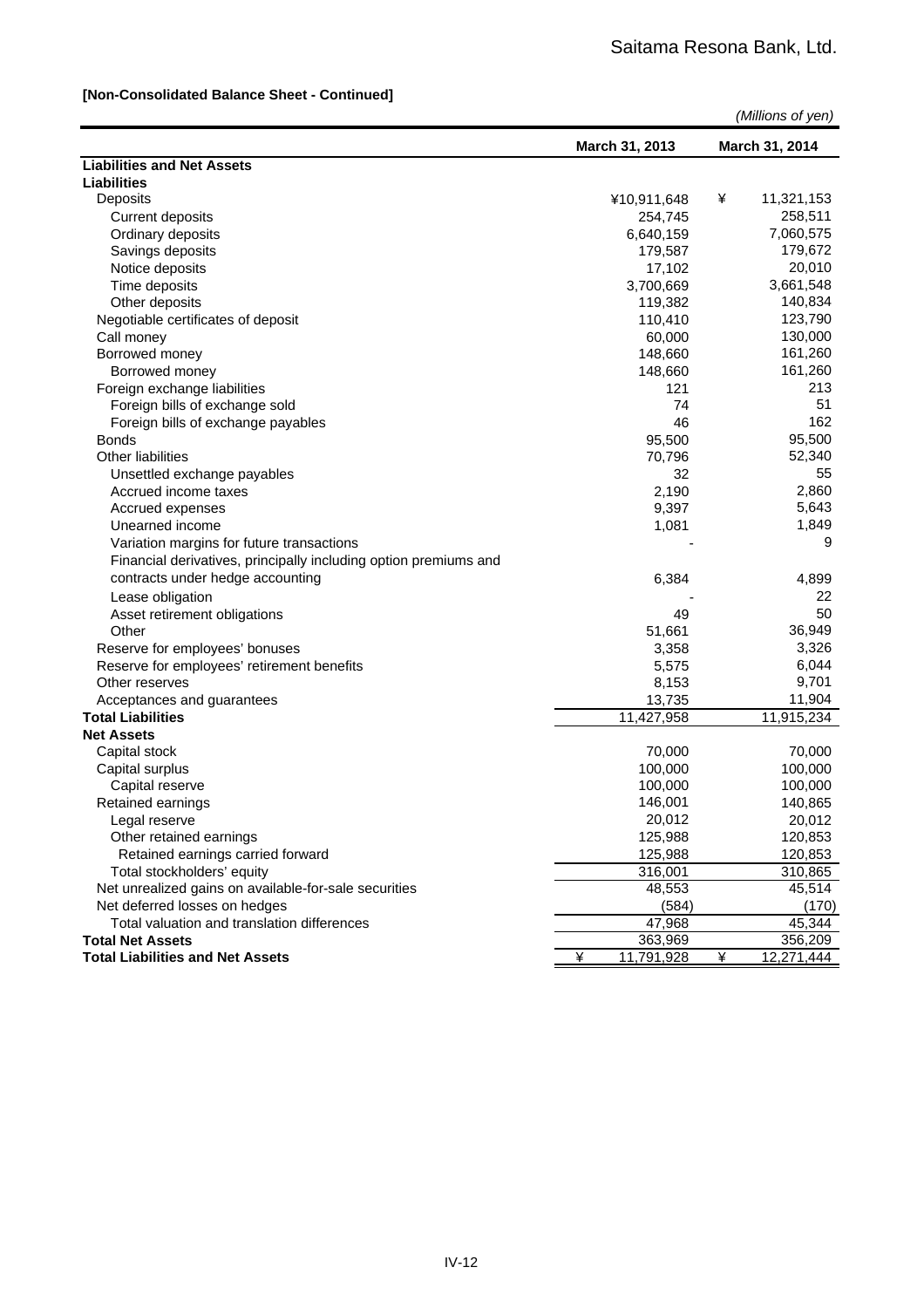#### **[Non-Consolidated Balance Sheet - Continued]**

|                                                                  | (Millions of yen) |                 |  |  |
|------------------------------------------------------------------|-------------------|-----------------|--|--|
|                                                                  | March 31, 2013    | March 31, 2014  |  |  |
| <b>Liabilities and Net Assets</b>                                |                   |                 |  |  |
| <b>Liabilities</b>                                               |                   |                 |  |  |
| Deposits                                                         | ¥10,911,648       | ¥<br>11,321,153 |  |  |
| <b>Current deposits</b>                                          | 254,745           | 258,511         |  |  |
| Ordinary deposits                                                | 6,640,159         | 7,060,575       |  |  |
| Savings deposits                                                 | 179,587           | 179,672         |  |  |
| Notice deposits                                                  | 17,102            | 20,010          |  |  |
| Time deposits                                                    | 3,700,669         | 3,661,548       |  |  |
| Other deposits                                                   | 119,382           | 140,834         |  |  |
| Negotiable certificates of deposit                               | 110,410           | 123,790         |  |  |
| Call money                                                       | 60,000            | 130,000         |  |  |
| Borrowed money                                                   | 148,660           | 161,260         |  |  |
| Borrowed money                                                   | 148,660           | 161,260         |  |  |
| Foreign exchange liabilities                                     | 121               | 213             |  |  |
| Foreign bills of exchange sold                                   | 74                | 51              |  |  |
| Foreign bills of exchange payables                               | 46                | 162             |  |  |
| <b>Bonds</b>                                                     | 95,500            | 95,500          |  |  |
| <b>Other liabilities</b>                                         | 70,796            | 52,340          |  |  |
| Unsettled exchange payables                                      | 32                | 55              |  |  |
| Accrued income taxes                                             | 2,190             | 2,860           |  |  |
| Accrued expenses                                                 | 9,397             | 5,643           |  |  |
| Unearned income                                                  | 1,081             | 1,849           |  |  |
| Variation margins for future transactions                        |                   | 9               |  |  |
| Financial derivatives, principally including option premiums and |                   |                 |  |  |
|                                                                  |                   |                 |  |  |
| contracts under hedge accounting                                 | 6,384             | 4,899           |  |  |
| Lease obligation                                                 |                   | 22              |  |  |
| Asset retirement obligations                                     | 49                | 50              |  |  |
| Other                                                            | 51,661            | 36,949          |  |  |
| Reserve for employees' bonuses                                   | 3,358             | 3,326           |  |  |
| Reserve for employees' retirement benefits                       | 5,575             | 6,044           |  |  |
| Other reserves                                                   | 8,153             | 9,701           |  |  |
| Acceptances and guarantees                                       | 13,735            | 11,904          |  |  |
| <b>Total Liabilities</b>                                         | 11,427,958        | 11,915,234      |  |  |
| <b>Net Assets</b>                                                |                   |                 |  |  |
| Capital stock                                                    | 70,000            | 70,000          |  |  |
| Capital surplus                                                  | 100,000           | 100,000         |  |  |
| Capital reserve                                                  | 100,000           | 100,000         |  |  |
| Retained earnings                                                | 146,001           | 140,865         |  |  |
| Legal reserve                                                    | 20,012            | 20,012          |  |  |
| Other retained earnings                                          | 125,988           | 120,853         |  |  |
| Retained earnings carried forward                                | 125,988           | 120,853         |  |  |
| Total stockholders' equity                                       | 316,001           | 310,865         |  |  |
| Net unrealized gains on available-for-sale securities            | 48,553            | 45,514          |  |  |
| Net deferred losses on hedges                                    | (584)             | (170)           |  |  |
| Total valuation and translation differences                      | 47,968            | 45,344          |  |  |
| <b>Total Net Assets</b>                                          | 363,969           | 356,209         |  |  |
| <b>Total Liabilities and Net Assets</b>                          | ¥<br>11,791,928   | ¥<br>12,271,444 |  |  |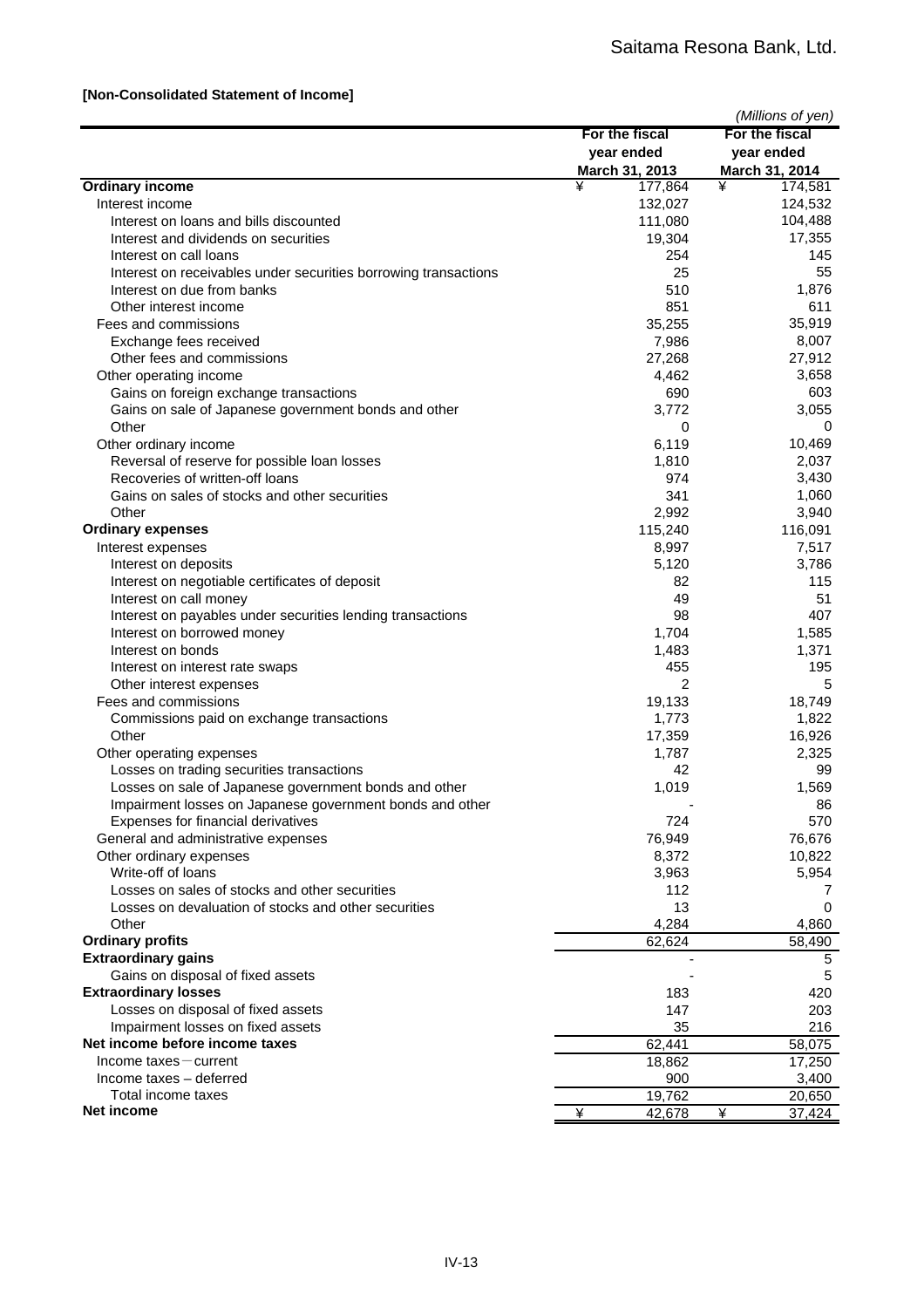#### **[Non-Consolidated Statement of Income]**

| For the fiscal<br>For the fiscal<br>year ended<br>year ended<br>March 31, 2013<br>March 31, 2014<br>¥<br><b>Ordinary income</b><br>¥<br>174,581<br>177,864<br>124,532<br>Interest income<br>132,027<br>104,488<br>111,080<br>Interest on loans and bills discounted<br>17,355<br>Interest and dividends on securities<br>19,304<br>Interest on call loans<br>254<br>145<br>55<br>25<br>Interest on receivables under securities borrowing transactions<br>1,876<br>510<br>Interest on due from banks<br>611<br>Other interest income<br>851<br>35,255<br>35,919<br>Fees and commissions<br>8,007<br>Exchange fees received<br>7,986<br>27,912<br>Other fees and commissions<br>27,268<br>3,658<br>Other operating income<br>4,462<br>603<br>Gains on foreign exchange transactions<br>690<br>3,055<br>Gains on sale of Japanese government bonds and other<br>3,772<br>Other<br>0<br>0<br>10,469<br>Other ordinary income<br>6,119<br>Reversal of reserve for possible loan losses<br>1,810<br>2,037<br>Recoveries of written-off loans<br>3,430<br>974<br>Gains on sales of stocks and other securities<br>341<br>1,060<br>3,940<br>Other<br>2,992<br><b>Ordinary expenses</b><br>116,091<br>115,240<br>8,997<br>7,517<br>Interest expenses<br>Interest on deposits<br>5,120<br>3,786<br>Interest on negotiable certificates of deposit<br>82<br>115<br>Interest on call money<br>49<br>51<br>Interest on payables under securities lending transactions<br>98<br>407<br>Interest on borrowed money<br>1,704<br>1,585<br>Interest on bonds<br>1,483<br>1,371<br>455<br>195<br>Interest on interest rate swaps<br>$\overline{2}$<br>5<br>Other interest expenses<br>Fees and commissions<br>19,133<br>18,749<br>1,822<br>Commissions paid on exchange transactions<br>1,773<br>Other<br>17,359<br>16,926<br>2,325<br>Other operating expenses<br>1,787<br>42<br>Losses on trading securities transactions<br>99<br>Losses on sale of Japanese government bonds and other<br>1,019<br>1,569<br>Impairment losses on Japanese government bonds and other<br>86<br>724<br>Expenses for financial derivatives<br>570<br>76,949<br>76,676<br>General and administrative expenses<br>8,372<br>10,822<br>Other ordinary expenses<br>Write-off of loans<br>3,963<br>5,954<br>Losses on sales of stocks and other securities<br>112<br>13<br>Losses on devaluation of stocks and other securities<br>0<br>Other<br>4,284<br>4,860<br><b>Ordinary profits</b><br>62,624<br>58,490<br><b>Extraordinary gains</b><br>5<br>Gains on disposal of fixed assets<br>5<br><b>Extraordinary losses</b><br>183<br>420<br>Losses on disposal of fixed assets<br>147<br>203<br>Impairment losses on fixed assets<br>35<br>216<br>Net income before income taxes<br>62,441<br>58,075<br>$Income taxes - current$<br>17,250<br>18,862<br>Income taxes - deferred<br>900<br>3,400<br>19,762<br>Total income taxes<br>20,650<br><b>Net income</b><br>42,678<br>¥<br>37,424<br>¥ |  | (Millions of yen) |
|-------------------------------------------------------------------------------------------------------------------------------------------------------------------------------------------------------------------------------------------------------------------------------------------------------------------------------------------------------------------------------------------------------------------------------------------------------------------------------------------------------------------------------------------------------------------------------------------------------------------------------------------------------------------------------------------------------------------------------------------------------------------------------------------------------------------------------------------------------------------------------------------------------------------------------------------------------------------------------------------------------------------------------------------------------------------------------------------------------------------------------------------------------------------------------------------------------------------------------------------------------------------------------------------------------------------------------------------------------------------------------------------------------------------------------------------------------------------------------------------------------------------------------------------------------------------------------------------------------------------------------------------------------------------------------------------------------------------------------------------------------------------------------------------------------------------------------------------------------------------------------------------------------------------------------------------------------------------------------------------------------------------------------------------------------------------------------------------------------------------------------------------------------------------------------------------------------------------------------------------------------------------------------------------------------------------------------------------------------------------------------------------------------------------------------------------------------------------------------------------------------------------------------------------------------------------------------------------------------------------------------------------------------------------------------------------------------------------------------------------------------------------------------------------------------------------------------------------------------------------------------------------------------------------------------------------------------|--|-------------------|
|                                                                                                                                                                                                                                                                                                                                                                                                                                                                                                                                                                                                                                                                                                                                                                                                                                                                                                                                                                                                                                                                                                                                                                                                                                                                                                                                                                                                                                                                                                                                                                                                                                                                                                                                                                                                                                                                                                                                                                                                                                                                                                                                                                                                                                                                                                                                                                                                                                                                                                                                                                                                                                                                                                                                                                                                                                                                                                                                                       |  |                   |
|                                                                                                                                                                                                                                                                                                                                                                                                                                                                                                                                                                                                                                                                                                                                                                                                                                                                                                                                                                                                                                                                                                                                                                                                                                                                                                                                                                                                                                                                                                                                                                                                                                                                                                                                                                                                                                                                                                                                                                                                                                                                                                                                                                                                                                                                                                                                                                                                                                                                                                                                                                                                                                                                                                                                                                                                                                                                                                                                                       |  |                   |
|                                                                                                                                                                                                                                                                                                                                                                                                                                                                                                                                                                                                                                                                                                                                                                                                                                                                                                                                                                                                                                                                                                                                                                                                                                                                                                                                                                                                                                                                                                                                                                                                                                                                                                                                                                                                                                                                                                                                                                                                                                                                                                                                                                                                                                                                                                                                                                                                                                                                                                                                                                                                                                                                                                                                                                                                                                                                                                                                                       |  |                   |
|                                                                                                                                                                                                                                                                                                                                                                                                                                                                                                                                                                                                                                                                                                                                                                                                                                                                                                                                                                                                                                                                                                                                                                                                                                                                                                                                                                                                                                                                                                                                                                                                                                                                                                                                                                                                                                                                                                                                                                                                                                                                                                                                                                                                                                                                                                                                                                                                                                                                                                                                                                                                                                                                                                                                                                                                                                                                                                                                                       |  |                   |
|                                                                                                                                                                                                                                                                                                                                                                                                                                                                                                                                                                                                                                                                                                                                                                                                                                                                                                                                                                                                                                                                                                                                                                                                                                                                                                                                                                                                                                                                                                                                                                                                                                                                                                                                                                                                                                                                                                                                                                                                                                                                                                                                                                                                                                                                                                                                                                                                                                                                                                                                                                                                                                                                                                                                                                                                                                                                                                                                                       |  |                   |
|                                                                                                                                                                                                                                                                                                                                                                                                                                                                                                                                                                                                                                                                                                                                                                                                                                                                                                                                                                                                                                                                                                                                                                                                                                                                                                                                                                                                                                                                                                                                                                                                                                                                                                                                                                                                                                                                                                                                                                                                                                                                                                                                                                                                                                                                                                                                                                                                                                                                                                                                                                                                                                                                                                                                                                                                                                                                                                                                                       |  |                   |
|                                                                                                                                                                                                                                                                                                                                                                                                                                                                                                                                                                                                                                                                                                                                                                                                                                                                                                                                                                                                                                                                                                                                                                                                                                                                                                                                                                                                                                                                                                                                                                                                                                                                                                                                                                                                                                                                                                                                                                                                                                                                                                                                                                                                                                                                                                                                                                                                                                                                                                                                                                                                                                                                                                                                                                                                                                                                                                                                                       |  |                   |
|                                                                                                                                                                                                                                                                                                                                                                                                                                                                                                                                                                                                                                                                                                                                                                                                                                                                                                                                                                                                                                                                                                                                                                                                                                                                                                                                                                                                                                                                                                                                                                                                                                                                                                                                                                                                                                                                                                                                                                                                                                                                                                                                                                                                                                                                                                                                                                                                                                                                                                                                                                                                                                                                                                                                                                                                                                                                                                                                                       |  |                   |
|                                                                                                                                                                                                                                                                                                                                                                                                                                                                                                                                                                                                                                                                                                                                                                                                                                                                                                                                                                                                                                                                                                                                                                                                                                                                                                                                                                                                                                                                                                                                                                                                                                                                                                                                                                                                                                                                                                                                                                                                                                                                                                                                                                                                                                                                                                                                                                                                                                                                                                                                                                                                                                                                                                                                                                                                                                                                                                                                                       |  |                   |
|                                                                                                                                                                                                                                                                                                                                                                                                                                                                                                                                                                                                                                                                                                                                                                                                                                                                                                                                                                                                                                                                                                                                                                                                                                                                                                                                                                                                                                                                                                                                                                                                                                                                                                                                                                                                                                                                                                                                                                                                                                                                                                                                                                                                                                                                                                                                                                                                                                                                                                                                                                                                                                                                                                                                                                                                                                                                                                                                                       |  |                   |
|                                                                                                                                                                                                                                                                                                                                                                                                                                                                                                                                                                                                                                                                                                                                                                                                                                                                                                                                                                                                                                                                                                                                                                                                                                                                                                                                                                                                                                                                                                                                                                                                                                                                                                                                                                                                                                                                                                                                                                                                                                                                                                                                                                                                                                                                                                                                                                                                                                                                                                                                                                                                                                                                                                                                                                                                                                                                                                                                                       |  |                   |
|                                                                                                                                                                                                                                                                                                                                                                                                                                                                                                                                                                                                                                                                                                                                                                                                                                                                                                                                                                                                                                                                                                                                                                                                                                                                                                                                                                                                                                                                                                                                                                                                                                                                                                                                                                                                                                                                                                                                                                                                                                                                                                                                                                                                                                                                                                                                                                                                                                                                                                                                                                                                                                                                                                                                                                                                                                                                                                                                                       |  |                   |
|                                                                                                                                                                                                                                                                                                                                                                                                                                                                                                                                                                                                                                                                                                                                                                                                                                                                                                                                                                                                                                                                                                                                                                                                                                                                                                                                                                                                                                                                                                                                                                                                                                                                                                                                                                                                                                                                                                                                                                                                                                                                                                                                                                                                                                                                                                                                                                                                                                                                                                                                                                                                                                                                                                                                                                                                                                                                                                                                                       |  |                   |
|                                                                                                                                                                                                                                                                                                                                                                                                                                                                                                                                                                                                                                                                                                                                                                                                                                                                                                                                                                                                                                                                                                                                                                                                                                                                                                                                                                                                                                                                                                                                                                                                                                                                                                                                                                                                                                                                                                                                                                                                                                                                                                                                                                                                                                                                                                                                                                                                                                                                                                                                                                                                                                                                                                                                                                                                                                                                                                                                                       |  |                   |
|                                                                                                                                                                                                                                                                                                                                                                                                                                                                                                                                                                                                                                                                                                                                                                                                                                                                                                                                                                                                                                                                                                                                                                                                                                                                                                                                                                                                                                                                                                                                                                                                                                                                                                                                                                                                                                                                                                                                                                                                                                                                                                                                                                                                                                                                                                                                                                                                                                                                                                                                                                                                                                                                                                                                                                                                                                                                                                                                                       |  |                   |
|                                                                                                                                                                                                                                                                                                                                                                                                                                                                                                                                                                                                                                                                                                                                                                                                                                                                                                                                                                                                                                                                                                                                                                                                                                                                                                                                                                                                                                                                                                                                                                                                                                                                                                                                                                                                                                                                                                                                                                                                                                                                                                                                                                                                                                                                                                                                                                                                                                                                                                                                                                                                                                                                                                                                                                                                                                                                                                                                                       |  |                   |
|                                                                                                                                                                                                                                                                                                                                                                                                                                                                                                                                                                                                                                                                                                                                                                                                                                                                                                                                                                                                                                                                                                                                                                                                                                                                                                                                                                                                                                                                                                                                                                                                                                                                                                                                                                                                                                                                                                                                                                                                                                                                                                                                                                                                                                                                                                                                                                                                                                                                                                                                                                                                                                                                                                                                                                                                                                                                                                                                                       |  |                   |
|                                                                                                                                                                                                                                                                                                                                                                                                                                                                                                                                                                                                                                                                                                                                                                                                                                                                                                                                                                                                                                                                                                                                                                                                                                                                                                                                                                                                                                                                                                                                                                                                                                                                                                                                                                                                                                                                                                                                                                                                                                                                                                                                                                                                                                                                                                                                                                                                                                                                                                                                                                                                                                                                                                                                                                                                                                                                                                                                                       |  |                   |
|                                                                                                                                                                                                                                                                                                                                                                                                                                                                                                                                                                                                                                                                                                                                                                                                                                                                                                                                                                                                                                                                                                                                                                                                                                                                                                                                                                                                                                                                                                                                                                                                                                                                                                                                                                                                                                                                                                                                                                                                                                                                                                                                                                                                                                                                                                                                                                                                                                                                                                                                                                                                                                                                                                                                                                                                                                                                                                                                                       |  |                   |
|                                                                                                                                                                                                                                                                                                                                                                                                                                                                                                                                                                                                                                                                                                                                                                                                                                                                                                                                                                                                                                                                                                                                                                                                                                                                                                                                                                                                                                                                                                                                                                                                                                                                                                                                                                                                                                                                                                                                                                                                                                                                                                                                                                                                                                                                                                                                                                                                                                                                                                                                                                                                                                                                                                                                                                                                                                                                                                                                                       |  |                   |
|                                                                                                                                                                                                                                                                                                                                                                                                                                                                                                                                                                                                                                                                                                                                                                                                                                                                                                                                                                                                                                                                                                                                                                                                                                                                                                                                                                                                                                                                                                                                                                                                                                                                                                                                                                                                                                                                                                                                                                                                                                                                                                                                                                                                                                                                                                                                                                                                                                                                                                                                                                                                                                                                                                                                                                                                                                                                                                                                                       |  |                   |
|                                                                                                                                                                                                                                                                                                                                                                                                                                                                                                                                                                                                                                                                                                                                                                                                                                                                                                                                                                                                                                                                                                                                                                                                                                                                                                                                                                                                                                                                                                                                                                                                                                                                                                                                                                                                                                                                                                                                                                                                                                                                                                                                                                                                                                                                                                                                                                                                                                                                                                                                                                                                                                                                                                                                                                                                                                                                                                                                                       |  |                   |
|                                                                                                                                                                                                                                                                                                                                                                                                                                                                                                                                                                                                                                                                                                                                                                                                                                                                                                                                                                                                                                                                                                                                                                                                                                                                                                                                                                                                                                                                                                                                                                                                                                                                                                                                                                                                                                                                                                                                                                                                                                                                                                                                                                                                                                                                                                                                                                                                                                                                                                                                                                                                                                                                                                                                                                                                                                                                                                                                                       |  |                   |
|                                                                                                                                                                                                                                                                                                                                                                                                                                                                                                                                                                                                                                                                                                                                                                                                                                                                                                                                                                                                                                                                                                                                                                                                                                                                                                                                                                                                                                                                                                                                                                                                                                                                                                                                                                                                                                                                                                                                                                                                                                                                                                                                                                                                                                                                                                                                                                                                                                                                                                                                                                                                                                                                                                                                                                                                                                                                                                                                                       |  |                   |
|                                                                                                                                                                                                                                                                                                                                                                                                                                                                                                                                                                                                                                                                                                                                                                                                                                                                                                                                                                                                                                                                                                                                                                                                                                                                                                                                                                                                                                                                                                                                                                                                                                                                                                                                                                                                                                                                                                                                                                                                                                                                                                                                                                                                                                                                                                                                                                                                                                                                                                                                                                                                                                                                                                                                                                                                                                                                                                                                                       |  |                   |
|                                                                                                                                                                                                                                                                                                                                                                                                                                                                                                                                                                                                                                                                                                                                                                                                                                                                                                                                                                                                                                                                                                                                                                                                                                                                                                                                                                                                                                                                                                                                                                                                                                                                                                                                                                                                                                                                                                                                                                                                                                                                                                                                                                                                                                                                                                                                                                                                                                                                                                                                                                                                                                                                                                                                                                                                                                                                                                                                                       |  |                   |
|                                                                                                                                                                                                                                                                                                                                                                                                                                                                                                                                                                                                                                                                                                                                                                                                                                                                                                                                                                                                                                                                                                                                                                                                                                                                                                                                                                                                                                                                                                                                                                                                                                                                                                                                                                                                                                                                                                                                                                                                                                                                                                                                                                                                                                                                                                                                                                                                                                                                                                                                                                                                                                                                                                                                                                                                                                                                                                                                                       |  |                   |
|                                                                                                                                                                                                                                                                                                                                                                                                                                                                                                                                                                                                                                                                                                                                                                                                                                                                                                                                                                                                                                                                                                                                                                                                                                                                                                                                                                                                                                                                                                                                                                                                                                                                                                                                                                                                                                                                                                                                                                                                                                                                                                                                                                                                                                                                                                                                                                                                                                                                                                                                                                                                                                                                                                                                                                                                                                                                                                                                                       |  |                   |
|                                                                                                                                                                                                                                                                                                                                                                                                                                                                                                                                                                                                                                                                                                                                                                                                                                                                                                                                                                                                                                                                                                                                                                                                                                                                                                                                                                                                                                                                                                                                                                                                                                                                                                                                                                                                                                                                                                                                                                                                                                                                                                                                                                                                                                                                                                                                                                                                                                                                                                                                                                                                                                                                                                                                                                                                                                                                                                                                                       |  |                   |
|                                                                                                                                                                                                                                                                                                                                                                                                                                                                                                                                                                                                                                                                                                                                                                                                                                                                                                                                                                                                                                                                                                                                                                                                                                                                                                                                                                                                                                                                                                                                                                                                                                                                                                                                                                                                                                                                                                                                                                                                                                                                                                                                                                                                                                                                                                                                                                                                                                                                                                                                                                                                                                                                                                                                                                                                                                                                                                                                                       |  |                   |
|                                                                                                                                                                                                                                                                                                                                                                                                                                                                                                                                                                                                                                                                                                                                                                                                                                                                                                                                                                                                                                                                                                                                                                                                                                                                                                                                                                                                                                                                                                                                                                                                                                                                                                                                                                                                                                                                                                                                                                                                                                                                                                                                                                                                                                                                                                                                                                                                                                                                                                                                                                                                                                                                                                                                                                                                                                                                                                                                                       |  |                   |
|                                                                                                                                                                                                                                                                                                                                                                                                                                                                                                                                                                                                                                                                                                                                                                                                                                                                                                                                                                                                                                                                                                                                                                                                                                                                                                                                                                                                                                                                                                                                                                                                                                                                                                                                                                                                                                                                                                                                                                                                                                                                                                                                                                                                                                                                                                                                                                                                                                                                                                                                                                                                                                                                                                                                                                                                                                                                                                                                                       |  |                   |
|                                                                                                                                                                                                                                                                                                                                                                                                                                                                                                                                                                                                                                                                                                                                                                                                                                                                                                                                                                                                                                                                                                                                                                                                                                                                                                                                                                                                                                                                                                                                                                                                                                                                                                                                                                                                                                                                                                                                                                                                                                                                                                                                                                                                                                                                                                                                                                                                                                                                                                                                                                                                                                                                                                                                                                                                                                                                                                                                                       |  |                   |
|                                                                                                                                                                                                                                                                                                                                                                                                                                                                                                                                                                                                                                                                                                                                                                                                                                                                                                                                                                                                                                                                                                                                                                                                                                                                                                                                                                                                                                                                                                                                                                                                                                                                                                                                                                                                                                                                                                                                                                                                                                                                                                                                                                                                                                                                                                                                                                                                                                                                                                                                                                                                                                                                                                                                                                                                                                                                                                                                                       |  |                   |
|                                                                                                                                                                                                                                                                                                                                                                                                                                                                                                                                                                                                                                                                                                                                                                                                                                                                                                                                                                                                                                                                                                                                                                                                                                                                                                                                                                                                                                                                                                                                                                                                                                                                                                                                                                                                                                                                                                                                                                                                                                                                                                                                                                                                                                                                                                                                                                                                                                                                                                                                                                                                                                                                                                                                                                                                                                                                                                                                                       |  |                   |
|                                                                                                                                                                                                                                                                                                                                                                                                                                                                                                                                                                                                                                                                                                                                                                                                                                                                                                                                                                                                                                                                                                                                                                                                                                                                                                                                                                                                                                                                                                                                                                                                                                                                                                                                                                                                                                                                                                                                                                                                                                                                                                                                                                                                                                                                                                                                                                                                                                                                                                                                                                                                                                                                                                                                                                                                                                                                                                                                                       |  |                   |
|                                                                                                                                                                                                                                                                                                                                                                                                                                                                                                                                                                                                                                                                                                                                                                                                                                                                                                                                                                                                                                                                                                                                                                                                                                                                                                                                                                                                                                                                                                                                                                                                                                                                                                                                                                                                                                                                                                                                                                                                                                                                                                                                                                                                                                                                                                                                                                                                                                                                                                                                                                                                                                                                                                                                                                                                                                                                                                                                                       |  |                   |
|                                                                                                                                                                                                                                                                                                                                                                                                                                                                                                                                                                                                                                                                                                                                                                                                                                                                                                                                                                                                                                                                                                                                                                                                                                                                                                                                                                                                                                                                                                                                                                                                                                                                                                                                                                                                                                                                                                                                                                                                                                                                                                                                                                                                                                                                                                                                                                                                                                                                                                                                                                                                                                                                                                                                                                                                                                                                                                                                                       |  |                   |
|                                                                                                                                                                                                                                                                                                                                                                                                                                                                                                                                                                                                                                                                                                                                                                                                                                                                                                                                                                                                                                                                                                                                                                                                                                                                                                                                                                                                                                                                                                                                                                                                                                                                                                                                                                                                                                                                                                                                                                                                                                                                                                                                                                                                                                                                                                                                                                                                                                                                                                                                                                                                                                                                                                                                                                                                                                                                                                                                                       |  |                   |
|                                                                                                                                                                                                                                                                                                                                                                                                                                                                                                                                                                                                                                                                                                                                                                                                                                                                                                                                                                                                                                                                                                                                                                                                                                                                                                                                                                                                                                                                                                                                                                                                                                                                                                                                                                                                                                                                                                                                                                                                                                                                                                                                                                                                                                                                                                                                                                                                                                                                                                                                                                                                                                                                                                                                                                                                                                                                                                                                                       |  |                   |
|                                                                                                                                                                                                                                                                                                                                                                                                                                                                                                                                                                                                                                                                                                                                                                                                                                                                                                                                                                                                                                                                                                                                                                                                                                                                                                                                                                                                                                                                                                                                                                                                                                                                                                                                                                                                                                                                                                                                                                                                                                                                                                                                                                                                                                                                                                                                                                                                                                                                                                                                                                                                                                                                                                                                                                                                                                                                                                                                                       |  |                   |
|                                                                                                                                                                                                                                                                                                                                                                                                                                                                                                                                                                                                                                                                                                                                                                                                                                                                                                                                                                                                                                                                                                                                                                                                                                                                                                                                                                                                                                                                                                                                                                                                                                                                                                                                                                                                                                                                                                                                                                                                                                                                                                                                                                                                                                                                                                                                                                                                                                                                                                                                                                                                                                                                                                                                                                                                                                                                                                                                                       |  |                   |
|                                                                                                                                                                                                                                                                                                                                                                                                                                                                                                                                                                                                                                                                                                                                                                                                                                                                                                                                                                                                                                                                                                                                                                                                                                                                                                                                                                                                                                                                                                                                                                                                                                                                                                                                                                                                                                                                                                                                                                                                                                                                                                                                                                                                                                                                                                                                                                                                                                                                                                                                                                                                                                                                                                                                                                                                                                                                                                                                                       |  |                   |
|                                                                                                                                                                                                                                                                                                                                                                                                                                                                                                                                                                                                                                                                                                                                                                                                                                                                                                                                                                                                                                                                                                                                                                                                                                                                                                                                                                                                                                                                                                                                                                                                                                                                                                                                                                                                                                                                                                                                                                                                                                                                                                                                                                                                                                                                                                                                                                                                                                                                                                                                                                                                                                                                                                                                                                                                                                                                                                                                                       |  |                   |
|                                                                                                                                                                                                                                                                                                                                                                                                                                                                                                                                                                                                                                                                                                                                                                                                                                                                                                                                                                                                                                                                                                                                                                                                                                                                                                                                                                                                                                                                                                                                                                                                                                                                                                                                                                                                                                                                                                                                                                                                                                                                                                                                                                                                                                                                                                                                                                                                                                                                                                                                                                                                                                                                                                                                                                                                                                                                                                                                                       |  |                   |
|                                                                                                                                                                                                                                                                                                                                                                                                                                                                                                                                                                                                                                                                                                                                                                                                                                                                                                                                                                                                                                                                                                                                                                                                                                                                                                                                                                                                                                                                                                                                                                                                                                                                                                                                                                                                                                                                                                                                                                                                                                                                                                                                                                                                                                                                                                                                                                                                                                                                                                                                                                                                                                                                                                                                                                                                                                                                                                                                                       |  |                   |
|                                                                                                                                                                                                                                                                                                                                                                                                                                                                                                                                                                                                                                                                                                                                                                                                                                                                                                                                                                                                                                                                                                                                                                                                                                                                                                                                                                                                                                                                                                                                                                                                                                                                                                                                                                                                                                                                                                                                                                                                                                                                                                                                                                                                                                                                                                                                                                                                                                                                                                                                                                                                                                                                                                                                                                                                                                                                                                                                                       |  |                   |
|                                                                                                                                                                                                                                                                                                                                                                                                                                                                                                                                                                                                                                                                                                                                                                                                                                                                                                                                                                                                                                                                                                                                                                                                                                                                                                                                                                                                                                                                                                                                                                                                                                                                                                                                                                                                                                                                                                                                                                                                                                                                                                                                                                                                                                                                                                                                                                                                                                                                                                                                                                                                                                                                                                                                                                                                                                                                                                                                                       |  |                   |
|                                                                                                                                                                                                                                                                                                                                                                                                                                                                                                                                                                                                                                                                                                                                                                                                                                                                                                                                                                                                                                                                                                                                                                                                                                                                                                                                                                                                                                                                                                                                                                                                                                                                                                                                                                                                                                                                                                                                                                                                                                                                                                                                                                                                                                                                                                                                                                                                                                                                                                                                                                                                                                                                                                                                                                                                                                                                                                                                                       |  |                   |
|                                                                                                                                                                                                                                                                                                                                                                                                                                                                                                                                                                                                                                                                                                                                                                                                                                                                                                                                                                                                                                                                                                                                                                                                                                                                                                                                                                                                                                                                                                                                                                                                                                                                                                                                                                                                                                                                                                                                                                                                                                                                                                                                                                                                                                                                                                                                                                                                                                                                                                                                                                                                                                                                                                                                                                                                                                                                                                                                                       |  |                   |
|                                                                                                                                                                                                                                                                                                                                                                                                                                                                                                                                                                                                                                                                                                                                                                                                                                                                                                                                                                                                                                                                                                                                                                                                                                                                                                                                                                                                                                                                                                                                                                                                                                                                                                                                                                                                                                                                                                                                                                                                                                                                                                                                                                                                                                                                                                                                                                                                                                                                                                                                                                                                                                                                                                                                                                                                                                                                                                                                                       |  |                   |
|                                                                                                                                                                                                                                                                                                                                                                                                                                                                                                                                                                                                                                                                                                                                                                                                                                                                                                                                                                                                                                                                                                                                                                                                                                                                                                                                                                                                                                                                                                                                                                                                                                                                                                                                                                                                                                                                                                                                                                                                                                                                                                                                                                                                                                                                                                                                                                                                                                                                                                                                                                                                                                                                                                                                                                                                                                                                                                                                                       |  |                   |
|                                                                                                                                                                                                                                                                                                                                                                                                                                                                                                                                                                                                                                                                                                                                                                                                                                                                                                                                                                                                                                                                                                                                                                                                                                                                                                                                                                                                                                                                                                                                                                                                                                                                                                                                                                                                                                                                                                                                                                                                                                                                                                                                                                                                                                                                                                                                                                                                                                                                                                                                                                                                                                                                                                                                                                                                                                                                                                                                                       |  |                   |
|                                                                                                                                                                                                                                                                                                                                                                                                                                                                                                                                                                                                                                                                                                                                                                                                                                                                                                                                                                                                                                                                                                                                                                                                                                                                                                                                                                                                                                                                                                                                                                                                                                                                                                                                                                                                                                                                                                                                                                                                                                                                                                                                                                                                                                                                                                                                                                                                                                                                                                                                                                                                                                                                                                                                                                                                                                                                                                                                                       |  |                   |
|                                                                                                                                                                                                                                                                                                                                                                                                                                                                                                                                                                                                                                                                                                                                                                                                                                                                                                                                                                                                                                                                                                                                                                                                                                                                                                                                                                                                                                                                                                                                                                                                                                                                                                                                                                                                                                                                                                                                                                                                                                                                                                                                                                                                                                                                                                                                                                                                                                                                                                                                                                                                                                                                                                                                                                                                                                                                                                                                                       |  |                   |
|                                                                                                                                                                                                                                                                                                                                                                                                                                                                                                                                                                                                                                                                                                                                                                                                                                                                                                                                                                                                                                                                                                                                                                                                                                                                                                                                                                                                                                                                                                                                                                                                                                                                                                                                                                                                                                                                                                                                                                                                                                                                                                                                                                                                                                                                                                                                                                                                                                                                                                                                                                                                                                                                                                                                                                                                                                                                                                                                                       |  |                   |
|                                                                                                                                                                                                                                                                                                                                                                                                                                                                                                                                                                                                                                                                                                                                                                                                                                                                                                                                                                                                                                                                                                                                                                                                                                                                                                                                                                                                                                                                                                                                                                                                                                                                                                                                                                                                                                                                                                                                                                                                                                                                                                                                                                                                                                                                                                                                                                                                                                                                                                                                                                                                                                                                                                                                                                                                                                                                                                                                                       |  |                   |
|                                                                                                                                                                                                                                                                                                                                                                                                                                                                                                                                                                                                                                                                                                                                                                                                                                                                                                                                                                                                                                                                                                                                                                                                                                                                                                                                                                                                                                                                                                                                                                                                                                                                                                                                                                                                                                                                                                                                                                                                                                                                                                                                                                                                                                                                                                                                                                                                                                                                                                                                                                                                                                                                                                                                                                                                                                                                                                                                                       |  |                   |
|                                                                                                                                                                                                                                                                                                                                                                                                                                                                                                                                                                                                                                                                                                                                                                                                                                                                                                                                                                                                                                                                                                                                                                                                                                                                                                                                                                                                                                                                                                                                                                                                                                                                                                                                                                                                                                                                                                                                                                                                                                                                                                                                                                                                                                                                                                                                                                                                                                                                                                                                                                                                                                                                                                                                                                                                                                                                                                                                                       |  |                   |
|                                                                                                                                                                                                                                                                                                                                                                                                                                                                                                                                                                                                                                                                                                                                                                                                                                                                                                                                                                                                                                                                                                                                                                                                                                                                                                                                                                                                                                                                                                                                                                                                                                                                                                                                                                                                                                                                                                                                                                                                                                                                                                                                                                                                                                                                                                                                                                                                                                                                                                                                                                                                                                                                                                                                                                                                                                                                                                                                                       |  |                   |
|                                                                                                                                                                                                                                                                                                                                                                                                                                                                                                                                                                                                                                                                                                                                                                                                                                                                                                                                                                                                                                                                                                                                                                                                                                                                                                                                                                                                                                                                                                                                                                                                                                                                                                                                                                                                                                                                                                                                                                                                                                                                                                                                                                                                                                                                                                                                                                                                                                                                                                                                                                                                                                                                                                                                                                                                                                                                                                                                                       |  |                   |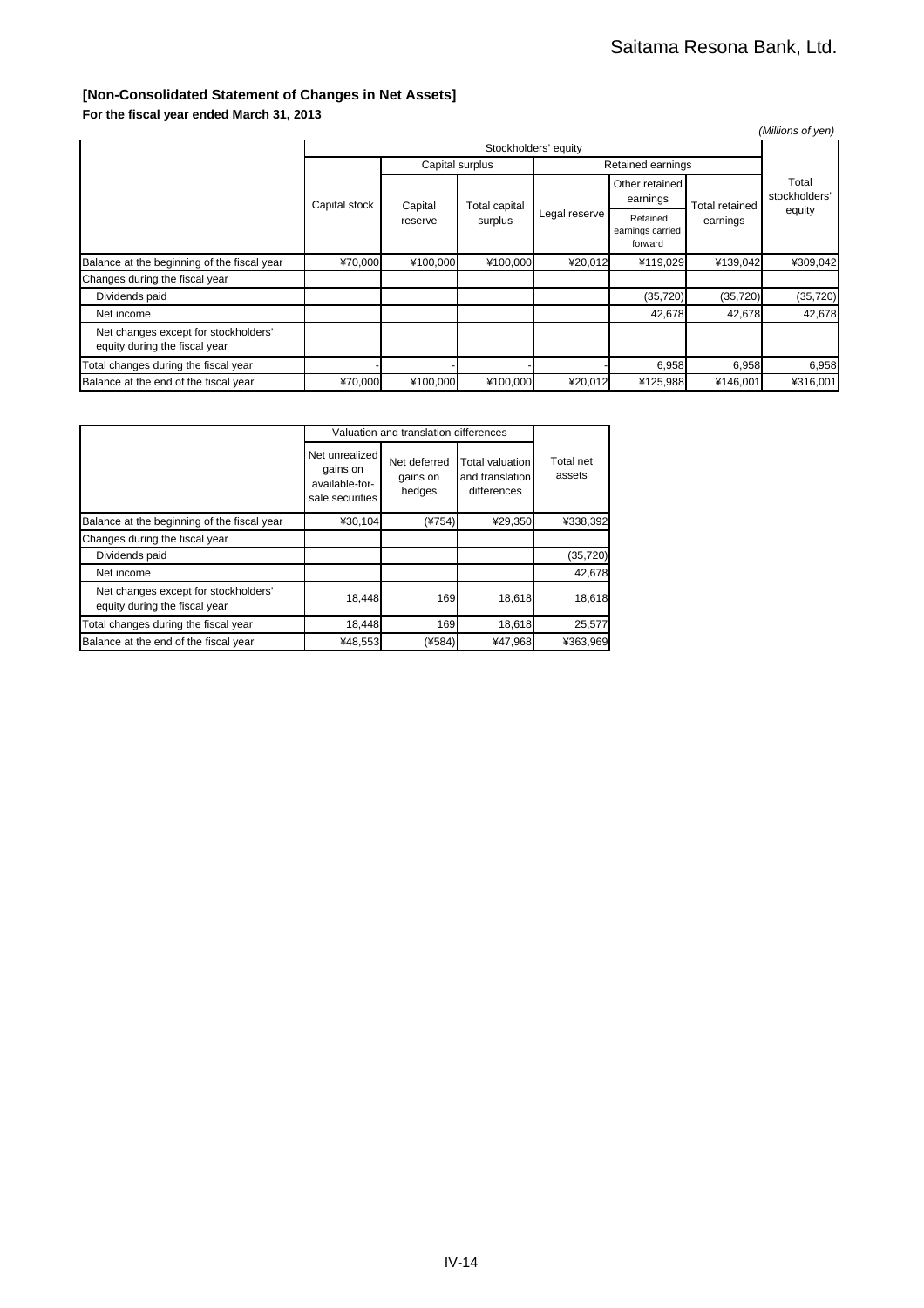### **[Non-Consolidated Statement of Changes in Net Assets]**

**For the fiscal year ended March 31, 2013**

|                                                                       |                      |          |                                 |               |                                         |                            | (Millions of yen)                |  |
|-----------------------------------------------------------------------|----------------------|----------|---------------------------------|---------------|-----------------------------------------|----------------------------|----------------------------------|--|
|                                                                       | Stockholders' equity |          |                                 |               |                                         |                            |                                  |  |
|                                                                       |                      |          | Capital surplus                 |               | Retained earnings                       |                            |                                  |  |
|                                                                       | Capital stock        | Capital  | <b>Total capital</b><br>surplus |               | Other retained<br>earnings              | Total retained<br>earnings | Total<br>stockholders'<br>equity |  |
|                                                                       |                      | reserve  |                                 | Legal reserve | Retained<br>earnings carried<br>forward |                            |                                  |  |
| Balance at the beginning of the fiscal year                           | ¥70,000              | ¥100,000 | ¥100,000                        | ¥20,012       | ¥119,029                                | ¥139,042                   | ¥309,042                         |  |
| Changes during the fiscal year                                        |                      |          |                                 |               |                                         |                            |                                  |  |
| Dividends paid                                                        |                      |          |                                 |               | (35, 720)                               | (35, 720)                  | (35, 720)                        |  |
| Net income                                                            |                      |          |                                 |               | 42,678                                  | 42,678                     | 42,678                           |  |
| Net changes except for stockholders'<br>equity during the fiscal year |                      |          |                                 |               |                                         |                            |                                  |  |
| Total changes during the fiscal year                                  |                      |          |                                 |               | 6,958                                   | 6,958                      | 6,958                            |  |
| Balance at the end of the fiscal year                                 | ¥70,000              | ¥100,000 | ¥100,000                        | ¥20,012       | ¥125,988                                | ¥146,001                   | ¥316,001                         |  |

|                                                                       |                                                                 | Valuation and translation differences |                                                   |                     |  |  |  |  |
|-----------------------------------------------------------------------|-----------------------------------------------------------------|---------------------------------------|---------------------------------------------------|---------------------|--|--|--|--|
|                                                                       | Net unrealized<br>gains on<br>available-for-<br>sale securities | Net deferred<br>gains on<br>hedges    | Total valuation<br>and translation<br>differences | Total net<br>assets |  |  |  |  |
| Balance at the beginning of the fiscal year                           | ¥30,104                                                         | $(*754)$                              | ¥29,350                                           | ¥338,392            |  |  |  |  |
| Changes during the fiscal year                                        |                                                                 |                                       |                                                   |                     |  |  |  |  |
| Dividends paid                                                        |                                                                 |                                       |                                                   | (35, 720)           |  |  |  |  |
| Net income                                                            |                                                                 |                                       |                                                   | 42.678              |  |  |  |  |
| Net changes except for stockholders'<br>equity during the fiscal year | 18,448                                                          | 169                                   | 18,618                                            | 18,618              |  |  |  |  |
| Total changes during the fiscal year                                  | 18,448                                                          | 169                                   | 18,618                                            | 25,577              |  |  |  |  |
| Balance at the end of the fiscal year                                 | ¥48,553                                                         | (¥584)                                | ¥47,968                                           | ¥363,969            |  |  |  |  |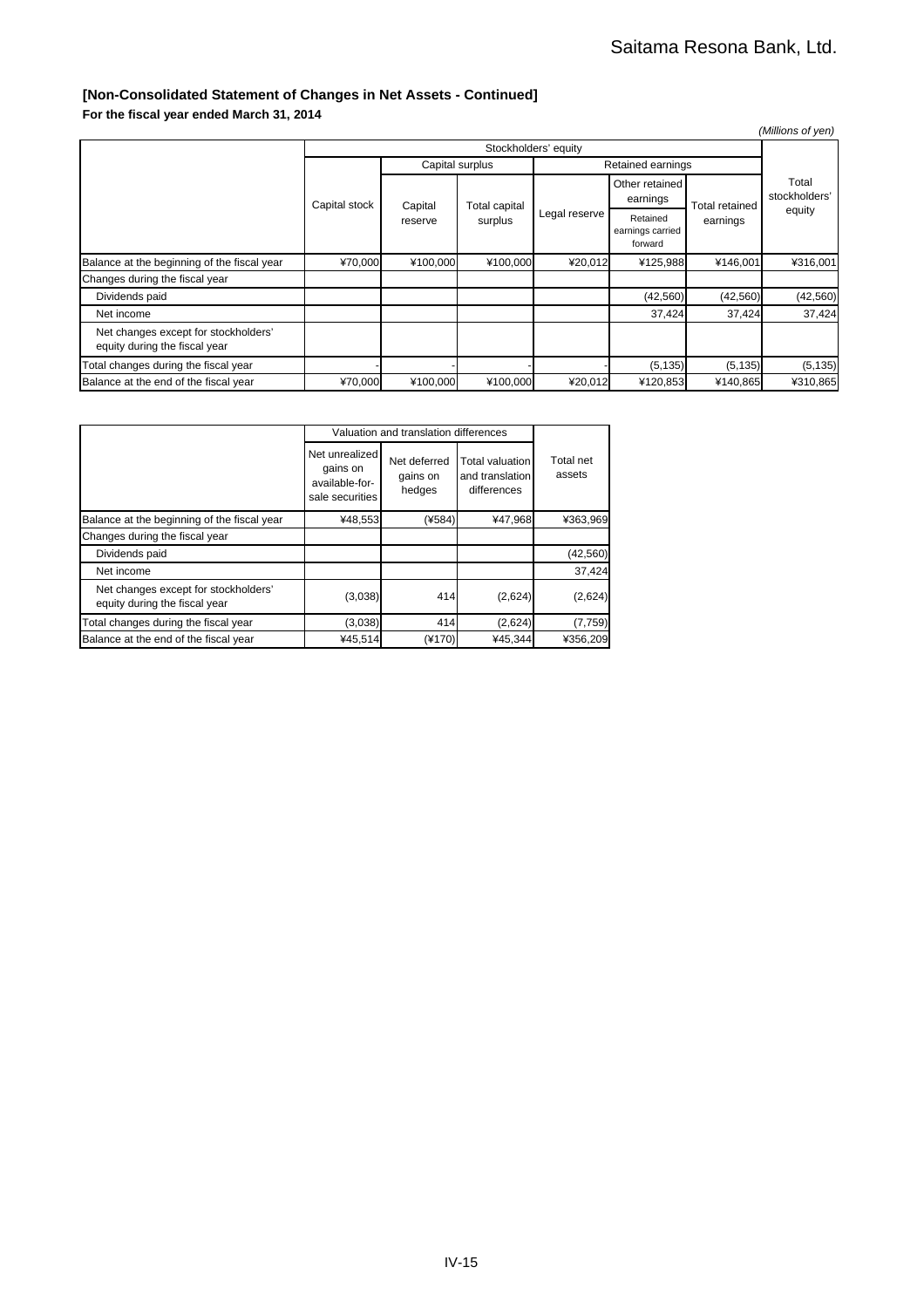#### **[Non-Consolidated Statement of Changes in Net Assets - Continued]**

**For the fiscal year ended March 31, 2014**

|                                                                       |                      |                    |                          |               |                                         |                            | (Millions of yen)                |  |
|-----------------------------------------------------------------------|----------------------|--------------------|--------------------------|---------------|-----------------------------------------|----------------------------|----------------------------------|--|
|                                                                       | Stockholders' equity |                    |                          |               |                                         |                            |                                  |  |
|                                                                       |                      |                    | Capital surplus          |               | Retained earnings                       |                            |                                  |  |
|                                                                       | Capital stock        | Capital<br>reserve | Total capital<br>surplus | Legal reserve | Other retained<br>earnings              | Total retained<br>earnings | Total<br>stockholders'<br>equity |  |
|                                                                       |                      |                    |                          |               | Retained<br>earnings carried<br>forward |                            |                                  |  |
| Balance at the beginning of the fiscal year                           | ¥70,000              | ¥100,000           | ¥100,000                 | ¥20,012       | ¥125,988                                | ¥146,001                   | ¥316,001                         |  |
| Changes during the fiscal year                                        |                      |                    |                          |               |                                         |                            |                                  |  |
| Dividends paid                                                        |                      |                    |                          |               | (42, 560)                               | (42, 560)                  | (42, 560)                        |  |
| Net income                                                            |                      |                    |                          |               | 37,424                                  | 37,424                     | 37,424                           |  |
| Net changes except for stockholders'<br>equity during the fiscal year |                      |                    |                          |               |                                         |                            |                                  |  |
| Total changes during the fiscal year                                  |                      |                    |                          |               | (5, 135)                                | (5, 135)                   | (5, 135)                         |  |
| Balance at the end of the fiscal year                                 | ¥70,000              | ¥100,000           | ¥100,000                 | ¥20,012       | ¥120,853                                | ¥140,865                   | ¥310,865                         |  |

|                                                                       |                                                                 | Valuation and translation differences |                                                          |                     |  |  |  |  |
|-----------------------------------------------------------------------|-----------------------------------------------------------------|---------------------------------------|----------------------------------------------------------|---------------------|--|--|--|--|
|                                                                       | Net unrealized<br>gains on<br>available-for-<br>sale securities | Net deferred<br>gains on<br>hedges    | <b>Total valuation</b><br>and translation<br>differences | Total net<br>assets |  |  |  |  |
| Balance at the beginning of the fiscal year                           | ¥48,553                                                         | (¥584)                                | ¥47,968                                                  | ¥363,969            |  |  |  |  |
| Changes during the fiscal year                                        |                                                                 |                                       |                                                          |                     |  |  |  |  |
| Dividends paid                                                        |                                                                 |                                       |                                                          | (42, 560)           |  |  |  |  |
| Net income                                                            |                                                                 |                                       |                                                          | 37,424              |  |  |  |  |
| Net changes except for stockholders'<br>equity during the fiscal year | (3,038)                                                         | 414                                   | (2,624)                                                  | (2,624)             |  |  |  |  |
| Total changes during the fiscal year                                  | (3,038)                                                         | 414                                   | (2,624)                                                  | (7, 759)            |  |  |  |  |
| Balance at the end of the fiscal year                                 | ¥45,514                                                         | (¥170)                                | ¥45,344                                                  | ¥356,209            |  |  |  |  |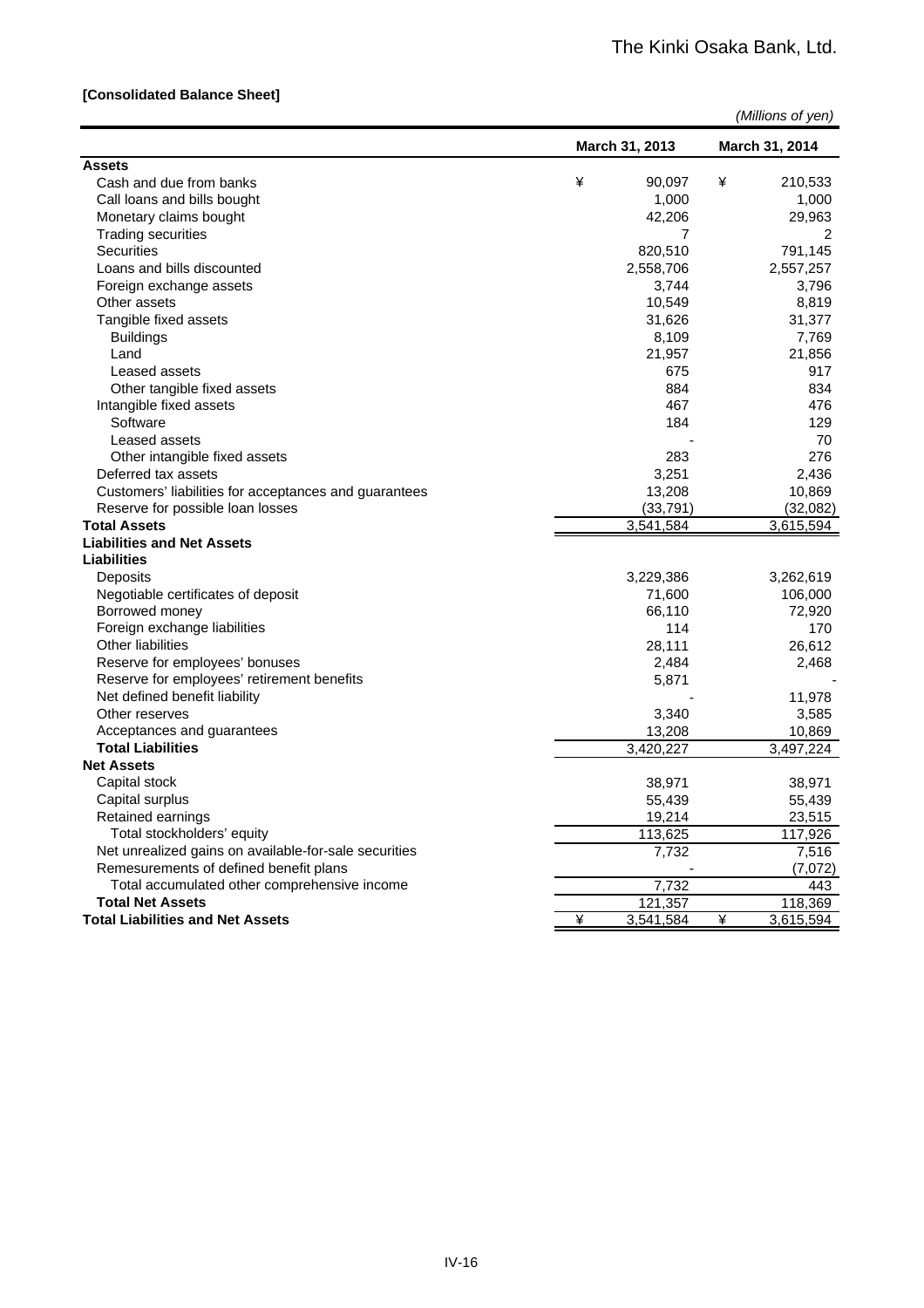#### **[Consolidated Balance Sheet]**

|                                                       | March 31, 2013 | <b>March 31, 2014</b> |
|-------------------------------------------------------|----------------|-----------------------|
| <b>Assets</b>                                         |                |                       |
| Cash and due from banks                               | ¥<br>90,097    | ¥<br>210,533          |
| Call loans and bills bought                           | 1,000          | 1,000                 |
| Monetary claims bought                                | 42,206         | 29,963                |
| <b>Trading securities</b>                             | 7              | 2                     |
| <b>Securities</b>                                     | 820,510        | 791,145               |
| Loans and bills discounted                            | 2,558,706      | 2,557,257             |
| Foreign exchange assets                               | 3,744          | 3,796                 |
| Other assets                                          | 10,549         | 8,819                 |
| Tangible fixed assets                                 | 31,626         | 31,377                |
| <b>Buildings</b>                                      | 8,109          | 7,769                 |
| Land                                                  | 21,957         | 21,856                |
| Leased assets                                         | 675            | 917                   |
| Other tangible fixed assets                           | 884            | 834                   |
| Intangible fixed assets                               | 467            | 476                   |
| Software                                              | 184            | 129                   |
| Leased assets                                         |                | 70                    |
| Other intangible fixed assets                         | 283            | 276                   |
| Deferred tax assets                                   | 3,251          | 2.436                 |
| Customers' liabilities for acceptances and guarantees | 13,208         | 10,869                |
| Reserve for possible loan losses                      | (33, 791)      | (32,082)              |
| <b>Total Assets</b>                                   | 3,541,584      | 3,615,594             |
| <b>Liabilities and Net Assets</b>                     |                |                       |
| Liabilities                                           |                |                       |
| Deposits                                              | 3,229,386      | 3,262,619             |
| Negotiable certificates of deposit                    | 71,600         | 106,000               |
| Borrowed money                                        | 66,110         | 72,920                |
| Foreign exchange liabilities                          | 114            | 170                   |
| Other liabilities                                     | 28,111         | 26,612                |
| Reserve for employees' bonuses                        | 2,484          | 2,468                 |
| Reserve for employees' retirement benefits            | 5,871          |                       |
| Net defined benefit liability                         |                | 11,978                |
| Other reserves                                        | 3,340          | 3,585                 |
| Acceptances and guarantees                            | 13,208         | 10,869                |
| <b>Total Liabilities</b>                              | 3,420,227      | 3,497,224             |
| <b>Net Assets</b>                                     |                |                       |
| Capital stock                                         | 38,971         | 38,971                |
| Capital surplus                                       | 55,439         | 55,439                |
| Retained earnings                                     | 19,214         | 23,515                |
| Total stockholders' equity                            | 113,625        | 117,926               |
| Net unrealized gains on available-for-sale securities | 7,732          | 7,516                 |
| Remesurements of defined benefit plans                |                | (7,072)               |
| Total accumulated other comprehensive income          | 7,732          | 443                   |
| <b>Total Net Assets</b>                               | 121,357        | 118,369               |
| <b>Total Liabilities and Net Assets</b>               | ¥<br>3,541,584 | ¥<br>3,615,594        |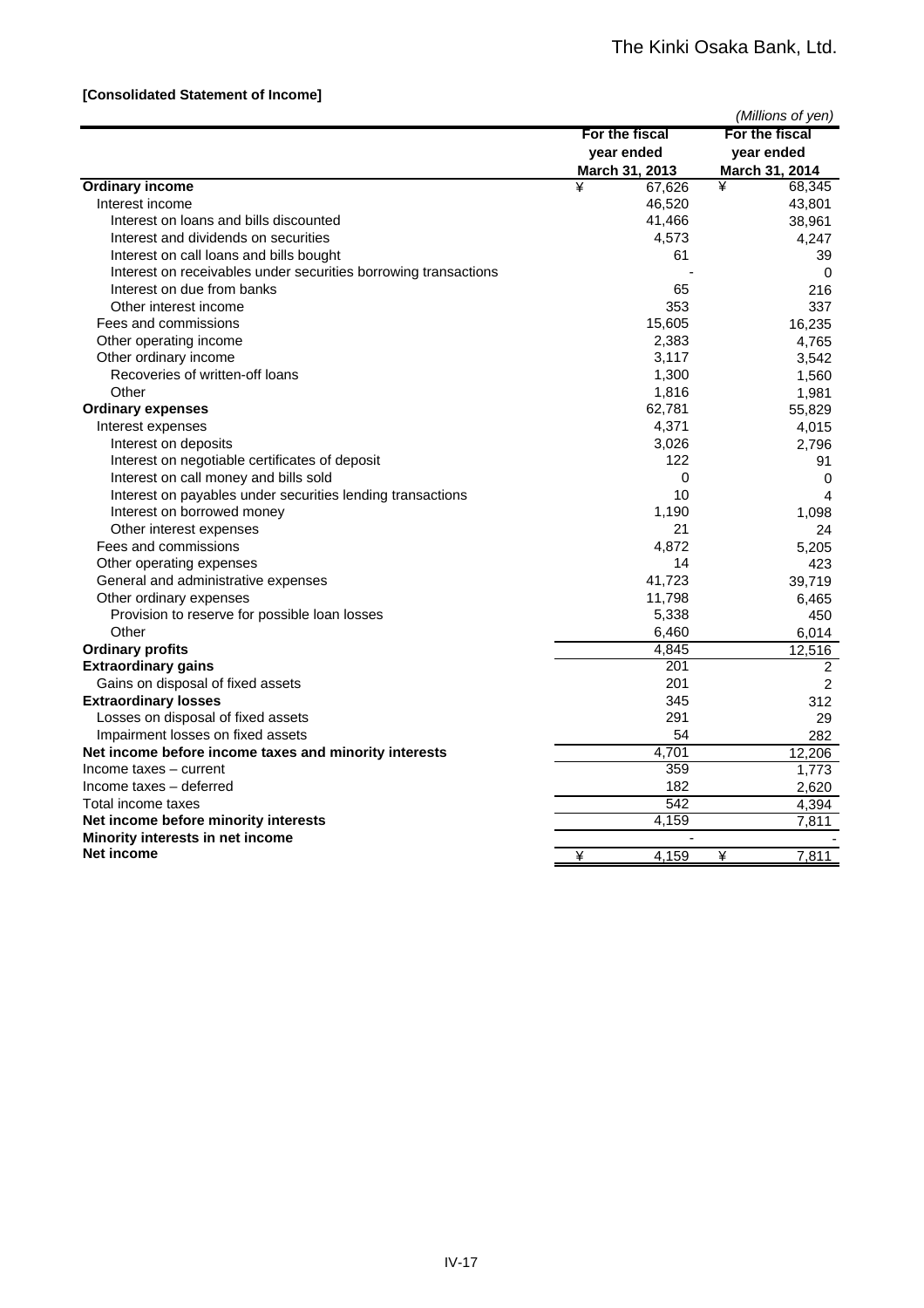#### **[Consolidated Statement of Income]**

|                                                                 |                | (Millions of yen)      |
|-----------------------------------------------------------------|----------------|------------------------|
|                                                                 | For the fiscal | For the fiscal         |
|                                                                 | year ended     | year ended             |
|                                                                 | March 31, 2013 | March 31, 2014         |
| <b>Ordinary income</b>                                          | ¥<br>67,626    | ¥<br>68,345            |
| Interest income                                                 | 46,520         | 43,801                 |
| Interest on loans and bills discounted                          | 41,466         | 38,961                 |
| Interest and dividends on securities                            | 4,573          | 4.247                  |
| Interest on call loans and bills bought                         | 61             | 39                     |
| Interest on receivables under securities borrowing transactions |                | 0                      |
| Interest on due from banks                                      | 65             | 216                    |
| Other interest income                                           | 353            | 337                    |
| Fees and commissions                                            | 15,605         | 16,235                 |
| Other operating income                                          | 2,383          | 4,765                  |
| Other ordinary income                                           | 3,117          | 3,542                  |
| Recoveries of written-off loans                                 | 1,300          | 1,560                  |
| Other                                                           | 1,816          | 1,981                  |
| <b>Ordinary expenses</b>                                        | 62,781         | 55,829                 |
| Interest expenses                                               | 4,371          | 4,015                  |
| Interest on deposits                                            | 3,026          | 2,796                  |
| Interest on negotiable certificates of deposit                  | 122            | 91                     |
| Interest on call money and bills sold                           | 0              | 0                      |
| Interest on payables under securities lending transactions      | 10             | $\boldsymbol{\Lambda}$ |
| Interest on borrowed money                                      | 1,190          | 1,098                  |
| Other interest expenses                                         | 21             | 24                     |
| Fees and commissions                                            | 4,872          | 5,205                  |
| Other operating expenses                                        | 14             | 423                    |
| General and administrative expenses                             | 41,723         | 39,719                 |
| Other ordinary expenses                                         | 11,798         | 6,465                  |
| Provision to reserve for possible loan losses                   | 5,338          | 450                    |
| Other                                                           | 6,460          | 6,014                  |
| <b>Ordinary profits</b>                                         | 4,845          | 12,516                 |
| <b>Extraordinary gains</b>                                      | 201            | 2                      |
| Gains on disposal of fixed assets                               | 201            | $\overline{2}$         |
| <b>Extraordinary losses</b>                                     | 345            | 312                    |
| Losses on disposal of fixed assets                              | 291            | 29                     |
| Impairment losses on fixed assets                               | 54             | 282                    |
| Net income before income taxes and minority interests           | 4,701          | 12,206                 |
| Income taxes - current                                          | 359            | 1,773                  |
| Income taxes - deferred                                         | 182            | 2,620                  |
| Total income taxes                                              | 542            | 4,394                  |
| Net income before minority interests                            | 4,159          | 7,811                  |
| Minority interests in net income                                | ÷,             |                        |
| Net income                                                      | ¥<br>4,159     | 7,811<br>¥             |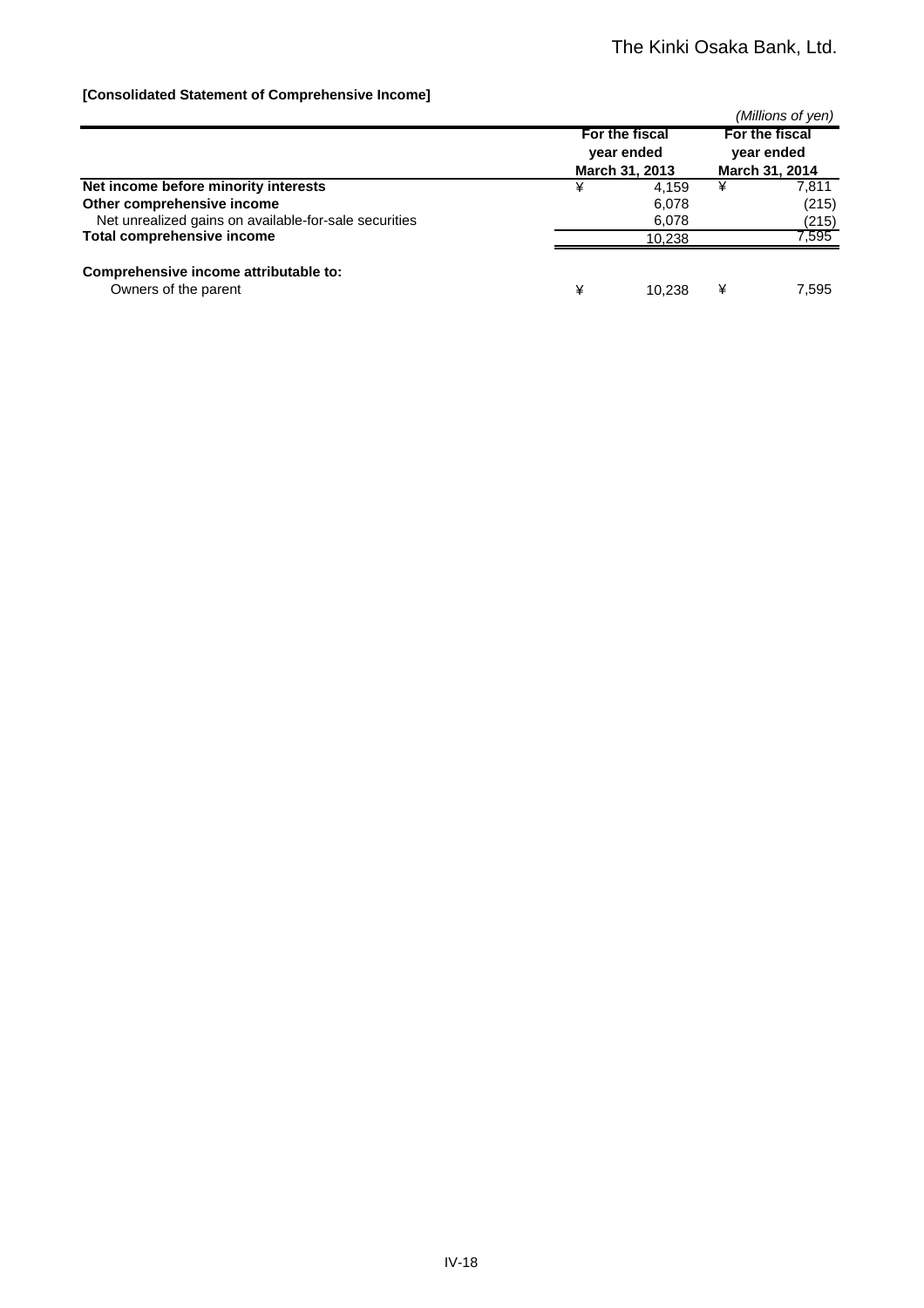#### **[Consolidated Statement of Comprehensive Income]**

|                                                       |   |                                                |   | (Millions of yen)                              |
|-------------------------------------------------------|---|------------------------------------------------|---|------------------------------------------------|
|                                                       |   | For the fiscal<br>year ended<br>March 31, 2013 |   | For the fiscal<br>year ended<br>March 31, 2014 |
| Net income before minority interests                  | ¥ | 4.159                                          | ¥ | 7,811                                          |
| Other comprehensive income                            |   | 6,078                                          |   | (215)                                          |
| Net unrealized gains on available-for-sale securities |   | 6,078                                          |   | (215)                                          |
| <b>Total comprehensive income</b>                     |   | 10.238                                         |   | 7,595                                          |
| Comprehensive income attributable to:                 |   |                                                |   |                                                |
| Owners of the parent                                  | ¥ | 10.238                                         | ¥ | 7.595                                          |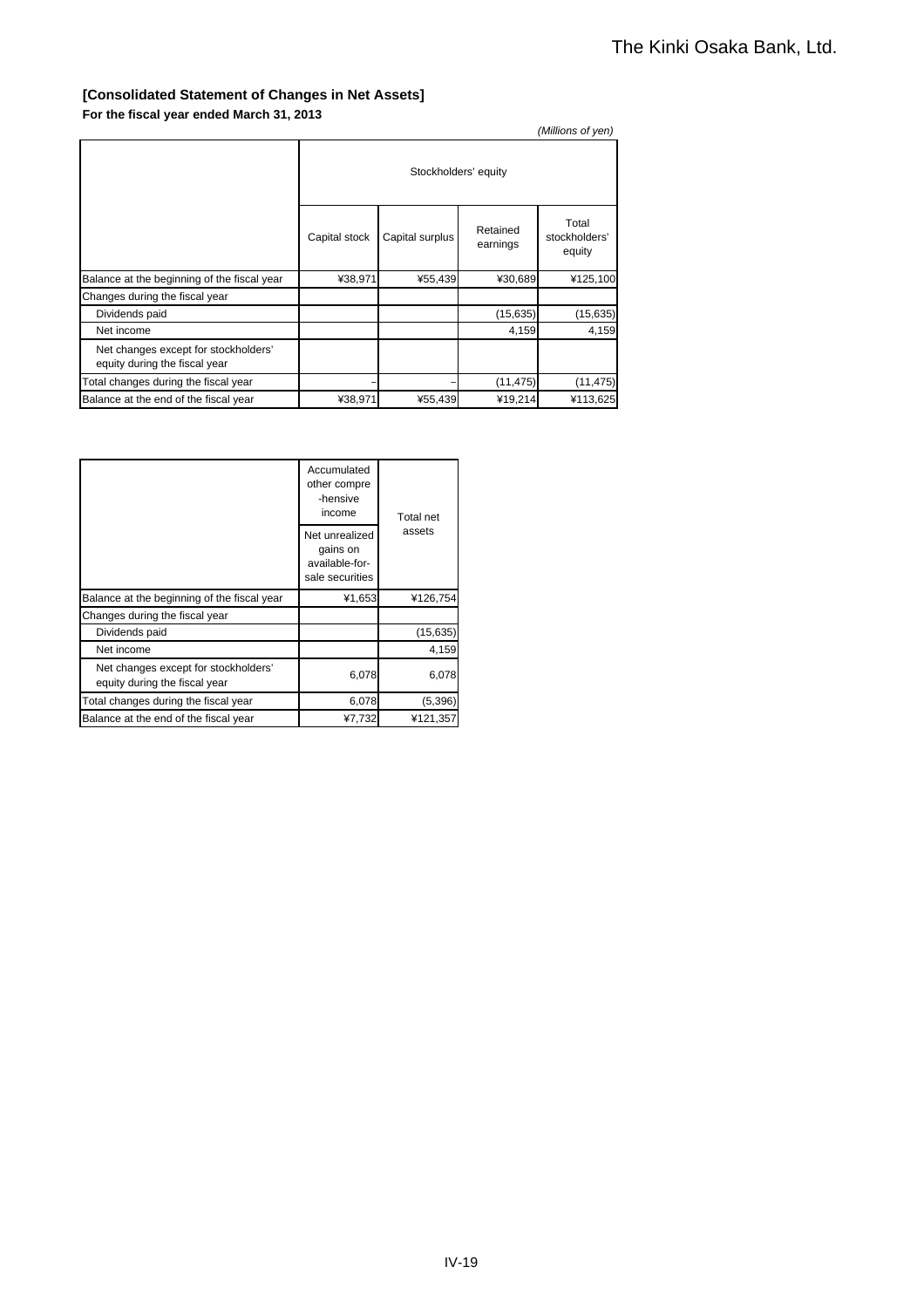#### **[Consolidated Statement of Changes in Net Assets] For the fiscal year ended March 31, 2013**

|                                                                       |                      |                 |                      | (Millions of yen)                |
|-----------------------------------------------------------------------|----------------------|-----------------|----------------------|----------------------------------|
|                                                                       | Stockholders' equity |                 |                      |                                  |
|                                                                       | Capital stock        | Capital surplus | Retained<br>earnings | Total<br>stockholders'<br>equity |
| Balance at the beginning of the fiscal year                           | ¥38,971              | ¥55,439         | ¥30,689              | ¥125,100                         |
| Changes during the fiscal year                                        |                      |                 |                      |                                  |
| Dividends paid                                                        |                      |                 | (15, 635)            | (15, 635)                        |
| Net income                                                            |                      |                 | 4,159                | 4,159                            |
| Net changes except for stockholders'<br>equity during the fiscal year |                      |                 |                      |                                  |
| Total changes during the fiscal year                                  |                      |                 | (11, 475)            | (11, 475)                        |
| Balance at the end of the fiscal year                                 | ¥38,971              | ¥55,439         | ¥19,214              | ¥113,625                         |

| Accumulated<br>other compre<br>-hensive<br>income                     |                                                                 | <b>Total net</b> |
|-----------------------------------------------------------------------|-----------------------------------------------------------------|------------------|
|                                                                       | Net unrealized<br>gains on<br>available-for-<br>sale securities | assets           |
| Balance at the beginning of the fiscal year                           | ¥1,653                                                          | ¥126,754         |
| Changes during the fiscal year                                        |                                                                 |                  |
| Dividends paid                                                        |                                                                 | (15, 635)        |
| Net income                                                            |                                                                 | 4.159            |
| Net changes except for stockholders'<br>equity during the fiscal year | 6,078                                                           | 6,078            |
| Total changes during the fiscal year                                  | 6,078                                                           | (5,396)          |
| Balance at the end of the fiscal year                                 | ¥7,732                                                          | ¥121,357         |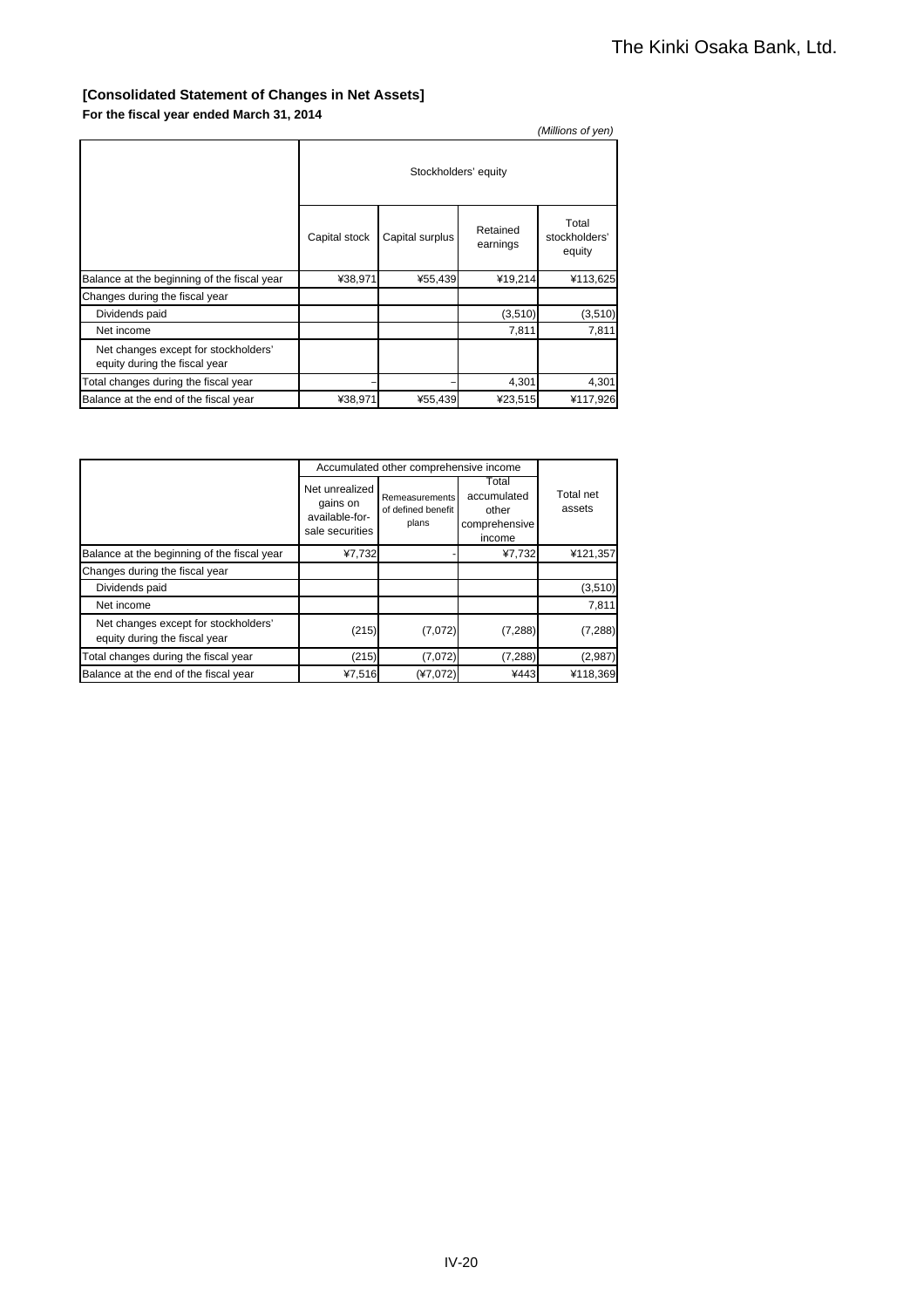#### **[Consolidated Statement of Changes in Net Assets] For the fiscal year ended March 31, 2014**

| .                                                                     |                      |                 |                      | (Millions of yen)                |
|-----------------------------------------------------------------------|----------------------|-----------------|----------------------|----------------------------------|
|                                                                       | Stockholders' equity |                 |                      |                                  |
|                                                                       | Capital stock        | Capital surplus | Retained<br>earnings | Total<br>stockholders'<br>equity |
| Balance at the beginning of the fiscal year                           | ¥38,971              | ¥55,439         | ¥19,214              | ¥113,625                         |
| Changes during the fiscal year                                        |                      |                 |                      |                                  |
| Dividends paid                                                        |                      |                 | (3,510)              | (3, 510)                         |
| Net income                                                            |                      |                 | 7,811                | 7,811                            |
| Net changes except for stockholders'<br>equity during the fiscal year |                      |                 |                      |                                  |
| Total changes during the fiscal year                                  |                      |                 | 4,301                | 4,301                            |
| Balance at the end of the fiscal year                                 | ¥38,971              | ¥55,439         | ¥23,515              | ¥117,926                         |

|                                                                       |                                                                 | Accumulated other comprehensive income        |                                                          |                     |
|-----------------------------------------------------------------------|-----------------------------------------------------------------|-----------------------------------------------|----------------------------------------------------------|---------------------|
|                                                                       | Net unrealized<br>gains on<br>available-for-<br>sale securities | Remeasurements<br>of defined benefit<br>plans | Total<br>accumulated<br>other<br>comprehensive<br>income | Total net<br>assets |
| Balance at the beginning of the fiscal year                           | ¥7,732                                                          |                                               | ¥7,732                                                   | ¥121,357            |
| Changes during the fiscal year                                        |                                                                 |                                               |                                                          |                     |
| Dividends paid                                                        |                                                                 |                                               |                                                          | (3,510)             |
| Net income                                                            |                                                                 |                                               |                                                          | 7,811               |
| Net changes except for stockholders'<br>equity during the fiscal year | (215)                                                           | (7,072)                                       | (7, 288)                                                 | (7, 288)            |
| Total changes during the fiscal year                                  | (215)                                                           | (7,072)                                       | (7, 288)                                                 | (2,987)             |
| Balance at the end of the fiscal year                                 | ¥7,516                                                          | $(*7,072)$                                    | ¥443                                                     | ¥118.369            |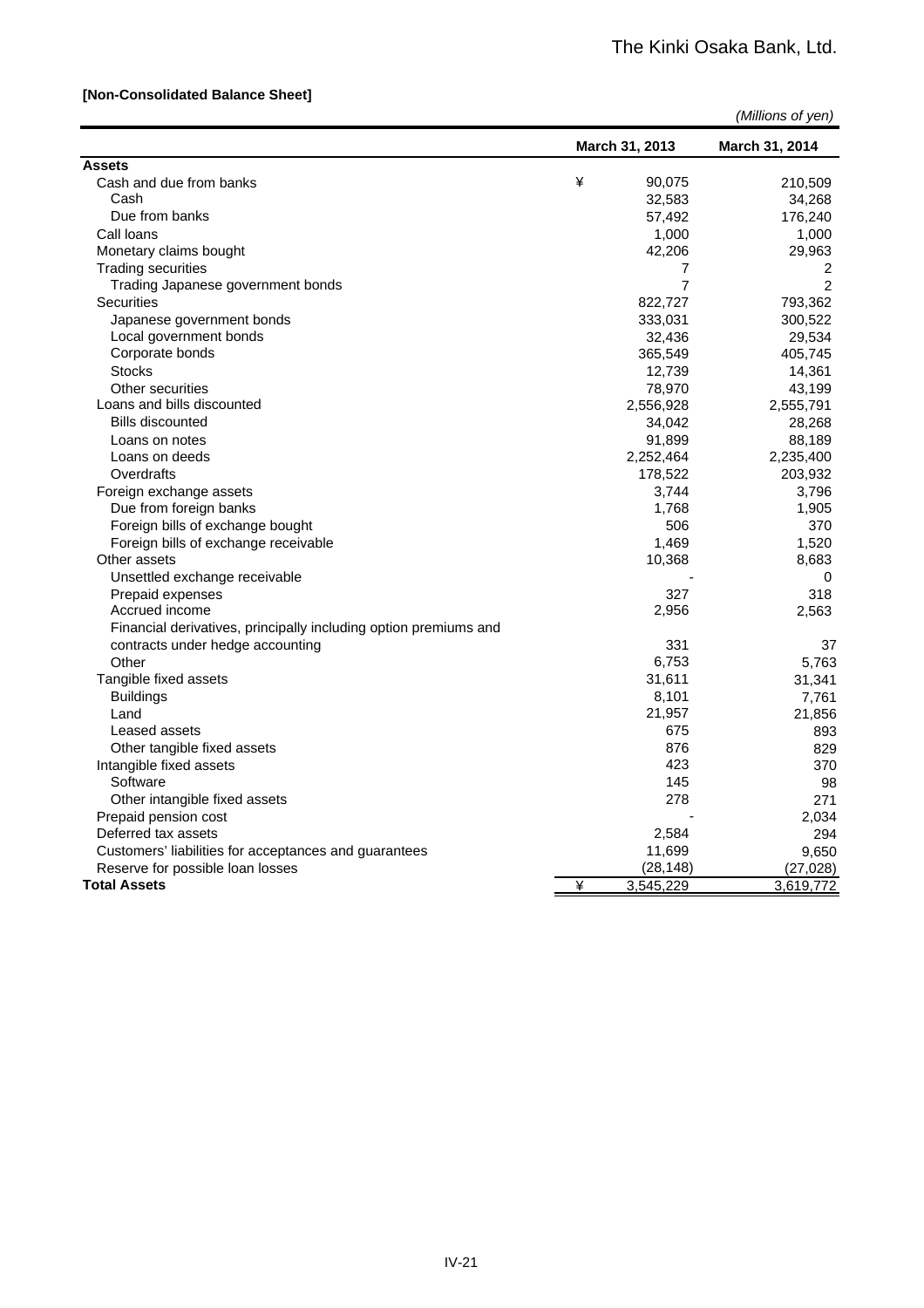#### **[Non-Consolidated Balance Sheet]**

| (Millions of yen) |  |  |
|-------------------|--|--|
|-------------------|--|--|

|                                                                  |   | March 31, 2013 | March 31, 2014 |
|------------------------------------------------------------------|---|----------------|----------------|
| <b>Assets</b>                                                    |   |                |                |
| Cash and due from banks                                          | ¥ | 90,075         | 210,509        |
| Cash                                                             |   | 32,583         | 34,268         |
| Due from banks                                                   |   | 57,492         | 176,240        |
| Call loans                                                       |   | 1,000          | 1,000          |
| Monetary claims bought                                           |   | 42,206         | 29,963         |
| <b>Trading securities</b>                                        |   | 7              | 2              |
| Trading Japanese government bonds                                |   | 7              | $\overline{2}$ |
| <b>Securities</b>                                                |   | 822,727        | 793,362        |
| Japanese government bonds                                        |   | 333,031        | 300,522        |
| Local government bonds                                           |   | 32,436         | 29,534         |
| Corporate bonds                                                  |   | 365,549        | 405,745        |
| <b>Stocks</b>                                                    |   | 12,739         | 14,361         |
| Other securities                                                 |   | 78,970         | 43,199         |
| Loans and bills discounted                                       |   | 2,556,928      | 2,555,791      |
| <b>Bills discounted</b>                                          |   | 34,042         | 28,268         |
| Loans on notes                                                   |   | 91,899         | 88,189         |
| Loans on deeds                                                   |   | 2,252,464      | 2,235,400      |
| Overdrafts                                                       |   | 178,522        | 203,932        |
| Foreign exchange assets                                          |   | 3,744          | 3,796          |
| Due from foreign banks                                           |   | 1,768          | 1,905          |
| Foreign bills of exchange bought                                 |   | 506            | 370            |
| Foreign bills of exchange receivable                             |   | 1,469          | 1,520          |
| Other assets                                                     |   | 10,368         | 8,683          |
| Unsettled exchange receivable                                    |   |                | 0              |
| Prepaid expenses                                                 |   | 327            | 318            |
| Accrued income                                                   |   | 2,956          | 2,563          |
| Financial derivatives, principally including option premiums and |   |                |                |
| contracts under hedge accounting                                 |   | 331            | 37             |
| Other                                                            |   | 6,753          | 5,763          |
| Tangible fixed assets                                            |   | 31,611         | 31,341         |
| <b>Buildings</b>                                                 |   | 8,101          | 7,761          |
| Land                                                             |   | 21,957         | 21,856         |
| Leased assets                                                    |   | 675            | 893            |
| Other tangible fixed assets                                      |   | 876            | 829            |
| Intangible fixed assets                                          |   | 423            | 370            |
| Software                                                         |   | 145            | 98             |
| Other intangible fixed assets                                    |   | 278            | 271            |
| Prepaid pension cost                                             |   |                | 2,034          |
| Deferred tax assets                                              |   | 2,584          | 294            |
| Customers' liabilities for acceptances and guarantees            |   | 11,699         | 9.650          |
| Reserve for possible loan losses                                 |   | (28, 148)      | (27, 028)      |
| <b>Total Assets</b>                                              | ¥ | 3,545,229      | 3,619,772      |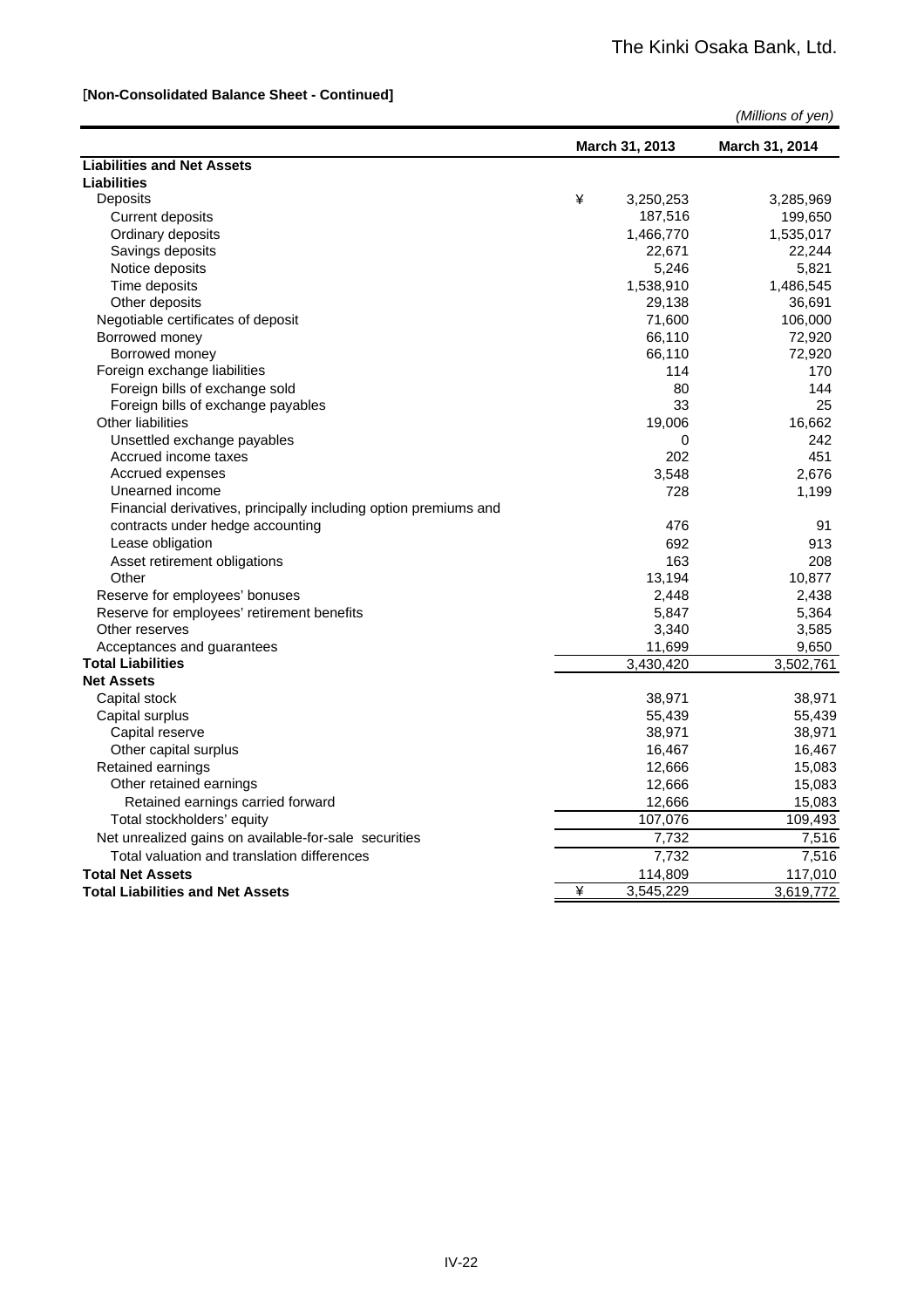#### [**Non-Consolidated Balance Sheet - Continued]**

| March 31, 2013                                                   | March 31, 2014     |
|------------------------------------------------------------------|--------------------|
| <b>Liabilities and Net Assets</b>                                |                    |
| <b>Liabilities</b>                                               |                    |
| Deposits<br>¥<br>3,250,253                                       | 3,285,969          |
| <b>Current deposits</b>                                          | 187,516<br>199,650 |
| Ordinary deposits<br>1,466,770                                   | 1,535,017          |
| Savings deposits                                                 | 22,671<br>22,244   |
| Notice deposits                                                  | 5,821<br>5,246     |
| Time deposits<br>1,538,910                                       | 1,486,545          |
| Other deposits                                                   | 29,138<br>36,691   |
| Negotiable certificates of deposit                               | 71,600<br>106,000  |
| Borrowed money                                                   | 66,110<br>72,920   |
| Borrowed money                                                   | 72,920<br>66,110   |
| Foreign exchange liabilities                                     | 114<br>170         |
| Foreign bills of exchange sold                                   | 80<br>144          |
| Foreign bills of exchange payables                               | 33<br>25           |
| <b>Other liabilities</b>                                         | 19,006<br>16,662   |
| Unsettled exchange payables                                      | 242<br>0           |
| Accrued income taxes                                             | 202<br>451         |
| Accrued expenses                                                 | 2,676<br>3,548     |
| Unearned income                                                  | 728<br>1,199       |
| Financial derivatives, principally including option premiums and |                    |
| contracts under hedge accounting                                 | 476<br>91          |
| Lease obligation                                                 | 692<br>913         |
| Asset retirement obligations                                     | 208<br>163         |
| Other                                                            | 13,194<br>10,877   |
| Reserve for employees' bonuses                                   | 2,438<br>2,448     |
| Reserve for employees' retirement benefits                       | 5,364<br>5,847     |
| Other reserves                                                   | 3,340<br>3,585     |
| Acceptances and guarantees                                       | 11,699<br>9,650    |
| <b>Total Liabilities</b><br>3,430,420                            | 3,502,761          |
| <b>Net Assets</b>                                                |                    |
| Capital stock                                                    | 38,971<br>38,971   |
| Capital surplus                                                  | 55,439<br>55,439   |
| Capital reserve                                                  | 38,971<br>38,971   |
| Other capital surplus                                            | 16,467<br>16,467   |
| Retained earnings                                                | 12,666<br>15,083   |
| Other retained earnings                                          | 12,666<br>15,083   |
| Retained earnings carried forward                                | 12,666<br>15,083   |
| Total stockholders' equity                                       | 109,493<br>107,076 |
| Net unrealized gains on available-for-sale securities            | 7,732<br>7,516     |
| Total valuation and translation differences                      | 7,732<br>7,516     |
| <b>Total Net Assets</b>                                          | 114,809<br>117,010 |
| ¥<br>3,545,229<br><b>Total Liabilities and Net Assets</b>        | 3,619,772          |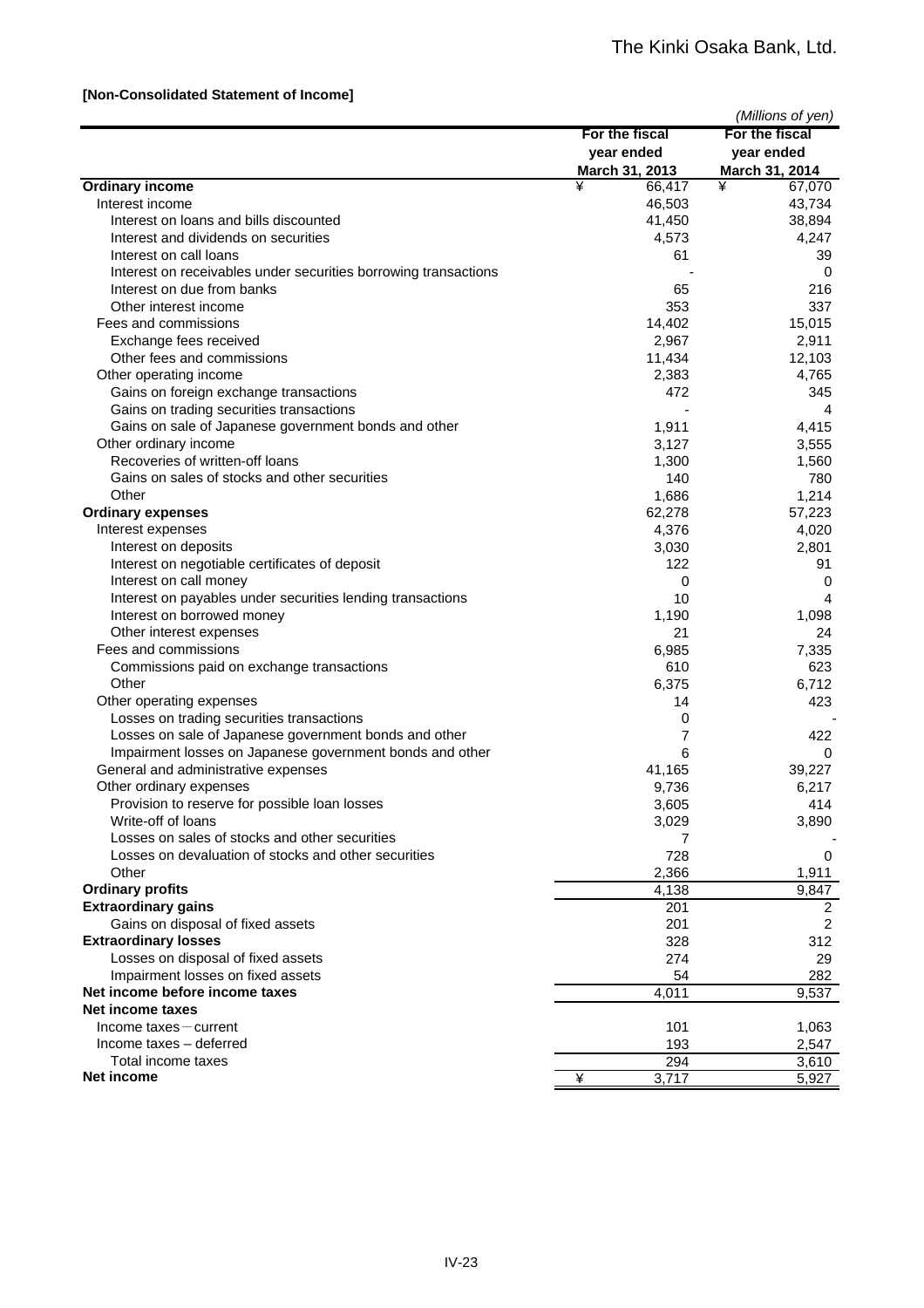#### **[Non-Consolidated Statement of Income]**

|                                                                 |                | (Millions of yen) |
|-----------------------------------------------------------------|----------------|-------------------|
|                                                                 | For the fiscal | For the fiscal    |
|                                                                 | year ended     | year ended        |
|                                                                 | March 31, 2013 | March 31, 2014    |
| <b>Ordinary income</b>                                          | ¥<br>66,417    | ¥<br>67,070       |
| Interest income                                                 | 46,503         | 43,734            |
| Interest on loans and bills discounted                          | 41,450         | 38,894            |
| Interest and dividends on securities                            | 4,573          | 4,247             |
| Interest on call loans                                          | 61             | 39                |
| Interest on receivables under securities borrowing transactions |                | 0                 |
| Interest on due from banks                                      | 65             | 216               |
| Other interest income                                           | 353            | 337               |
| Fees and commissions                                            | 14,402         | 15,015            |
| Exchange fees received                                          | 2,967          | 2,911             |
| Other fees and commissions                                      | 11,434         | 12,103            |
| Other operating income                                          | 2,383          | 4,765             |
| Gains on foreign exchange transactions                          | 472            | 345               |
| Gains on trading securities transactions                        |                | 4                 |
| Gains on sale of Japanese government bonds and other            | 1,911          | 4,415             |
| Other ordinary income                                           | 3,127          | 3,555             |
| Recoveries of written-off loans                                 | 1,300          | 1,560             |
| Gains on sales of stocks and other securities                   | 140            | 780               |
| Other                                                           | 1,686          | 1,214             |
| <b>Ordinary expenses</b>                                        | 62,278         | 57,223            |
| Interest expenses                                               | 4,376          | 4,020             |
| Interest on deposits                                            | 3,030          | 2,801             |
| Interest on negotiable certificates of deposit                  | 122            | 91                |
| Interest on call money                                          | 0              | 0                 |
| Interest on payables under securities lending transactions      | 10             | 4                 |
| Interest on borrowed money                                      | 1,190          | 1,098             |
| Other interest expenses                                         | 21             | 24                |
| Fees and commissions                                            | 6,985          | 7,335             |
| Commissions paid on exchange transactions                       | 610            | 623               |
| Other                                                           | 6,375          | 6,712             |
| Other operating expenses                                        | 14             | 423               |
| Losses on trading securities transactions                       | 0              |                   |
| Losses on sale of Japanese government bonds and other           | 7              | 422               |
| Impairment losses on Japanese government bonds and other        | 6              | $\Omega$          |
| General and administrative expenses                             | 41,165         | 39,227            |
| Other ordinary expenses                                         | 9,736          | 6,217             |
| Provision to reserve for possible loan losses                   | 3,605          | 414               |
| Write-off of loans                                              | 3,029          | 3,890             |
| Losses on sales of stocks and other securities                  | 7              |                   |
| Losses on devaluation of stocks and other securities            | 728            | 0                 |
| Other                                                           | 2,366          | 1,911             |
| <b>Ordinary profits</b>                                         | 4,138          | 9,847             |
| <b>Extraordinary gains</b>                                      | 201            | $\overline{2}$    |
| Gains on disposal of fixed assets                               | 201            | 2                 |
| <b>Extraordinary losses</b>                                     | 328            | 312               |
| Losses on disposal of fixed assets                              | 274            | 29                |
| Impairment losses on fixed assets                               | 54             | 282               |
| Net income before income taxes                                  | 4,011          | 9,537             |
| Net income taxes                                                |                |                   |
| Income taxes - current                                          | 101            | 1,063             |
| Income taxes - deferred                                         | 193            | 2,547             |
| Total income taxes                                              | 294            | 3,610             |
| <b>Net income</b>                                               | ¥<br>3,717     | 5,927             |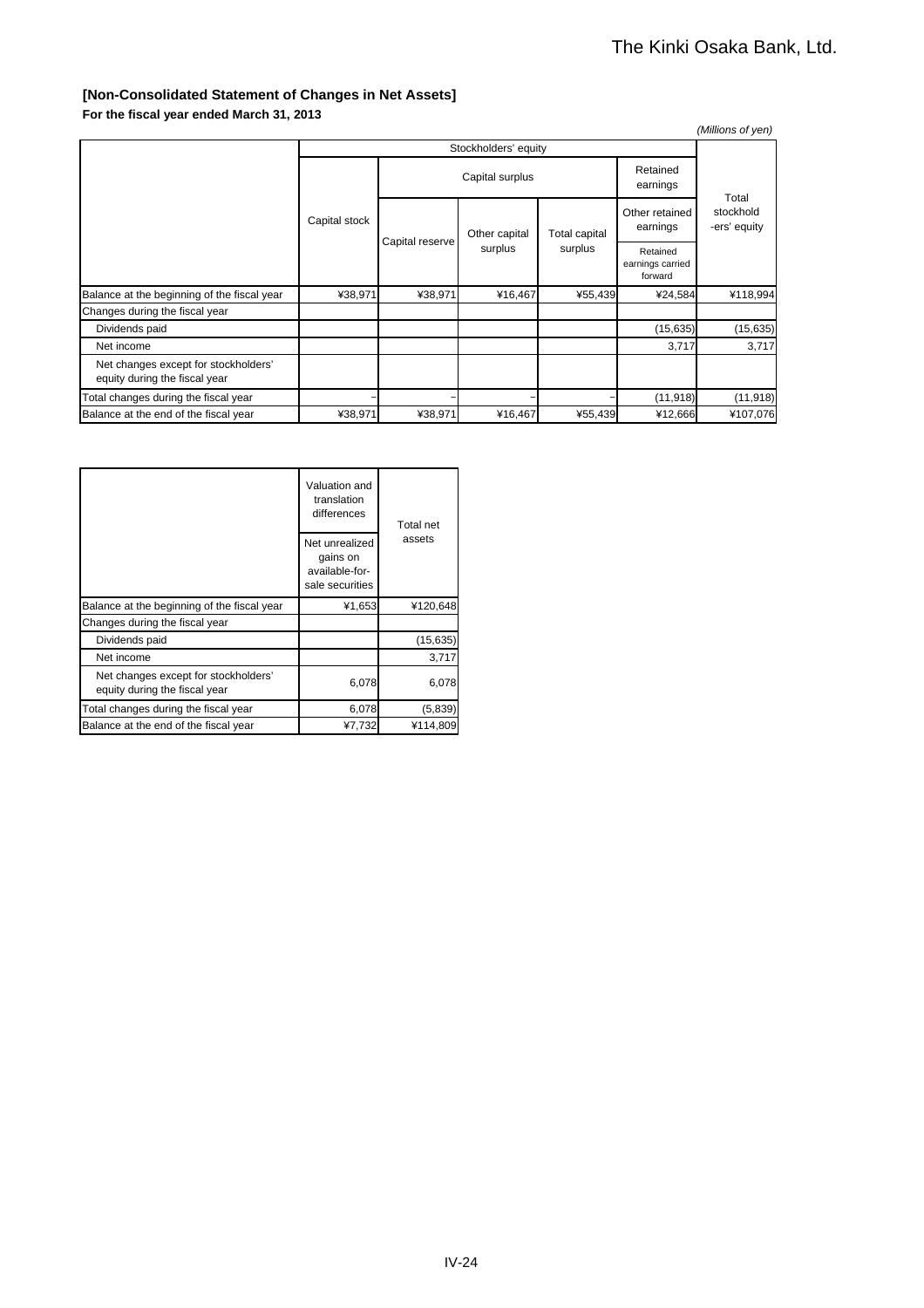### **[Non-Consolidated Statement of Changes in Net Assets]**

| For the fiscal year ended March 31, 2013 |  |  |
|------------------------------------------|--|--|
|------------------------------------------|--|--|

| ---------------                                                       |                      |                 |                          |                          |                                         | (Millions of yen)                  |
|-----------------------------------------------------------------------|----------------------|-----------------|--------------------------|--------------------------|-----------------------------------------|------------------------------------|
|                                                                       | Stockholders' equity |                 |                          |                          |                                         |                                    |
|                                                                       | Capital stock        | Capital surplus |                          |                          | Retained<br>earnings                    |                                    |
|                                                                       |                      |                 | Other capital<br>surplus | Total capital<br>surplus | Other retained<br>earnings              | Total<br>stockhold<br>-ers' equity |
|                                                                       |                      | Capital reserve |                          |                          | Retained<br>earnings carried<br>forward |                                    |
| Balance at the beginning of the fiscal year                           | ¥38,971              | ¥38,971         | ¥16,467                  | ¥55,439                  | ¥24,584                                 | ¥118,994                           |
| Changes during the fiscal year                                        |                      |                 |                          |                          |                                         |                                    |
| Dividends paid                                                        |                      |                 |                          |                          | (15, 635)                               | (15, 635)                          |
| Net income                                                            |                      |                 |                          |                          | 3,717                                   | 3,717                              |
| Net changes except for stockholders'<br>equity during the fiscal year |                      |                 |                          |                          |                                         |                                    |
| Total changes during the fiscal year                                  |                      |                 |                          |                          | (11, 918)                               | (11, 918)                          |
| Balance at the end of the fiscal year                                 | ¥38,971              | ¥38,971         | ¥16,467                  | ¥55,439                  | ¥12,666                                 | ¥107,076                           |

|                                                                       | Valuation and<br>translation<br>differences                     | Total net<br>assets |  |
|-----------------------------------------------------------------------|-----------------------------------------------------------------|---------------------|--|
|                                                                       | Net unrealized<br>gains on<br>available-for-<br>sale securities |                     |  |
| Balance at the beginning of the fiscal year                           | ¥1,653                                                          | ¥120,648            |  |
| Changes during the fiscal year                                        |                                                                 |                     |  |
| Dividends paid                                                        |                                                                 | (15, 635)           |  |
| Net income                                                            |                                                                 | 3.717               |  |
| Net changes except for stockholders'<br>equity during the fiscal year | 6,078                                                           | 6,078               |  |
| Total changes during the fiscal year                                  | 6,078                                                           | (5,839)             |  |
| Balance at the end of the fiscal year                                 | ¥7,732                                                          | ¥114.809            |  |